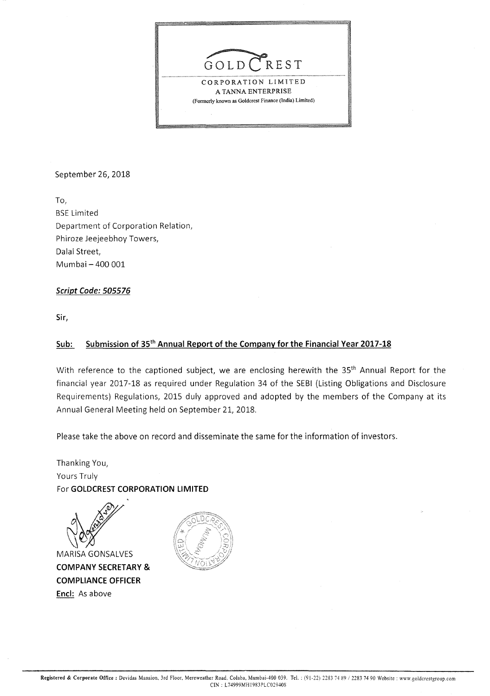

September 26, 2018

To, BSE Limited Department of Corporation Relation, Phiroze Jeejeebhoy Towers, Dalal Street, Mumbai - 400 001

### **Script Code: 505576**

**Sir,** 

### **Sub: Submission of 35th Annual Report of the Company for the Financial Year 2017-18**

With reference to the captioned subject, we are enclosing herewith the 35<sup>th</sup> Annual Report for the financial year 2017-18 as required under Regulation 34 of the SEBI (Listing Obligations and Disclosure Requirements) Regulations, 2015 duly approved and adopted by the members of the Company at its Annual General Meeting held on September 21, 2018.

Please take the above on record and disseminate the same for the information of investors.

Thanking You, Yours Truly For **GOLDCREST CORPORATION LIMITED** 

MARISA GONSALVES

**COMPANY SECRETARY** & **COMPLIANCE OFFICER Encl:** As above

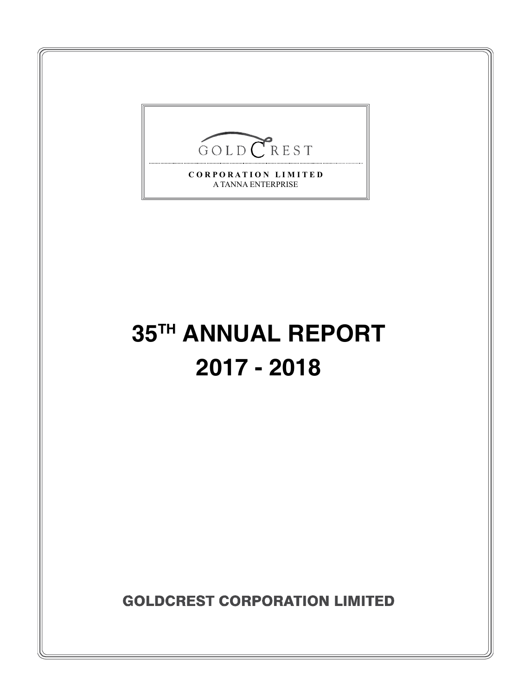

A TANNA ENTERPRISE

# **35TH ANNUAL REPORT 2017 - 2018**

**GOLDCREST CORPORATION LIMITED**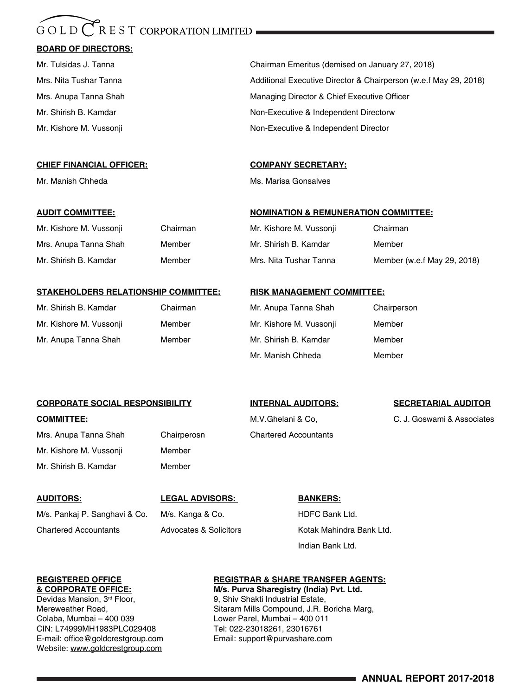#### $\bigcap$  R E S T CORPORATION LIMITED GOLD

#### **BOARD OF DIRECTORS:**

#### **CHIEF FINANCIAL OFFICER: COMPANY SECRETARY:**

Mr. Kishore M. Vussonji Chairman Mrs. Anupa Tanna Shah Member Mr. Shirish B. Kamdar Member

Mr. Tulsidas J. Tanna Chairman Emeritus (demised on January 27, 2018) Mrs. Nita Tushar Tanna **Music Additional Executive Director & Chairperson (w.e.f May 29, 2018)** Additional Executive Director & Chairperson (w.e.f May 29, 2018) Mrs. Anupa Tanna Shah Managing Director & Chief Executive Officer Mr. Shirish B. Kamdar Non-Executive & Independent Directorw Mr. Kishore M. Vussonji Non-Executive & Independent Director

Mr. Manish Chheda Ms. Marisa Gonsalves

#### **AUDIT COMMITTEE: NOMINATION & REMUNERATION COMMITTEE:**

| Mr. Kishore M. Vussonji | Chairman                    |
|-------------------------|-----------------------------|
| Mr. Shirish B. Kamdar   | Member                      |
| Mrs. Nita Tushar Tanna  | Member (w.e.f May 29, 2018) |

#### **STAKEHOLDERS RELATIONSHIP COMMITTEE: RISK MANAGEMENT COMMITTEE:**

| Mr. Shirish B. Kamdar   | Chairma |
|-------------------------|---------|
| Mr. Kishore M. Vussonji | Member  |
| Mr. Anupa Tanna Shah    | Member  |

| Mr. Shirish B. Kamdar   | Chairman | Mr. Anupa Tanna Shah    | Chairperson |
|-------------------------|----------|-------------------------|-------------|
| Mr. Kishore M. Vussonji | Member   | Mr. Kishore M. Vussonji | Member      |
| Mr. Anupa Tanna Shah    | Member   | Mr. Shirish B. Kamdar   | Member      |
|                         |          | Mr. Manish Chheda       | Member      |

#### **Corporate Social Responsibility INTERNAL AUDITORS: SECRETARIAL AUDITOR**

**COMMITTEE:** COMMITTEE: **M.V. Ghelani & Co, C. J. Goswami & Associates** C. J. Goswami & Associates

Mrs. Anupa Tanna Shah Chairperosn Chartered Accountants Mr. Kishore M. Vussonji Member Mr. Shirish B. Kamdar Member

**AUDITORS: LEGAL ADVISORS: BANKERS:** M/s. Pankaj P. Sanghavi & Co. M/s. Kanga & Co. HDFC Bank Ltd.

Chartered Accountants **Advocates & Solicitors** Kotak Mahindra Bank Ltd.

Colaba, Mumbai – 400 039 Lower Parel, Mumbai – 400 011 CIN: L74999MH1983PLC029408 Tel: 022-23018261, 23016761 E-mail: office@goldcrestgroup.com Email: support@purvashare.com Website: www.goldcrestgroup.com

### **REGISTERED OFFICE**<br> **REGISTERED OFFICE:**<br> **REGISTRAR & SHARE TRANSFER AGENTS:**<br> **REGISTRAR & SHARE TRANSFER AGENTS:**<br> **REGISTRAR & SHARE TRANSFER AGENTS:**

Indian Bank Ltd.

**& CORPORATE OFFICE: M/s. Purva Sharegistry (India) Pvt. Ltd.** 9, Shiv Shakti Industrial Estate, Mereweather Road, Sitaram Mills Compound, J.R. Boricha Marg, J.R. Boricha Marg,

**ANNUAL REPORT 2017-2018**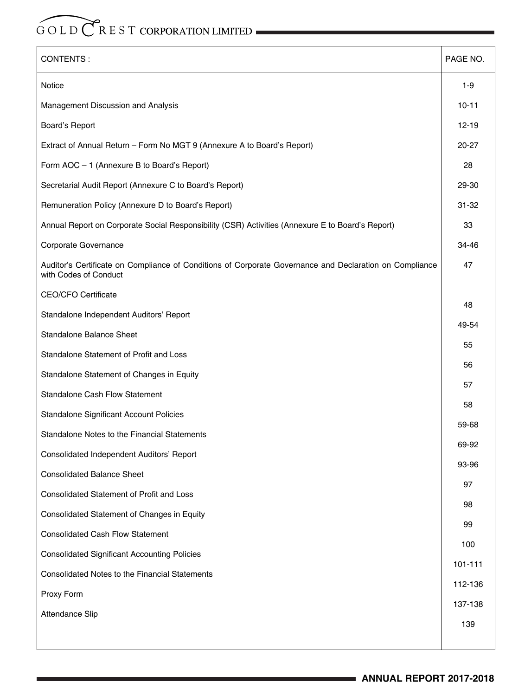| CONTENTS:                                                                                                                        | PAGE NO.  |
|----------------------------------------------------------------------------------------------------------------------------------|-----------|
| Notice                                                                                                                           | $1-9$     |
| Management Discussion and Analysis                                                                                               | $10 - 11$ |
| Board's Report                                                                                                                   | 12-19     |
| Extract of Annual Return - Form No MGT 9 (Annexure A to Board's Report)                                                          | 20-27     |
| Form AOC - 1 (Annexure B to Board's Report)                                                                                      | 28        |
| Secretarial Audit Report (Annexure C to Board's Report)                                                                          | 29-30     |
| Remuneration Policy (Annexure D to Board's Report)                                                                               | 31-32     |
| Annual Report on Corporate Social Responsibility (CSR) Activities (Annexure E to Board's Report)                                 | 33        |
| Corporate Governance                                                                                                             | 34-46     |
| Auditor's Certificate on Compliance of Conditions of Corporate Governance and Declaration on Compliance<br>with Codes of Conduct | 47        |
| <b>CEO/CFO Certificate</b>                                                                                                       |           |
| Standalone Independent Auditors' Report                                                                                          | 48        |
| Standalone Balance Sheet                                                                                                         | 49-54     |
| Standalone Statement of Profit and Loss                                                                                          | 55        |
| Standalone Statement of Changes in Equity                                                                                        | 56        |
| Standalone Cash Flow Statement                                                                                                   | 57        |
| Standalone Significant Account Policies                                                                                          | 58        |
| Standalone Notes to the Financial Statements                                                                                     | 59-68     |
| Consolidated Independent Auditors' Report                                                                                        | 69-92     |
| <b>Consolidated Balance Sheet</b>                                                                                                | 93-96     |
| Consolidated Statement of Profit and Loss                                                                                        | 97        |
| Consolidated Statement of Changes in Equity                                                                                      | 98        |
| <b>Consolidated Cash Flow Statement</b>                                                                                          | 99        |
| <b>Consolidated Significant Accounting Policies</b>                                                                              | 100       |
| Consolidated Notes to the Financial Statements                                                                                   | 101-111   |
| Proxy Form                                                                                                                       | 112-136   |
| Attendance Slip                                                                                                                  | 137-138   |
|                                                                                                                                  | 139       |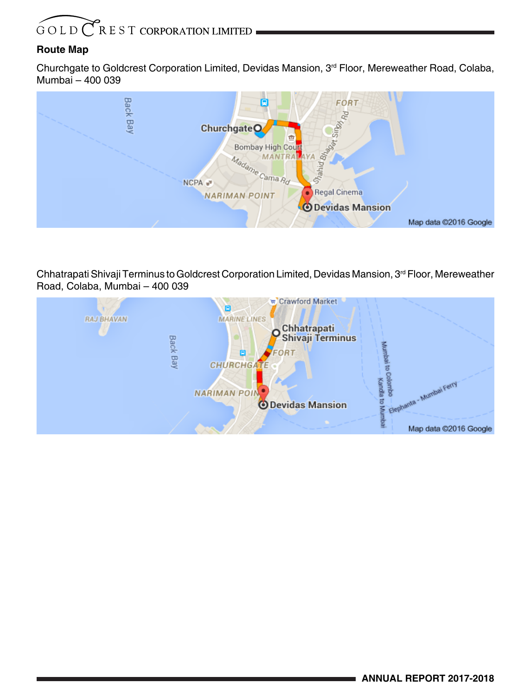### **Route Map**

Churchgate to Goldcrest Corporation Limited, Devidas Mansion, 3rd Floor, Mereweather Road, Colaba, Mumbai – 400 039



Chhatrapati Shivaji Terminus to Goldcrest Corporation Limited, Devidas Mansion, 3<sup>rd</sup> Floor, Mereweather Road, Colaba, Mumbai – 400 039

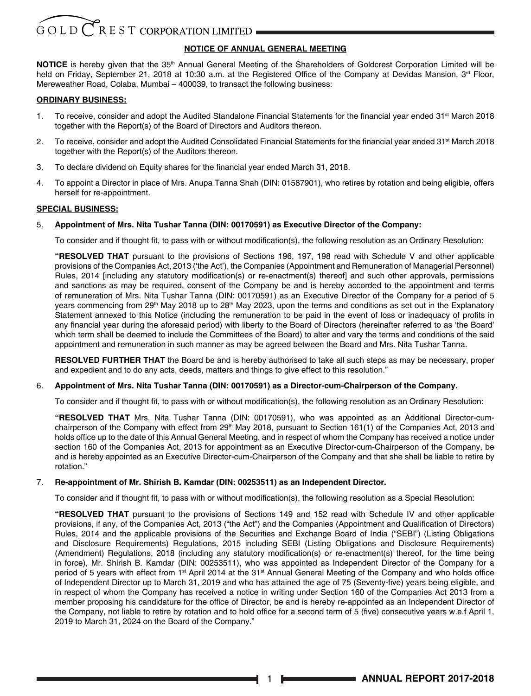#### **NOTICE OF ANNUAL GENERAL MEETING**

**NOTICE** is hereby given that the 35<sup>th</sup> Annual General Meeting of the Shareholders of Goldcrest Corporation Limited will be held on Friday, September 21, 2018 at 10:30 a.m. at the Registered Office of the Company at Devidas Mansion, 3<sup>rd</sup> Floor, Mereweather Road, Colaba, Mumbai – 400039, to transact the following business:

#### **ORDINARY BUSINESS:**

- 1. To receive, consider and adopt the Audited Standalone Financial Statements for the financial year ended 31<sup>st</sup> March 2018 together with the Report(s) of the Board of Directors and Auditors thereon.
- 2. To receive, consider and adopt the Audited Consolidated Financial Statements for the financial year ended 31<sup>st</sup> March 2018 together with the Report(s) of the Auditors thereon.
- 3. To declare dividend on Equity shares for the financial year ended March 31, 2018.
- 4. To appoint a Director in place of Mrs. Anupa Tanna Shah (DIN: 01587901), who retires by rotation and being eligible, offers herself for re-appointment.

#### **SPECIAL BUSINESS:**

#### 5. **Appointment of Mrs. Nita Tushar Tanna (DIN: 00170591) as Executive Director of the Company:**

To consider and if thought fit, to pass with or without modification(s), the following resolution as an Ordinary Resolution:

**"RESOLVED THAT** pursuant to the provisions of Sections 196, 197, 198 read with Schedule V and other applicable provisions of the Companies Act, 2013 ('the Act'), the Companies (Appointment and Remuneration of Managerial Personnel) Rules, 2014 [including any statutory modification(s) or re-enactment(s) thereof] and such other approvals, permissions and sanctions as may be required, consent of the Company be and is hereby accorded to the appointment and terms of remuneration of Mrs. Nita Tushar Tanna (DIN: 00170591) as an Executive Director of the Company for a period of 5 years commencing from 29<sup>th</sup> May 2018 up to 28<sup>th</sup> May 2023, upon the terms and conditions as set out in the Explanatory Statement annexed to this Notice (including the remuneration to be paid in the event of loss or inadequacy of profits in any financial year during the aforesaid period) with liberty to the Board of Directors (hereinafter referred to as 'the Board' which term shall be deemed to include the Committees of the Board) to alter and vary the terms and conditions of the said appointment and remuneration in such manner as may be agreed between the Board and Mrs. Nita Tushar Tanna.

**RESOLVED FURTHER THAT** the Board be and is hereby authorised to take all such steps as may be necessary, proper and expedient and to do any acts, deeds, matters and things to give effect to this resolution."

#### 6. **Appointment of Mrs. Nita Tushar Tanna (DIN: 00170591) as a Director-cum-Chairperson of the Company.**

To consider and if thought fit, to pass with or without modification(s), the following resolution as an Ordinary Resolution:

**"RESOLVED THAT** Mrs. Nita Tushar Tanna (DIN: 00170591), who was appointed as an Additional Director-cumchairperson of the Company with effect from 29<sup>th</sup> May 2018, pursuant to Section 161(1) of the Companies Act, 2013 and holds office up to the date of this Annual General Meeting, and in respect of whom the Company has received a notice under section 160 of the Companies Act, 2013 for appointment as an Executive Director-cum-Chairperson of the Company, be and is hereby appointed as an Executive Director-cum-Chairperson of the Company and that she shall be liable to retire by rotation."

#### 7. **Re-appointment of Mr. Shirish B. Kamdar (DIN: 00253511) as an Independent Director.**

To consider and if thought fit, to pass with or without modification(s), the following resolution as a Special Resolution:

**"RESOLVED THAT** pursuant to the provisions of Sections 149 and 152 read with Schedule IV and other applicable provisions, if any, of the Companies Act, 2013 ("the Act") and the Companies (Appointment and Qualification of Directors) Rules, 2014 and the applicable provisions of the Securities and Exchange Board of India ("SEBI") (Listing Obligations and Disclosure Requirements) Regulations, 2015 including SEBI (Listing Obligations and Disclosure Requirements) (Amendment) Regulations, 2018 (including any statutory modification(s) or re-enactment(s) thereof, for the time being in force), Mr. Shirish B. Kamdar (DIN: 00253511), who was appointed as Independent Director of the Company for a period of 5 years with effect from 1<sup>st</sup> April 2014 at the 31<sup>st</sup> Annual General Meeting of the Company and who holds office of Independent Director up to March 31, 2019 and who has attained the age of 75 (Seventy-five) years being eligible, and in respect of whom the Company has received a notice in writing under Section 160 of the Companies Act 2013 from a member proposing his candidature for the office of Director, be and is hereby re-appointed as an Independent Director of the Company, not liable to retire by rotation and to hold office for a second term of 5 (five) consecutive years w.e.f April 1, 2019 to March 31, 2024 on the Board of the Company."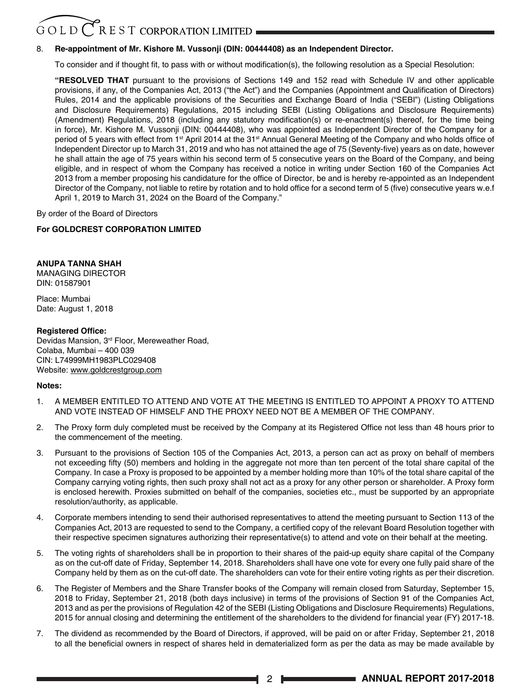### $G$  O L D  $C$  R E S T CORPORATION LIMITED

#### 8. **Re-appointment of Mr. Kishore M. Vussonji (DIN: 00444408) as an Independent Director.**

To consider and if thought fit, to pass with or without modification(s), the following resolution as a Special Resolution:

**"RESOLVED THAT** pursuant to the provisions of Sections 149 and 152 read with Schedule IV and other applicable provisions, if any, of the Companies Act, 2013 ("the Act") and the Companies (Appointment and Qualification of Directors) Rules, 2014 and the applicable provisions of the Securities and Exchange Board of India ("SEBI") (Listing Obligations and Disclosure Requirements) Regulations, 2015 including SEBI (Listing Obligations and Disclosure Requirements) (Amendment) Regulations, 2018 (including any statutory modification(s) or re-enactment(s) thereof, for the time being in force), Mr. Kishore M. Vussonji (DIN: 00444408), who was appointed as Independent Director of the Company for a period of 5 years with effect from 1<sup>st</sup> April 2014 at the 31<sup>st</sup> Annual General Meeting of the Company and who holds office of Independent Director up to March 31, 2019 and who has not attained the age of 75 (Seventy-five) years as on date, however he shall attain the age of 75 years within his second term of 5 consecutive years on the Board of the Company, and being eligible, and in respect of whom the Company has received a notice in writing under Section 160 of the Companies Act 2013 from a member proposing his candidature for the office of Director, be and is hereby re-appointed as an Independent Director of the Company, not liable to retire by rotation and to hold office for a second term of 5 (five) consecutive years w.e.f April 1, 2019 to March 31, 2024 on the Board of the Company."

By order of the Board of Directors

#### **For GOLDCREST CORPORATION LIMITED**

#### **ANUPA TANNA SHAH**

MANAGING DIRECTOR DIN: 01587901

Place: Mumbai Date: August 1, 2018

#### **Registered Office:**

Devidas Mansion, 3rd Floor, Mereweather Road, Colaba, Mumbai – 400 039 CIN: L74999MH1983PLC029408 Website: www.goldcrestgroup.com

#### **Notes:**

- 1. A MEMBER ENTITLED TO ATTEND AND VOTE AT THE MEETING IS ENTITLED TO APPOINT A PROXY TO ATTEND AND VOTE INSTEAD OF HIMSELF AND THE PROXY NEED NOT BE A MEMBER OF THE COMPANY.
- 2. The Proxy form duly completed must be received by the Company at its Registered Office not less than 48 hours prior to the commencement of the meeting.
- 3. Pursuant to the provisions of Section 105 of the Companies Act, 2013, a person can act as proxy on behalf of members not exceeding fifty (50) members and holding in the aggregate not more than ten percent of the total share capital of the Company. In case a Proxy is proposed to be appointed by a member holding more than 10% of the total share capital of the Company carrying voting rights, then such proxy shall not act as a proxy for any other person or shareholder. A Proxy form is enclosed herewith. Proxies submitted on behalf of the companies, societies etc., must be supported by an appropriate resolution/authority, as applicable.
- 4. Corporate members intending to send their authorised representatives to attend the meeting pursuant to Section 113 of the Companies Act, 2013 are requested to send to the Company, a certified copy of the relevant Board Resolution together with their respective specimen signatures authorizing their representative(s) to attend and vote on their behalf at the meeting.
- 5. The voting rights of shareholders shall be in proportion to their shares of the paid-up equity share capital of the Company as on the cut-off date of Friday, September 14, 2018. Shareholders shall have one vote for every one fully paid share of the Company held by them as on the cut-off date. The shareholders can vote for their entire voting rights as per their discretion.
- 6. The Register of Members and the Share Transfer books of the Company will remain closed from Saturday, September 15, 2018 to Friday, September 21, 2018 (both days inclusive) in terms of the provisions of Section 91 of the Companies Act, 2013 and as per the provisions of Regulation 42 of the SEBI (Listing Obligations and Disclosure Requirements) Regulations, 2015 for annual closing and determining the entitlement of the shareholders to the dividend for financial year (FY) 2017-18.
- 7. The dividend as recommended by the Board of Directors, if approved, will be paid on or after Friday, September 21, 2018 to all the beneficial owners in respect of shares held in dematerialized form as per the data as may be made available by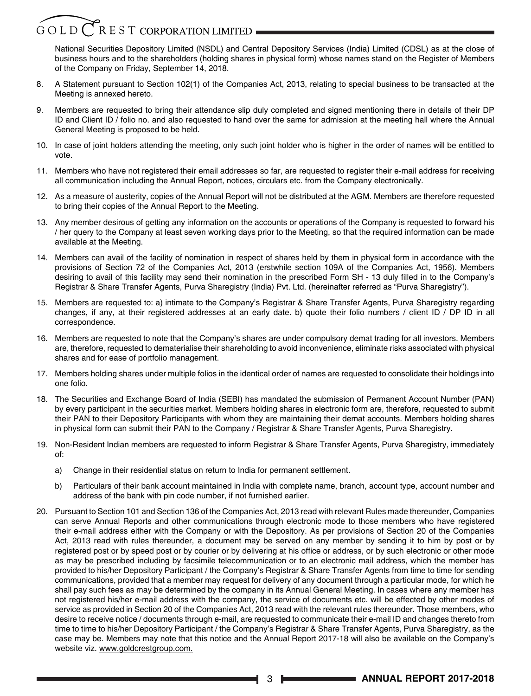### $G$  O L D  $\bigcirc$  R E S T CORPORATION LIMITED

National Securities Depository Limited (NSDL) and Central Depository Services (India) Limited (CDSL) as at the close of business hours and to the shareholders (holding shares in physical form) whose names stand on the Register of Members of the Company on Friday, September 14, 2018.

- 8. A Statement pursuant to Section 102(1) of the Companies Act, 2013, relating to special business to be transacted at the Meeting is annexed hereto.
- 9. Members are requested to bring their attendance slip duly completed and signed mentioning there in details of their DP ID and Client ID / folio no. and also requested to hand over the same for admission at the meeting hall where the Annual General Meeting is proposed to be held.
- 10. In case of joint holders attending the meeting, only such joint holder who is higher in the order of names will be entitled to vote.
- 11. Members who have not registered their email addresses so far, are requested to register their e-mail address for receiving all communication including the Annual Report, notices, circulars etc. from the Company electronically.
- 12. As a measure of austerity, copies of the Annual Report will not be distributed at the AGM. Members are therefore requested to bring their copies of the Annual Report to the Meeting.
- 13. Any member desirous of getting any information on the accounts or operations of the Company is requested to forward his / her query to the Company at least seven working days prior to the Meeting, so that the required information can be made available at the Meeting.
- 14. Members can avail of the facility of nomination in respect of shares held by them in physical form in accordance with the provisions of Section 72 of the Companies Act, 2013 (erstwhile section 109A of the Companies Act, 1956). Members desiring to avail of this facility may send their nomination in the prescribed Form SH - 13 duly filled in to the Company's Registrar & Share Transfer Agents, Purva Sharegistry (India) Pvt. Ltd. (hereinafter referred as "Purva Sharegistry").
- 15. Members are requested to: a) intimate to the Company's Registrar & Share Transfer Agents, Purva Sharegistry regarding changes, if any, at their registered addresses at an early date. b) quote their folio numbers / client ID / DP ID in all correspondence.
- 16. Members are requested to note that the Company's shares are under compulsory demat trading for all investors. Members are, therefore, requested to dematerialise their shareholding to avoid inconvenience, eliminate risks associated with physical shares and for ease of portfolio management.
- 17. Members holding shares under multiple folios in the identical order of names are requested to consolidate their holdings into one folio.
- 18. The Securities and Exchange Board of India (SEBI) has mandated the submission of Permanent Account Number (PAN) by every participant in the securities market. Members holding shares in electronic form are, therefore, requested to submit their PAN to their Depository Participants with whom they are maintaining their demat accounts. Members holding shares in physical form can submit their PAN to the Company / Registrar & Share Transfer Agents, Purva Sharegistry.
- 19. Non-Resident Indian members are requested to inform Registrar & Share Transfer Agents, Purva Sharegistry, immediately of:
	- a) Change in their residential status on return to India for permanent settlement.
	- b) Particulars of their bank account maintained in India with complete name, branch, account type, account number and address of the bank with pin code number, if not furnished earlier.
- 20. Pursuant to Section 101 and Section 136 of the Companies Act, 2013 read with relevant Rules made thereunder, Companies can serve Annual Reports and other communications through electronic mode to those members who have registered their e-mail address either with the Company or with the Depository. As per provisions of Section 20 of the Companies Act, 2013 read with rules thereunder, a document may be served on any member by sending it to him by post or by registered post or by speed post or by courier or by delivering at his office or address, or by such electronic or other mode as may be prescribed including by facsimile telecommunication or to an electronic mail address, which the member has provided to his/her Depository Participant / the Company's Registrar & Share Transfer Agents from time to time for sending communications, provided that a member may request for delivery of any document through a particular mode, for which he shall pay such fees as may be determined by the company in its Annual General Meeting. In cases where any member has not registered his/her e-mail address with the company, the service of documents etc. will be effected by other modes of service as provided in Section 20 of the Companies Act, 2013 read with the relevant rules thereunder. Those members, who desire to receive notice / documents through e-mail, are requested to communicate their e-mail ID and changes thereto from time to time to his/her Depository Participant / the Company's Registrar & Share Transfer Agents, Purva Sharegistry, as the case may be. Members may note that this notice and the Annual Report 2017-18 will also be available on the Company's website viz. www.goldcrestgroup.com.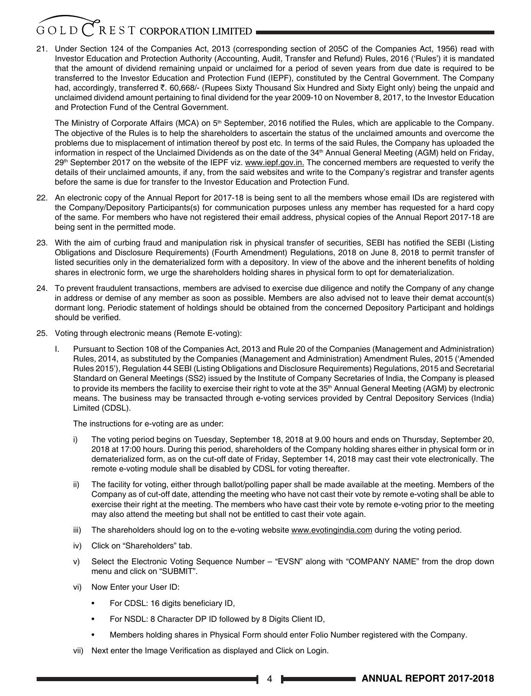### $G$  O L D  $\bigcirc$  R E S T CORPORATION LIMITED

21. Under Section 124 of the Companies Act, 2013 (corresponding section of 205C of the Companies Act, 1956) read with Investor Education and Protection Authority (Accounting, Audit, Transfer and Refund) Rules, 2016 ('Rules') it is mandated that the amount of dividend remaining unpaid or unclaimed for a period of seven years from due date is required to be transferred to the Investor Education and Protection Fund (IEPF), constituted by the Central Government. The Company had, accordingly, transferred ₹. 60,668/- (Rupees Sixty Thousand Six Hundred and Sixty Eight only) being the unpaid and unclaimed dividend amount pertaining to final dividend for the year 2009-10 on November 8, 2017, to the Investor Education and Protection Fund of the Central Government.

The Ministry of Corporate Affairs (MCA) on 5<sup>th</sup> September, 2016 notified the Rules, which are applicable to the Company. The objective of the Rules is to help the shareholders to ascertain the status of the unclaimed amounts and overcome the problems due to misplacement of intimation thereof by post etc. In terms of the said Rules, the Company has uploaded the information in respect of the Unclaimed Dividends as on the date of the  $34<sup>th</sup>$  Annual General Meeting (AGM) held on Friday, 29<sup>th</sup> September 2017 on the website of the IEPF viz. www.iepf.gov.in. The concerned members are requested to verify the details of their unclaimed amounts, if any, from the said websites and write to the Company's registrar and transfer agents before the same is due for transfer to the Investor Education and Protection Fund.

- 22. An electronic copy of the Annual Report for 2017-18 is being sent to all the members whose email IDs are registered with the Company/Depository Participants(s) for communication purposes unless any member has requested for a hard copy of the same. For members who have not registered their email address, physical copies of the Annual Report 2017-18 are being sent in the permitted mode.
- 23. With the aim of curbing fraud and manipulation risk in physical transfer of securities, SEBI has notified the SEBI (Listing Obligations and Disclosure Requirements) (Fourth Amendment) Regulations, 2018 on June 8, 2018 to permit transfer of listed securities only in the dematerialized form with a depository. In view of the above and the inherent benefits of holding shares in electronic form, we urge the shareholders holding shares in physical form to opt for dematerialization.
- 24. To prevent fraudulent transactions, members are advised to exercise due diligence and notify the Company of any change in address or demise of any member as soon as possible. Members are also advised not to leave their demat account(s) dormant long. Periodic statement of holdings should be obtained from the concerned Depository Participant and holdings should be verified.
- 25. Voting through electronic means (Remote E-voting):
	- I. Pursuant to Section 108 of the Companies Act, 2013 and Rule 20 of the Companies (Management and Administration) Rules, 2014, as substituted by the Companies (Management and Administration) Amendment Rules, 2015 ('Amended Rules 2015'), Regulation 44 SEBI (Listing Obligations and Disclosure Requirements) Regulations, 2015 and Secretarial Standard on General Meetings (SS2) issued by the Institute of Company Secretaries of India, the Company is pleased to provide its members the facility to exercise their right to vote at the  $35<sup>th</sup>$  Annual General Meeting (AGM) by electronic means. The business may be transacted through e-voting services provided by Central Depository Services (India) Limited (CDSL).

The instructions for e-voting are as under:

- i) The voting period begins on Tuesday, September 18, 2018 at 9.00 hours and ends on Thursday, September 20, 2018 at 17:00 hours. During this period, shareholders of the Company holding shares either in physical form or in dematerialized form, as on the cut-off date of Friday, September 14, 2018 may cast their vote electronically. The remote e-voting module shall be disabled by CDSL for voting thereafter.
- ii) The facility for voting, either through ballot/polling paper shall be made available at the meeting. Members of the Company as of cut-off date, attending the meeting who have not cast their vote by remote e-voting shall be able to exercise their right at the meeting. The members who have cast their vote by remote e-voting prior to the meeting may also attend the meeting but shall not be entitled to cast their vote again.
- iii) The shareholders should log on to the e-voting website www.evotingindia.com during the voting period.
- iv) Click on "Shareholders" tab.
- v) Select the Electronic Voting Sequence Number "EVSN" along with "COMPANY NAME" from the drop down menu and click on "SUBMIT".
- vi) Now Enter your User ID:
	- For CDSL: 16 digits beneficiary ID,
	- For NSDL: 8 Character DP ID followed by 8 Digits Client ID,
	- Members holding shares in Physical Form should enter Folio Number registered with the Company.
- vii) Next enter the Image Verification as displayed and Click on Login.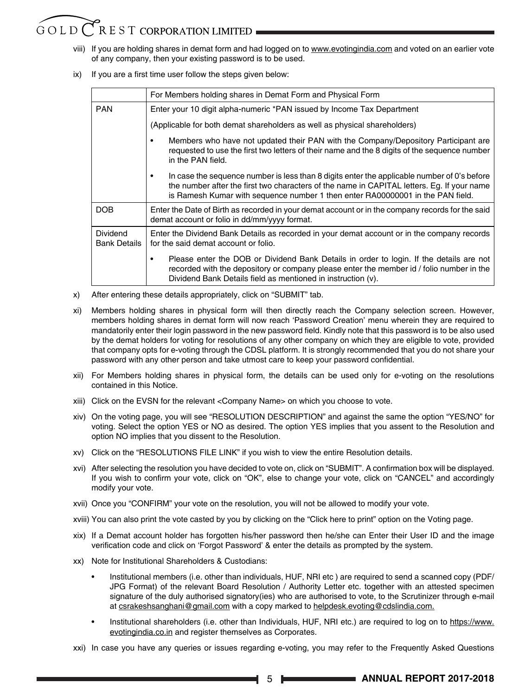### $G \bigcirc L D C$  R E S T CORPORATION LIMITED

- viii) If you are holding shares in demat form and had logged on to www.evotingindia.com and voted on an earlier vote of any company, then your existing password is to be used.
- ix) If you are a first time user follow the steps given below:

|                                 | For Members holding shares in Demat Form and Physical Form                                                                                                                                                                                                                       |  |  |  |  |  |
|---------------------------------|----------------------------------------------------------------------------------------------------------------------------------------------------------------------------------------------------------------------------------------------------------------------------------|--|--|--|--|--|
| <b>PAN</b>                      | Enter your 10 digit alpha-numeric *PAN issued by Income Tax Department                                                                                                                                                                                                           |  |  |  |  |  |
|                                 | (Applicable for both demat shareholders as well as physical shareholders)                                                                                                                                                                                                        |  |  |  |  |  |
|                                 | Members who have not updated their PAN with the Company/Depository Participant are<br>٠<br>requested to use the first two letters of their name and the 8 digits of the sequence number<br>in the PAN field.                                                                     |  |  |  |  |  |
|                                 | In case the sequence number is less than 8 digits enter the applicable number of 0's before<br>٠<br>the number after the first two characters of the name in CAPITAL letters. Eq. If your name<br>is Ramesh Kumar with sequence number 1 then enter RA00000001 in the PAN field. |  |  |  |  |  |
| <b>DOB</b>                      | Enter the Date of Birth as recorded in your demat account or in the company records for the said<br>demat account or folio in dd/mm/yyyy format.                                                                                                                                 |  |  |  |  |  |
| Dividend<br><b>Bank Details</b> | Enter the Dividend Bank Details as recorded in your demat account or in the company records<br>for the said demat account or folio.                                                                                                                                              |  |  |  |  |  |
|                                 | Please enter the DOB or Dividend Bank Details in order to login. If the details are not<br>٠<br>recorded with the depository or company please enter the member id / folio number in the<br>Dividend Bank Details field as mentioned in instruction (v).                         |  |  |  |  |  |

- x) After entering these details appropriately, click on "SUBMIT" tab.
- xi) Members holding shares in physical form will then directly reach the Company selection screen. However, members holding shares in demat form will now reach 'Password Creation' menu wherein they are required to mandatorily enter their login password in the new password field. Kindly note that this password is to be also used by the demat holders for voting for resolutions of any other company on which they are eligible to vote, provided that company opts for e-voting through the CDSL platform. It is strongly recommended that you do not share your password with any other person and take utmost care to keep your password confidential.
- xii) For Members holding shares in physical form, the details can be used only for e-voting on the resolutions contained in this Notice.
- xiii) Click on the EVSN for the relevant <Company Name> on which you choose to vote.
- xiv) On the voting page, you will see "RESOLUTION DESCRIPTION" and against the same the option "YES/NO" for voting. Select the option YES or NO as desired. The option YES implies that you assent to the Resolution and option NO implies that you dissent to the Resolution.
- xv) Click on the "RESOLUTIONS FILE LINK" if you wish to view the entire Resolution details.
- xvi) After selecting the resolution you have decided to vote on, click on "SUBMIT". A confirmation box will be displayed. If you wish to confirm your vote, click on "OK", else to change your vote, click on "CANCEL" and accordingly modify your vote.
- xvii) Once you "CONFIRM" your vote on the resolution, you will not be allowed to modify your vote.
- xviii) You can also print the vote casted by you by clicking on the "Click here to print" option on the Voting page.
- xix) If a Demat account holder has forgotten his/her password then he/she can Enter their User ID and the image verification code and click on 'Forgot Password' & enter the details as prompted by the system.
- xx) Note for Institutional Shareholders & Custodians:
	- Institutional members (i.e. other than individuals, HUF, NRI etc ) are required to send a scanned copy (PDF/ JPG Format) of the relevant Board Resolution / Authority Letter etc. together with an attested specimen signature of the duly authorised signatory(ies) who are authorised to vote, to the Scrutinizer through e-mail at csrakeshsanghani@gmail.com with a copy marked to helpdesk.evoting@cdslindia.com.
	- Institutional shareholders (i.e. other than Individuals, HUF, NRI etc.) are required to log on to https://www. evotingindia.co.in and register themselves as Corporates.
- xxi) In case you have any queries or issues regarding e-voting, you may refer to the Frequently Asked Questions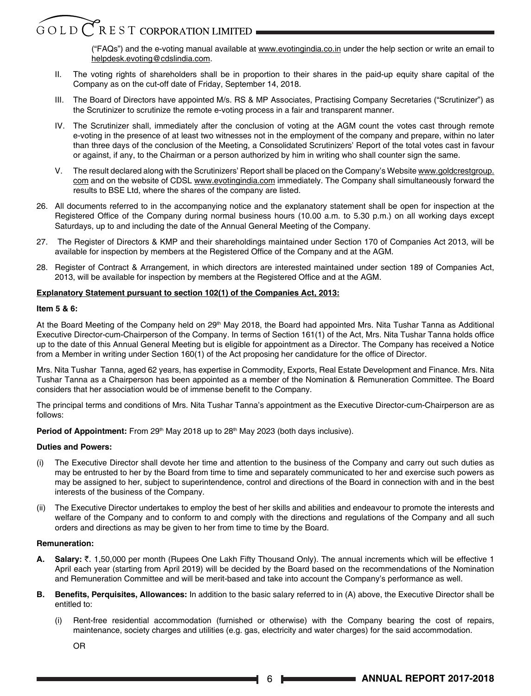("FAQs") and the e-voting manual available at www.evotingindia.co.in under the help section or write an email to helpdesk.evoting@cdslindia.com.

- II. The voting rights of shareholders shall be in proportion to their shares in the paid-up equity share capital of the Company as on the cut-off date of Friday, September 14, 2018.
- III. The Board of Directors have appointed M/s. RS & MP Associates, Practising Company Secretaries ("Scrutinizer") as the Scrutinizer to scrutinize the remote e-voting process in a fair and transparent manner.
- IV. The Scrutinizer shall, immediately after the conclusion of voting at the AGM count the votes cast through remote e-voting in the presence of at least two witnesses not in the employment of the company and prepare, within no later than three days of the conclusion of the Meeting, a Consolidated Scrutinizers' Report of the total votes cast in favour or against, if any, to the Chairman or a person authorized by him in writing who shall counter sign the same.
- V. The result declared along with the Scrutinizers' Report shall be placed on the Company's Website www.goldcrestgroup. com and on the website of CDSL www.evotingindia.com immediately. The Company shall simultaneously forward the results to BSE Ltd, where the shares of the company are listed.
- 26. All documents referred to in the accompanying notice and the explanatory statement shall be open for inspection at the Registered Office of the Company during normal business hours (10.00 a.m. to 5.30 p.m.) on all working days except Saturdays, up to and including the date of the Annual General Meeting of the Company.
- 27. The Register of Directors & KMP and their shareholdings maintained under Section 170 of Companies Act 2013, will be available for inspection by members at the Registered Office of the Company and at the AGM.
- 28. Register of Contract & Arrangement, in which directors are interested maintained under section 189 of Companies Act, 2013, will be available for inspection by members at the Registered Office and at the AGM.

#### **Explanatory Statement pursuant to section 102(1) of the Companies Act, 2013:**

#### **Item 5 & 6:**

At the Board Meeting of the Company held on 29<sup>th</sup> May 2018, the Board had appointed Mrs. Nita Tushar Tanna as Additional Executive Director-cum-Chairperson of the Company. In terms of Section 161(1) of the Act, Mrs. Nita Tushar Tanna holds office up to the date of this Annual General Meeting but is eligible for appointment as a Director. The Company has received a Notice from a Member in writing under Section 160(1) of the Act proposing her candidature for the office of Director.

Mrs. Nita Tushar Tanna, aged 62 years, has expertise in Commodity, Exports, Real Estate Development and Finance. Mrs. Nita Tushar Tanna as a Chairperson has been appointed as a member of the Nomination & Remuneration Committee. The Board considers that her association would be of immense benefit to the Company.

The principal terms and conditions of Mrs. Nita Tushar Tanna's appointment as the Executive Director-cum-Chairperson are as follows:

**Period of Appointment:** From 29<sup>th</sup> May 2018 up to 28<sup>th</sup> May 2023 (both days inclusive).

#### **Duties and Powers:**

- (i) The Executive Director shall devote her time and attention to the business of the Company and carry out such duties as may be entrusted to her by the Board from time to time and separately communicated to her and exercise such powers as may be assigned to her, subject to superintendence, control and directions of the Board in connection with and in the best interests of the business of the Company.
- (ii) The Executive Director undertakes to employ the best of her skills and abilities and endeavour to promote the interests and welfare of the Company and to conform to and comply with the directions and regulations of the Company and all such orders and directions as may be given to her from time to time by the Board.

#### **Remuneration:**

- **A. Salary:** `. 1,50,000 per month (Rupees One Lakh Fifty Thousand Only). The annual increments which will be effective 1 April each year (starting from April 2019) will be decided by the Board based on the recommendations of the Nomination and Remuneration Committee and will be merit-based and take into account the Company's performance as well.
- **B. Benefits, Perquisites, Allowances:** In addition to the basic salary referred to in (A) above, the Executive Director shall be entitled to:
	- (i) Rent-free residential accommodation (furnished or otherwise) with the Company bearing the cost of repairs, maintenance, society charges and utilities (e.g. gas, electricity and water charges) for the said accommodation.

OR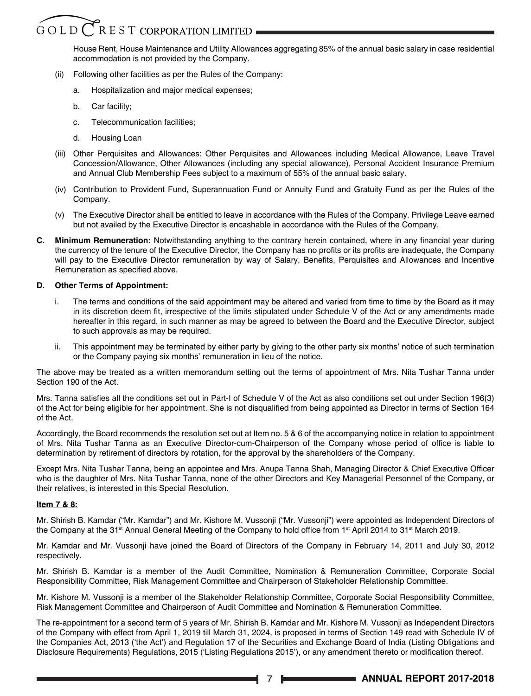### $G$ OLD $\overline{C}$ REST CORPORATION LIMITED

 House Rent, House Maintenance and Utility Allowances aggregating 85% of the annual basic salary in case residential accommodation is not provided by the Company.

- (ii) Following other facilities as per the Rules of the Company:
	- a. Hospitalization and major medical expenses;
	- b. Car facility;
	- c. Telecommunication facilities;
	- d. Housing Loan
- (iii) Other Perquisites and Allowances: Other Perquisites and Allowances including Medical Allowance, Leave Travel Concession/Allowance, Other Allowances (including any special allowance), Personal Accident Insurance Premium and Annual Club Membership Fees subject to a maximum of 55% of the annual basic salary.
- (iv) Contribution to Provident Fund, Superannuation Fund or Annuity Fund and Gratuity Fund as per the Rules of the Company.
- (v) The Executive Director shall be entitled to leave in accordance with the Rules of the Company. Privilege Leave earned but not availed by the Executive Director is encashable in accordance with the Rules of the Company.
- **C. Minimum Remuneration:** Notwithstanding anything to the contrary herein contained, where in any financial year during the currency of the tenure of the Executive Director, the Company has no profits or its profits are inadequate, the Company will pay to the Executive Director remuneration by way of Salary, Benefits, Perquisites and Allowances and Incentive Remuneration as specified above.

#### **D. Other Terms of Appointment:**

- i. The terms and conditions of the said appointment may be altered and varied from time to time by the Board as it may in its discretion deem fit, irrespective of the limits stipulated under Schedule V of the Act or any amendments made hereafter in this regard, in such manner as may be agreed to between the Board and the Executive Director, subject to such approvals as may be required.
- ii. This appointment may be terminated by either party by giving to the other party six months' notice of such termination or the Company paying six months' remuneration in lieu of the notice.

The above may be treated as a written memorandum setting out the terms of appointment of Mrs. Nita Tushar Tanna under Section 190 of the Act.

Mrs. Tanna satisfies all the conditions set out in Part-I of Schedule V of the Act as also conditions set out under Section 196(3) of the Act for being eligible for her appointment. She is not disqualified from being appointed as Director in terms of Section 164 of the Act.

Accordingly, the Board recommends the resolution set out at Item no. 5 & 6 of the accompanying notice in relation to appointment of Mrs. Nita Tushar Tanna as an Executive Director-cum-Chairperson of the Company whose period of office is liable to determination by retirement of directors by rotation, for the approval by the shareholders of the Company.

Except Mrs. Nita Tushar Tanna, being an appointee and Mrs. Anupa Tanna Shah, Managing Director & Chief Executive Officer who is the daughter of Mrs. Nita Tushar Tanna, none of the other Directors and Key Managerial Personnel of the Company, or their relatives, is interested in this Special Resolution.

#### **Item 7 & 8:**

Mr. Shirish B. Kamdar ("Mr. Kamdar") and Mr. Kishore M. Vussonji ("Mr. Vussonji") were appointed as Independent Directors of the Company at the 31<sup>st</sup> Annual General Meeting of the Company to hold office from 1<sup>st</sup> April 2014 to 31<sup>st</sup> March 2019.

Mr. Kamdar and Mr. Vussonji have joined the Board of Directors of the Company in February 14, 2011 and July 30, 2012 respectively.

Mr. Shirish B. Kamdar is a member of the Audit Committee, Nomination & Remuneration Committee, Corporate Social Responsibility Committee, Risk Management Committee and Chairperson of Stakeholder Relationship Committee.

Mr. Kishore M. Vussonji is a member of the Stakeholder Relationship Committee, Corporate Social Responsibility Committee, Risk Management Committee and Chairperson of Audit Committee and Nomination & Remuneration Committee.

The re-appointment for a second term of 5 years of Mr. Shirish B. Kamdar and Mr. Kishore M. Vussonji as Independent Directors of the Company with effect from April 1, 2019 till March 31, 2024, is proposed in terms of Section 149 read with Schedule IV of the Companies Act, 2013 ('the Act') and Regulation 17 of the Securities and Exchange Board of India (Listing Obligations and Disclosure Requirements) Regulations, 2015 ('Listing Regulations 2015'), or any amendment thereto or modification thereof.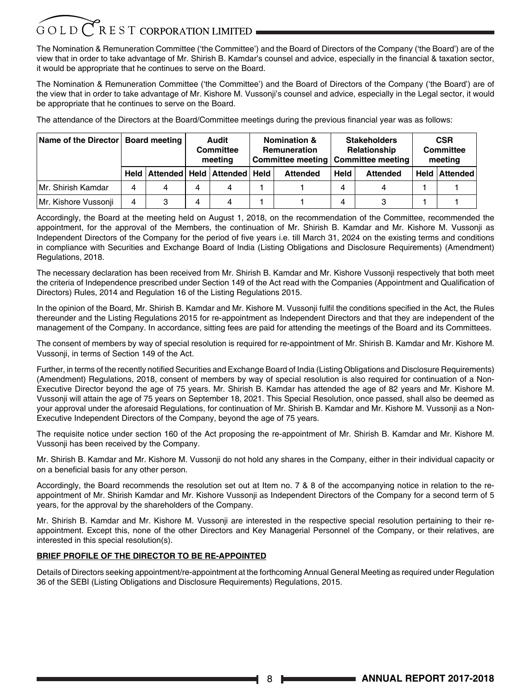### $G$  O L D  $C$  R E S T CORPORATION LIMITED

The Nomination & Remuneration Committee ('the Committee') and the Board of Directors of the Company ('the Board') are of the view that in order to take advantage of Mr. Shirish B. Kamdar's counsel and advice, especially in the financial & taxation sector, it would be appropriate that he continues to serve on the Board.

The Nomination & Remuneration Committee ('the Committee') and the Board of Directors of the Company ('the Board') are of the view that in order to take advantage of Mr. Kishore M. Vussonji's counsel and advice, especially in the Legal sector, it would be appropriate that he continues to serve on the Board.

The attendance of the Directors at the Board/Committee meetings during the previous financial year was as follows:

|                      | Name of the Director   Board meeting |   |   | Audit<br><b>Committee</b><br>meeting | <b>Nomination &amp;</b><br>Remuneration<br>Committee meeting |                 | <b>Stakeholders</b><br>Relationship<br><b>Committee meeting</b> | <b>CSR</b><br><b>Committee</b><br>meeting |  |                      |
|----------------------|--------------------------------------|---|---|--------------------------------------|--------------------------------------------------------------|-----------------|-----------------------------------------------------------------|-------------------------------------------|--|----------------------|
|                      | <b>Held</b>                          |   |   | ∣Attended ∣ Held ∣Attended ∣ Held∣   |                                                              | <b>Attended</b> | <b>Held</b>                                                     | <b>Attended</b>                           |  | <b>Held Attended</b> |
| Mr. Shirish Kamdar   | 4                                    | 4 | 4 | 4                                    |                                                              |                 | 4                                                               | 4                                         |  |                      |
| Mr. Kishore Vussonji | 4                                    | 3 | 4 | 4                                    |                                                              |                 | 4                                                               |                                           |  |                      |

Accordingly, the Board at the meeting held on August 1, 2018, on the recommendation of the Committee, recommended the appointment, for the approval of the Members, the continuation of Mr. Shirish B. Kamdar and Mr. Kishore M. Vussonji as Independent Directors of the Company for the period of five years i.e. till March 31, 2024 on the existing terms and conditions in compliance with Securities and Exchange Board of India (Listing Obligations and Disclosure Requirements) (Amendment) Regulations, 2018.

The necessary declaration has been received from Mr. Shirish B. Kamdar and Mr. Kishore Vussonji respectively that both meet the criteria of Independence prescribed under Section 149 of the Act read with the Companies (Appointment and Qualification of Directors) Rules, 2014 and Regulation 16 of the Listing Regulations 2015.

In the opinion of the Board, Mr. Shirish B. Kamdar and Mr. Kishore M. Vussonji fulfil the conditions specified in the Act, the Rules thereunder and the Listing Regulations 2015 for re-appointment as Independent Directors and that they are independent of the management of the Company. In accordance, sitting fees are paid for attending the meetings of the Board and its Committees.

The consent of members by way of special resolution is required for re-appointment of Mr. Shirish B. Kamdar and Mr. Kishore M. Vussonji, in terms of Section 149 of the Act.

Further, in terms of the recently notified Securities and Exchange Board of India (Listing Obligations and Disclosure Requirements) (Amendment) Regulations, 2018, consent of members by way of special resolution is also required for continuation of a Non-Executive Director beyond the age of 75 years. Mr. Shirish B. Kamdar has attended the age of 82 years and Mr. Kishore M. Vussonji will attain the age of 75 years on September 18, 2021. This Special Resolution, once passed, shall also be deemed as your approval under the aforesaid Regulations, for continuation of Mr. Shirish B. Kamdar and Mr. Kishore M. Vussonji as a Non-Executive Independent Directors of the Company, beyond the age of 75 years.

The requisite notice under section 160 of the Act proposing the re-appointment of Mr. Shirish B. Kamdar and Mr. Kishore M. Vussonji has been received by the Company.

Mr. Shirish B. Kamdar and Mr. Kishore M. Vussonji do not hold any shares in the Company, either in their individual capacity or on a beneficial basis for any other person.

Accordingly, the Board recommends the resolution set out at Item no. 7 & 8 of the accompanying notice in relation to the reappointment of Mr. Shirish Kamdar and Mr. Kishore Vussonji as Independent Directors of the Company for a second term of 5 years, for the approval by the shareholders of the Company.

Mr. Shirish B. Kamdar and Mr. Kishore M. Vussonji are interested in the respective special resolution pertaining to their reappointment. Except this, none of the other Directors and Key Managerial Personnel of the Company, or their relatives, are interested in this special resolution(s).

#### **BRIEF PROFILE OF THE DIRECTOR TO BE RE-APPOINTED**

Details of Directors seeking appointment/re-appointment at the forthcoming Annual General Meeting as required under Regulation 36 of the SEBI (Listing Obligations and Disclosure Requirements) Regulations, 2015.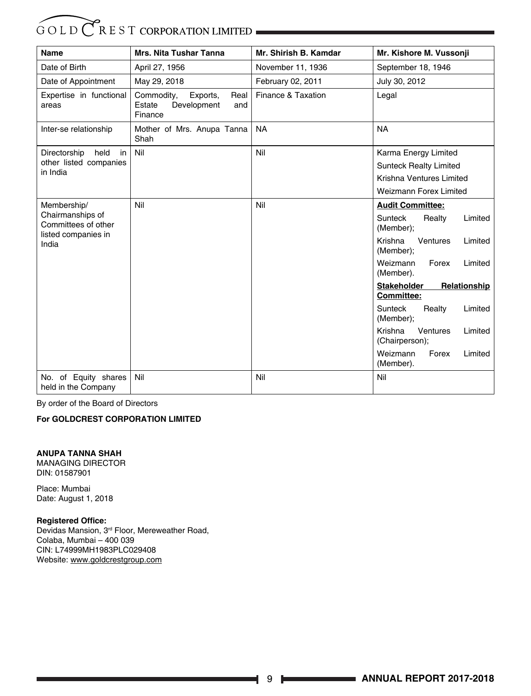| <b>Name</b>                                 | <b>Mrs. Nita Tushar Tanna</b>                                             | Mr. Shirish B. Kamdar | Mr. Kishore M. Vussonji                                 |  |
|---------------------------------------------|---------------------------------------------------------------------------|-----------------------|---------------------------------------------------------|--|
| Date of Birth                               | April 27, 1956                                                            | November 11, 1936     | September 18, 1946                                      |  |
| Date of Appointment                         | May 29, 2018                                                              | February 02, 2011     | July 30, 2012                                           |  |
| Expertise in functional<br>areas            | Commodity,<br>Real<br>Exports,<br>Estate<br>Development<br>and<br>Finance | Finance & Taxation    | Legal                                                   |  |
| Inter-se relationship                       | Mother of Mrs. Anupa Tanna<br>Shah                                        | <b>NA</b>             | <b>NA</b>                                               |  |
| Directorship<br>held<br>in                  | Nil                                                                       | Nil                   | Karma Energy Limited                                    |  |
| other listed companies<br>in India          |                                                                           |                       | <b>Sunteck Realty Limited</b>                           |  |
|                                             |                                                                           |                       | Krishna Ventures Limited                                |  |
|                                             |                                                                           |                       | <b>Weizmann Forex Limited</b>                           |  |
| Membership/                                 | Nil                                                                       | Nil                   | <b>Audit Committee:</b>                                 |  |
| Chairmanships of<br>Committees of other     |                                                                           |                       | Sunteck<br>Limited<br>Realty<br>(Member);               |  |
| listed companies in<br>India                |                                                                           |                       | Krishna<br>Ventures<br>Limited<br>(Member);             |  |
|                                             |                                                                           |                       | Weizmann<br>Forex<br>Limited<br>(Member).               |  |
|                                             |                                                                           |                       | Relationship<br><b>Stakeholder</b><br><b>Committee:</b> |  |
|                                             |                                                                           |                       | <b>Sunteck</b><br>Realty<br>Limited<br>(Member);        |  |
|                                             |                                                                           |                       | Krishna<br>Ventures<br>Limited<br>(Chairperson);        |  |
|                                             |                                                                           |                       | Weizmann<br>Forex<br>Limited<br>(Member).               |  |
| No. of Equity shares<br>held in the Company | Nil                                                                       | Nil                   | Nil                                                     |  |

By order of the Board of Directors

#### **For GOLDCREST CORPORATION LIMITED**

#### **ANUPA TANNA SHAH**

MANAGING DIRECTOR DIN: 01587901

Place: Mumbai Date: August 1, 2018

#### **Registered Office:**

Devidas Mansion, 3rd Floor, Mereweather Road, Colaba, Mumbai – 400 039 CIN: L74999MH1983PLC029408 Website: www.goldcrestgroup.com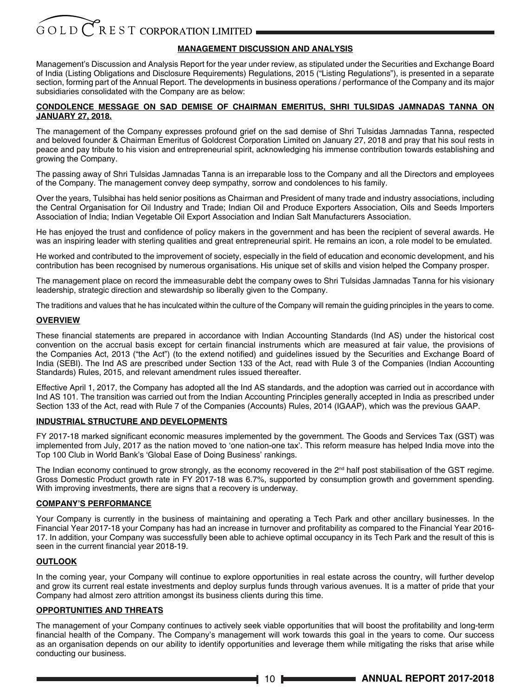#### **MANAGEMENT DISCUSSION AND ANALYSIS**

Management's Discussion and Analysis Report for the year under review, as stipulated under the Securities and Exchange Board of India (Listing Obligations and Disclosure Requirements) Regulations, 2015 ("Listing Regulations"), is presented in a separate section, forming part of the Annual Report. The developments in business operations / performance of the Company and its major subsidiaries consolidated with the Company are as below:

#### **CONDOLENCE MESSAGE ON SAD DEMISE OF CHAIRMAN EMERITUS, SHRI TULSIDAS JAMNADAS TANNA ON JANUARY 27, 2018.**

The management of the Company expresses profound grief on the sad demise of Shri Tulsidas Jamnadas Tanna, respected and beloved founder & Chairman Emeritus of Goldcrest Corporation Limited on January 27, 2018 and pray that his soul rests in peace and pay tribute to his vision and entrepreneurial spirit, acknowledging his immense contribution towards establishing and growing the Company.

The passing away of Shri Tulsidas Jamnadas Tanna is an irreparable loss to the Company and all the Directors and employees of the Company. The management convey deep sympathy, sorrow and condolences to his family.

Over the years, Tulsibhai has held senior positions as Chairman and President of many trade and industry associations, including the Central Organisation for Oil Industry and Trade; Indian Oil and Produce Exporters Association, Oils and Seeds Importers Association of India; Indian Vegetable Oil Export Association and Indian Salt Manufacturers Association.

He has enjoyed the trust and confidence of policy makers in the government and has been the recipient of several awards. He was an inspiring leader with sterling qualities and great entrepreneurial spirit. He remains an icon, a role model to be emulated.

He worked and contributed to the improvement of society, especially in the field of education and economic development, and his contribution has been recognised by numerous organisations. His unique set of skills and vision helped the Company prosper.

The management place on record the immeasurable debt the company owes to Shri Tulsidas Jamnadas Tanna for his visionary leadership, strategic direction and stewardship so liberally given to the Company.

The traditions and values that he has inculcated within the culture of the Company will remain the guiding principles in the years to come.

#### **OVERVIEW**

These financial statements are prepared in accordance with Indian Accounting Standards (Ind AS) under the historical cost convention on the accrual basis except for certain financial instruments which are measured at fair value, the provisions of the Companies Act, 2013 ("the Act") (to the extend notified) and guidelines issued by the Securities and Exchange Board of India (SEBI). The Ind AS are prescribed under Section 133 of the Act, read with Rule 3 of the Companies (Indian Accounting Standards) Rules, 2015, and relevant amendment rules issued thereafter.

Effective April 1, 2017, the Company has adopted all the Ind AS standards, and the adoption was carried out in accordance with Ind AS 101. The transition was carried out from the Indian Accounting Principles generally accepted in India as prescribed under Section 133 of the Act, read with Rule 7 of the Companies (Accounts) Rules, 2014 (IGAAP), which was the previous GAAP.

#### **INDUSTRIAL STRUCTURE AND DEVELOPMENTS**

FY 2017-18 marked significant economic measures implemented by the government. The Goods and Services Tax (GST) was implemented from July, 2017 as the nation moved to 'one nation-one tax'. This reform measure has helped India move into the Top 100 Club in World Bank's 'Global Ease of Doing Business' rankings.

The Indian economy continued to grow strongly, as the economy recovered in the 2<sup>nd</sup> half post stabilisation of the GST regime. Gross Domestic Product growth rate in FY 2017-18 was 6.7%, supported by consumption growth and government spending. With improving investments, there are signs that a recovery is underway.

#### **COMPANY'S PERFORMANCE**

Your Company is currently in the business of maintaining and operating a Tech Park and other ancillary businesses. In the Financial Year 2017-18 your Company has had an increase in turnover and profitability as compared to the Financial Year 2016- 17. In addition, your Company was successfully been able to achieve optimal occupancy in its Tech Park and the result of this is seen in the current financial year 2018-19.

#### **OUTLOOK**

In the coming year, your Company will continue to explore opportunities in real estate across the country, will further develop and grow its current real estate investments and deploy surplus funds through various avenues. It is a matter of pride that your Company had almost zero attrition amongst its business clients during this time.

#### **OPPORTUNITIES AND THREATS**

The management of your Company continues to actively seek viable opportunities that will boost the profitability and long-term financial health of the Company. The Company's management will work towards this goal in the years to come. Our success as an organisation depends on our ability to identify opportunities and leverage them while mitigating the risks that arise while conducting our business.

10 **ANNUAL REPORT 2017-2018**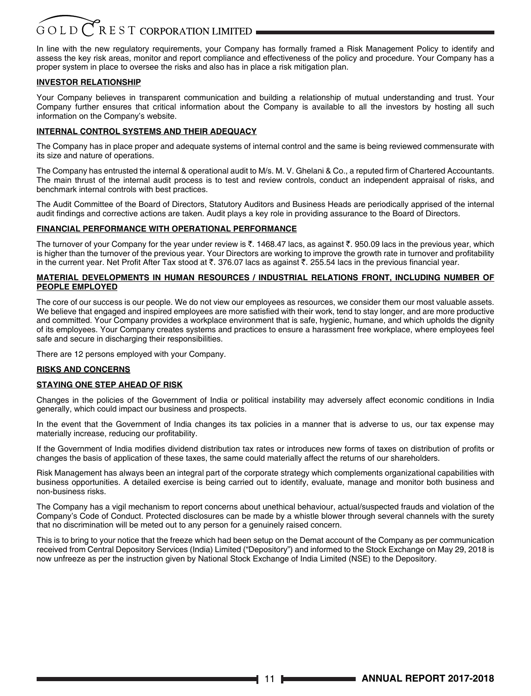In line with the new regulatory requirements, your Company has formally framed a Risk Management Policy to identify and assess the key risk areas, monitor and report compliance and effectiveness of the policy and procedure. Your Company has a proper system in place to oversee the risks and also has in place a risk mitigation plan.

#### **INVESTOR RELATIONSHIP**

Your Company believes in transparent communication and building a relationship of mutual understanding and trust. Your Company further ensures that critical information about the Company is available to all the investors by hosting all such information on the Company's website.

#### **INTERNAL CONTROL SYSTEMS AND THEIR ADEQUACY**

The Company has in place proper and adequate systems of internal control and the same is being reviewed commensurate with its size and nature of operations.

The Company has entrusted the internal & operational audit to M/s. M. V. Ghelani & Co., a reputed firm of Chartered Accountants. The main thrust of the internal audit process is to test and review controls, conduct an independent appraisal of risks, and benchmark internal controls with best practices.

The Audit Committee of the Board of Directors, Statutory Auditors and Business Heads are periodically apprised of the internal audit findings and corrective actions are taken. Audit plays a key role in providing assurance to the Board of Directors.

#### **FINANCIAL PERFORMANCE WITH OPERATIONAL PERFORMANCE**

The turnover of your Company for the year under review is  $\bar{\epsilon}$ . 1468.47 lacs, as against  $\bar{\epsilon}$ . 950.09 lacs in the previous year, which is higher than the turnover of the previous year. Your Directors are working to improve the growth rate in turnover and profitability in the current year. Net Profit After Tax stood at  $\bar{\tau}$ . 376.07 lacs as against  $\bar{\tau}$ . 255.54 lacs in the previous financial year.

#### **MATERIAL DEVELOPMENTS IN HUMAN RESOURCES / INDUSTRIAL RELATIONS FRONT, INCLUDING NUMBER OF PEOPLE EMPLOYED**

The core of our success is our people. We do not view our employees as resources, we consider them our most valuable assets. We believe that engaged and inspired employees are more satisfied with their work, tend to stay longer, and are more productive and committed. Your Company provides a workplace environment that is safe, hygienic, humane, and which upholds the dignity of its employees. Your Company creates systems and practices to ensure a harassment free workplace, where employees feel safe and secure in discharging their responsibilities.

There are 12 persons employed with your Company.

#### **RISKS AND CONCERNS**

#### **STAYING ONE STEP AHEAD OF RISK**

Changes in the policies of the Government of India or political instability may adversely affect economic conditions in India generally, which could impact our business and prospects.

In the event that the Government of India changes its tax policies in a manner that is adverse to us, our tax expense may materially increase, reducing our profitability.

If the Government of India modifies dividend distribution tax rates or introduces new forms of taxes on distribution of profits or changes the basis of application of these taxes, the same could materially affect the returns of our shareholders.

Risk Management has always been an integral part of the corporate strategy which complements organizational capabilities with business opportunities. A detailed exercise is being carried out to identify, evaluate, manage and monitor both business and non-business risks.

The Company has a vigil mechanism to report concerns about unethical behaviour, actual/suspected frauds and violation of the Company's Code of Conduct. Protected disclosures can be made by a whistle blower through several channels with the surety that no discrimination will be meted out to any person for a genuinely raised concern.

This is to bring to your notice that the freeze which had been setup on the Demat account of the Company as per communication received from Central Depository Services (India) Limited ("Depository") and informed to the Stock Exchange on May 29, 2018 is now unfreeze as per the instruction given by National Stock Exchange of India Limited (NSE) to the Depository.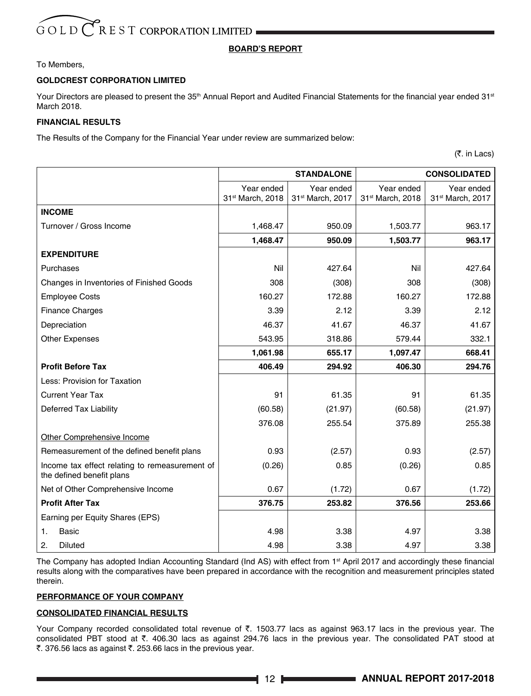#### **BOARD'S REPORT**

#### To Members,

#### **GOLDCREST CORPORATION LIMITED**

Your Directors are pleased to present the 35<sup>th</sup> Annual Report and Audited Financial Statements for the financial year ended 31<sup>st</sup> March 2018.

#### **FINANCIAL RESULTS**

The Results of the Company for the Financial Year under review are summarized below:

(₹. in Lacs)

|                                                                             | <b>STANDALONE</b> |                  | <b>CONSOLIDATED</b> |                  |  |
|-----------------------------------------------------------------------------|-------------------|------------------|---------------------|------------------|--|
|                                                                             | Year ended        | Year ended       | Year ended          | Year ended       |  |
|                                                                             | 31st March, 2018  | 31st March, 2017 | 31st March, 2018    | 31st March, 2017 |  |
| <b>INCOME</b>                                                               |                   |                  |                     |                  |  |
| Turnover / Gross Income                                                     | 1,468.47          | 950.09           | 1,503.77            | 963.17           |  |
|                                                                             | 1,468.47          | 950.09           | 1,503.77            | 963.17           |  |
| <b>EXPENDITURE</b>                                                          |                   |                  |                     |                  |  |
| Purchases                                                                   | Nil               | 427.64           | Nil                 | 427.64           |  |
| Changes in Inventories of Finished Goods                                    | 308               | (308)            | 308                 | (308)            |  |
| <b>Employee Costs</b>                                                       | 160.27            | 172.88           | 160.27              | 172.88           |  |
| <b>Finance Charges</b>                                                      | 3.39              | 2.12             | 3.39                | 2.12             |  |
| Depreciation                                                                | 46.37             | 41.67            | 46.37               | 41.67            |  |
| <b>Other Expenses</b>                                                       | 543.95            | 318.86           | 579.44              | 332.1            |  |
|                                                                             | 1,061.98          | 655.17           | 1,097.47            | 668.41           |  |
| <b>Profit Before Tax</b>                                                    | 406.49            | 294.92           | 406.30              | 294.76           |  |
| Less: Provision for Taxation                                                |                   |                  |                     |                  |  |
| <b>Current Year Tax</b>                                                     | 91                | 61.35            | 91                  | 61.35            |  |
| Deferred Tax Liability                                                      | (60.58)           | (21.97)          | (60.58)             | (21.97)          |  |
|                                                                             | 376.08            | 255.54           | 375.89              | 255.38           |  |
| Other Comprehensive Income                                                  |                   |                  |                     |                  |  |
| Remeasurement of the defined benefit plans                                  | 0.93              | (2.57)           | 0.93                | (2.57)           |  |
| Income tax effect relating to remeasurement of<br>the defined benefit plans | (0.26)            | 0.85             | (0.26)              | 0.85             |  |
| Net of Other Comprehensive Income                                           | 0.67              | (1.72)           | 0.67                | (1.72)           |  |
| <b>Profit After Tax</b>                                                     | 376.75            | 253.82           | 376.56              | 253.66           |  |
| Earning per Equity Shares (EPS)                                             |                   |                  |                     |                  |  |
| Basic<br>1.                                                                 | 4.98              | 3.38             | 4.97                | 3.38             |  |
| 2.<br><b>Diluted</b>                                                        | 4.98              | 3.38             | 4.97                | 3.38             |  |

The Company has adopted Indian Accounting Standard (Ind AS) with effect from 1<sup>st</sup> April 2017 and accordingly these financial results along with the comparatives have been prepared in accordance with the recognition and measurement principles stated therein.

#### **PERFORMANCE OF YOUR COMPANY**

#### **CONSOLIDATED FINANCIAL RESULTS**

Your Company recorded consolidated total revenue of  $\bar{\tau}$ . 1503.77 lacs as against 963.17 lacs in the previous year. The consolidated PBT stood at `. 406.30 lacs as against 294.76 lacs in the previous year. The consolidated PAT stood at ₹. 376.56 lacs as against ₹. 253.66 lacs in the previous year.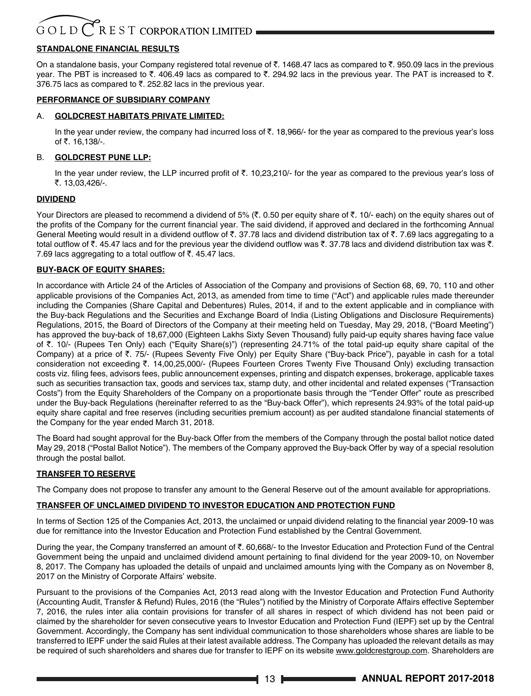### $G$ OLD $\bigcirc$ REST CORPORATION LIMITED

#### **STANDALONE FINANCIAL RESULTS**

On a standalone basis, your Company registered total revenue of  $\bar{\tau}$ . 1468.47 lacs as compared to  $\bar{\tau}$ . 950.09 lacs in the previous vear. The PBT is increased to  $\bar{\zeta}$ . 406.49 lacs as compared to  $\bar{\zeta}$ . 294.92 lacs in the previous year. The PAT is increased to  $\bar{\zeta}$ . 376.75 lacs as compared to  $\bar{\tau}$ . 252.82 lacs in the previous year.

#### **PERFORMANCE OF SUBSIDIARY COMPANY**

#### A. **GOLDCREST HABITATS PRIVATE LIMITED:**

In the year under review, the company had incurred loss of  $\bar{c}$ . 18,966/- for the year as compared to the previous year's loss of ₹. 16,138/-.

#### B. **GOLDCREST PUNE LLP:**

In the year under review, the LLP incurred profit of  $\bar{\tau}$ . 10,23,210/- for the year as compared to the previous year's loss of ₹. 13.03.426/-.

#### **DIVIDEND**

Your Directors are pleased to recommend a dividend of 5% (₹. 0.50 per equity share of ₹. 10/- each) on the equity shares out of the profits of the Company for the current financial year. The said dividend, if approved and declared in the forthcoming Annual General Meeting would result in a dividend outflow of  $\bar{\tau}$ . 37.78 lacs and dividend distribution tax of  $\bar{\tau}$ . 7.69 lacs aggregating to a total outflow of ₹. 45.47 lacs and for the previous year the dividend outflow was ₹. 37.78 lacs and dividend distribution tax was ₹. 7.69 lacs aggregating to a total outflow of  $\bar{\tau}$ . 45.47 lacs.

#### **BUY-BACK OF EQUITY SHARES:**

In accordance with Article 24 of the Articles of Association of the Company and provisions of Section 68, 69, 70, 110 and other applicable provisions of the Companies Act, 2013, as amended from time to time ("Act") and applicable rules made thereunder including the Companies (Share Capital and Debentures) Rules, 2014, if and to the extent applicable and in compliance with the Buy-back Regulations and the Securities and Exchange Board of India (Listing Obligations and Disclosure Requirements) Regulations, 2015, the Board of Directors of the Company at their meeting held on Tuesday, May 29, 2018, ("Board Meeting") has approved the buy-back of 18,67,000 (Eighteen Lakhs Sixty Seven Thousand) fully paid-up equity shares having face value of `. 10/- (Rupees Ten Only) each ("Equity Share(s)") (representing 24.71% of the total paid-up equity share capital of the Company) at a price of  $\bar{\tau}$ . 75/- (Rupees Seventy Five Only) per Equity Share ("Buy-back Price"), payable in cash for a total consideration not exceeding  $\bar{\tau}$ . 14,00,25,000/- (Rupees Fourteen Crores Twenty Five Thousand Only) excluding transaction costs viz. filing fees, advisors fees, public announcement expenses, printing and dispatch expenses, brokerage, applicable taxes such as securities transaction tax, goods and services tax, stamp duty, and other incidental and related expenses ("Transaction Costs") from the Equity Shareholders of the Company on a proportionate basis through the "Tender Offer" route as prescribed under the Buy-back Regulations (hereinafter referred to as the "Buy-back Offer"), which represents 24.93% of the total paid-up equity share capital and free reserves (including securities premium account) as per audited standalone financial statements of the Company for the year ended March 31, 2018.

The Board had sought approval for the Buy-back Offer from the members of the Company through the postal ballot notice dated May 29, 2018 ("Postal Ballot Notice"). The members of the Company approved the Buy-back Offer by way of a special resolution through the postal ballot.

#### **TRANSFER TO RESERVE**

The Company does not propose to transfer any amount to the General Reserve out of the amount available for appropriations.

#### **TRANSFER OF UNCLAIMED DIVIDEND TO INVESTOR EDUCATION AND PROTECTION FUND**

In terms of Section 125 of the Companies Act, 2013, the unclaimed or unpaid dividend relating to the financial year 2009-10 was due for remittance into the Investor Education and Protection Fund established by the Central Government.

During the year, the Company transferred an amount of ₹. 60,668/- to the Investor Education and Protection Fund of the Central Government being the unpaid and unclaimed dividend amount pertaining to final dividend for the year 2009-10, on November 8, 2017. The Company has uploaded the details of unpaid and unclaimed amounts lying with the Company as on November 8, 2017 on the Ministry of Corporate Affairs' website.

Pursuant to the provisions of the Companies Act, 2013 read along with the Investor Education and Protection Fund Authority (Accounting Audit, Transfer & Refund) Rules, 2016 (the "Rules") notified by the Ministry of Corporate Affairs effective September 7, 2016, the rules inter alia contain provisions for transfer of all shares in respect of which dividend has not been paid or claimed by the shareholder for seven consecutive years to Investor Education and Protection Fund (IEPF) set up by the Central Government. Accordingly, the Company has sent individual communication to those shareholders whose shares are liable to be transferred to IEPF under the said Rules at their latest available address. The Company has uploaded the relevant details as may be required of such shareholders and shares due for transfer to IEPF on its website www.goldcrestgroup.com. Shareholders are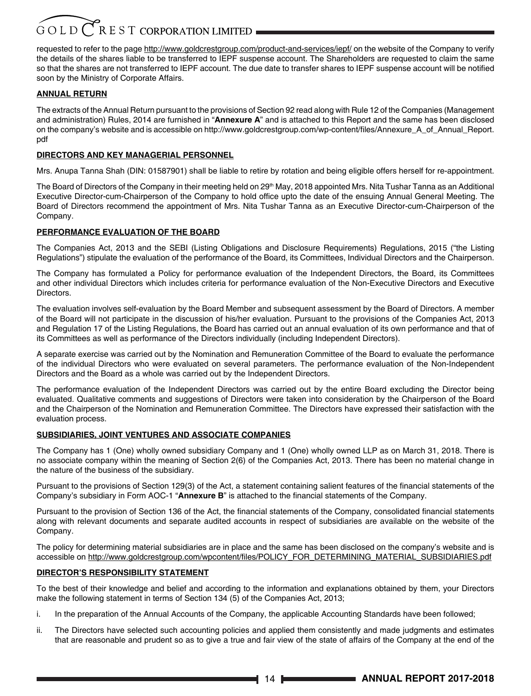requested to refer to the page http://www.goldcrestgroup.com/product-and-services/iepf/ on the website of the Company to verify the details of the shares liable to be transferred to IEPF suspense account. The Shareholders are requested to claim the same so that the shares are not transferred to IEPF account. The due date to transfer shares to IEPF suspense account will be notified soon by the Ministry of Corporate Affairs.

#### **ANNUAL RETURN**

The extracts of the Annual Return pursuant to the provisions of Section 92 read along with Rule 12 of the Companies (Management and administration) Rules, 2014 are furnished in "**Annexure A**" and is attached to this Report and the same has been disclosed on the company's website and is accessible on http://www.goldcrestgroup.com/wp-content/files/Annexure\_A\_of\_Annual\_Report. pdf

#### **DIRECTORS AND KEY MANAGERIAL PERSONNEL**

Mrs. Anupa Tanna Shah (DIN: 01587901) shall be liable to retire by rotation and being eligible offers herself for re-appointment.

The Board of Directors of the Company in their meeting held on 29<sup>th</sup> May, 2018 appointed Mrs. Nita Tushar Tanna as an Additional Executive Director-cum-Chairperson of the Company to hold office upto the date of the ensuing Annual General Meeting. The Board of Directors recommend the appointment of Mrs. Nita Tushar Tanna as an Executive Director-cum-Chairperson of the Company.

#### **PERFORMANCE EVALUATION OF THE BOARD**

The Companies Act, 2013 and the SEBI (Listing Obligations and Disclosure Requirements) Regulations, 2015 ("the Listing Regulations") stipulate the evaluation of the performance of the Board, its Committees, Individual Directors and the Chairperson.

The Company has formulated a Policy for performance evaluation of the Independent Directors, the Board, its Committees and other individual Directors which includes criteria for performance evaluation of the Non-Executive Directors and Executive **Directors** 

The evaluation involves self-evaluation by the Board Member and subsequent assessment by the Board of Directors. A member of the Board will not participate in the discussion of his/her evaluation. Pursuant to the provisions of the Companies Act, 2013 and Regulation 17 of the Listing Regulations, the Board has carried out an annual evaluation of its own performance and that of its Committees as well as performance of the Directors individually (including Independent Directors).

A separate exercise was carried out by the Nomination and Remuneration Committee of the Board to evaluate the performance of the individual Directors who were evaluated on several parameters. The performance evaluation of the Non-Independent Directors and the Board as a whole was carried out by the Independent Directors.

The performance evaluation of the Independent Directors was carried out by the entire Board excluding the Director being evaluated. Qualitative comments and suggestions of Directors were taken into consideration by the Chairperson of the Board and the Chairperson of the Nomination and Remuneration Committee. The Directors have expressed their satisfaction with the evaluation process.

#### **SUBSIDIARIES, JOINT VENTURES AND ASSOCIATE COMPANIES**

The Company has 1 (One) wholly owned subsidiary Company and 1 (One) wholly owned LLP as on March 31, 2018. There is no associate company within the meaning of Section 2(6) of the Companies Act, 2013. There has been no material change in the nature of the business of the subsidiary.

Pursuant to the provisions of Section 129(3) of the Act, a statement containing salient features of the financial statements of the Company's subsidiary in Form AOC-1 "**Annexure B**" is attached to the financial statements of the Company.

Pursuant to the provision of Section 136 of the Act, the financial statements of the Company, consolidated financial statements along with relevant documents and separate audited accounts in respect of subsidiaries are available on the website of the Company.

The policy for determining material subsidiaries are in place and the same has been disclosed on the company's website and is accessible on http://www.goldcrestgroup.com/wpcontent/files/POLICY\_FOR\_DETERMINING\_MATERIAL\_SUBSIDIARIES.pdf

#### **DIRECTOR'S RESPONSIBILITY STATEMENT**

To the best of their knowledge and belief and according to the information and explanations obtained by them, your Directors make the following statement in terms of Section 134 (5) of the Companies Act, 2013;

- i. In the preparation of the Annual Accounts of the Company, the applicable Accounting Standards have been followed;
- ii. The Directors have selected such accounting policies and applied them consistently and made judgments and estimates that are reasonable and prudent so as to give a true and fair view of the state of affairs of the Company at the end of the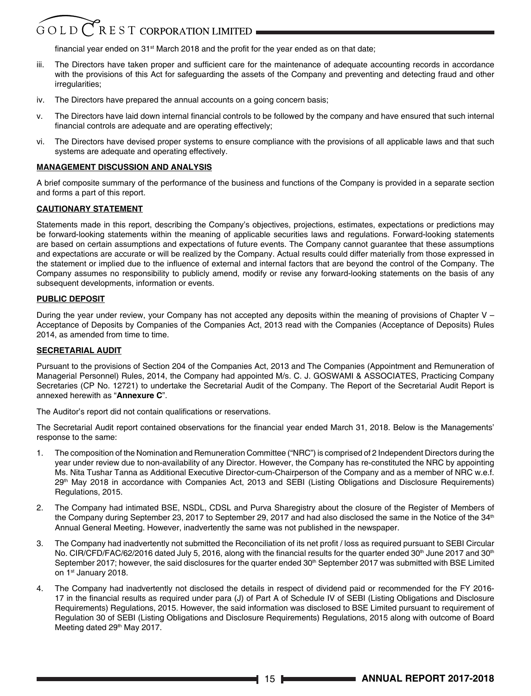### $G$  O L D  $C$  R E S T CORPORATION LIMITED

financial year ended on  $31<sup>st</sup>$  March 2018 and the profit for the year ended as on that date;

- iii. The Directors have taken proper and sufficient care for the maintenance of adequate accounting records in accordance with the provisions of this Act for safeguarding the assets of the Company and preventing and detecting fraud and other irregularities:
- iv. The Directors have prepared the annual accounts on a going concern basis;
- v. The Directors have laid down internal financial controls to be followed by the company and have ensured that such internal financial controls are adequate and are operating effectively;
- vi. The Directors have devised proper systems to ensure compliance with the provisions of all applicable laws and that such systems are adequate and operating effectively.

#### **MANAGEMENT DISCUSSION AND ANALYSIS**

A brief composite summary of the performance of the business and functions of the Company is provided in a separate section and forms a part of this report.

#### **CAUTIONARY STATEMENT**

Statements made in this report, describing the Company's objectives, projections, estimates, expectations or predictions may be forward-looking statements within the meaning of applicable securities laws and regulations. Forward-looking statements are based on certain assumptions and expectations of future events. The Company cannot guarantee that these assumptions and expectations are accurate or will be realized by the Company. Actual results could differ materially from those expressed in the statement or implied due to the influence of external and internal factors that are beyond the control of the Company. The Company assumes no responsibility to publicly amend, modify or revise any forward-looking statements on the basis of any subsequent developments, information or events.

#### **PUBLIC DEPOSIT**

During the year under review, your Company has not accepted any deposits within the meaning of provisions of Chapter V – Acceptance of Deposits by Companies of the Companies Act, 2013 read with the Companies (Acceptance of Deposits) Rules 2014, as amended from time to time.

#### **SECRETARIAL AUDIT**

Pursuant to the provisions of Section 204 of the Companies Act, 2013 and The Companies (Appointment and Remuneration of Managerial Personnel) Rules, 2014, the Company had appointed M/s. C. J. GOSWAMI & ASSOCIATES, Practicing Company Secretaries (CP No. 12721) to undertake the Secretarial Audit of the Company. The Report of the Secretarial Audit Report is annexed herewith as "**Annexure C**".

The Auditor's report did not contain qualifications or reservations.

The Secretarial Audit report contained observations for the financial year ended March 31, 2018. Below is the Managements' response to the same:

- 1. The composition of the Nomination and Remuneration Committee ("NRC") is comprised of 2 Independent Directors during the year under review due to non-availability of any Director. However, the Company has re-constituted the NRC by appointing Ms. Nita Tushar Tanna as Additional Executive Director-cum-Chairperson of the Company and as a member of NRC w.e.f. 29th May 2018 in accordance with Companies Act, 2013 and SEBI (Listing Obligations and Disclosure Requirements) Regulations, 2015.
- 2. The Company had intimated BSE, NSDL, CDSL and Purva Sharegistry about the closure of the Register of Members of the Company during September 23, 2017 to September 29, 2017 and had also disclosed the same in the Notice of the 34<sup>th</sup> Annual General Meeting. However, inadvertently the same was not published in the newspaper.
- 3. The Company had inadvertently not submitted the Reconciliation of its net profit / loss as required pursuant to SEBI Circular No. CIR/CFD/FAC/62/2016 dated July 5, 2016, along with the financial results for the quarter ended 30<sup>th</sup> June 2017 and 30<sup>th</sup> September 2017; however, the said disclosures for the quarter ended  $30<sup>th</sup>$  September 2017 was submitted with BSE Limited on 1st January 2018.
- 4. The Company had inadvertently not disclosed the details in respect of dividend paid or recommended for the FY 2016- 17 in the financial results as required under para (J) of Part A of Schedule IV of SEBI (Listing Obligations and Disclosure Requirements) Regulations, 2015. However, the said information was disclosed to BSE Limited pursuant to requirement of Regulation 30 of SEBI (Listing Obligations and Disclosure Requirements) Regulations, 2015 along with outcome of Board Meeting dated 29<sup>th</sup> May 2017.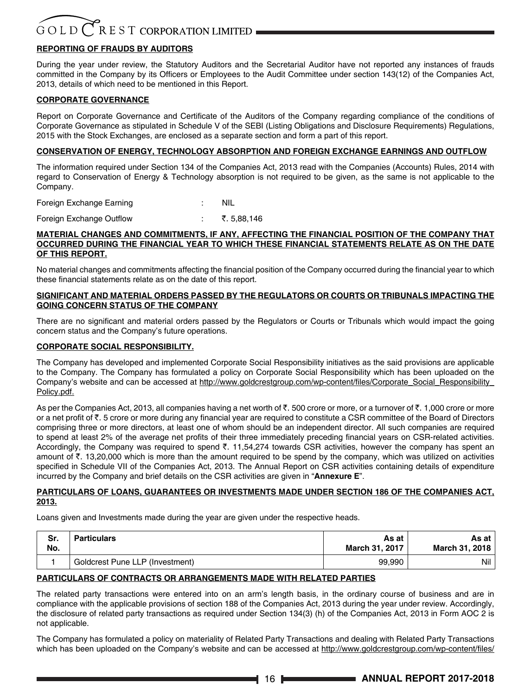#### **REPORTING OF FRAUDS BY AUDITORS**

During the year under review, the Statutory Auditors and the Secretarial Auditor have not reported any instances of frauds committed in the Company by its Officers or Employees to the Audit Committee under section 143(12) of the Companies Act, 2013, details of which need to be mentioned in this Report.

#### **CORPORATE GOVERNANCE**

Report on Corporate Governance and Certificate of the Auditors of the Company regarding compliance of the conditions of Corporate Governance as stipulated in Schedule V of the SEBI (Listing Obligations and Disclosure Requirements) Regulations, 2015 with the Stock Exchanges, are enclosed as a separate section and form a part of this report.

#### **CONSERVATION OF ENERGY, TECHNOLOGY ABSORPTION AND FOREIGN EXCHANGE EARNINGS AND OUTFLOW**

The information required under Section 134 of the Companies Act, 2013 read with the Companies (Accounts) Rules, 2014 with regard to Conservation of Energy & Technology absorption is not required to be given, as the same is not applicable to the Company.

Foreign Exchange Earning The Contract Contract Contract Contract Contract Contract Contract Contract Contract Contract Contract Contract Contract Contract Contract Contract Contract Contract Contract Contract Contract Cont

Foreign Exchange Outflow : ₹. 5,88,146

#### **MATERIAL CHANGES AND COMMITMENTS, IF ANY, AFFECTING THE FINANCIAL POSITION OF THE COMPANY THAT OCCURRED DURING THE FINANCIAL YEAR TO WHICH THESE FINANCIAL STATEMENTS RELATE AS ON THE DATE OF THIS REPORT.**

No material changes and commitments affecting the financial position of the Company occurred during the financial year to which these financial statements relate as on the date of this report.

#### **SIGNIFICANT AND MATERIAL ORDERS PASSED BY THE REGULATORS OR COURTS OR TRIBUNALS IMPACTING THE GOING CONCERN STATUS OF THE COMPANY**

There are no significant and material orders passed by the Regulators or Courts or Tribunals which would impact the going concern status and the Company's future operations.

#### **CORPORATE SOCIAL RESPONSIBILITY.**

The Company has developed and implemented Corporate Social Responsibility initiatives as the said provisions are applicable to the Company. The Company has formulated a policy on Corporate Social Responsibility which has been uploaded on the Company's website and can be accessed at http://www.goldcrestgroup.com/wp-content/files/Corporate\_Social\_Responsibility\_ Policy.pdf.

As per the Companies Act, 2013, all companies having a net worth of  $\bar{c}$ . 500 crore or more, or a turnover of  $\bar{c}$ . 1,000 crore or more or a net profit of  $\bar{\tau}$ . 5 crore or more during any financial year are required to constitute a CSR committee of the Board of Directors comprising three or more directors, at least one of whom should be an independent director. All such companies are required to spend at least 2% of the average net profits of their three immediately preceding financial years on CSR-related activities. Accordingly, the Company was required to spend  $\bar{\tau}$ . 11,54,274 towards CSR activities, however the company has spent an amount of  $\bar{\tau}$ . 13,20,000 which is more than the amount required to be spend by the company, which was utilized on activities specified in Schedule VII of the Companies Act, 2013. The Annual Report on CSR activities containing details of expenditure incurred by the Company and brief details on the CSR activities are given in "**Annexure E**".

#### **PARTICULARS OF LOANS, GUARANTEES OR INVESTMENTS MADE UNDER SECTION 186 OF THE COMPANIES ACT, 2013.**

Loans given and Investments made during the year are given under the respective heads.

| Sr. | Particulars                     | As at          | As at l        |
|-----|---------------------------------|----------------|----------------|
| No. |                                 | March 31, 2017 | March 31, 2018 |
|     | Goldcrest Pune LLP (Investment) | 99,990         | Nil            |

#### **PARTICULARS OF CONTRACTS OR ARRANGEMENTS MADE WITH RELATED PARTIES**

The related party transactions were entered into on an arm's length basis, in the ordinary course of business and are in compliance with the applicable provisions of section 188 of the Companies Act, 2013 during the year under review. Accordingly, the disclosure of related party transactions as required under Section 134(3) (h) of the Companies Act, 2013 in Form AOC 2 is not applicable.

The Company has formulated a policy on materiality of Related Party Transactions and dealing with Related Party Transactions which has been uploaded on the Company's website and can be accessed at http://www.goldcrestgroup.com/wp-content/files/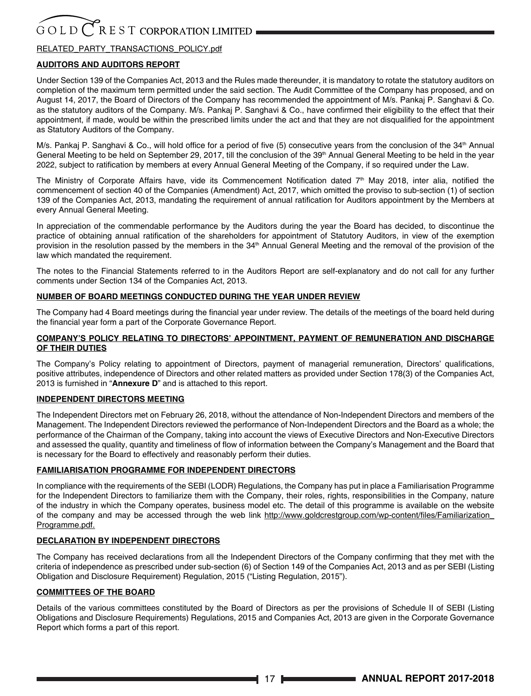#### RELATED\_PARTY\_TRANSACTIONS\_POLICY.pdf

#### **AUDITORS AND AUDITORS REPORT**

Under Section 139 of the Companies Act, 2013 and the Rules made thereunder, it is mandatory to rotate the statutory auditors on completion of the maximum term permitted under the said section. The Audit Committee of the Company has proposed, and on August 14, 2017, the Board of Directors of the Company has recommended the appointment of M/s. Pankaj P. Sanghavi & Co. as the statutory auditors of the Company. M/s. Pankaj P. Sanghavi & Co., have confirmed their eligibility to the effect that their appointment, if made, would be within the prescribed limits under the act and that they are not disqualified for the appointment as Statutory Auditors of the Company.

M/s. Pankaj P. Sanghavi & Co., will hold office for a period of five (5) consecutive years from the conclusion of the 34<sup>th</sup> Annual General Meeting to be held on September 29, 2017, till the conclusion of the 39<sup>th</sup> Annual General Meeting to be held in the year 2022, subject to ratification by members at every Annual General Meeting of the Company, if so required under the Law.

The Ministry of Corporate Affairs have, vide its Commencement Notification dated  $7<sup>th</sup>$  May 2018, inter alia, notified the commencement of section 40 of the Companies (Amendment) Act, 2017, which omitted the proviso to sub-section (1) of section 139 of the Companies Act, 2013, mandating the requirement of annual ratification for Auditors appointment by the Members at every Annual General Meeting.

In appreciation of the commendable performance by the Auditors during the year the Board has decided, to discontinue the practice of obtaining annual ratification of the shareholders for appointment of Statutory Auditors, in view of the exemption provision in the resolution passed by the members in the 34<sup>th</sup> Annual General Meeting and the removal of the provision of the law which mandated the requirement.

The notes to the Financial Statements referred to in the Auditors Report are self-explanatory and do not call for any further comments under Section 134 of the Companies Act, 2013.

#### **NUMBER OF BOARD MEETINGS CONDUCTED DURING THE YEAR UNDER REVIEW**

The Company had 4 Board meetings during the financial year under review. The details of the meetings of the board held during the financial year form a part of the Corporate Governance Report.

#### **COMPANY'S POLICY RELATING TO DIRECTORS' APPOINTMENT, PAYMENT OF REMUNERATION AND DISCHARGE OF THEIR DUTIES**

The Company's Policy relating to appointment of Directors, payment of managerial remuneration, Directors' qualifications, positive attributes, independence of Directors and other related matters as provided under Section 178(3) of the Companies Act, 2013 is furnished in "**Annexure D**" and is attached to this report.

#### **INDEPENDENT DIRECTORS MEETING**

The Independent Directors met on February 26, 2018, without the attendance of Non-Independent Directors and members of the Management. The Independent Directors reviewed the performance of Non-Independent Directors and the Board as a whole; the performance of the Chairman of the Company, taking into account the views of Executive Directors and Non-Executive Directors and assessed the quality, quantity and timeliness of flow of information between the Company's Management and the Board that is necessary for the Board to effectively and reasonably perform their duties.

#### **FAMILIARISATION PROGRAMME FOR INDEPENDENT DIRECTORS**

In compliance with the requirements of the SEBI (LODR) Regulations, the Company has put in place a Familiarisation Programme for the Independent Directors to familiarize them with the Company, their roles, rights, responsibilities in the Company, nature of the industry in which the Company operates, business model etc. The detail of this programme is available on the website of the company and may be accessed through the web link http://www.goldcrestgroup.com/wp-content/files/Familiarization Programme.pdf.

#### **DECLARATION BY INDEPENDENT DIRECTORS**

The Company has received declarations from all the Independent Directors of the Company confirming that they met with the criteria of independence as prescribed under sub-section (6) of Section 149 of the Companies Act, 2013 and as per SEBI (Listing Obligation and Disclosure Requirement) Regulation, 2015 ("Listing Regulation, 2015").

#### **COMMITTEES OF THE BOARD**

Details of the various committees constituted by the Board of Directors as per the provisions of Schedule II of SEBI (Listing Obligations and Disclosure Requirements) Regulations, 2015 and Companies Act, 2013 are given in the Corporate Governance Report which forms a part of this report.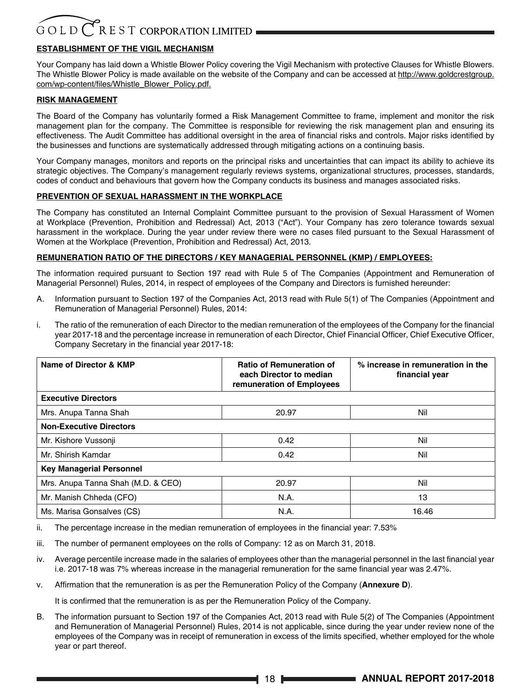#### **ESTABLISHMENT OF THE VIGIL MECHANISM**

Your Company has laid down a Whistle Blower Policy covering the Vigil Mechanism with protective Clauses for Whistle Blowers. The Whistle Blower Policy is made available on the website of the Company and can be accessed at http://www.goldcrestgroup. com/wp-content/files/Whistle\_Blower\_Policy.pdf.

#### **RISK MANAGEMENT**

The Board of the Company has voluntarily formed a Risk Management Committee to frame, implement and monitor the risk management plan for the company. The Committee is responsible for reviewing the risk management plan and ensuring its effectiveness. The Audit Committee has additional oversight in the area of financial risks and controls. Major risks identified by the businesses and functions are systematically addressed through mitigating actions on a continuing basis.

Your Company manages, monitors and reports on the principal risks and uncertainties that can impact its ability to achieve its strategic objectives. The Company's management regularly reviews systems, organizational structures, processes, standards, codes of conduct and behaviours that govern how the Company conducts its business and manages associated risks.

#### **PREVENTION OF SEXUAL HARASSMENT IN THE WORKPLACE**

The Company has constituted an Internal Complaint Committee pursuant to the provision of Sexual Harassment of Women at Workplace (Prevention, Prohibition and Redressal) Act, 2013 ("Act"). Your Company has zero tolerance towards sexual harassment in the workplace. During the year under review there were no cases filed pursuant to the Sexual Harassment of Women at the Workplace (Prevention, Prohibition and Redressal) Act, 2013.

#### **REMUNERATION RATIO OF THE DIRECTORS / KEY MANAGERIAL PERSONNEL (KMP) / EMPLOYEES:**

The information required pursuant to Section 197 read with Rule 5 of The Companies (Appointment and Remuneration of Managerial Personnel) Rules, 2014, in respect of employees of the Company and Directors is furnished hereunder:

- A. Information pursuant to Section 197 of the Companies Act, 2013 read with Rule 5(1) of The Companies (Appointment and Remuneration of Managerial Personnel) Rules, 2014:
- i. The ratio of the remuneration of each Director to the median remuneration of the employees of the Company for the financial year 2017-18 and the percentage increase in remuneration of each Director, Chief Financial Officer, Chief Executive Officer, Company Secretary in the financial year 2017-18:

| Name of Director & KMP             | <b>Ratio of Remuneration of</b><br>each Director to median<br>remuneration of Employees | % increase in remuneration in the<br>financial year |
|------------------------------------|-----------------------------------------------------------------------------------------|-----------------------------------------------------|
| <b>Executive Directors</b>         |                                                                                         |                                                     |
| Mrs. Anupa Tanna Shah              | 20.97                                                                                   | Nil                                                 |
| <b>Non-Executive Directors</b>     |                                                                                         |                                                     |
| Mr. Kishore Vussonji               | 0.42                                                                                    | Nil                                                 |
| Mr. Shirish Kamdar                 | 0.42                                                                                    | Nil                                                 |
| <b>Key Managerial Personnel</b>    |                                                                                         |                                                     |
| Mrs. Anupa Tanna Shah (M.D. & CEO) | 20.97                                                                                   | Nil                                                 |
| Mr. Manish Chheda (CFO)            | N.A.                                                                                    | 13                                                  |
| Ms. Marisa Gonsalves (CS)          | N.A.                                                                                    | 16.46                                               |

ii. The percentage increase in the median remuneration of employees in the financial year: 7.53%

iii. The number of permanent employees on the rolls of Company: 12 as on March 31, 2018.

iv. Average percentile increase made in the salaries of employees other than the managerial personnel in the last financial year i.e. 2017-18 was 7% whereas increase in the managerial remuneration for the same financial year was 2.47%.

v. Affirmation that the remuneration is as per the Remuneration Policy of the Company (**Annexure D**).

It is confirmed that the remuneration is as per the Remuneration Policy of the Company.

B. The information pursuant to Section 197 of the Companies Act, 2013 read with Rule 5(2) of The Companies (Appointment and Remuneration of Managerial Personnel) Rules, 2014 is not applicable, since during the year under review none of the employees of the Company was in receipt of remuneration in excess of the limits specified, whether employed for the whole year or part thereof.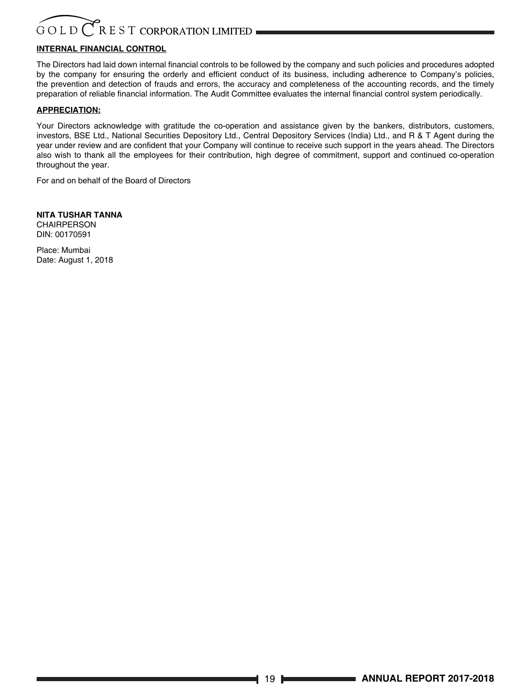### $R$  E S T CORPORATION LIMITED GOLD

### **INTERNAL FINANCIAL CONTROL**

The Directors had laid down internal financial controls to be followed by the company and such policies and procedures adopted by the company for ensuring the orderly and efficient conduct of its business, including adherence to Company's policies, the prevention and detection of frauds and errors, the accuracy and completeness of the accounting records, and the timely preparation of reliable financial information. The Audit Committee evaluates the internal financial control system periodically.

#### **APPRECIATION:**

Your Directors acknowledge with gratitude the co-operation and assistance given by the bankers, distributors, customers, investors, BSE Ltd., National Securities Depository Ltd., Central Depository Services (India) Ltd., and R & T Agent during the year under review and are confident that your Company will continue to receive such support in the years ahead. The Directors also wish to thank all the employees for their contribution, high degree of commitment, support and continued co-operation throughout the year.

For and on behalf of the Board of Directors

**NITA TUSHAR TANNA CHAIRPERSON** DIN: 00170591

Place: Mumbai Date: August 1, 2018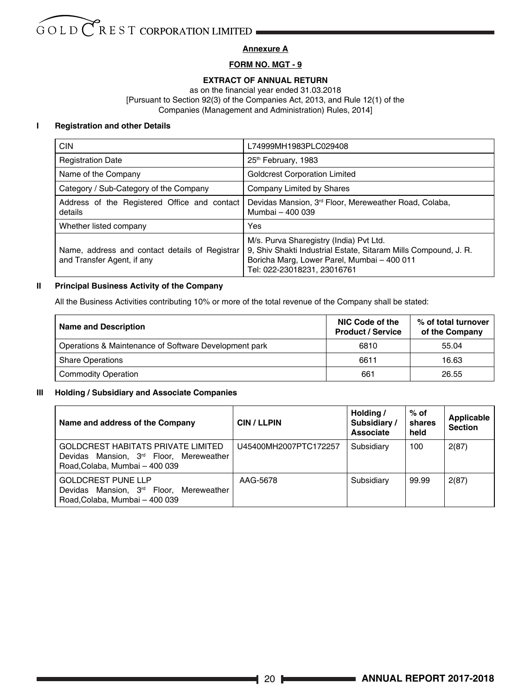#### **Annexure A**

#### **FORM NO. MGT - 9**

#### **EXTRACT OF ANNUAL RETURN**

as on the financial year ended 31.03.2018 [Pursuant to Section 92(3) of the Companies Act, 2013, and Rule 12(1) of the Companies (Management and Administration) Rules, 2014]

#### **I Registration and other Details**

| <b>CIN</b>                                                                   | L74999MH1983PLC029408                                                                                                                                                                    |
|------------------------------------------------------------------------------|------------------------------------------------------------------------------------------------------------------------------------------------------------------------------------------|
| <b>Registration Date</b>                                                     | 25 <sup>th</sup> February, 1983                                                                                                                                                          |
| Name of the Company                                                          | <b>Goldcrest Corporation Limited</b>                                                                                                                                                     |
| Category / Sub-Category of the Company                                       | Company Limited by Shares                                                                                                                                                                |
| Address of the Registered Office and contact<br>details                      | Devidas Mansion, 3 <sup>rd</sup> Floor, Mereweather Road, Colaba,<br>Mumbai - 400 039                                                                                                    |
| Whether listed company                                                       | Yes                                                                                                                                                                                      |
| Name, address and contact details of Registrar<br>and Transfer Agent, if any | M/s. Purva Sharegistry (India) Pvt Ltd.<br>9, Shiv Shakti Industrial Estate, Sitaram Mills Compound, J. R.<br>Boricha Marg, Lower Parel, Mumbai - 400 011<br>Tel: 022-23018231, 23016761 |

#### **II Principal Business Activity of the Company**

All the Business Activities contributing 10% or more of the total revenue of the Company shall be stated:

| <b>Name and Description</b>                           | NIC Code of the<br><b>Product / Service</b> | % of total turnover<br>of the Company |
|-------------------------------------------------------|---------------------------------------------|---------------------------------------|
| Operations & Maintenance of Software Development park | 6810                                        | 55.04                                 |
| <b>Share Operations</b>                               | 6611                                        | 16.63                                 |
| <b>Commodity Operation</b>                            | 661                                         | 26.55                                 |

#### **III Holding / Subsidiary and Associate Companies**

| Name and address of the Company                                                                                                   | <b>CIN/LLPIN</b>      | Holding /<br>Subsidiary /<br>Associate | $%$ of<br>shares<br>held | Applicable<br><b>Section</b> |
|-----------------------------------------------------------------------------------------------------------------------------------|-----------------------|----------------------------------------|--------------------------|------------------------------|
| <b>GOLDCREST HABITATS PRIVATE LIMITED</b><br>Devidas Mansion, 3 <sup>rd</sup> Floor, Mereweather<br>Road.Colaba, Mumbai - 400 039 | U45400MH2007PTC172257 | Subsidiary                             | 100                      | 2(87)                        |
| <b>GOLDCREST PUNE LLP</b><br>Devidas Mansion, 3 <sup>rd</sup> Floor, Mereweather<br>Road.Colaba, Mumbai - 400 039                 | AAG-5678              | Subsidiary                             | 99.99                    | 2(87)                        |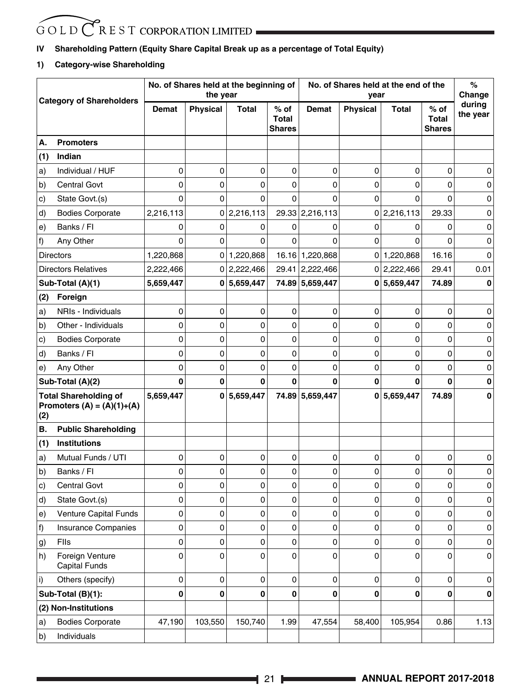#### **IV Shareholding Pattern (Equity Share Capital Break up as a percentage of Total Equity)**

#### **1) Category-wise Shareholding**

| <b>Category of Shareholders</b> |                                                              |           | No. of Shares held at the beginning of<br>the year |             |                                         | No. of Shares held at the end of the<br>vear |          |             |                                         | %<br>Change        |
|---------------------------------|--------------------------------------------------------------|-----------|----------------------------------------------------|-------------|-----------------------------------------|----------------------------------------------|----------|-------------|-----------------------------------------|--------------------|
|                                 |                                                              | Demat     | <b>Physical</b>                                    | Total       | $%$ of<br><b>Total</b><br><b>Shares</b> | <b>Demat</b>                                 | Physical | Total       | $%$ of<br><b>Total</b><br><b>Shares</b> | during<br>the year |
| А.                              | <b>Promoters</b>                                             |           |                                                    |             |                                         |                                              |          |             |                                         |                    |
| (1)                             | Indian                                                       |           |                                                    |             |                                         |                                              |          |             |                                         |                    |
| a)                              | Individual / HUF                                             | 0         | 0                                                  | 0           | 0                                       | 0                                            | 0        | 0           | 0                                       | 0                  |
| b)                              | <b>Central Govt</b>                                          | 0         | 0                                                  | 0           | 0                                       | 0                                            | 0        | 0           | 0                                       | 0                  |
| c)                              | State Govt.(s)                                               | 0         | 0                                                  | $\Omega$    | $\Omega$                                | $\Omega$                                     | 0        | 0           | $\mathbf{0}$                            | 0                  |
| d)                              | <b>Bodies Corporate</b>                                      | 2,216,113 | 0                                                  | 2,216,113   |                                         | 29.33 2,216,113                              | 0        | 2,216,113   | 29.33                                   | 0                  |
| e)                              | Banks / FI                                                   | 0         | 0                                                  | 0           | 0                                       | 0                                            | 0        | 0           | 0                                       | 0                  |
| f)                              | Any Other                                                    | 0         | 0                                                  | 0           | $\Omega$                                | 0                                            | 0        | 0           | $\mathbf{0}$                            | 0                  |
|                                 | <b>Directors</b>                                             | 1,220,868 | 0                                                  | 1,220,868   |                                         | 16.16 1,220,868                              |          | 0 1,220,868 | 16.16                                   | $\Omega$           |
|                                 | <b>Directors Relatives</b>                                   | 2,222,466 |                                                    | 0 2,222,466 |                                         | 29.41 2,222,466                              |          | 0 2,222,466 | 29.41                                   | 0.01               |
|                                 | Sub-Total (A)(1)                                             | 5,659,447 |                                                    | 0 5,659,447 |                                         | 74.89 5,659,447                              |          | 0 5,659,447 | 74.89                                   | 0                  |
| (2)                             | Foreign                                                      |           |                                                    |             |                                         |                                              |          |             |                                         |                    |
| a)                              | NRIs - Individuals                                           | 0         | 0                                                  | 0           | 0                                       | 0                                            | 0        | 0           | 0                                       | 0                  |
| b)                              | Other Individuals                                            | 0         | 0                                                  | $\mathbf 0$ | 0                                       | 0                                            | 0        | 0           | $\mathbf{0}$                            | 0                  |
| c)                              | <b>Bodies Corporate</b>                                      | 0         | 0                                                  | 0           | 0                                       | 0                                            | 0        | 0           | 0                                       | 0                  |
| d)                              | Banks / FI                                                   | 0         | 0                                                  | 0           | 0                                       | 0                                            | 0        | 0           | 0                                       | 0                  |
| e)                              | Any Other                                                    | 0         | 0                                                  | 0           | 0                                       | 0                                            | 0        | 0           | 0                                       | 0                  |
|                                 | Sub-Total (A)(2)                                             | 0         | $\bf{0}$                                           | $\bf{0}$    | 0                                       | $\bf{0}$                                     | 0        | 0           | $\bf{0}$                                | 0                  |
| (2)                             | <b>Total Shareholding of</b><br>Promoters $(A) = (A)(1)+(A)$ | 5,659,447 | 0                                                  | 5,659,447   |                                         | 74.89 5,659,447                              | 0        | 5,659,447   | 74.89                                   | 0                  |
| В.                              | <b>Public Shareholding</b>                                   |           |                                                    |             |                                         |                                              |          |             |                                         |                    |
| (1)                             | <b>Institutions</b>                                          |           |                                                    |             |                                         |                                              |          |             |                                         |                    |
| a)                              | Mutual Funds / UTI                                           | 0         | 0                                                  | 0           | 0                                       | 0                                            | 0        | 0           | 0                                       | 0                  |
| b)                              | Banks / FI                                                   | 0         | 0                                                  | 0           | 0                                       | 0                                            | 0        | 0           | 0                                       | 0                  |
| c)                              | <b>Central Govt</b>                                          | 0         | 0                                                  | 0           | 0                                       | 0                                            | 0        | 0           | 0                                       | 0                  |
| d)                              | State Govt.(s)                                               | 0         | 0                                                  | 0           | 0                                       | 0                                            | 0        | 0           | 0                                       | 0                  |
| e)                              | Venture Capital Funds                                        | 0         | 0                                                  | 0           | 0                                       | 0                                            | 0        | 0           | 0                                       | 0                  |
| f)                              | <b>Insurance Companies</b>                                   | 0         | 0                                                  | 0           | 0                                       | 0                                            | 0        | 0           | 0                                       | 0                  |
| g)                              | Flls                                                         | 0         | 0                                                  | 0           | 0                                       | $\pmb{0}$                                    | 0        | 0           | 0                                       | $\pmb{0}$          |
| h)                              | Foreign Venture<br><b>Capital Funds</b>                      | 0         | 0                                                  | 0           | 0                                       | 0                                            | 0        | 0           | 0                                       | 0                  |
| i)                              | Others (specify)                                             | 0         | 0                                                  | 0           | 0                                       | $\pmb{0}$                                    | 0        | 0           | 0                                       | 0                  |
|                                 | Sub-Total (B)(1):                                            | 0         | 0                                                  | 0           | 0                                       | $\pmb{0}$                                    | 0        | 0           | 0                                       | 0                  |
|                                 | (2) Non-Institutions                                         |           |                                                    |             |                                         |                                              |          |             |                                         |                    |
| a)                              | <b>Bodies Corporate</b>                                      | 47,190    | 103,550                                            | 150,740     | 1.99                                    | 47,554                                       | 58,400   | 105,954     | 0.86                                    | 1.13               |
| $\mathsf{b}$                    | Individuals                                                  |           |                                                    |             |                                         |                                              |          |             |                                         |                    |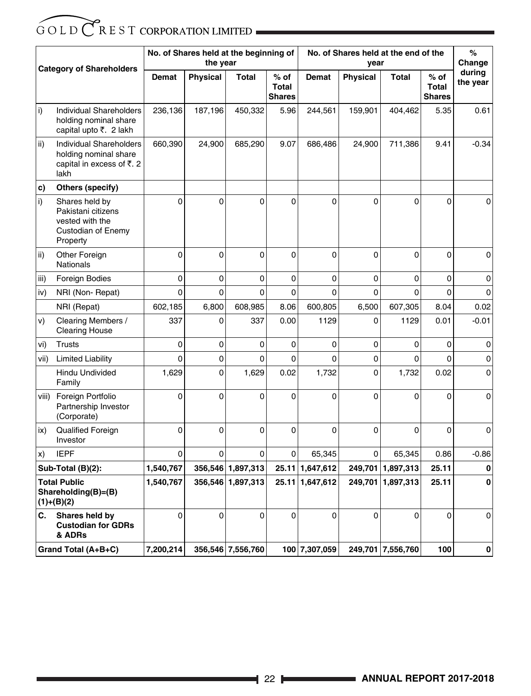| <b>Category of Shareholders</b> |                                                                                           |                | No. of Shares held at the beginning of<br>the year |                   |                                         | No. of Shares held at the end of the<br>vear |                 |                   |                                         | %<br>Change        |
|---------------------------------|-------------------------------------------------------------------------------------------|----------------|----------------------------------------------------|-------------------|-----------------------------------------|----------------------------------------------|-----------------|-------------------|-----------------------------------------|--------------------|
|                                 |                                                                                           | Demat          | <b>Physical</b>                                    | <b>Total</b>      | $%$ of<br><b>Total</b><br><b>Shares</b> | Demat                                        | <b>Physical</b> | <b>Total</b>      | $%$ of<br><b>Total</b><br><b>Shares</b> | during<br>the year |
| i)                              | Individual Shareholders<br>holding nominal share<br>capital upto ₹. 2 lakh                | 236,136        | 187,196                                            | 450,332           | 5.96                                    | 244,561                                      | 159,901         | 404,462           | 5.35                                    | 0.61               |
| ii)                             | Individual Shareholders<br>holding nominal share<br>capital in excess of ₹. 2<br>lakh     | 660,390        | 24,900                                             | 685,290           | 9.07                                    | 686,486                                      | 24,900          | 711,386           | 9.41                                    | $-0.34$            |
| C)                              | Others (specify)                                                                          |                |                                                    |                   |                                         |                                              |                 |                   |                                         |                    |
| i)                              | Shares held by<br>Pakistani citizens<br>vested with the<br>Custodian of Enemy<br>Property | $\mathbf 0$    | $\overline{0}$                                     | 0                 | 0                                       | 0                                            | $\mathbf 0$     | 0                 | $\Omega$                                | $\mathbf 0$        |
| ii)                             | Other Foreign<br><b>Nationals</b>                                                         | 0              | 0                                                  | $\mathbf 0$       | 0                                       | $\mathbf 0$                                  | $\mathbf 0$     | 0                 | $\Omega$                                | $\Omega$           |
| iii)                            | Foreign Bodies                                                                            | 0              | 0                                                  | $\mathbf 0$       | 0                                       | 0                                            | 0               | 0                 | 0                                       | 0                  |
| iv)                             | NRI (Non-Repat)                                                                           | $\Omega$       | $\Omega$                                           | $\Omega$          | 0                                       | $\Omega$                                     | $\Omega$        | $\Omega$          | $\Omega$                                | $\Omega$           |
|                                 | NRI (Repat)                                                                               | 602,185        | 6,800                                              | 608,985           | 8.06                                    | 600,805                                      | 6,500           | 607,305           | 8.04                                    | 0.02               |
| V)                              | Clearing Members /<br><b>Clearing House</b>                                               | 337            | 0                                                  | 337               | 0.00                                    | 1129                                         | $\mathbf 0$     | 1129              | 0.01                                    | $-0.01$            |
| vi)                             | <b>Trusts</b>                                                                             | $\Omega$       | 0                                                  | $\mathbf 0$       | $\Omega$                                | $\Omega$                                     | $\Omega$        | $\Omega$          | $\Omega$                                | 0                  |
| vii)                            | <b>Limited Liability</b>                                                                  | $\overline{0}$ | $\Omega$                                           | $\overline{0}$    | $\Omega$                                | $\Omega$                                     | $\Omega$        | 0                 | $\Omega$                                | 0                  |
|                                 | <b>Hindu Undivided</b><br>Family                                                          | 1,629          | 0                                                  | 1,629             | 0.02                                    | 1,732                                        | $\overline{0}$  | 1,732             | 0.02                                    | $\Omega$           |
|                                 | viii) Foreign Portfolio<br>Partnership Investor<br>(Corporate)                            | 0              | 0                                                  | 0                 | 0                                       | 0                                            | $\mathbf 0$     | 0                 | $\Omega$                                | 0                  |
| ix)                             | Qualified Foreign<br>Investor                                                             | $\mathbf 0$    | 0                                                  | 0                 | 0                                       | 0                                            | $\Omega$        | 0                 | $\Omega$                                | 0                  |
| X)                              | <b>IEPF</b>                                                                               | $\mathbf 0$    | 0                                                  | 0                 | 0                                       | 65,345                                       | $\Omega$        | 65,345            | 0.86                                    | $-0.86$            |
|                                 | Sub-Total (B)(2):                                                                         | 1,540,767      |                                                    | 356,546 1,897,313 |                                         | 25.11 1,647,612                              |                 | 249,701 1,897,313 | 25.11                                   | $\bf{0}$           |
|                                 | <b>Total Public</b><br>Shareholding(B)=(B)<br>$(1)+(B)(2)$                                | 1,540,767      |                                                    | 356,546 1,897,313 |                                         | 25.11 1,647,612                              |                 | 249,701 1,897,313 | 25.11                                   | 0                  |
| С.                              | Shares held by<br><b>Custodian for GDRs</b><br>& ADRs                                     | $\Omega$       | $\mathbf 0$                                        | $\mathbf 0$       | $\mathbf 0$                             | $\mathbf 0$                                  | $\mathbf 0$     | 0                 | $\mathbf 0$                             | 0                  |
|                                 | Grand Total (A+B+C)                                                                       | 7,200,214      |                                                    | 356,546 7,556,760 |                                         | 100 7,307,059                                |                 | 249,701 7,556,760 | 100                                     | 0                  |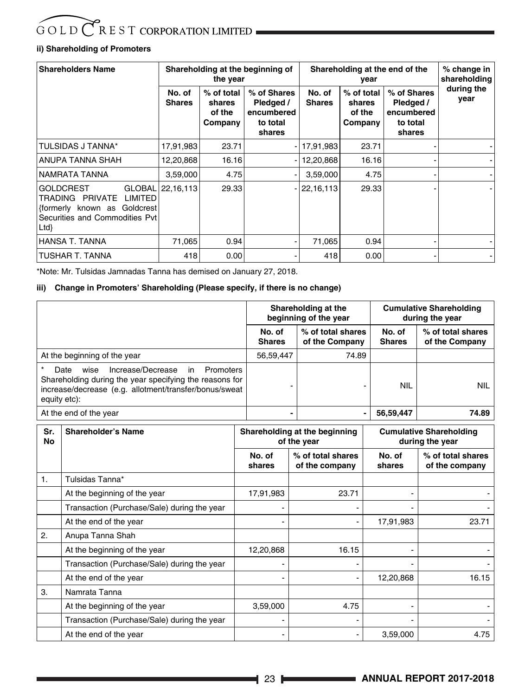#### **ii) Shareholding of Promoters**

| <b>Shareholders Name</b>                                                                                                         |                         | the year                                  | Shareholding at the beginning of                             | Shareholding at the end of the | % change in<br>shareholding               |                                                              |                    |
|----------------------------------------------------------------------------------------------------------------------------------|-------------------------|-------------------------------------------|--------------------------------------------------------------|--------------------------------|-------------------------------------------|--------------------------------------------------------------|--------------------|
|                                                                                                                                  | No. of<br><b>Shares</b> | % of total<br>shares<br>of the<br>Company | % of Shares<br>Pledged /<br>encumbered<br>to total<br>shares | No. of<br><b>Shares</b>        | % of total<br>shares<br>of the<br>Company | % of Shares<br>Pledged /<br>encumbered<br>to total<br>shares | during the<br>year |
| TULSIDAS J TANNA*                                                                                                                | 17,91,983               | 23.71                                     |                                                              | - 17,91,983                    | 23.71                                     |                                                              |                    |
| ANUPA TANNA SHAH                                                                                                                 | 12,20,868               | 16.16                                     |                                                              | 12,20,868                      | 16.16                                     |                                                              |                    |
| NAMRATA TANNA                                                                                                                    | 3,59,000                | 4.75                                      |                                                              | 3,59,000                       | 4.75                                      |                                                              |                    |
| <b>GOLDCREST</b><br><b>LIMITED</b><br>TRADING<br>PRIVATE<br>formerly known as Goldcrest<br>Securities and Commodities Pvt<br>Ltd | GLOBAL 22,16,113        | 29.33                                     |                                                              | $- 22,16,113 $                 | 29.33                                     |                                                              |                    |
| <b>HANSA T. TANNA</b>                                                                                                            | 71,065                  | 0.94                                      | $\blacksquare$                                               | 71.065                         | 0.94                                      |                                                              |                    |
| TUSHAR T. TANNA                                                                                                                  | 418                     | 0.00                                      | ۰.                                                           | 418                            | 0.00                                      |                                                              |                    |

\*Note: Mr. Tulsidas Jamnadas Tanna has demised on January 27, 2018.

#### **iii) Change in Promoters' Shareholding (Please specify, if there is no change)**

|                                                                                                                                                                                           |                         | Shareholding at the<br>beginning of the year |                         | <b>Cumulative Shareholding</b><br>during the year |  |
|-------------------------------------------------------------------------------------------------------------------------------------------------------------------------------------------|-------------------------|----------------------------------------------|-------------------------|---------------------------------------------------|--|
|                                                                                                                                                                                           | No. of<br><b>Shares</b> | % of total shares<br>of the Company          | No. of<br><b>Shares</b> | % of total shares<br>of the Company               |  |
| At the beginning of the year                                                                                                                                                              | 56,59,447               | 74.89                                        |                         |                                                   |  |
| Increase/Decrease<br>wise<br>in<br>Date<br>Promoters<br>Shareholding during the year specifying the reasons for<br>increase/decrease (e.g. allotment/transfer/bonus/sweat<br>equity etc): |                         |                                              | <b>NIL</b>              | <b>NIL</b>                                        |  |
| At the end of the year                                                                                                                                                                    |                         |                                              | 56,59,447               | 74.89                                             |  |

| Sr.<br>No | <b>Shareholder's Name</b>                   |                          | Shareholding at the beginning<br>of the year | <b>Cumulative Shareholding</b><br>during the year |                                     |
|-----------|---------------------------------------------|--------------------------|----------------------------------------------|---------------------------------------------------|-------------------------------------|
|           |                                             | No. of<br>shares         | % of total shares<br>of the company          | No. of<br>shares                                  | % of total shares<br>of the company |
| 1.        | Tulsidas Tanna*                             |                          |                                              |                                                   |                                     |
|           | At the beginning of the year                | 17,91,983                | 23.71                                        |                                                   |                                     |
|           | Transaction (Purchase/Sale) during the year | $\blacksquare$           | $\overline{\phantom{0}}$                     |                                                   |                                     |
|           | At the end of the year                      | $\overline{\phantom{0}}$ | $\blacksquare$                               | 17,91,983                                         | 23.71                               |
| 2.        | Anupa Tanna Shah                            |                          |                                              |                                                   |                                     |
|           | At the beginning of the year                | 12,20,868                | 16.15                                        |                                                   |                                     |
|           | Transaction (Purchase/Sale) during the year |                          |                                              |                                                   |                                     |
|           | At the end of the year                      |                          | $\blacksquare$                               | 12,20,868                                         | 16.15                               |
| 3.        | Namrata Tanna                               |                          |                                              |                                                   |                                     |
|           | At the beginning of the year                | 3,59,000                 | 4.75                                         | ۰                                                 |                                     |
|           | Transaction (Purchase/Sale) during the year | $\overline{\phantom{0}}$ |                                              |                                                   |                                     |
|           | At the end of the year                      |                          |                                              | 3,59,000                                          | 4.75                                |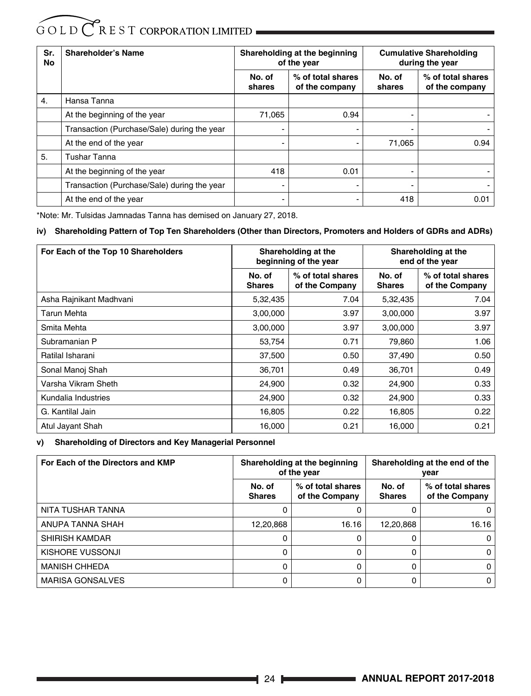| Sr.<br>No | Shareholder's Name                          | Shareholding at the beginning<br>of the year |                                     | <b>Cumulative Shareholding</b><br>during the year |                                     |
|-----------|---------------------------------------------|----------------------------------------------|-------------------------------------|---------------------------------------------------|-------------------------------------|
|           |                                             | No. of<br>shares                             | % of total shares<br>of the company | No. of<br>shares                                  | % of total shares<br>of the company |
| 4.        | Hansa Tanna                                 |                                              |                                     |                                                   |                                     |
|           | At the beginning of the year                | 71,065                                       | 0.94                                | ۰                                                 |                                     |
|           | Transaction (Purchase/Sale) during the year | $\blacksquare$                               | $\blacksquare$                      | ۰                                                 |                                     |
|           | At the end of the year                      | $\blacksquare$                               | ٠                                   | 71,065                                            | 0.94                                |
| 5.        | <b>Tushar Tanna</b>                         |                                              |                                     |                                                   |                                     |
|           | At the beginning of the year                | 418                                          | 0.01                                | ۰                                                 |                                     |
|           | Transaction (Purchase/Sale) during the year | $\blacksquare$                               | $\overline{\phantom{0}}$            |                                                   |                                     |
|           | At the end of the year                      | $\,$                                         | $\blacksquare$                      | 418                                               | 0.01                                |

\*Note: Mr. Tulsidas Jamnadas Tanna has demised on January 27, 2018.

#### **iv) Shareholding Pattern of Top Ten Shareholders (Other than Directors, Promoters and Holders of GDRs and ADRs)**

| For Each of the Top 10 Shareholders |                         | Shareholding at the<br>beginning of the year |                         | Shareholding at the<br>end of the year |
|-------------------------------------|-------------------------|----------------------------------------------|-------------------------|----------------------------------------|
|                                     | No. of<br><b>Shares</b> | % of total shares<br>of the Company          | No. of<br><b>Shares</b> | % of total shares<br>of the Company    |
| Asha Rainikant Madhvani             | 5,32,435                | 7.04                                         | 5,32,435                | 7.04                                   |
| Tarun Mehta                         | 3,00,000                | 3.97                                         | 3,00,000                | 3.97                                   |
| Smita Mehta                         | 3,00,000                | 3.97                                         | 3,00,000                | 3.97                                   |
| Subramanian P                       | 53,754                  | 0.71                                         | 79,860                  | 1.06                                   |
| Ratilal Isharani                    | 37,500                  | 0.50                                         | 37,490                  | 0.50                                   |
| Sonal Manoj Shah                    | 36,701                  | 0.49                                         | 36,701                  | 0.49                                   |
| Varsha Vikram Sheth                 | 24,900                  | 0.32                                         | 24,900                  | 0.33                                   |
| Kundalia Industries                 | 24,900                  | 0.32                                         | 24,900                  | 0.33                                   |
| G. Kantilal Jain                    | 16,805                  | 0.22                                         | 16,805                  | 0.22                                   |
| Atul Jayant Shah                    | 16,000                  | 0.21                                         | 16,000                  | 0.21                                   |

**v) Shareholding of Directors and Key Managerial Personnel**

| For Each of the Directors and KMP | Shareholding at the beginning<br>of the year |                                     |                         | Shareholding at the end of the<br>vear |
|-----------------------------------|----------------------------------------------|-------------------------------------|-------------------------|----------------------------------------|
|                                   | No. of<br><b>Shares</b>                      | % of total shares<br>of the Company | No. of<br><b>Shares</b> | % of total shares<br>of the Company    |
| NITA TUSHAR TANNA                 | 0                                            | 0                                   |                         |                                        |
| ANUPA TANNA SHAH                  | 12,20,868                                    | 16.16                               | 12,20,868               | 16.16                                  |
| SHIRISH KAMDAR                    | 0                                            | 0                                   | 0                       | 0                                      |
| KISHORE VUSSONJI                  | 0                                            | 0                                   | 0                       | $\Omega$                               |
| <b>MANISH CHHEDA</b>              | 0                                            | 0                                   | 0                       | 0                                      |
| <b>MARISA GONSALVES</b>           | 0                                            | 0                                   |                         | $\Omega$                               |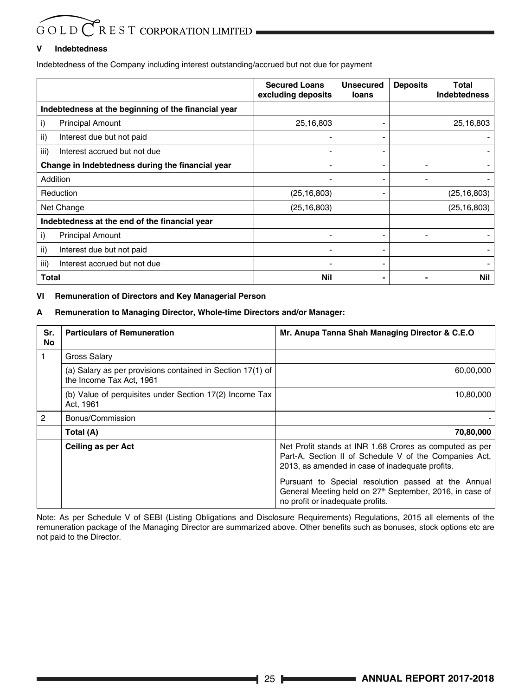#### **V Indebtedness**

Indebtedness of the Company including interest outstanding/accrued but not due for payment

|                                                     | <b>Secured Loans</b><br>excluding deposits | <b>Unsecured</b><br>loans | <b>Deposits</b> | Total<br><b>Indebtedness</b> |
|-----------------------------------------------------|--------------------------------------------|---------------------------|-----------------|------------------------------|
| Indebtedness at the beginning of the financial year |                                            |                           |                 |                              |
| i)<br><b>Principal Amount</b>                       | 25,16,803                                  |                           |                 | 25,16,803                    |
| ii)<br>Interest due but not paid                    |                                            |                           |                 |                              |
| iii)<br>Interest accrued but not due                |                                            |                           |                 |                              |
| Change in Indebtedness during the financial year    |                                            |                           |                 |                              |
| Addition                                            |                                            |                           |                 |                              |
| Reduction                                           | (25, 16, 803)                              |                           |                 | (25, 16, 803)                |
| Net Change                                          | (25, 16, 803)                              |                           |                 | (25, 16, 803)                |
| Indebtedness at the end of the financial year       |                                            |                           |                 |                              |
| i)<br><b>Principal Amount</b>                       | -                                          |                           |                 |                              |
| ii)<br>Interest due but not paid                    | -                                          |                           |                 |                              |
| iii)<br>Interest accrued but not due                | ۰                                          |                           |                 |                              |
| Total                                               | <b>Nil</b>                                 |                           |                 | <b>Nil</b>                   |

#### **VI Remuneration of Directors and Key Managerial Person**

#### **A Remuneration to Managing Director, Whole-time Directors and/or Manager:**

| Sr.<br>No | <b>Particulars of Remuneration</b>                                                     | Mr. Anupa Tanna Shah Managing Director & C.E.O                                                                                                                       |
|-----------|----------------------------------------------------------------------------------------|----------------------------------------------------------------------------------------------------------------------------------------------------------------------|
|           | Gross Salary                                                                           |                                                                                                                                                                      |
|           | (a) Salary as per provisions contained in Section 17(1) of<br>the Income Tax Act, 1961 | 60,00,000                                                                                                                                                            |
|           | (b) Value of perquisites under Section 17(2) Income Tax<br>Act, 1961                   | 10,80,000                                                                                                                                                            |
| 2         | Bonus/Commission                                                                       |                                                                                                                                                                      |
|           | Total (A)                                                                              | 70,80,000                                                                                                                                                            |
|           | Ceiling as per Act                                                                     | Net Profit stands at INR 1.68 Crores as computed as per<br>Part-A, Section II of Schedule V of the Companies Act,<br>2013, as amended in case of inadequate profits. |
|           |                                                                                        | Pursuant to Special resolution passed at the Annual<br>General Meeting held on 27 <sup>th</sup> September, 2016, in case of<br>no profit or inadequate profits.      |

Note: As per Schedule V of SEBI (Listing Obligations and Disclosure Requirements) Regulations, 2015 all elements of the remuneration package of the Managing Director are summarized above. Other benefits such as bonuses, stock options etc are not paid to the Director.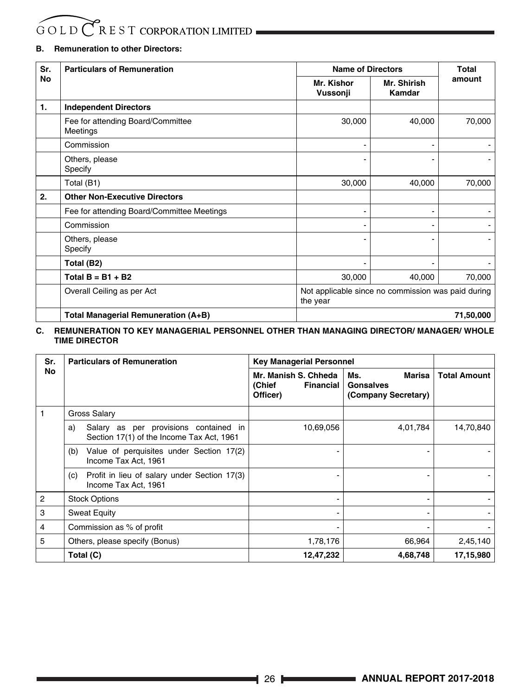#### **B. Remuneration to other Directors:**

| Sr. | <b>Particulars of Remuneration</b>            |                                                                | <b>Name of Directors</b> |           |  |  |
|-----|-----------------------------------------------|----------------------------------------------------------------|--------------------------|-----------|--|--|
| No  |                                               | Mr. Kishor<br>Vussonji                                         | Mr. Shirish<br>Kamdar    | amount    |  |  |
| 1.  | <b>Independent Directors</b>                  |                                                                |                          |           |  |  |
|     | Fee for attending Board/Committee<br>Meetings | 30,000                                                         | 40,000                   | 70,000    |  |  |
|     | Commission                                    |                                                                |                          |           |  |  |
|     | Others, please<br>Specify                     |                                                                |                          |           |  |  |
|     | Total (B1)                                    | 30,000                                                         | 40,000                   | 70,000    |  |  |
| 2.  | <b>Other Non-Executive Directors</b>          |                                                                |                          |           |  |  |
|     | Fee for attending Board/Committee Meetings    |                                                                |                          |           |  |  |
|     | Commission                                    |                                                                |                          |           |  |  |
|     | Others, please<br>Specify                     |                                                                |                          |           |  |  |
|     | Total (B2)                                    |                                                                |                          |           |  |  |
|     | Total $B = B1 + B2$                           | 30,000                                                         | 40,000                   | 70,000    |  |  |
|     | Overall Ceiling as per Act                    | Not applicable since no commission was paid during<br>the year |                          |           |  |  |
|     | Total Managerial Remuneration (A+B)           |                                                                |                          | 71,50,000 |  |  |

#### **C. REMUNERATION TO KEY MANAGERIAL PERSONNEL OTHER THAN MANAGING DIRECTOR/ MANAGER/ WHOLE TIME DIRECTOR**

| Sr. | <b>Particulars of Remuneration</b>                                                       | <b>Key Managerial Personnel</b>                         |                                                   |                     |
|-----|------------------------------------------------------------------------------------------|---------------------------------------------------------|---------------------------------------------------|---------------------|
| No  |                                                                                          | Mr. Manish S. Chheda<br>(Chief<br>Financial<br>Officer) | Marisa<br>Ms.<br>Gonsalves<br>(Company Secretary) | <b>Total Amount</b> |
|     | Gross Salary                                                                             |                                                         |                                                   |                     |
|     | Salary as per provisions contained in<br>a)<br>Section 17(1) of the Income Tax Act, 1961 | 10,69,056                                               | 4,01,784                                          | 14,70,840           |
|     | Value of perquisites under Section 17(2)<br>(b)<br>Income Tax Act, 1961                  |                                                         |                                                   |                     |
|     | Profit in lieu of salary under Section 17(3)<br>(c)<br>Income Tax Act, 1961              |                                                         |                                                   |                     |
| 2   | <b>Stock Options</b>                                                                     |                                                         |                                                   |                     |
| 3   | <b>Sweat Equity</b>                                                                      |                                                         |                                                   |                     |
| 4   | Commission as % of profit                                                                |                                                         |                                                   |                     |
| 5   | Others, please specify (Bonus)                                                           | 1,78,176                                                | 66,964                                            | 2,45,140            |
|     | Total (C)                                                                                | 12,47,232                                               | 4,68,748                                          | 17,15,980           |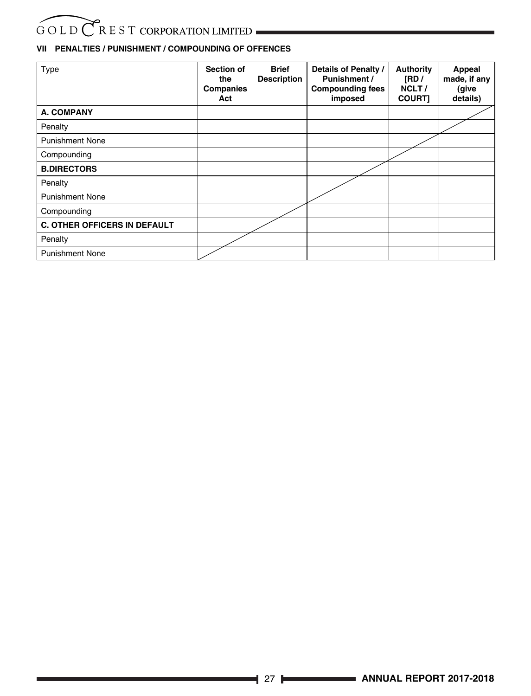### **VII PENALTIES / PUNISHMENT / COMPOUNDING OF OFFENCES**

| Type                                | Section of<br>the<br>Companies<br>Act | <b>Brief</b><br><b>Description</b> | Details of Penalty /<br>Punishment /<br><b>Compounding fees</b><br>imposed | <b>Authority</b><br>[RD/<br>NCLT/<br><b>COURTI</b> | Appeal<br>made, if any<br>(give<br>details) |
|-------------------------------------|---------------------------------------|------------------------------------|----------------------------------------------------------------------------|----------------------------------------------------|---------------------------------------------|
| <b>A. COMPANY</b>                   |                                       |                                    |                                                                            |                                                    |                                             |
| Penalty                             |                                       |                                    |                                                                            |                                                    |                                             |
| <b>Punishment None</b>              |                                       |                                    |                                                                            |                                                    |                                             |
| Compounding                         |                                       |                                    |                                                                            |                                                    |                                             |
| <b>B.DIRECTORS</b>                  |                                       |                                    |                                                                            |                                                    |                                             |
| Penalty                             |                                       |                                    |                                                                            |                                                    |                                             |
| <b>Punishment None</b>              |                                       |                                    |                                                                            |                                                    |                                             |
| Compounding                         |                                       |                                    |                                                                            |                                                    |                                             |
| <b>C. OTHER OFFICERS IN DEFAULT</b> |                                       |                                    |                                                                            |                                                    |                                             |
| Penalty                             |                                       |                                    |                                                                            |                                                    |                                             |
| <b>Punishment None</b>              |                                       |                                    |                                                                            |                                                    |                                             |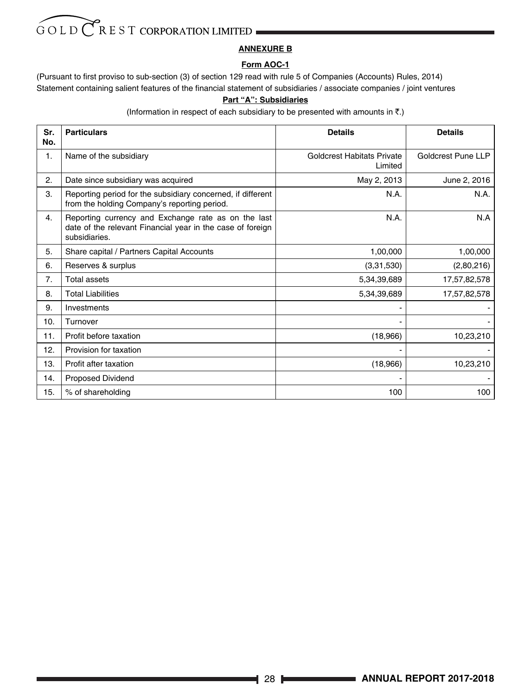#### **ANNEXURE B**

#### **Form AOC-1**

(Pursuant to first proviso to sub-section (3) of section 129 read with rule 5 of Companies (Accounts) Rules, 2014) Statement containing salient features of the financial statement of subsidiaries / associate companies / joint ventures

#### **Part "A": Subsidiaries**

(Information in respect of each subsidiary to be presented with amounts in  $\bar{z}$ .)

| Sr.<br>No. | <b>Particulars</b>                                                                                                                 | <b>Details</b>                               | <b>Details</b>     |
|------------|------------------------------------------------------------------------------------------------------------------------------------|----------------------------------------------|--------------------|
| 1.         | Name of the subsidiary                                                                                                             | <b>Goldcrest Habitats Private</b><br>Limited | Goldcrest Pune LLP |
| 2.         | Date since subsidiary was acquired                                                                                                 | May 2, 2013                                  | June 2, 2016       |
| 3.         | Reporting period for the subsidiary concerned, if different<br>from the holding Company's reporting period.                        | N.A.                                         | N.A.               |
| 4.         | Reporting currency and Exchange rate as on the last<br>date of the relevant Financial year in the case of foreign<br>subsidiaries. | N.A.                                         | N.A                |
| 5.         | Share capital / Partners Capital Accounts                                                                                          | 1,00,000                                     | 1,00,000           |
| 6.         | Reserves & surplus                                                                                                                 | (3,31,530)                                   | (2,80,216)         |
| 7.         | Total assets                                                                                                                       | 5,34,39,689                                  | 17,57,82,578       |
| 8.         | <b>Total Liabilities</b>                                                                                                           | 5,34,39,689                                  | 17,57,82,578       |
| 9.         | Investments                                                                                                                        |                                              |                    |
| 10.        | Turnover                                                                                                                           |                                              |                    |
| 11.        | Profit before taxation                                                                                                             | (18,966)                                     | 10,23,210          |
| 12.        | Provision for taxation                                                                                                             |                                              |                    |
| 13.        | Profit after taxation                                                                                                              | (18,966)                                     | 10,23,210          |
| 14.        | Proposed Dividend                                                                                                                  |                                              |                    |
| 15.        | % of shareholding                                                                                                                  | 100                                          | 100                |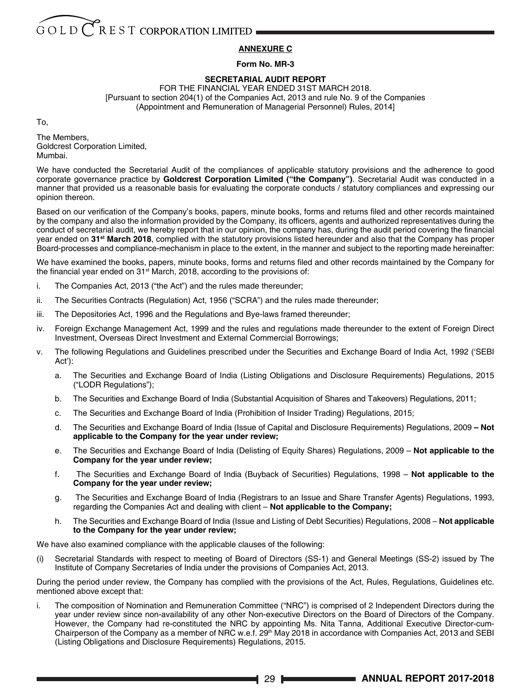#### **ANNEXURE C**

#### **Form No. MR-3**

#### **SECRETARIAL AUDIT REPORT**

FOR THE FINANCIAL YEAR ENDED 31ST MARCH 2018. [Pursuant to section 204(1) of the Companies Act, 2013 and rule No. 9 of the Companies (Appointment and Remuneration of Managerial Personnel) Rules, 2014]

To,

The Members, Goldcrest Corporation Limited, Mumbai.

We have conducted the Secretarial Audit of the compliances of applicable statutory provisions and the adherence to good corporate governance practice by **Goldcrest Corporation Limited ("the Company")**. Secretarial Audit was conducted in a manner that provided us a reasonable basis for evaluating the corporate conducts / statutory compliances and expressing our opinion thereon.

Based on our verification of the Company's books, papers, minute books, forms and returns filed and other records maintained by the company and also the information provided by the Company, its officers, agents and authorized representatives during the conduct of secretarial audit, we hereby report that in our opinion, the company has, during the audit period covering the financial year ended on **31st March 2018**, complied with the statutory provisions listed hereunder and also that the Company has proper Board-processes and compliance-mechanism in place to the extent, in the manner and subject to the reporting made hereinafter:

We have examined the books, papers, minute books, forms and returns filed and other records maintained by the Company for the financial year ended on 31<sup>st</sup> March, 2018, according to the provisions of:

- i. The Companies Act, 2013 ("the Act") and the rules made thereunder;
- ii. The Securities Contracts (Regulation) Act, 1956 ("SCRA") and the rules made thereunder;
- iii. The Depositories Act, 1996 and the Regulations and Bye-laws framed thereunder;
- iv. Foreign Exchange Management Act, 1999 and the rules and regulations made thereunder to the extent of Foreign Direct Investment, Overseas Direct Investment and External Commercial Borrowings;
- v. The following Regulations and Guidelines prescribed under the Securities and Exchange Board of India Act, 1992 ('SEBI Act'):
	- a. The Securities and Exchange Board of India (Listing Obligations and Disclosure Requirements) Regulations, 2015 ("LODR Regulations");
	- b. The Securities and Exchange Board of India (Substantial Acquisition of Shares and Takeovers) Regulations, 2011;
	- c. The Securities and Exchange Board of India (Prohibition of Insider Trading) Regulations, 2015;
	- d. The Securities and Exchange Board of India (Issue of Capital and Disclosure Requirements) Regulations, 2009  **Not applicable to the Company for the year under review;**
	- e. The Securities and Exchange Board of India (Delisting of Equity Shares) Regulations, 2009 **Not applicable to the Company for the year under review;**
	- f. The Securities and Exchange Board of India (Buyback of Securities) Regulations, 1998 **Not applicable to the Company for the year under review;**
	- g. The Securities and Exchange Board of India (Registrars to an Issue and Share Transfer Agents) Regulations, 1993, regarding the Companies Act and dealing with client – **Not applicable to the Company;**
	- h. The Securities and Exchange Board of India (Issue and Listing of Debt Securities) Regulations, 2008 **Not applicable to the Company for the year under review;**

We have also examined compliance with the applicable clauses of the following:

(i) Secretarial Standards with respect to meeting of Board of Directors (SS-1) and General Meetings (SS-2) issued by The Institute of Company Secretaries of India under the provisions of Companies Act, 2013.

During the period under review, the Company has complied with the provisions of the Act, Rules, Regulations, Guidelines etc. mentioned above except that:

i. The composition of Nomination and Remuneration Committee ("NRC") is comprised of 2 Independent Directors during the year under review since non-availability of any other Non-executive Directors on the Board of Directors of the Company. However, the Company had re-constituted the NRC by appointing Ms. Nita Tanna, Additional Executive Director-cum-Chairperson of the Company as a member of NRC w.e.f. 29<sup>th</sup> May 2018 in accordance with Companies Act, 2013 and SEBI (Listing Obligations and Disclosure Requirements) Regulations, 2015.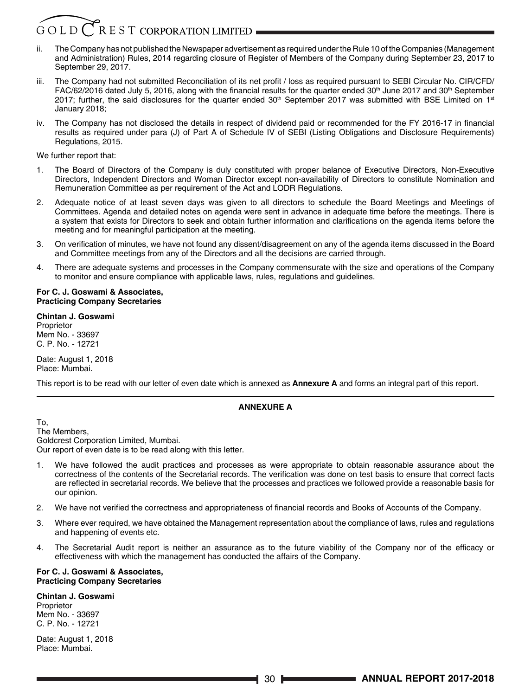### $R$  E S T CORPORATION LIMITED

- ii. The Company has not published the Newspaper advertisement as required under the Rule 10 of the Companies (Management and Administration) Rules, 2014 regarding closure of Register of Members of the Company during September 23, 2017 to September 29, 2017.
- iii. The Company had not submitted Reconciliation of its net profit / loss as required pursuant to SEBI Circular No. CIR/CFD/ FAC/62/2016 dated July 5, 2016, along with the financial results for the quarter ended  $30<sup>th</sup>$  June 2017 and  $30<sup>th</sup>$  September 2017; further, the said disclosures for the quarter ended  $30<sup>th</sup>$  September 2017 was submitted with BSE Limited on 1<sup>st</sup> January 2018;
- iv. The Company has not disclosed the details in respect of dividend paid or recommended for the FY 2016-17 in financial results as required under para (J) of Part A of Schedule IV of SEBI (Listing Obligations and Disclosure Requirements) Regulations, 2015.

We further report that:

- 1. The Board of Directors of the Company is duly constituted with proper balance of Executive Directors, Non-Executive Directors, Independent Directors and Woman Director except non-availability of Directors to constitute Nomination and Remuneration Committee as per requirement of the Act and LODR Regulations.
- 2. Adequate notice of at least seven days was given to all directors to schedule the Board Meetings and Meetings of Committees. Agenda and detailed notes on agenda were sent in advance in adequate time before the meetings. There is a system that exists for Directors to seek and obtain further information and clarifications on the agenda items before the meeting and for meaningful participation at the meeting.
- 3. On verification of minutes, we have not found any dissent/disagreement on any of the agenda items discussed in the Board and Committee meetings from any of the Directors and all the decisions are carried through.
- 4. There are adequate systems and processes in the Company commensurate with the size and operations of the Company to monitor and ensure compliance with applicable laws, rules, regulations and guidelines.

#### **For C. J. Goswami & Associates, Practicing Company Secretaries**

#### **Chintan J. Goswami**

Proprietor Mem No. - 33697 C. P. No. - 12721

Date: August 1, 2018 Place: Mumbai.

This report is to be read with our letter of even date which is annexed as **Annexure A** and forms an integral part of this report.

#### **ANNEXURE A**

To, The Members, Goldcrest Corporation Limited, Mumbai. Our report of even date is to be read along with this letter.

- 1. We have followed the audit practices and processes as were appropriate to obtain reasonable assurance about the correctness of the contents of the Secretarial records. The verification was done on test basis to ensure that correct facts are reflected in secretarial records. We believe that the processes and practices we followed provide a reasonable basis for our opinion.
- 2. We have not verified the correctness and appropriateness of financial records and Books of Accounts of the Company.
- 3. Where ever required, we have obtained the Management representation about the compliance of laws, rules and regulations and happening of events etc.
- 4. The Secretarial Audit report is neither an assurance as to the future viability of the Company nor of the efficacy or effectiveness with which the management has conducted the affairs of the Company.

#### **For C. J. Goswami & Associates, Practicing Company Secretaries**

**Chintan J. Goswami Proprietor** Mem No. - 33697 C. P. No. - 12721

Date: August 1, 2018 Place: Mumbai.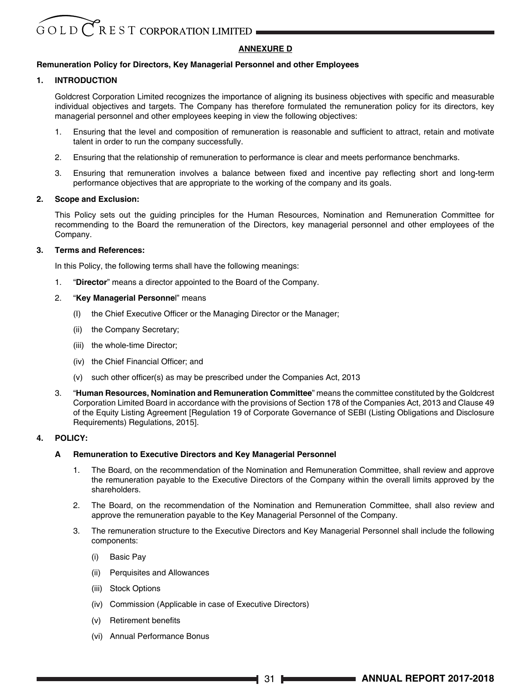#### **ANNEXURE D**

#### **Remuneration Policy for Directors, Key Managerial Personnel and other Employees**

#### **1. INTRODUCTION**

Goldcrest Corporation Limited recognizes the importance of aligning its business objectives with specific and measurable individual objectives and targets. The Company has therefore formulated the remuneration policy for its directors, key managerial personnel and other employees keeping in view the following objectives:

- 1. Ensuring that the level and composition of remuneration is reasonable and sufficient to attract, retain and motivate talent in order to run the company successfully.
- 2. Ensuring that the relationship of remuneration to performance is clear and meets performance benchmarks.
- 3. Ensuring that remuneration involves a balance between fixed and incentive pay reflecting short and long-term performance objectives that are appropriate to the working of the company and its goals.

#### **2. Scope and Exclusion:**

This Policy sets out the guiding principles for the Human Resources, Nomination and Remuneration Committee for recommending to the Board the remuneration of the Directors, key managerial personnel and other employees of the Company.

#### **3. Terms and References:**

In this Policy, the following terms shall have the following meanings:

- 1. "**Director**" means a director appointed to the Board of the Company.
- 2. "**Key Managerial Personne**l" means
	- (I) the Chief Executive Officer or the Managing Director or the Manager;
	- (ii) the Company Secretary;
	- (iii) the whole-time Director;
	- (iv) the Chief Financial Officer; and
	- (v) such other officer(s) as may be prescribed under the Companies Act, 2013
- 3. "**Human Resources, Nomination and Remuneration Committee**" means the committee constituted by the Goldcrest Corporation Limited Board in accordance with the provisions of Section 178 of the Companies Act, 2013 and Clause 49 of the Equity Listing Agreement [Regulation 19 of Corporate Governance of SEBI (Listing Obligations and Disclosure Requirements) Regulations, 2015].

#### **4. POLICY:**

#### **A Remuneration to Executive Directors and Key Managerial Personnel**

- 1. The Board, on the recommendation of the Nomination and Remuneration Committee, shall review and approve the remuneration payable to the Executive Directors of the Company within the overall limits approved by the shareholders.
- 2. The Board, on the recommendation of the Nomination and Remuneration Committee, shall also review and approve the remuneration payable to the Key Managerial Personnel of the Company.
- 3. The remuneration structure to the Executive Directors and Key Managerial Personnel shall include the following components:
	- (i) Basic Pay
	- (ii) Perquisites and Allowances
	- (iii) Stock Options
	- (iv) Commission (Applicable in case of Executive Directors)
	- (v) Retirement benefits
	- (vi) Annual Performance Bonus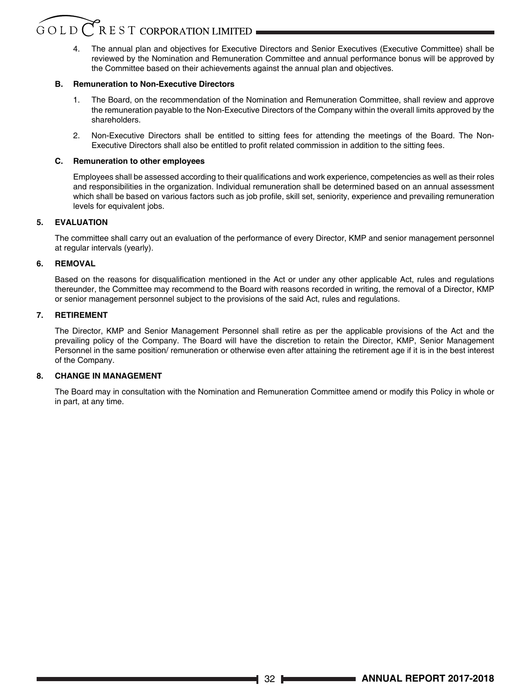4. The annual plan and objectives for Executive Directors and Senior Executives (Executive Committee) shall be reviewed by the Nomination and Remuneration Committee and annual performance bonus will be approved by the Committee based on their achievements against the annual plan and objectives.

# **B. Remuneration to Non-Executive Directors**

- 1. The Board, on the recommendation of the Nomination and Remuneration Committee, shall review and approve the remuneration payable to the Non-Executive Directors of the Company within the overall limits approved by the shareholders.
- 2. Non-Executive Directors shall be entitled to sitting fees for attending the meetings of the Board. The Non-Executive Directors shall also be entitled to profit related commission in addition to the sitting fees.

# **C. Remuneration to other employees**

Employees shall be assessed according to their qualifications and work experience, competencies as well as their roles and responsibilities in the organization. Individual remuneration shall be determined based on an annual assessment which shall be based on various factors such as job profile, skill set, seniority, experience and prevailing remuneration levels for equivalent jobs.

# **5. EVALUATION**

The committee shall carry out an evaluation of the performance of every Director, KMP and senior management personnel at regular intervals (yearly).

# **6. REMOVAL**

Based on the reasons for disqualification mentioned in the Act or under any other applicable Act, rules and regulations thereunder, the Committee may recommend to the Board with reasons recorded in writing, the removal of a Director, KMP or senior management personnel subject to the provisions of the said Act, rules and regulations.

# **7. RETIREMENT**

The Director, KMP and Senior Management Personnel shall retire as per the applicable provisions of the Act and the prevailing policy of the Company. The Board will have the discretion to retain the Director, KMP, Senior Management Personnel in the same position/ remuneration or otherwise even after attaining the retirement age if it is in the best interest of the Company.

# **8. CHANGE IN MANAGEMENT**

The Board may in consultation with the Nomination and Remuneration Committee amend or modify this Policy in whole or in part, at any time.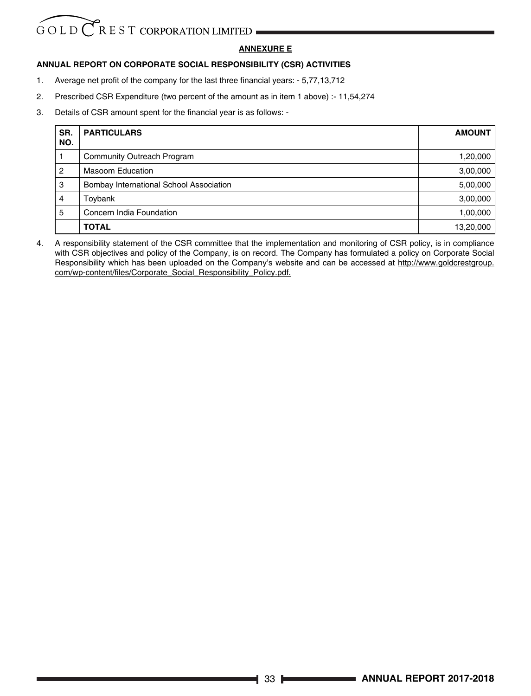# GOLD CREST CORPORATION LIMITED

# **ANNEXURE E**

# **ANNUAL REPORT ON CORPORATE SOCIAL RESPONSIBILITY (CSR) ACTIVITIES**

- 1. Average net profit of the company for the last three financial years: 5,77,13,712
- 2. Prescribed CSR Expenditure (two percent of the amount as in item 1 above) :- 11,54,274
- 3. Details of CSR amount spent for the financial year is as follows: -

| SR.<br>NO.     | <b>PARTICULARS</b>                             | <b>AMOUNT</b> |
|----------------|------------------------------------------------|---------------|
|                | <b>Community Outreach Program</b>              | 1,20,000      |
| 2              | Masoom Education                               | 3,00,000      |
| 3              | <b>Bombay International School Association</b> | 5,00,000      |
| $\overline{4}$ | Toybank                                        | 3,00,000      |
| 5              | Concern India Foundation                       | 1,00,000      |
|                | <b>TOTAL</b>                                   | 13,20,000     |

4. A responsibility statement of the CSR committee that the implementation and monitoring of CSR policy, is in compliance with CSR objectives and policy of the Company, is on record. The Company has formulated a policy on Corporate Social Responsibility which has been uploaded on the Company's website and can be accessed at http://www.goldcrestgroup. com/wp-content/files/Corporate\_Social\_Responsibility\_Policy.pdf.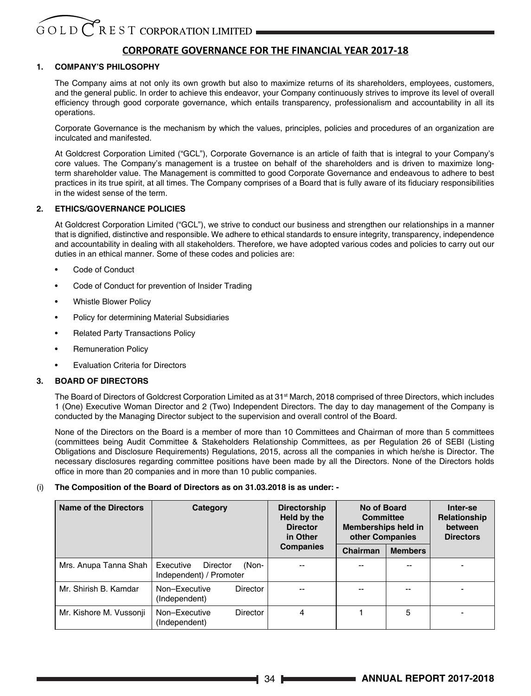# **CORPORATE GOVERNANCE FOR THE FINANCIAL YEAR 2017-18**

# **1. COMPANY'S PHILOSOPHY**

The Company aims at not only its own growth but also to maximize returns of its shareholders, employees, customers, and the general public. In order to achieve this endeavor, your Company continuously strives to improve its level of overall efficiency through good corporate governance, which entails transparency, professionalism and accountability in all its operations.

Corporate Governance is the mechanism by which the values, principles, policies and procedures of an organization are inculcated and manifested.

At Goldcrest Corporation Limited ("GCL"), Corporate Governance is an article of faith that is integral to your Company's core values. The Company's management is a trustee on behalf of the shareholders and is driven to maximize longterm shareholder value. The Management is committed to good Corporate Governance and endeavous to adhere to best practices in its true spirit, at all times. The Company comprises of a Board that is fully aware of its fiduciary responsibilities in the widest sense of the term.

# **2. ETHICS/GOVERNANCE POLICIES**

At Goldcrest Corporation Limited ("GCL"), we strive to conduct our business and strengthen our relationships in a manner that is dignified, distinctive and responsible. We adhere to ethical standards to ensure integrity, transparency, independence and accountability in dealing with all stakeholders. Therefore, we have adopted various codes and policies to carry out our duties in an ethical manner. Some of these codes and policies are:

- Code of Conduct
- Code of Conduct for prevention of Insider Trading
- Whistle Blower Policy
- Policy for determining Material Subsidiaries
- Related Party Transactions Policy
- Remuneration Policy
- Evaluation Criteria for Directors

# **3. BOARD OF DIRECTORS**

The Board of Directors of Goldcrest Corporation Limited as at 31<sup>st</sup> March, 2018 comprised of three Directors, which includes 1 (One) Executive Woman Director and 2 (Two) Independent Directors. The day to day management of the Company is conducted by the Managing Director subject to the supervision and overall control of the Board.

None of the Directors on the Board is a member of more than 10 Committees and Chairman of more than 5 committees (committees being Audit Committee & Stakeholders Relationship Committees, as per Regulation 26 of SEBI (Listing Obligations and Disclosure Requirements) Regulations, 2015, across all the companies in which he/she is Director. The necessary disclosures regarding committee positions have been made by all the Directors. None of the Directors holds office in more than 20 companies and in more than 10 public companies.

# (i) **The Composition of the Board of Directors as on 31.03.2018 is as under: -**

| Name of the Directors<br>Category |                                                                  | <b>Directorship</b><br>Held by the<br><b>Director</b><br>in Other | No of Board<br>Committee<br>Memberships held in<br>other Companies |                | Inter-se<br>Relationship<br>between<br><b>Directors</b> |
|-----------------------------------|------------------------------------------------------------------|-------------------------------------------------------------------|--------------------------------------------------------------------|----------------|---------------------------------------------------------|
|                                   |                                                                  | <b>Companies</b>                                                  | Chairman                                                           | <b>Members</b> |                                                         |
| Mrs. Anupa Tanna Shah             | (Non-<br>Executive<br><b>Director</b><br>Independent) / Promoter |                                                                   |                                                                    | --             |                                                         |
| Mr. Shirish B. Kamdar             | Non-Executive<br><b>Director</b><br>(Independent)                | --                                                                |                                                                    |                |                                                         |
| Mr. Kishore M. Vussonji           | Non-Executive<br><b>Director</b><br>(Independent)                | 4                                                                 |                                                                    | 5              |                                                         |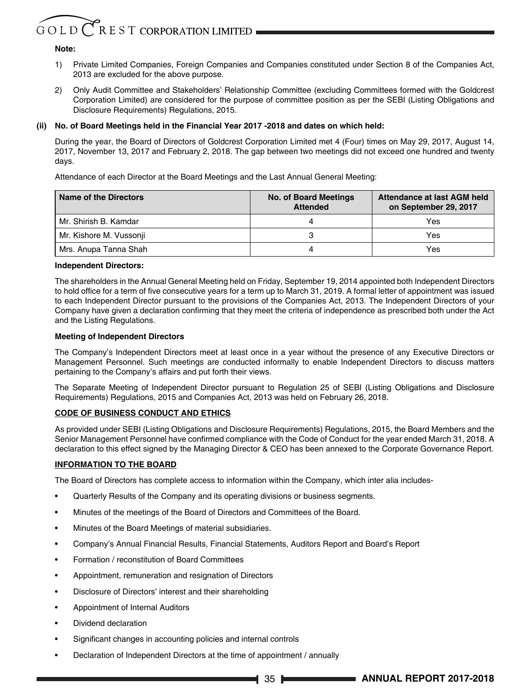# $G$  O L D  $\bigcirc$  R E S T CORPORATION LIMITED

# **Note:**

- 1) Private Limited Companies, Foreign Companies and Companies constituted under Section 8 of the Companies Act, 2013 are excluded for the above purpose.
- 2) Only Audit Committee and Stakeholders' Relationship Committee (excluding Committees formed with the Goldcrest Corporation Limited) are considered for the purpose of committee position as per the SEBI (Listing Obligations and Disclosure Requirements) Regulations, 2015.

# **(ii) No. of Board Meetings held in the Financial Year 2017 -2018 and dates on which held:**

During the year, the Board of Directors of Goldcrest Corporation Limited met 4 (Four) times on May 29, 2017, August 14, 2017, November 13, 2017 and February 2, 2018. The gap between two meetings did not exceed one hundred and twenty days.

Attendance of each Director at the Board Meetings and the Last Annual General Meeting:

| Name of the Directors   | <b>No. of Board Meetings</b><br><b>Attended</b> | Attendance at last AGM held<br>on September 29, 2017 |
|-------------------------|-------------------------------------------------|------------------------------------------------------|
| Mr. Shirish B. Kamdar   |                                                 | Yes                                                  |
| Mr. Kishore M. Vussonji |                                                 | Yes                                                  |
| Mrs. Anupa Tanna Shah   |                                                 | Yes                                                  |

## **Independent Directors:**

The shareholders in the Annual General Meeting held on Friday, September 19, 2014 appointed both Independent Directors to hold office for a term of five consecutive years for a term up to March 31, 2019. A formal letter of appointment was issued to each Independent Director pursuant to the provisions of the Companies Act, 2013. The Independent Directors of your Company have given a declaration confirming that they meet the criteria of independence as prescribed both under the Act and the Listing Regulations.

# **Meeting of Independent Directors**

The Company's Independent Directors meet at least once in a year without the presence of any Executive Directors or Management Personnel. Such meetings are conducted informally to enable Independent Directors to discuss matters pertaining to the Company's affairs and put forth their views.

The Separate Meeting of Independent Director pursuant to Regulation 25 of SEBI (Listing Obligations and Disclosure Requirements) Regulations, 2015 and Companies Act, 2013 was held on February 26, 2018.

# **CODE OF BUSINESS CONDUCT AND ETHICS**

As provided under SEBI (Listing Obligations and Disclosure Requirements) Regulations, 2015, the Board Members and the Senior Management Personnel have confirmed compliance with the Code of Conduct for the year ended March 31, 2018. A declaration to this effect signed by the Managing Director & CEO has been annexed to the Corporate Governance Report.

# **INFORMATION TO THE BOARD**

The Board of Directors has complete access to information within the Company, which inter alia includes-

- Quarterly Results of the Company and its operating divisions or business segments.
- Minutes of the meetings of the Board of Directors and Committees of the Board.
- Minutes of the Board Meetings of material subsidiaries.
- Company's Annual Financial Results, Financial Statements, Auditors Report and Board's Report
- Formation / reconstitution of Board Committees
- Appointment, remuneration and resignation of Directors
- Disclosure of Directors' interest and their shareholding
- Appointment of Internal Auditors
- Dividend declaration
- Significant changes in accounting policies and internal controls
- Declaration of Independent Directors at the time of appointment / annually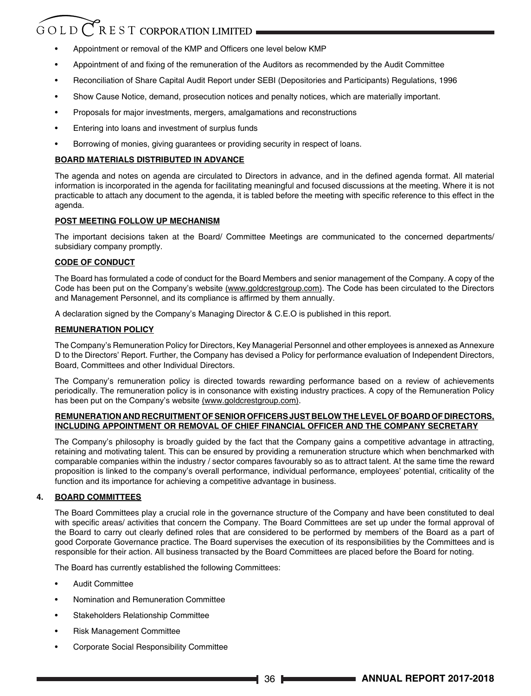# $G$ OLD $C$ REST CORPORATION LIMITED

- Appointment or removal of the KMP and Officers one level below KMP
- Appointment of and fixing of the remuneration of the Auditors as recommended by the Audit Committee
- Reconciliation of Share Capital Audit Report under SEBI (Depositories and Participants) Regulations, 1996
- Show Cause Notice, demand, prosecution notices and penalty notices, which are materially important.
- Proposals for major investments, mergers, amalgamations and reconstructions
- Entering into loans and investment of surplus funds
- Borrowing of monies, giving guarantees or providing security in respect of loans.

# **BOARD MATERIALS DISTRIBUTED IN ADVANCE**

The agenda and notes on agenda are circulated to Directors in advance, and in the defined agenda format. All material information is incorporated in the agenda for facilitating meaningful and focused discussions at the meeting. Where it is not practicable to attach any document to the agenda, it is tabled before the meeting with specific reference to this effect in the agenda.

# **POST MEETING FOLLOW UP MECHANISM**

The important decisions taken at the Board/ Committee Meetings are communicated to the concerned departments/ subsidiary company promptly.

# **CODE OF CONDUCT**

The Board has formulated a code of conduct for the Board Members and senior management of the Company. A copy of the Code has been put on the Company's website (www.goldcrestgroup.com). The Code has been circulated to the Directors and Management Personnel, and its compliance is affirmed by them annually.

A declaration signed by the Company's Managing Director & C.E.O is published in this report.

# **REMUNERATION POLICY**

The Company's Remuneration Policy for Directors, Key Managerial Personnel and other employees is annexed as Annexure D to the Directors' Report. Further, the Company has devised a Policy for performance evaluation of Independent Directors, Board, Committees and other Individual Directors.

The Company's remuneration policy is directed towards rewarding performance based on a review of achievements periodically. The remuneration policy is in consonance with existing industry practices. A copy of the Remuneration Policy has been put on the Company's website (www.goldcrestgroup.com).

# **REMUNERATION AND RECRUITMENT OF SENIOR OFFICERS JUST BELOW THE LEVEL OF BOARD OF DIRECTORS, INCLUDING APPOINTMENT OR REMOVAL OF CHIEF FINANCIAL OFFICER AND THE COMPANY SECRETARY**

The Company's philosophy is broadly guided by the fact that the Company gains a competitive advantage in attracting, retaining and motivating talent. This can be ensured by providing a remuneration structure which when benchmarked with comparable companies within the industry / sector compares favourably so as to attract talent. At the same time the reward proposition is linked to the company's overall performance, individual performance, employees' potential, criticality of the function and its importance for achieving a competitive advantage in business.

# **4. BOARD COMMITTEES**

The Board Committees play a crucial role in the governance structure of the Company and have been constituted to deal with specific areas/ activities that concern the Company. The Board Committees are set up under the formal approval of the Board to carry out clearly defined roles that are considered to be performed by members of the Board as a part of good Corporate Governance practice. The Board supervises the execution of its responsibilities by the Committees and is responsible for their action. All business transacted by the Board Committees are placed before the Board for noting.

The Board has currently established the following Committees:

- Audit Committee
- Nomination and Remuneration Committee
- Stakeholders Relationship Committee
- Risk Management Committee
- Corporate Social Responsibility Committee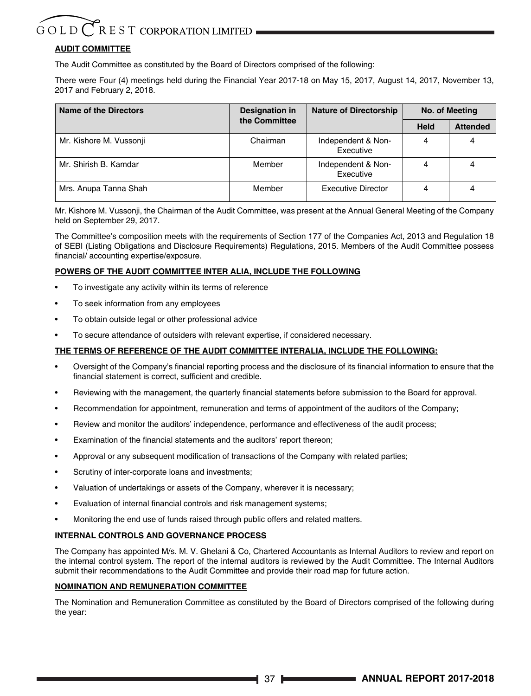# **AUDIT COMMITTEE**

The Audit Committee as constituted by the Board of Directors comprised of the following:

There were Four (4) meetings held during the Financial Year 2017-18 on May 15, 2017, August 14, 2017, November 13, 2017 and February 2, 2018.

| Name of the Directors   | Designation in | <b>Nature of Directorship</b>   | No. of Meeting |                 |
|-------------------------|----------------|---------------------------------|----------------|-----------------|
|                         | the Committee  |                                 | Held           | <b>Attended</b> |
| Mr. Kishore M. Vussonji | Chairman       | Independent & Non-<br>Executive |                |                 |
| Mr. Shirish B. Kamdar   | Member         | Independent & Non-<br>Executive |                |                 |
| Mrs. Anupa Tanna Shah   | Member         | Executive Director              |                |                 |

Mr. Kishore M. Vussonji, the Chairman of the Audit Committee, was present at the Annual General Meeting of the Company held on September 29, 2017.

The Committee's composition meets with the requirements of Section 177 of the Companies Act, 2013 and Regulation 18 of SEBI (Listing Obligations and Disclosure Requirements) Regulations, 2015. Members of the Audit Committee possess financial/ accounting expertise/exposure.

# **POWERS OF THE AUDIT COMMITTEE INTER ALIA, INCLUDE THE FOLLOWING**

- To investigate any activity within its terms of reference
- To seek information from any employees
- To obtain outside legal or other professional advice
- To secure attendance of outsiders with relevant expertise, if considered necessary.

# **THE TERMS OF REFERENCE OF THE AUDIT COMMITTEE INTERALIA, INCLUDE THE FOLLOWING:**

- Oversight of the Company's financial reporting process and the disclosure of its financial information to ensure that the financial statement is correct, sufficient and credible.
- Reviewing with the management, the quarterly financial statements before submission to the Board for approval.
- Recommendation for appointment, remuneration and terms of appointment of the auditors of the Company;
- Review and monitor the auditors' independence, performance and effectiveness of the audit process;
- Examination of the financial statements and the auditors' report thereon;
- Approval or any subsequent modification of transactions of the Company with related parties;
- Scrutiny of inter-corporate loans and investments;
- Valuation of undertakings or assets of the Company, wherever it is necessary;
- Evaluation of internal financial controls and risk management systems;
- Monitoring the end use of funds raised through public offers and related matters.

# **INTERNAL CONTROLS AND GOVERNANCE PROCESS**

The Company has appointed M/s. M. V. Ghelani & Co, Chartered Accountants as Internal Auditors to review and report on the internal control system. The report of the internal auditors is reviewed by the Audit Committee. The Internal Auditors submit their recommendations to the Audit Committee and provide their road map for future action.

# **NOMINATION AND REMUNERATION COMMITTEE**

The Nomination and Remuneration Committee as constituted by the Board of Directors comprised of the following during the year: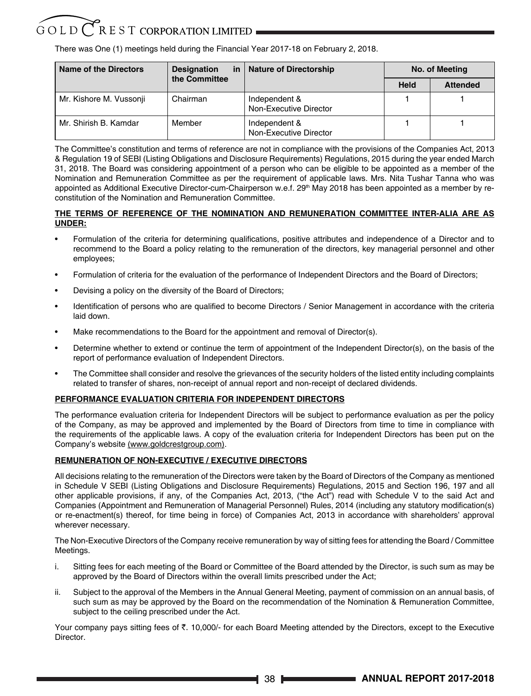There was One (1) meetings held during the Financial Year 2017-18 on February 2, 2018.

| Name of the Directors<br><b>Designation</b><br>in |               | <b>Nature of Directorship</b>           | No. of Meeting |                 |
|---------------------------------------------------|---------------|-----------------------------------------|----------------|-----------------|
|                                                   | the Committee |                                         | Held           | <b>Attended</b> |
| Mr. Kishore M. Vussonji                           | Chairman      | Independent &<br>Non-Executive Director |                |                 |
| Mr. Shirish B. Kamdar                             | Member        | Independent &<br>Non-Executive Director |                |                 |

The Committee's constitution and terms of reference are not in compliance with the provisions of the Companies Act, 2013 & Regulation 19 of SEBI (Listing Obligations and Disclosure Requirements) Regulations, 2015 during the year ended March 31, 2018. The Board was considering appointment of a person who can be eligible to be appointed as a member of the Nomination and Remuneration Committee as per the requirement of applicable laws. Mrs. Nita Tushar Tanna who was appointed as Additional Executive Director-cum-Chairperson w.e.f. 29<sup>th</sup> May 2018 has been appointed as a member by reconstitution of the Nomination and Remuneration Committee.

# **THE TERMS OF REFERENCE OF THE NOMINATION AND REMUNERATION COMMITTEE INTER-ALIA ARE AS UNDER:**

- Formulation of the criteria for determining qualifications, positive attributes and independence of a Director and to recommend to the Board a policy relating to the remuneration of the directors, key managerial personnel and other employees;
- Formulation of criteria for the evaluation of the performance of Independent Directors and the Board of Directors;
- Devising a policy on the diversity of the Board of Directors;
- Identification of persons who are qualified to become Directors / Senior Management in accordance with the criteria laid down.
- Make recommendations to the Board for the appointment and removal of Director(s).
- Determine whether to extend or continue the term of appointment of the Independent Director(s), on the basis of the report of performance evaluation of Independent Directors.
- The Committee shall consider and resolve the grievances of the security holders of the listed entity including complaints related to transfer of shares, non-receipt of annual report and non-receipt of declared dividends.

# **PERFORMANCE EVALUATION CRITERIA FOR INDEPENDENT DIRECTORS**

The performance evaluation criteria for Independent Directors will be subject to performance evaluation as per the policy of the Company, as may be approved and implemented by the Board of Directors from time to time in compliance with the requirements of the applicable laws. A copy of the evaluation criteria for Independent Directors has been put on the Company's website (www.goldcrestgroup.com).

# **REMUNERATION OF NON-EXECUTIVE / EXECUTIVE DIRECTORS**

All decisions relating to the remuneration of the Directors were taken by the Board of Directors of the Company as mentioned in Schedule V SEBI (Listing Obligations and Disclosure Requirements) Regulations, 2015 and Section 196, 197 and all other applicable provisions, if any, of the Companies Act, 2013, ("the Act") read with Schedule V to the said Act and Companies (Appointment and Remuneration of Managerial Personnel) Rules, 2014 (including any statutory modification(s) or re-enactment(s) thereof, for time being in force) of Companies Act, 2013 in accordance with shareholders' approval wherever necessary.

The Non-Executive Directors of the Company receive remuneration by way of sitting fees for attending the Board / Committee Meetings.

- i. Sitting fees for each meeting of the Board or Committee of the Board attended by the Director, is such sum as may be approved by the Board of Directors within the overall limits prescribed under the Act;
- ii. Subject to the approval of the Members in the Annual General Meeting, payment of commission on an annual basis, of such sum as may be approved by the Board on the recommendation of the Nomination & Remuneration Committee, subject to the ceiling prescribed under the Act.

Your company pays sitting fees of  $\bar{\tau}$ . 10,000/- for each Board Meeting attended by the Directors, except to the Executive Director.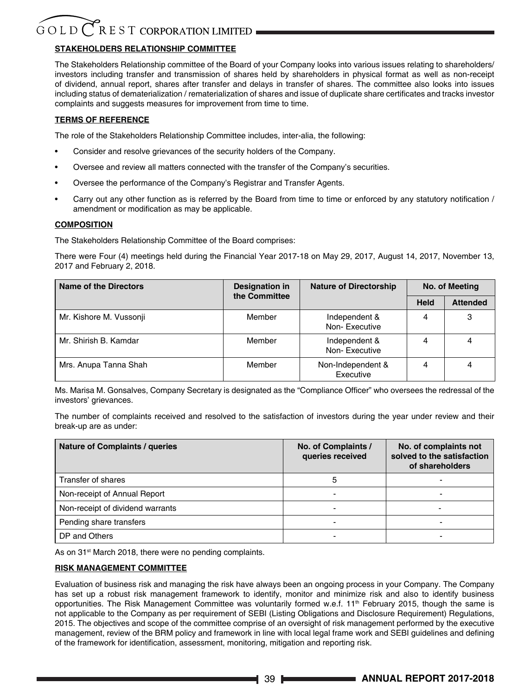# **STAKEHOLDERS RELATIONSHIP COMMITTEE**

The Stakeholders Relationship committee of the Board of your Company looks into various issues relating to shareholders/ investors including transfer and transmission of shares held by shareholders in physical format as well as non-receipt of dividend, annual report, shares after transfer and delays in transfer of shares. The committee also looks into issues including status of dematerialization / rematerialization of shares and issue of duplicate share certificates and tracks investor complaints and suggests measures for improvement from time to time.

# **TERMS OF REFERENCE**

The role of the Stakeholders Relationship Committee includes, inter-alia, the following:

- Consider and resolve grievances of the security holders of the Company.
- Oversee and review all matters connected with the transfer of the Company's securities.
- Oversee the performance of the Company's Registrar and Transfer Agents.
- Carry out any other function as is referred by the Board from time to time or enforced by any statutory notification / amendment or modification as may be applicable.

# **COMPOSITION**

The Stakeholders Relationship Committee of the Board comprises:

There were Four (4) meetings held during the Financial Year 2017-18 on May 29, 2017, August 14, 2017, November 13, 2017 and February 2, 2018.

| Name of the Directors   | <b>Designation in</b><br>the Committee | <b>Nature of Directorship</b>  | No. of Meeting |                 |
|-------------------------|----------------------------------------|--------------------------------|----------------|-----------------|
|                         |                                        |                                | <b>Held</b>    | <b>Attended</b> |
| Mr. Kishore M. Vussonji | Member                                 | Independent &<br>Non-Executive | 4              | 3               |
| Mr. Shirish B. Kamdar   | Member                                 | Independent &<br>Non-Executive |                |                 |
| Mrs. Anupa Tanna Shah   | Member                                 | Non-Independent &<br>Executive | 4              |                 |

Ms. Marisa M. Gonsalves, Company Secretary is designated as the "Compliance Officer" who oversees the redressal of the investors' grievances.

The number of complaints received and resolved to the satisfaction of investors during the year under review and their break-up are as under:

| Nature of Complaints / queries   | No. of Complaints /<br>queries received | No. of complaints not<br>solved to the satisfaction<br>of shareholders |
|----------------------------------|-----------------------------------------|------------------------------------------------------------------------|
| Transfer of shares               | 5                                       |                                                                        |
| Non-receipt of Annual Report     | -                                       |                                                                        |
| Non-receipt of dividend warrants | -                                       |                                                                        |
| Pending share transfers          |                                         |                                                                        |
| DP and Others                    |                                         |                                                                        |

As on 31<sup>st</sup> March 2018, there were no pending complaints.

# **RISK MANAGEMENT COMMITTEE**

Evaluation of business risk and managing the risk have always been an ongoing process in your Company. The Company has set up a robust risk management framework to identify, monitor and minimize risk and also to identify business opportunities. The Risk Management Committee was voluntarily formed w.e.f. 11<sup>th</sup> February 2015, though the same is not applicable to the Company as per requirement of SEBI (Listing Obligations and Disclosure Requirement) Regulations, 2015. The objectives and scope of the committee comprise of an oversight of risk management performed by the executive management, review of the BRM policy and framework in line with local legal frame work and SEBI guidelines and defining of the framework for identification, assessment, monitoring, mitigation and reporting risk.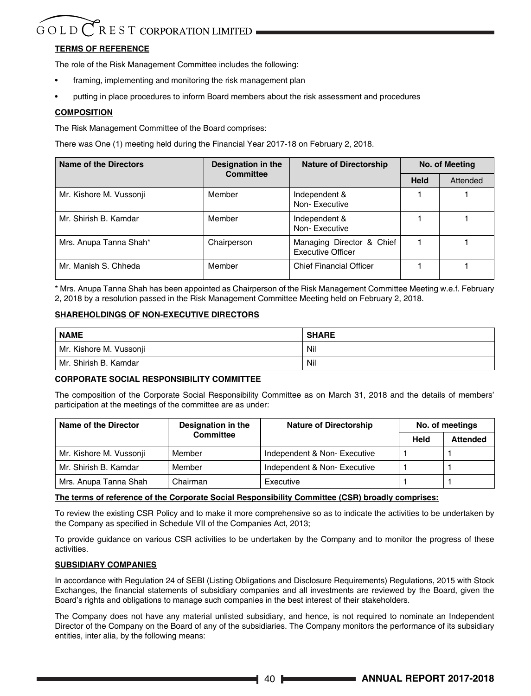# **TERMS OF REFERENCE**

The role of the Risk Management Committee includes the following:

- framing, implementing and monitoring the risk management plan
- putting in place procedures to inform Board members about the risk assessment and procedures

# **COMPOSITION**

The Risk Management Committee of the Board comprises:

There was One (1) meeting held during the Financial Year 2017-18 on February 2, 2018.

| Name of the Directors   | Designation in the | <b>Nature of Directorship</b>                  |             | No. of Meeting |  |
|-------------------------|--------------------|------------------------------------------------|-------------|----------------|--|
|                         | Committee          |                                                | <b>Held</b> | Attended       |  |
| Mr. Kishore M. Vussonji | Member             | Independent &<br>Non-Executive                 |             |                |  |
| Mr. Shirish B. Kamdar   | Member             | Independent &<br>Non-Executive                 |             |                |  |
| Mrs. Anupa Tanna Shah*  | Chairperson        | Managing Director & Chief<br>Executive Officer |             |                |  |
| Mr. Manish S. Chheda    | Member             | <b>Chief Financial Officer</b>                 |             |                |  |

\* Mrs. Anupa Tanna Shah has been appointed as Chairperson of the Risk Management Committee Meeting w.e.f. February 2, 2018 by a resolution passed in the Risk Management Committee Meeting held on February 2, 2018.

# **SHAREHOLDINGS OF NON-EXECUTIVE DIRECTORS**

| <b>NAME</b>             | <b>SHARE</b> |
|-------------------------|--------------|
| Mr. Kishore M. Vussonji | Nil          |
| l Mr. Shirish B. Kamdar | Nil          |

# **CORPORATE SOCIAL RESPONSIBILITY COMMITTEE**

The composition of the Corporate Social Responsibility Committee as on March 31, 2018 and the details of members' participation at the meetings of the committee are as under:

| Name of the Director    | Designation in the | <b>Nature of Directorship</b> | No. of meetings |                 |
|-------------------------|--------------------|-------------------------------|-----------------|-----------------|
|                         | Committee          |                               | Held            | <b>Attended</b> |
| Mr. Kishore M. Vussonji | Member             | Independent & Non-Executive   |                 |                 |
| Mr. Shirish B. Kamdar   | Member             | Independent & Non-Executive   |                 |                 |
| Mrs. Anupa Tanna Shah   | Chairman           | Executive                     |                 |                 |

# **The terms of reference of the Corporate Social Responsibility Committee (CSR) broadly comprises:**

To review the existing CSR Policy and to make it more comprehensive so as to indicate the activities to be undertaken by the Company as specified in Schedule VII of the Companies Act, 2013;

To provide guidance on various CSR activities to be undertaken by the Company and to monitor the progress of these activities.

# **SUBSIDIARY COMPANIES**

In accordance with Regulation 24 of SEBI (Listing Obligations and Disclosure Requirements) Regulations, 2015 with Stock Exchanges, the financial statements of subsidiary companies and all investments are reviewed by the Board, given the Board's rights and obligations to manage such companies in the best interest of their stakeholders.

The Company does not have any material unlisted subsidiary, and hence, is not required to nominate an Independent Director of the Company on the Board of any of the subsidiaries. The Company monitors the performance of its subsidiary entities, inter alia, by the following means: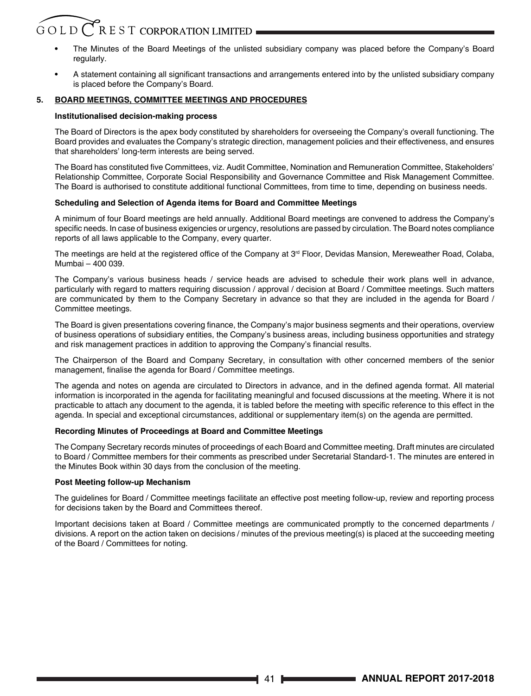# $G$ OLD $C$ REST CORPORATION LIMITED

- **•** The Minutes of the Board Meetings of the unlisted subsidiary company was placed before the Company's Board regularly.
- **•** A statement containing all significant transactions and arrangements entered into by the unlisted subsidiary company is placed before the Company's Board.

# **5. BOARD MEETINGS, COMMITTEE MEETINGS AND PROCEDURES**

# **Institutionalised decision-making process**

The Board of Directors is the apex body constituted by shareholders for overseeing the Company's overall functioning. The Board provides and evaluates the Company's strategic direction, management policies and their effectiveness, and ensures that shareholders' long-term interests are being served.

The Board has constituted five Committees, viz. Audit Committee, Nomination and Remuneration Committee, Stakeholders' Relationship Committee, Corporate Social Responsibility and Governance Committee and Risk Management Committee. The Board is authorised to constitute additional functional Committees, from time to time, depending on business needs.

# **Scheduling and Selection of Agenda items for Board and Committee Meetings**

A minimum of four Board meetings are held annually. Additional Board meetings are convened to address the Company's specific needs. In case of business exigencies or urgency, resolutions are passed by circulation. The Board notes compliance reports of all laws applicable to the Company, every quarter.

The meetings are held at the registered office of the Company at 3<sup>rd</sup> Floor, Devidas Mansion, Mereweather Road, Colaba, Mumbai – 400 039.

The Company's various business heads / service heads are advised to schedule their work plans well in advance, particularly with regard to matters requiring discussion / approval / decision at Board / Committee meetings. Such matters are communicated by them to the Company Secretary in advance so that they are included in the agenda for Board / Committee meetings.

The Board is given presentations covering finance, the Company's major business segments and their operations, overview of business operations of subsidiary entities, the Company's business areas, including business opportunities and strategy and risk management practices in addition to approving the Company's financial results.

The Chairperson of the Board and Company Secretary, in consultation with other concerned members of the senior management, finalise the agenda for Board / Committee meetings.

The agenda and notes on agenda are circulated to Directors in advance, and in the defined agenda format. All material information is incorporated in the agenda for facilitating meaningful and focused discussions at the meeting. Where it is not practicable to attach any document to the agenda, it is tabled before the meeting with specific reference to this effect in the agenda. In special and exceptional circumstances, additional or supplementary item(s) on the agenda are permitted.

# **Recording Minutes of Proceedings at Board and Committee Meetings**

The Company Secretary records minutes of proceedings of each Board and Committee meeting. Draft minutes are circulated to Board / Committee members for their comments as prescribed under Secretarial Standard-1. The minutes are entered in the Minutes Book within 30 days from the conclusion of the meeting.

# **Post Meeting follow-up Mechanism**

The guidelines for Board / Committee meetings facilitate an effective post meeting follow-up, review and reporting process for decisions taken by the Board and Committees thereof.

Important decisions taken at Board / Committee meetings are communicated promptly to the concerned departments / divisions. A report on the action taken on decisions / minutes of the previous meeting(s) is placed at the succeeding meeting of the Board / Committees for noting.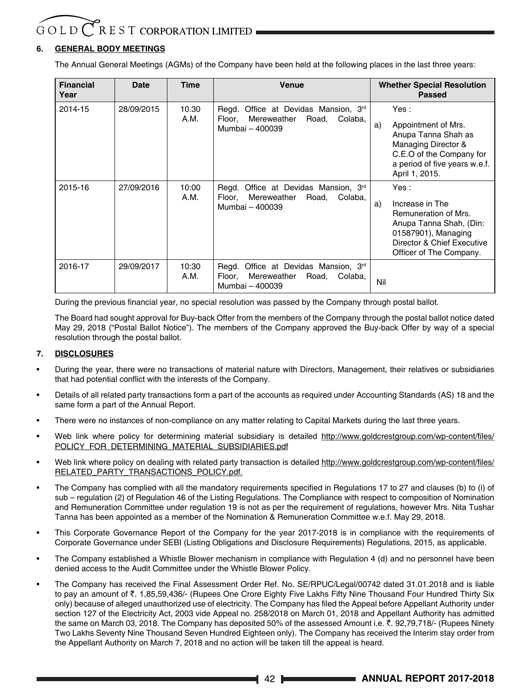# **6. GENERAL BODY MEETINGS**

The Annual General Meetings (AGMs) of the Company have been held at the following places in the last three years:

| <b>Financial</b><br>Year | Date       | <b>Time</b>   | Venue                                                                                                         | <b>Whether Special Resolution</b><br>Passed                                                                                                                       |
|--------------------------|------------|---------------|---------------------------------------------------------------------------------------------------------------|-------------------------------------------------------------------------------------------------------------------------------------------------------------------|
| 2014-15                  | 28/09/2015 | 10.30<br>A.M. | Office at Devidas Mansion, 3rd<br>Regd.<br>Mereweather<br>Road.<br>Floor.<br>Colaba,<br>Mumbai - 400039       | Yes :<br>Appointment of Mrs.<br>a)<br>Anupa Tanna Shah as<br>Managing Director &<br>C.E.O of the Company for<br>a period of five years w.e.f.<br>April 1, 2015.   |
| 2015-16                  | 27/09/2016 | 10:00<br>A.M. | Regd. Office at Devidas Mansion, 3rd<br>Floor. Mereweather<br>Road, Colaba,<br>Mumbai - 400039                | Yes :<br>Increase in The<br>a)<br>Remuneration of Mrs.<br>Anupa Tanna Shah, (Din:<br>01587901), Managing<br>Director & Chief Executive<br>Officer of The Company. |
| 2016-17                  | 29/09/2017 | 10:30<br>A.M. | Regd. Office at Devidas Mansion, 3 <sup>rd</sup><br>Road, Colaba,<br>Mereweather<br>Floor.<br>Mumbai - 400039 | Nil                                                                                                                                                               |

During the previous financial year, no special resolution was passed by the Company through postal ballot.

The Board had sought approval for Buy-back Offer from the members of the Company through the postal ballot notice dated May 29, 2018 ("Postal Ballot Notice"). The members of the Company approved the Buy-back Offer by way of a special resolution through the postal ballot.

# **7. DISCLOSURES**

- During the year, there were no transactions of material nature with Directors, Management, their relatives or subsidiaries that had potential conflict with the interests of the Company.
- Details of all related party transactions form a part of the accounts as required under Accounting Standards (AS) 18 and the same form a part of the Annual Report.
- There were no instances of non-compliance on any matter relating to Capital Markets during the last three years.
- Web link where policy for determining material subsidiary is detailed http://www.goldcrestgroup.com/wp-content/files/ POLICY\_FOR\_DETERMINING\_MATERIAL\_SUBSIDIARIES.pdf
- Web link where policy on dealing with related party transaction is detailed http://www.goldcrestgroup.com/wp-content/files/ RELATED\_PARTY\_TRANSACTIONS\_POLICY.pdf.
- The Company has complied with all the mandatory requirements specified in Regulations 17 to 27 and clauses (b) to (i) of sub – regulation (2) of Regulation 46 of the Listing Regulations. The Compliance with respect to composition of Nomination and Remuneration Committee under regulation 19 is not as per the requirement of regulations, however Mrs. Nita Tushar Tanna has been appointed as a member of the Nomination & Remuneration Committee w.e.f. May 29, 2018.
- This Corporate Governance Report of the Company for the year 2017-2018 is in compliance with the requirements of Corporate Governance under SEBI (Listing Obligations and Disclosure Requirements) Regulations, 2015, as applicable.
- The Company established a Whistle Blower mechanism in compliance with Regulation 4 (d) and no personnel have been denied access to the Audit Committee under the Whistle Blower Policy.
- The Company has received the Final Assessment Order Ref. No. SE/RPUC/Legal/00742 dated 31.01.2018 and is liable to pay an amount of ₹. 1,85,59,436/- (Rupees One Crore Eighty Five Lakhs Fifty Nine Thousand Four Hundred Thirty Six only) because of alleged unauthorized use of electricity. The Company has filed the Appeal before Appellant Authority under section 127 of the Electricity Act, 2003 vide Appeal no. 258/2018 on March 01, 2018 and Appellant Authority has admitted the same on March 03, 2018. The Company has deposited 50% of the assessed Amount i.e. ₹. 92,79,718/- (Rupees Ninety Two Lakhs Seventy Nine Thousand Seven Hundred Eighteen only). The Company has received the Interim stay order from the Appellant Authority on March 7, 2018 and no action will be taken till the appeal is heard.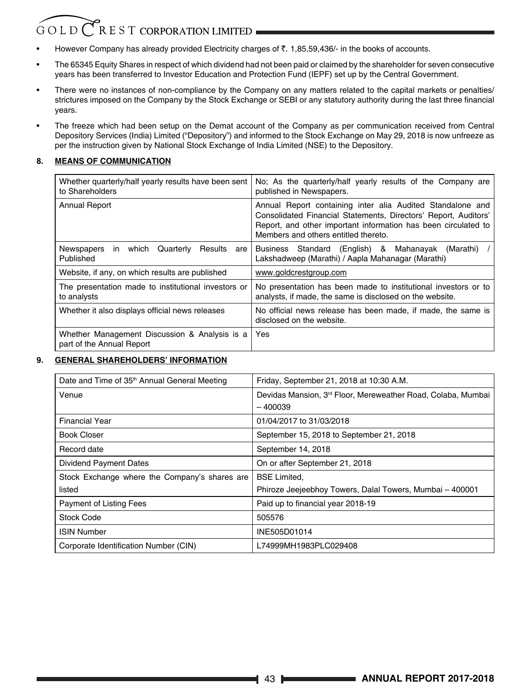# $\overline{C}$  R E S T CORPORATION LIMITED GOLD<sup>(</sup>

- However Company has already provided Electricity charges of  $\bar{\tau}$ . 1,85,59,436/- in the books of accounts.
- The 65345 Equity Shares in respect of which dividend had not been paid or claimed by the shareholder for seven consecutive years has been transferred to Investor Education and Protection Fund (IEPF) set up by the Central Government.
- There were no instances of non-compliance by the Company on any matters related to the capital markets or penalties/ strictures imposed on the Company by the Stock Exchange or SEBI or any statutory authority during the last three financial years.
- The freeze which had been setup on the Demat account of the Company as per communication received from Central Depository Services (India) Limited ("Depository") and informed to the Stock Exchange on May 29, 2018 is now unfreeze as per the instruction given by National Stock Exchange of India Limited (NSE) to the Depository.

# **8. MEANS OF COMMUNICATION**

| Whether quarterly/half yearly results have been sent<br>to Shareholders    | No; As the quarterly/half yearly results of the Company are<br>published in Newspapers.                                                                                                                                                 |
|----------------------------------------------------------------------------|-----------------------------------------------------------------------------------------------------------------------------------------------------------------------------------------------------------------------------------------|
| Annual Report                                                              | Annual Report containing inter alia Audited Standalone and<br>Consolidated Financial Statements, Directors' Report, Auditors'<br>Report, and other important information has been circulated to<br>Members and others entitled thereto. |
| Newspapers<br>in which<br>Quarterly<br>Results<br>are l<br>Published       | Business Standard (English) & Mahanayak<br>(Marathi)<br>Lakshadweep (Marathi) / Aapla Mahanagar (Marathi)                                                                                                                               |
| Website, if any, on which results are published                            | www.goldcrestgroup.com                                                                                                                                                                                                                  |
| The presentation made to institutional investors or<br>to analysts         | No presentation has been made to institutional investors or to<br>analysts, if made, the same is disclosed on the website.                                                                                                              |
| Whether it also displays official news releases                            | No official news release has been made, if made, the same is<br>disclosed on the website.                                                                                                                                               |
| Whether Management Discussion & Analysis is a<br>part of the Annual Report | Yes                                                                                                                                                                                                                                     |

# **9. GENERAL SHAREHOLDERS' INFORMATION**

| Date and Time of 35 <sup>th</sup> Annual General Meeting | Friday, September 21, 2018 at 10:30 A.M.                     |
|----------------------------------------------------------|--------------------------------------------------------------|
| Venue                                                    | Devidas Mansion, 3rd Floor, Mereweather Road, Colaba, Mumbai |
|                                                          | $-400039$                                                    |
| Financial Year                                           | 01/04/2017 to 31/03/2018                                     |
| Book Closer                                              | September 15, 2018 to September 21, 2018                     |
| Record date                                              | September 14, 2018                                           |
| Dividend Payment Dates                                   | On or after September 21, 2018                               |
| Stock Exchange where the Company's shares are            | <b>BSE Limited.</b>                                          |
| listed                                                   | Phiroze Jeejeebhoy Towers, Dalal Towers, Mumbai - 400001     |
| Payment of Listing Fees                                  | Paid up to financial year 2018-19                            |
| <b>Stock Code</b>                                        | 505576                                                       |
| <b>ISIN Number</b>                                       | INE505D01014                                                 |
| Corporate Identification Number (CIN)                    | L74999MH1983PLC029408                                        |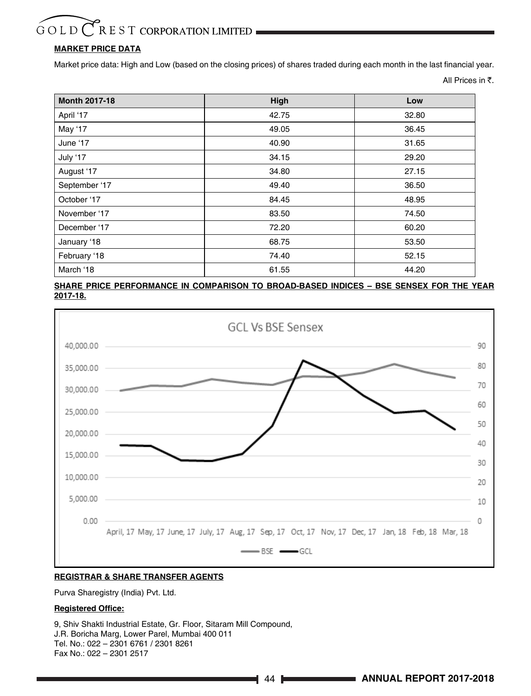# $\bigcap$  R E S T CORPORATION LIMITED GOLD

# **MARKET PRICE DATA**

Market price data: High and Low (based on the closing prices) of shares traded during each month in the last financial year.

All Prices in  $\bar{\tau}$ .

| <b>Month 2017-18</b> | High  | Low   |
|----------------------|-------|-------|
| April '17            | 42.75 | 32.80 |
| May '17              | 49.05 | 36.45 |
| June '17             | 40.90 | 31.65 |
| July '17             | 34.15 | 29.20 |
| August '17           | 34.80 | 27.15 |
| September '17        | 49.40 | 36.50 |
| October '17          | 84.45 | 48.95 |
| November '17         | 83.50 | 74.50 |
| December '17         | 72.20 | 60.20 |
| January '18          | 68.75 | 53.50 |
| February '18         | 74.40 | 52.15 |
| March '18            | 61.55 | 44.20 |

**SHARE PRICE PERFORMANCE IN COMPARISON TO BROAD-BASED INDICES – BSE SENSEX FOR THE YEAR 2017-18.**



# **REGISTRAR & SHARE TRANSFER AGENTS**

Purva Sharegistry (India) Pvt. Ltd.

# **Registered Office:**

9, Shiv Shakti Industrial Estate, Gr. Floor, Sitaram Mill Compound, J.R. Boricha Marg, Lower Parel, Mumbai 400 011 Tel. No.: 022 – 2301 6761 / 2301 8261 Fax No.: 022 – 2301 2517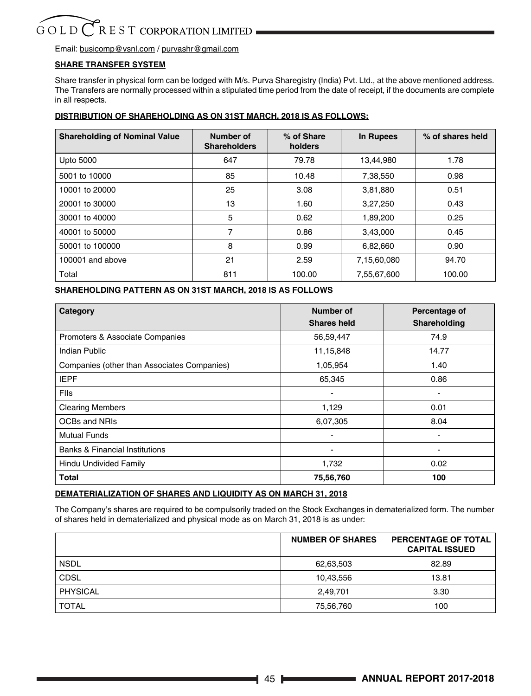Email: busicomp@vsnl.com / purvashr@gmail.com

# **SHARE TRANSFER SYSTEM**

Share transfer in physical form can be lodged with M/s. Purva Sharegistry (India) Pvt. Ltd., at the above mentioned address. The Transfers are normally processed within a stipulated time period from the date of receipt, if the documents are complete in all respects.

# **DISTRIBUTION OF SHAREHOLDING AS ON 31ST MARCH, 2018 IS AS FOLLOWS:**

| <b>Shareholding of Nominal Value</b> | Number of<br><b>Shareholders</b> | % of Share<br>holders | In Rupees   | % of shares held |
|--------------------------------------|----------------------------------|-----------------------|-------------|------------------|
| <b>Upto 5000</b>                     | 647                              | 79.78                 | 13.44.980   | 1.78             |
| 5001 to 10000                        | 85                               | 10.48                 | 7,38,550    | 0.98             |
| 10001 to 20000                       | 25                               | 3.08                  | 3,81,880    | 0.51             |
| 20001 to 30000                       | 13                               | 1.60                  | 3,27,250    | 0.43             |
| 30001 to 40000                       | 5                                | 0.62                  | 1,89,200    | 0.25             |
| 40001 to 50000                       | 7                                | 0.86                  | 3,43,000    | 0.45             |
| 50001 to 100000                      | 8                                | 0.99                  | 6,82,660    | 0.90             |
| 100001 and above                     | 21                               | 2.59                  | 7,15,60,080 | 94.70            |
| Total                                | 811                              | 100.00                | 7,55,67,600 | 100.00           |

# **SHAREHOLDING PATTERN AS ON 31ST MARCH, 2018 IS AS FOLLOWS**

| Category                                    | Number of                | Percentage of |
|---------------------------------------------|--------------------------|---------------|
|                                             | Shares held              | Shareholding  |
| Promoters & Associate Companies             | 56,59,447                | 74.9          |
| Indian Public                               | 11,15,848                | 14.77         |
| Companies (other than Associates Companies) | 1,05,954                 | 1.40          |
| <b>IEPF</b>                                 | 65,345                   | 0.86          |
| <b>FIIs</b>                                 |                          |               |
| <b>Clearing Members</b>                     | 1,129                    | 0.01          |
| OCBs and NRIs                               | 6,07,305                 | 8.04          |
| <b>Mutual Funds</b>                         | $\overline{\phantom{a}}$ | -             |
| Banks & Financial Institutions              |                          |               |
| Hindu Undivided Family                      | 1,732                    | 0.02          |
| <b>Total</b>                                | 75,56,760                | 100           |

# **DEMATERIALIZATION OF SHARES AND LIQUIDITY AS ON MARCH 31, 2018**

The Company's shares are required to be compulsorily traded on the Stock Exchanges in dematerialized form. The number of shares held in dematerialized and physical mode as on March 31, 2018 is as under:

|                 | <b>NUMBER OF SHARES</b> | <b>PERCENTAGE OF TOTAL</b><br><b>CAPITAL ISSUED</b> |
|-----------------|-------------------------|-----------------------------------------------------|
| <b>NSDL</b>     | 62,63,503               | 82.89                                               |
| <b>CDSL</b>     | 10,43,556               | 13.81                                               |
| <b>PHYSICAL</b> | 2,49,701                | 3.30                                                |
| <b>TOTAL</b>    | 75,56,760               | 100                                                 |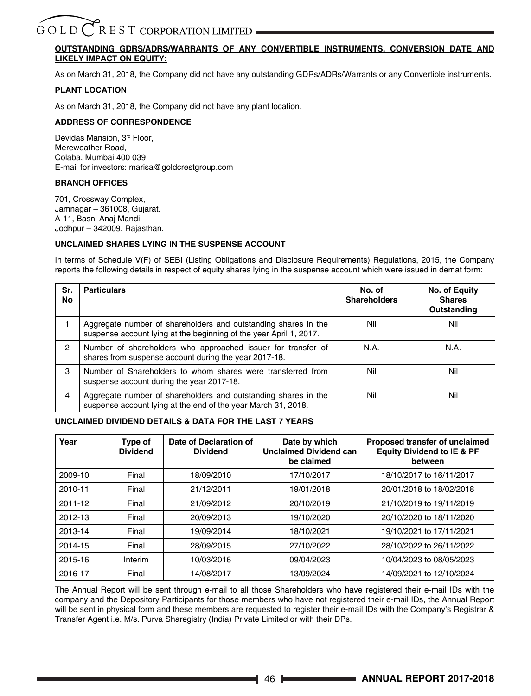# R E S T CORPORATION LIMITED GOLD

# **OUTSTANDING GDRS/ADRS/WARRANTS OF ANY CONVERTIBLE INSTRUMENTS, CONVERSION DATE AND LIKELY IMPACT ON EQUITY:**

As on March 31, 2018, the Company did not have any outstanding GDRs/ADRs/Warrants or any Convertible instruments.

# **PLANT LOCATION**

As on March 31, 2018, the Company did not have any plant location.

# **ADDRESS OF CORRESPONDENCE**

Devidas Mansion, 3rd Floor, Mereweather Road, Colaba, Mumbai 400 039 E-mail for investors: marisa@goldcrestgroup.com

# **BRANCH OFFICES**

701, Crossway Complex, Jamnagar – 361008, Gujarat. A-11, Basni Anaj Mandi, Jodhpur – 342009, Rajasthan.

# **UNCLAIMED SHARES LYING IN THE SUSPENSE ACCOUNT**

In terms of Schedule V(F) of SEBI (Listing Obligations and Disclosure Requirements) Regulations, 2015, the Company reports the following details in respect of equity shares lying in the suspense account which were issued in demat form:

| Sr.<br>No | <b>Particulars</b>                                                                                                                   | No. of<br><b>Shareholders</b> | No. of Equity<br><b>Shares</b><br>Outstanding |
|-----------|--------------------------------------------------------------------------------------------------------------------------------------|-------------------------------|-----------------------------------------------|
|           | Aggregate number of shareholders and outstanding shares in the<br>suspense account lying at the beginning of the year April 1, 2017. | Nil                           | Nil                                           |
| 2         | Number of shareholders who approached issuer for transfer of<br>shares from suspense account during the year 2017-18.                | N.A.                          | N.A.                                          |
| 3         | Number of Shareholders to whom shares were transferred from<br>suspense account during the year 2017-18.                             | Nil                           | Nil                                           |
| 4         | Aggregate number of shareholders and outstanding shares in the<br>suspense account lying at the end of the year March 31, 2018.      | Nil                           | Nil                                           |

# **UNCLAIMED DIVIDEND DETAILS & DATA FOR THE LAST 7 YEARS**

| Year    | Type of<br><b>Dividend</b> | Date of Declaration of<br><b>Dividend</b> | Date by which<br><b>Unclaimed Dividend can</b><br>be claimed | Proposed transfer of unclaimed<br><b>Equity Dividend to IE &amp; PF</b><br>between |
|---------|----------------------------|-------------------------------------------|--------------------------------------------------------------|------------------------------------------------------------------------------------|
| 2009-10 | Final                      | 18/09/2010                                | 17/10/2017                                                   | 18/10/2017 to 16/11/2017                                                           |
| 2010-11 | Final                      | 21/12/2011                                | 19/01/2018                                                   | 20/01/2018 to 18/02/2018                                                           |
| 2011-12 | Final                      | 21/09/2012                                | 20/10/2019                                                   | 21/10/2019 to 19/11/2019                                                           |
| 2012-13 | Final                      | 20/09/2013                                | 19/10/2020                                                   | 20/10/2020 to 18/11/2020                                                           |
| 2013-14 | Final                      | 19/09/2014                                | 18/10/2021                                                   | 19/10/2021 to 17/11/2021                                                           |
| 2014-15 | Final                      | 28/09/2015                                | 27/10/2022                                                   | 28/10/2022 to 26/11/2022                                                           |
| 2015-16 | Interim                    | 10/03/2016                                | 09/04/2023                                                   | 10/04/2023 to 08/05/2023                                                           |
| 2016-17 | Final                      | 14/08/2017                                | 13/09/2024                                                   | 14/09/2021 to 12/10/2024                                                           |

The Annual Report will be sent through e-mail to all those Shareholders who have registered their e-mail IDs with the company and the Depository Participants for those members who have not registered their e-mail IDs, the Annual Report will be sent in physical form and these members are requested to register their e-mail IDs with the Company's Registrar & Transfer Agent i.e. M/s. Purva Sharegistry (India) Private Limited or with their DPs.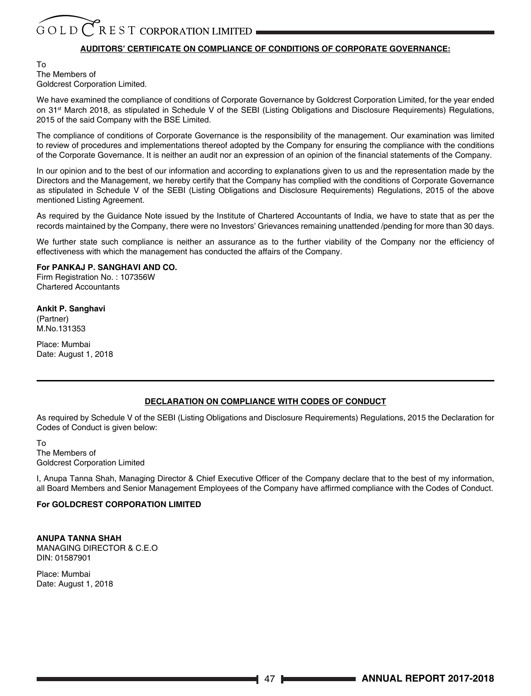# **AUDITORS' CERTIFICATE ON COMPLIANCE OF CONDITIONS OF CORPORATE GOVERNANCE:**

To The Members of Goldcrest Corporation Limited.

We have examined the compliance of conditions of Corporate Governance by Goldcrest Corporation Limited, for the year ended on 31<sup>st</sup> March 2018, as stipulated in Schedule V of the SEBI (Listing Obligations and Disclosure Requirements) Regulations, 2015 of the said Company with the BSE Limited.

The compliance of conditions of Corporate Governance is the responsibility of the management. Our examination was limited to review of procedures and implementations thereof adopted by the Company for ensuring the compliance with the conditions of the Corporate Governance. It is neither an audit nor an expression of an opinion of the financial statements of the Company.

In our opinion and to the best of our information and according to explanations given to us and the representation made by the Directors and the Management, we hereby certify that the Company has complied with the conditions of Corporate Governance as stipulated in Schedule V of the SEBI (Listing Obligations and Disclosure Requirements) Regulations, 2015 of the above mentioned Listing Agreement.

As required by the Guidance Note issued by the Institute of Chartered Accountants of India, we have to state that as per the records maintained by the Company, there were no Investors' Grievances remaining unattended /pending for more than 30 days.

We further state such compliance is neither an assurance as to the further viability of the Company nor the efficiency of effectiveness with which the management has conducted the affairs of the Company.

# **For PANKAJ P. SANGHAVI AND CO.**

Firm Registration No. : 107356W Chartered Accountants

# **Ankit P. Sanghavi**

(Partner) M.No.131353

Place: Mumbai Date: August 1, 2018

# **DECLARATION ON COMPLIANCE WITH CODES OF CONDUCT**

As required by Schedule V of the SEBI (Listing Obligations and Disclosure Requirements) Regulations, 2015 the Declaration for Codes of Conduct is given below:

To The Members of Goldcrest Corporation Limited

I, Anupa Tanna Shah, Managing Director & Chief Executive Officer of the Company declare that to the best of my information, all Board Members and Senior Management Employees of the Company have affirmed compliance with the Codes of Conduct.

# **For GOLDCREST CORPORATION LIMITED**

# **ANUPA TANNA SHAH**

MANAGING DIRECTOR & C.E.O DIN: 01587901

Place: Mumbai Date: August 1, 2018

47 **ANNUAL REPORT 2017-2018**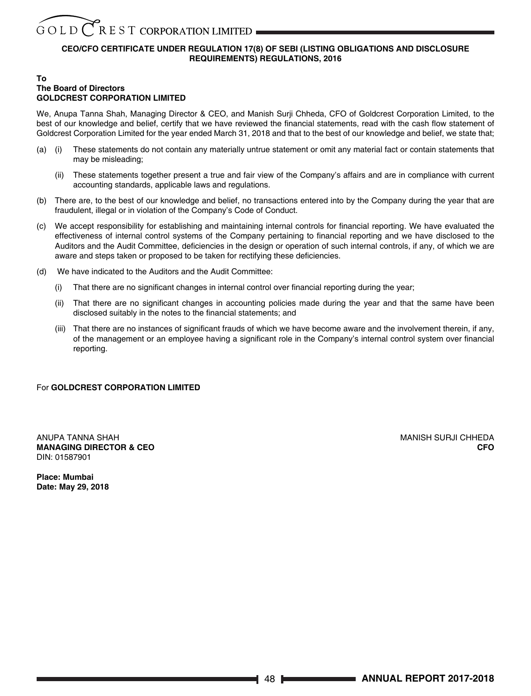# **CEO/CFO CERTIFICATE UNDER REGULATION 17(8) OF SEBI (LISTING OBLIGATIONS AND DISCLOSURE REQUIREMENTS) REGULATIONS, 2016**

#### **To The Board of Directors GOLDCREST CORPORATION LIMITED**

We, Anupa Tanna Shah, Managing Director & CEO, and Manish Surji Chheda, CFO of Goldcrest Corporation Limited, to the best of our knowledge and belief, certify that we have reviewed the financial statements, read with the cash flow statement of Goldcrest Corporation Limited for the year ended March 31, 2018 and that to the best of our knowledge and belief, we state that;

- (a) (i) These statements do not contain any materially untrue statement or omit any material fact or contain statements that may be misleading;
	- (ii) These statements together present a true and fair view of the Company's affairs and are in compliance with current accounting standards, applicable laws and regulations.
- (b) There are, to the best of our knowledge and belief, no transactions entered into by the Company during the year that are fraudulent, illegal or in violation of the Company's Code of Conduct.
- (c) We accept responsibility for establishing and maintaining internal controls for financial reporting. We have evaluated the effectiveness of internal control systems of the Company pertaining to financial reporting and we have disclosed to the Auditors and the Audit Committee, deficiencies in the design or operation of such internal controls, if any, of which we are aware and steps taken or proposed to be taken for rectifying these deficiencies.
- (d) We have indicated to the Auditors and the Audit Committee:
	- (i) That there are no significant changes in internal control over financial reporting during the year;
	- (ii) That there are no significant changes in accounting policies made during the year and that the same have been disclosed suitably in the notes to the financial statements; and
	- (iii) That there are no instances of significant frauds of which we have become aware and the involvement therein, if any, of the management or an employee having a significant role in the Company's internal control system over financial reporting.

# For **GOLDCREST CORPORATION LIMITED**

ANUPA TANNA SHAH MANISH SURJI CHHEDA MANISH SURJI CHHEDA MANISH SURJI CHHEDA **MANAGING DIRECTOR & CEO CFO** DIN: 01587901

**Place: Mumbai Date: May 29, 2018**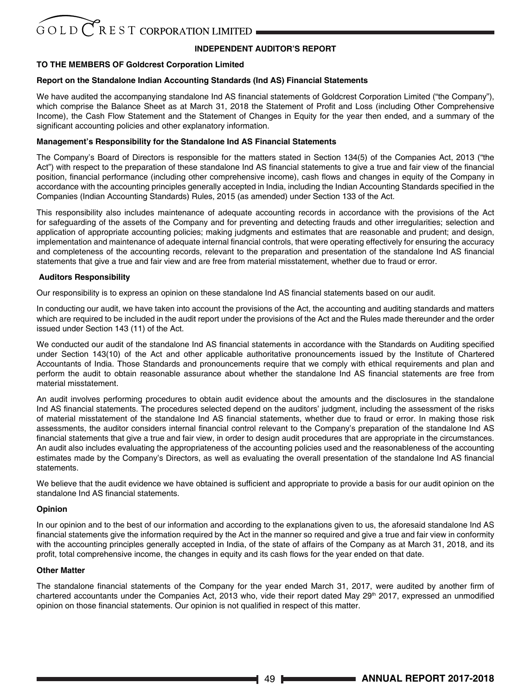# **INDEPENDENT AUDITOR'S REPORT**

# **TO THE MEMBERS OF Goldcrest Corporation Limited**

# **Report on the Standalone Indian Accounting Standards (Ind AS) Financial Statements**

We have audited the accompanying standalone Ind AS financial statements of Goldcrest Corporation Limited ("the Company"), which comprise the Balance Sheet as at March 31, 2018 the Statement of Profit and Loss (including Other Comprehensive Income), the Cash Flow Statement and the Statement of Changes in Equity for the year then ended, and a summary of the significant accounting policies and other explanatory information.

## **Management's Responsibility for the Standalone Ind AS Financial Statements**

The Company's Board of Directors is responsible for the matters stated in Section 134(5) of the Companies Act, 2013 ("the Act") with respect to the preparation of these standalone Ind AS financial statements to give a true and fair view of the financial position, financial performance (including other comprehensive income), cash flows and changes in equity of the Company in accordance with the accounting principles generally accepted in India, including the Indian Accounting Standards specified in the Companies (Indian Accounting Standards) Rules, 2015 (as amended) under Section 133 of the Act.

This responsibility also includes maintenance of adequate accounting records in accordance with the provisions of the Act for safeguarding of the assets of the Company and for preventing and detecting frauds and other irregularities; selection and application of appropriate accounting policies; making judgments and estimates that are reasonable and prudent; and design, implementation and maintenance of adequate internal financial controls, that were operating effectively for ensuring the accuracy and completeness of the accounting records, relevant to the preparation and presentation of the standalone Ind AS financial statements that give a true and fair view and are free from material misstatement, whether due to fraud or error.

# **Auditors Responsibility**

Our responsibility is to express an opinion on these standalone Ind AS financial statements based on our audit.

In conducting our audit, we have taken into account the provisions of the Act, the accounting and auditing standards and matters which are required to be included in the audit report under the provisions of the Act and the Rules made thereunder and the order issued under Section 143 (11) of the Act.

We conducted our audit of the standalone Ind AS financial statements in accordance with the Standards on Auditing specified under Section 143(10) of the Act and other applicable authoritative pronouncements issued by the Institute of Chartered Accountants of India. Those Standards and pronouncements require that we comply with ethical requirements and plan and perform the audit to obtain reasonable assurance about whether the standalone Ind AS financial statements are free from material misstatement.

An audit involves performing procedures to obtain audit evidence about the amounts and the disclosures in the standalone Ind AS financial statements. The procedures selected depend on the auditors' judgment, including the assessment of the risks of material misstatement of the standalone Ind AS financial statements, whether due to fraud or error. In making those risk assessments, the auditor considers internal financial control relevant to the Company's preparation of the standalone Ind AS financial statements that give a true and fair view, in order to design audit procedures that are appropriate in the circumstances. An audit also includes evaluating the appropriateness of the accounting policies used and the reasonableness of the accounting estimates made by the Company's Directors, as well as evaluating the overall presentation of the standalone Ind AS financial statements.

We believe that the audit evidence we have obtained is sufficient and appropriate to provide a basis for our audit opinion on the standalone Ind AS financial statements.

## **Opinion**

In our opinion and to the best of our information and according to the explanations given to us, the aforesaid standalone Ind AS financial statements give the information required by the Act in the manner so required and give a true and fair view in conformity with the accounting principles generally accepted in India, of the state of affairs of the Company as at March 31, 2018, and its profit, total comprehensive income, the changes in equity and its cash flows for the year ended on that date.

## **Other Matter**

The standalone financial statements of the Company for the year ended March 31, 2017, were audited by another firm of chartered accountants under the Companies Act, 2013 who, vide their report dated May  $29<sup>th</sup>$  2017, expressed an unmodified opinion on those financial statements. Our opinion is not qualified in respect of this matter.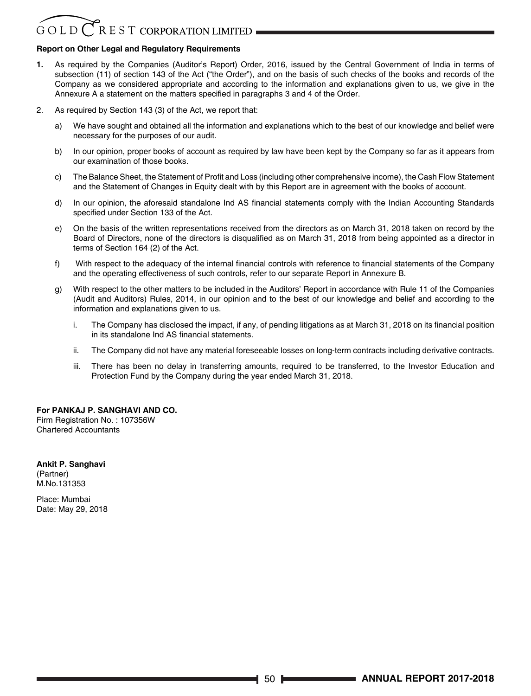# $\overline{C}$  R E S T CORPORATION LIMITED  $GOLD$

# **Report on Other Legal and Regulatory Requirements**

- **1.** As required by the Companies (Auditor's Report) Order, 2016, issued by the Central Government of India in terms of subsection (11) of section 143 of the Act ("the Order"), and on the basis of such checks of the books and records of the Company as we considered appropriate and according to the information and explanations given to us, we give in the Annexure A a statement on the matters specified in paragraphs 3 and 4 of the Order.
- 2. As required by Section 143 (3) of the Act, we report that:
	- a) We have sought and obtained all the information and explanations which to the best of our knowledge and belief were necessary for the purposes of our audit.
	- b) In our opinion, proper books of account as required by law have been kept by the Company so far as it appears from our examination of those books.
	- c) The Balance Sheet, the Statement of Profit and Loss (including other comprehensive income), the Cash Flow Statement and the Statement of Changes in Equity dealt with by this Report are in agreement with the books of account.
	- d) In our opinion, the aforesaid standalone Ind AS financial statements comply with the Indian Accounting Standards specified under Section 133 of the Act.
	- e) On the basis of the written representations received from the directors as on March 31, 2018 taken on record by the Board of Directors, none of the directors is disqualified as on March 31, 2018 from being appointed as a director in terms of Section 164 (2) of the Act.
	- f) With respect to the adequacy of the internal financial controls with reference to financial statements of the Company and the operating effectiveness of such controls, refer to our separate Report in Annexure B.
	- g) With respect to the other matters to be included in the Auditors' Report in accordance with Rule 11 of the Companies (Audit and Auditors) Rules, 2014, in our opinion and to the best of our knowledge and belief and according to the information and explanations given to us.
		- i. The Company has disclosed the impact, if any, of pending litigations as at March 31, 2018 on its financial position in its standalone Ind AS financial statements.
		- ii. The Company did not have any material foreseeable losses on long-term contracts including derivative contracts.
		- iii. There has been no delay in transferring amounts, required to be transferred, to the Investor Education and Protection Fund by the Company during the year ended March 31, 2018.

# **For PANKAJ P. SANGHAVI AND CO.**

Firm Registration No. : 107356W Chartered Accountants

**Ankit P. Sanghavi** (Partner) M.No.131353

Place: Mumbai Date: May 29, 2018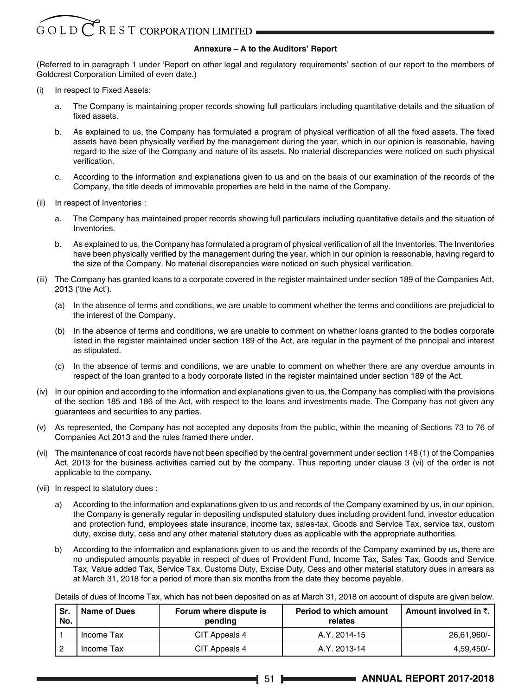# GOLD CREST CORPORATION LIMITED

# **Annexure – A to the Auditors' Report**

(Referred to in paragraph 1 under 'Report on other legal and regulatory requirements' section of our report to the members of Goldcrest Corporation Limited of even date.)

- (i) In respect to Fixed Assets:
	- a. The Company is maintaining proper records showing full particulars including quantitative details and the situation of fixed assets.
	- b. As explained to us, the Company has formulated a program of physical verification of all the fixed assets. The fixed assets have been physically verified by the management during the year, which in our opinion is reasonable, having regard to the size of the Company and nature of its assets. No material discrepancies were noticed on such physical verification.
	- c. According to the information and explanations given to us and on the basis of our examination of the records of the Company, the title deeds of immovable properties are held in the name of the Company.
- (ii) In respect of Inventories :
	- a. The Company has maintained proper records showing full particulars including quantitative details and the situation of Inventories.
	- b. As explained to us, the Company has formulated a program of physical verification of all the Inventories. The Inventories have been physically verified by the management during the year, which in our opinion is reasonable, having regard to the size of the Company. No material discrepancies were noticed on such physical verification.
- (iii) The Company has granted loans to a corporate covered in the register maintained under section 189 of the Companies Act, 2013 ('the Act').
	- (a) In the absence of terms and conditions, we are unable to comment whether the terms and conditions are prejudicial to the interest of the Company.
	- (b) In the absence of terms and conditions, we are unable to comment on whether loans granted to the bodies corporate listed in the register maintained under section 189 of the Act, are regular in the payment of the principal and interest as stipulated.
	- (c) In the absence of terms and conditions, we are unable to comment on whether there are any overdue amounts in respect of the loan granted to a body corporate listed in the register maintained under section 189 of the Act.
- (iv) In our opinion and according to the information and explanations given to us, the Company has complied with the provisions of the section 185 and 186 of the Act, with respect to the loans and investments made. The Company has not given any guarantees and securities to any parties.
- (v) As represented, the Company has not accepted any deposits from the public, within the meaning of Sections 73 to 76 of Companies Act 2013 and the rules framed there under.
- (vi) The maintenance of cost records have not been specified by the central government under section 148 (1) of the Companies Act, 2013 for the business activities carried out by the company. Thus reporting under clause 3 (vi) of the order is not applicable to the company.
- (vii) In respect to statutory dues :
	- a) According to the information and explanations given to us and records of the Company examined by us, in our opinion, the Company is generally regular in depositing undisputed statutory dues including provident fund, investor education and protection fund, employees state insurance, income tax, sales-tax, Goods and Service Tax, service tax, custom duty, excise duty, cess and any other material statutory dues as applicable with the appropriate authorities.
	- b) According to the information and explanations given to us and the records of the Company examined by us, there are no undisputed amounts payable in respect of dues of Provident Fund, Income Tax, Sales Tax, Goods and Service Tax, Value added Tax, Service Tax, Customs Duty, Excise Duty, Cess and other material statutory dues in arrears as at March 31, 2018 for a period of more than six months from the date they become payable.

Details of dues of Income Tax, which has not been deposited on as at March 31, 2018 on account of dispute are given below.

| Sr.<br>No. | Name of Dues | Forum where dispute is<br>pending | Period to which amount<br>relates | Amount involved in ₹. । |
|------------|--------------|-----------------------------------|-----------------------------------|-------------------------|
|            | Income Tax   | CIT Appeals 4                     | A.Y. 2014-15                      | 26.61.960/-             |
|            | Income Tax   | CIT Appeals 4                     | A.Y. 2013-14                      | $4.59.450/-$            |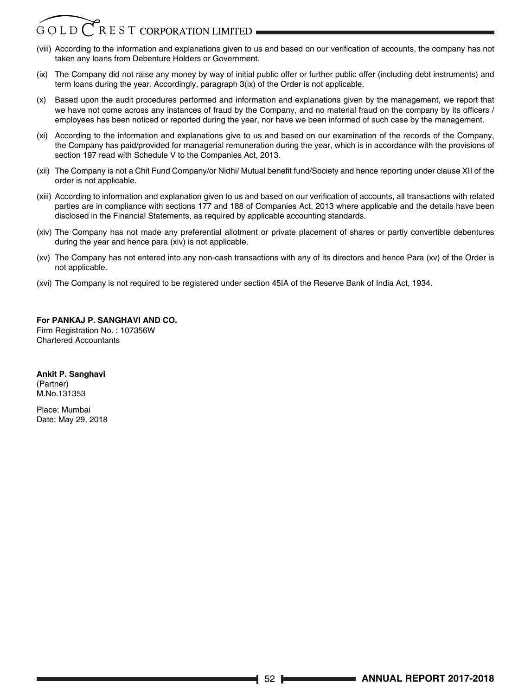# REST CORPORATION LIMITED GOLD

- (viii) According to the information and explanations given to us and based on our verification of accounts, the company has not taken any loans from Debenture Holders or Government.
- (ix) The Company did not raise any money by way of initial public offer or further public offer (including debt instruments) and term loans during the year. Accordingly, paragraph 3(ix) of the Order is not applicable.
- (x) Based upon the audit procedures performed and information and explanations given by the management, we report that we have not come across any instances of fraud by the Company, and no material fraud on the company by its officers / employees has been noticed or reported during the year, nor have we been informed of such case by the management.
- (xi) According to the information and explanations give to us and based on our examination of the records of the Company, the Company has paid/provided for managerial remuneration during the year, which is in accordance with the provisions of section 197 read with Schedule V to the Companies Act, 2013.
- (xii) The Company is not a Chit Fund Company/or Nidhi/ Mutual benefit fund/Society and hence reporting under clause XII of the order is not applicable.
- (xiii) According to information and explanation given to us and based on our verification of accounts, all transactions with related parties are in compliance with sections 177 and 188 of Companies Act, 2013 where applicable and the details have been disclosed in the Financial Statements, as required by applicable accounting standards.
- (xiv) The Company has not made any preferential allotment or private placement of shares or partly convertible debentures during the year and hence para (xiv) is not applicable.
- (xv) The Company has not entered into any non-cash transactions with any of its directors and hence Para (xv) of the Order is not applicable.
- (xvi) The Company is not required to be registered under section 45IA of the Reserve Bank of India Act, 1934.

# **For PANKAJ P. SANGHAVI AND CO.** Firm Registration No. : 107356W

Chartered Accountants

# **Ankit P. Sanghavi**

(Partner) M.No.131353

Place: Mumbai Date: May 29, 2018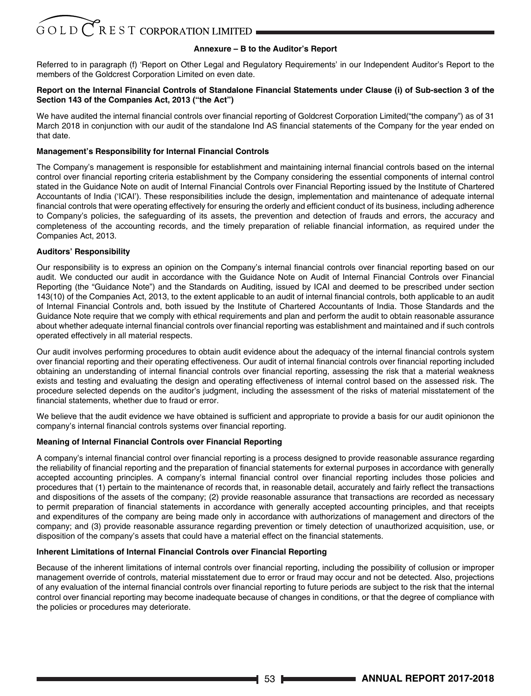# **Annexure – B to the Auditor's Report**

Referred to in paragraph (f) 'Report on Other Legal and Regulatory Requirements' in our Independent Auditor's Report to the members of the Goldcrest Corporation Limited on even date.

# **Report on the Internal Financial Controls of Standalone Financial Statements under Clause (i) of Sub-section 3 of the Section 143 of the Companies Act, 2013 ("the Act")**

We have audited the internal financial controls over financial reporting of Goldcrest Corporation Limited("the company") as of 31 March 2018 in conjunction with our audit of the standalone Ind AS financial statements of the Company for the year ended on that date.

# **Management's Responsibility for Internal Financial Controls**

The Company's management is responsible for establishment and maintaining internal financial controls based on the internal control over financial reporting criteria establishment by the Company considering the essential components of internal control stated in the Guidance Note on audit of Internal Financial Controls over Financial Reporting issued by the Institute of Chartered Accountants of India ('ICAI'). These responsibilities include the design, implementation and maintenance of adequate internal financial controls that were operating effectively for ensuring the orderly and efficient conduct of its business, including adherence to Company's policies, the safeguarding of its assets, the prevention and detection of frauds and errors, the accuracy and completeness of the accounting records, and the timely preparation of reliable financial information, as required under the Companies Act, 2013.

# **Auditors' Responsibility**

Our responsibility is to express an opinion on the Company's internal financial controls over financial reporting based on our audit. We conducted our audit in accordance with the Guidance Note on Audit of Internal Financial Controls over Financial Reporting (the "Guidance Note") and the Standards on Auditing, issued by ICAI and deemed to be prescribed under section 143(10) of the Companies Act, 2013, to the extent applicable to an audit of internal financial controls, both applicable to an audit of Internal Financial Controls and, both issued by the Institute of Chartered Accountants of India. Those Standards and the Guidance Note require that we comply with ethical requirements and plan and perform the audit to obtain reasonable assurance about whether adequate internal financial controls over financial reporting was establishment and maintained and if such controls operated effectively in all material respects.

Our audit involves performing procedures to obtain audit evidence about the adequacy of the internal financial controls system over financial reporting and their operating effectiveness. Our audit of internal financial controls over financial reporting included obtaining an understanding of internal financial controls over financial reporting, assessing the risk that a material weakness exists and testing and evaluating the design and operating effectiveness of internal control based on the assessed risk. The procedure selected depends on the auditor's judgment, including the assessment of the risks of material misstatement of the financial statements, whether due to fraud or error.

We believe that the audit evidence we have obtained is sufficient and appropriate to provide a basis for our audit opinionon the company's internal financial controls systems over financial reporting.

# **Meaning of Internal Financial Controls over Financial Reporting**

A company's internal financial control over financial reporting is a process designed to provide reasonable assurance regarding the reliability of financial reporting and the preparation of financial statements for external purposes in accordance with generally accepted accounting principles. A company's internal financial control over financial reporting includes those policies and procedures that (1) pertain to the maintenance of records that, in reasonable detail, accurately and fairly reflect the transactions and dispositions of the assets of the company; (2) provide reasonable assurance that transactions are recorded as necessary to permit preparation of financial statements in accordance with generally accepted accounting principles, and that receipts and expenditures of the company are being made only in accordance with authorizations of management and directors of the company; and (3) provide reasonable assurance regarding prevention or timely detection of unauthorized acquisition, use, or disposition of the company's assets that could have a material effect on the financial statements.

# **Inherent Limitations of Internal Financial Controls over Financial Reporting**

Because of the inherent limitations of internal controls over financial reporting, including the possibility of collusion or improper management override of controls, material misstatement due to error or fraud may occur and not be detected. Also, projections of any evaluation of the internal financial controls over financial reporting to future periods are subject to the risk that the internal control over financial reporting may become inadequate because of changes in conditions, or that the degree of compliance with the policies or procedures may deteriorate.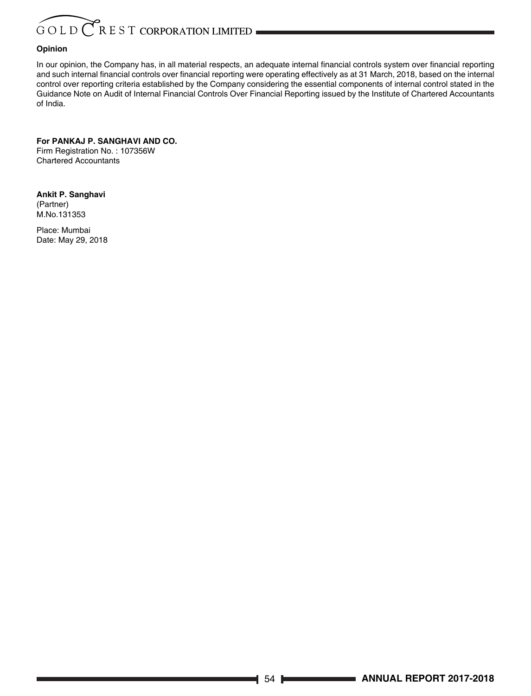# GOLD CREST CORPORATION LIMITED

# **Opinion**

In our opinion, the Company has, in all material respects, an adequate internal financial controls system over financial reporting and such internal financial controls over financial reporting were operating effectively as at 31 March, 2018, based on the internal control over reporting criteria established by the Company considering the essential components of internal control stated in the Guidance Note on Audit of Internal Financial Controls Over Financial Reporting issued by the Institute of Chartered Accountants of India.

**For PANKAJ P. SANGHAVI AND CO.** Firm Registration No. : 107356W Chartered Accountants

**Ankit P. Sanghavi** (Partner) M.No.131353

Place: Mumbai Date: May 29, 2018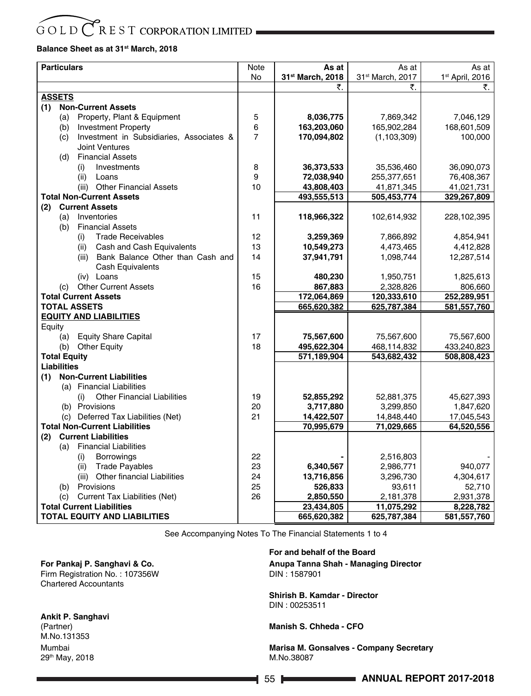# $R$  E S T CORPORATION LIMITED GOLD

# **Balance Sheet as at 31st March, 2018**

| <b>Particulars</b>                               | Note     | As at                | As at                        | As at               |
|--------------------------------------------------|----------|----------------------|------------------------------|---------------------|
|                                                  | No       | 31st March, 2018     | 31 <sup>st</sup> March, 2017 | 1st April, 2016     |
|                                                  |          | ₹.                   | ₹.                           | ₹.                  |
| <b>ASSETS</b>                                    |          |                      |                              |                     |
| <b>Non-Current Assets</b><br>(1)                 |          |                      |                              |                     |
| Property, Plant & Equipment<br>(a)               | 5        | 8,036,775            | 7,869,342                    | 7,046,129           |
| <b>Investment Property</b><br>(b)                | 6        | 163,203,060          | 165,902,284                  | 168,601,509         |
| Investment in Subsidiaries, Associates &<br>(c)  | 7        | 170,094,802          | (1, 103, 309)                | 100,000             |
| <b>Joint Ventures</b><br><b>Financial Assets</b> |          |                      |                              |                     |
| (d)<br>Investments                               | 8        | 36,373,533           | 35,536,460                   | 36,090,073          |
| (i)<br>(ii)<br>Loans                             | 9        | 72,038,940           | 255,377,651                  | 76,408,367          |
| (iii) Other Financial Assets                     | 10       | 43,808,403           | 41,871,345                   | 41,021,731          |
| <b>Total Non-Current Assets</b>                  |          | 493,555,513          | 505,453,774                  | 329,267,809         |
| <b>Current Assets</b><br>(2)                     |          |                      |                              |                     |
| (a)<br>Inventories                               | 11       | 118,966,322          | 102,614,932                  | 228,102,395         |
| <b>Financial Assets</b><br>(b)                   |          |                      |                              |                     |
| <b>Trade Receivables</b><br>(i)                  | 12       | 3,259,369            | 7,866,892                    | 4,854,941           |
| Cash and Cash Equivalents<br>(ii)                | 13       | 10,549,273           | 4,473,465                    | 4,412,828           |
| Bank Balance Other than Cash and<br>(iii)        | 14       | 37,941,791           | 1,098,744                    | 12,287,514          |
| <b>Cash Equivalents</b>                          |          |                      |                              |                     |
| (iv) Loans                                       | 15       | 480,230              | 1,950,751                    | 1,825,613           |
| (c) Other Current Assets                         | 16       | 867,883              | 2,328,826                    | 806,660             |
| <b>Total Current Assets</b>                      |          | 172,064,869          | 120,333,610                  | 252,289,951         |
| <b>TOTAL ASSETS</b>                              |          | 665,620,382          | 625,787,384                  | 581,557,760         |
| <b>EQUITY AND LIABILITIES</b><br>Equity          |          |                      |                              |                     |
| <b>Equity Share Capital</b><br>(a)               | 17       | 75,567,600           | 75,567,600                   | 75,567,600          |
| <b>Other Equity</b><br>(b)                       | 18       | 495,622,304          | 468,114,832                  | 433,240,823         |
| <b>Total Equity</b>                              |          | 571,189,904          | 543,682,432                  | 508,808,423         |
| <b>Liabilities</b>                               |          |                      |                              |                     |
| <b>Non-Current Liabilities</b><br>(1)            |          |                      |                              |                     |
| (a) Financial Liabilities                        |          |                      |                              |                     |
| <b>Other Financial Liabilities</b><br>(i)        | 19       | 52,855,292           | 52,881,375                   | 45,627,393          |
| (b) Provisions                                   | 20       | 3,717,880            | 3,299,850                    | 1,847,620           |
| (c) Deferred Tax Liabilities (Net)               | 21       | 14,422,507           | 14,848,440                   | 17,045,543          |
| <b>Total Non-Current Liabilities</b>             |          | 70,995,679           | 71,029,665                   | 64,520,556          |
| <b>Current Liabilities</b><br>(2)                |          |                      |                              |                     |
| <b>Financial Liabilities</b><br>(a)              |          |                      |                              |                     |
| Borrowings<br>(i)                                | 22       |                      | 2,516,803                    |                     |
| <b>Trade Payables</b><br>(ii)                    | 23       | 6,340,567            | 2,986,771                    | 940,077             |
| (iii) Other financial Liabilities<br>Provisions  | 24<br>25 | 13,716,856           | 3,296,730                    | 4,304,617           |
| (b)<br>Current Tax Liabilities (Net)<br>(c)      | 26       | 526,833<br>2,850,550 | 93,611<br>2,181,378          | 52,710<br>2,931,378 |
| <b>Total Current Liabilities</b>                 |          | 23,434,805           | 11,075,292                   | 8,228,782           |
| <b>TOTAL EQUITY AND LIABILITIES</b>              |          | 665,620,382          | 625.787.384                  | 581,557,760         |
|                                                  |          |                      |                              |                     |

See Accompanying Notes To The Financial Statements 1 to 4

# **For Pankaj P. Sanghavi & Co.**

Firm Registration No. : 107356W Chartered Accountants

# **Ankit P. Sanghavi**

(Partner) M.No.131353 Mumbai 29th May, 2018

# **For and behalf of the Board**

**Anupa Tanna Shah - Managing Director**  DIN : 1587901

**Shirish B. Kamdar - Director** DIN : 00253511

**Manish S. Chheda - CFO**

**Marisa M. Gonsalves - Company Secretary**  M.No.38087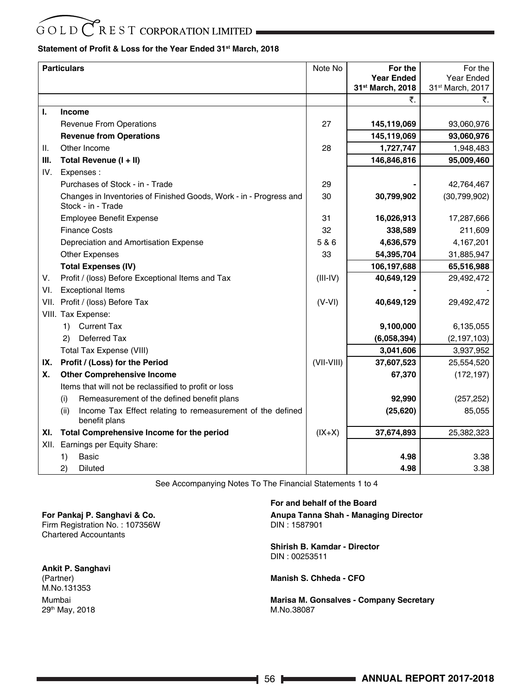# $G$ OLD $CR$ EST CORPORATION LIMITED

# **Statement of Profit & Loss for the Year Ended 31st March, 2018**

|      | <b>Particulars</b>                                                                       | Note No      | For the           | For the          |
|------|------------------------------------------------------------------------------------------|--------------|-------------------|------------------|
|      |                                                                                          |              | <b>Year Ended</b> | Year Ended       |
|      |                                                                                          |              | 31st March, 2018  | 31st March, 2017 |
|      |                                                                                          |              | ₹.                | ₹.               |
| L.   | <b>Income</b>                                                                            |              |                   |                  |
|      | <b>Revenue From Operations</b>                                                           | 27           | 145,119,069       | 93,060,976       |
|      | <b>Revenue from Operations</b>                                                           |              | 145,119,069       | 93,060,976       |
| II.  | Other Income                                                                             | 28           | 1,727,747         | 1,948,483        |
| III. | Total Revenue (I + II)                                                                   |              | 146,846,816       | 95,009,460       |
| IV.  | Expenses:                                                                                |              |                   |                  |
|      | Purchases of Stock - in - Trade                                                          | 29           |                   | 42,764,467       |
|      | Changes in Inventories of Finished Goods, Work - in - Progress and<br>Stock - in - Trade | 30           | 30,799,902        | (30,799,902)     |
|      | <b>Employee Benefit Expense</b>                                                          | 31           | 16,026,913        | 17,287,666       |
|      | <b>Finance Costs</b>                                                                     | 32           | 338,589           | 211,609          |
|      | Depreciation and Amortisation Expense                                                    | 5 & 6        | 4,636,579         | 4,167,201        |
|      | <b>Other Expenses</b>                                                                    | 33           | 54,395,704        | 31,885,947       |
|      | <b>Total Expenses (IV)</b>                                                               |              | 106,197,688       | 65,516,988       |
| V.   | Profit / (loss) Before Exceptional Items and Tax                                         | $(III - IV)$ | 40,649,129        | 29,492,472       |
| VI.  | <b>Exceptional Items</b>                                                                 |              |                   |                  |
| VII. | Profit / (loss) Before Tax                                                               | $(V - VI)$   | 40,649,129        | 29,492,472       |
|      | VIII. Tax Expense:                                                                       |              |                   |                  |
|      | <b>Current Tax</b><br>1)                                                                 |              | 9,100,000         | 6,135,055        |
|      | Deferred Tax<br>$\mathbf{2}$                                                             |              | (6,058,394)       | (2, 197, 103)    |
|      | <b>Total Tax Expense (VIII)</b>                                                          |              | 3,041,606         | 3,937,952        |
| IX.  | Profit / (Loss) for the Period                                                           | (VII-VIII)   | 37,607,523        | 25,554,520       |
| Х.   | <b>Other Comprehensive Income</b>                                                        |              | 67,370            | (172, 197)       |
|      | Items that will not be reclassified to profit or loss                                    |              |                   |                  |
|      | Remeasurement of the defined benefit plans<br>(i)                                        |              | 92,990            | (257, 252)       |
|      | Income Tax Effect relating to remeasurement of the defined<br>(ii)<br>benefit plans      |              | (25, 620)         | 85,055           |
| XI.  | Total Comprehensive Income for the period                                                | $(IX+X)$     | 37,674,893        | 25,382,323       |
| XII. | Earnings per Equity Share:                                                               |              |                   |                  |
|      | 1)<br><b>Basic</b>                                                                       |              | 4.98              | 3.38             |
|      | 2)<br><b>Diluted</b>                                                                     |              | 4.98              | 3.38             |

See Accompanying Notes To The Financial Statements 1 to 4

**For Pankaj P. Sanghavi & Co.** Firm Registration No. : 107356W Chartered Accountants

**Ankit P. Sanghavi** (Partner) M.No.131353 Mumbai 29th May, 2018

# **For and behalf of the Board Anupa Tanna Shah - Managing Director**  DIN : 1587901

**Shirish B. Kamdar - Director** DIN : 00253511

**Manish S. Chheda - CFO**

**Marisa M. Gonsalves - Company Secretary**  M.No.38087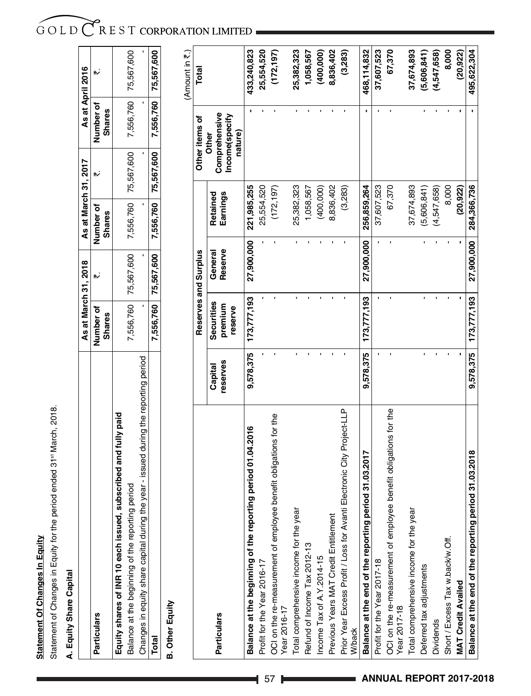# **Statement Of Changes In Equity Statement Of Changes In Equity**

Statement of Changes in Equity for the period ended 31st March, 2018. Statement of Changes in Equity for the period ended 31st March, 2018.

# A. Equity Share Capital **A. Equity Share Capital**

|                                                                                           |                            | As at March 31, 2018 | As at March 31, 2017                                                     | As at April 2016                  |                      |
|-------------------------------------------------------------------------------------------|----------------------------|----------------------|--------------------------------------------------------------------------|-----------------------------------|----------------------|
| <b>Particulars</b>                                                                        | lumber of<br><b>Shares</b> |                      | Number of<br><b>Shares</b>                                               | <b>Jumber of</b><br><b>Shares</b> |                      |
| Equity shares of INR 10 each issued, subscribed and fully paid                            |                            |                      |                                                                          |                                   |                      |
| period<br>Balance at the beginning of the reporting                                       |                            |                      | 7,556,760 75,567,600 7,556,760 75,567,600                                |                                   | 7,556,760 75,567,600 |
| e year - issued during the reporting period<br>Changes in equity share capital during the |                            |                      |                                                                          |                                   |                      |
| Total                                                                                     |                            |                      | 7,556,760   75,567,600   7,556,760   75,567,600   7,556,760   75,567,600 |                                   |                      |
|                                                                                           |                            |                      |                                                                          |                                   |                      |

# **B. Other Equity B. Other Equity**

(Amount in  $\overline{\mathfrak{r}}$ .) (Amount in  $\bar{\mathfrak{c}}$  .)

|                                                                                        |                     | Reserves and Surplus             |                    |                      | Other items of                                      | Total       |
|----------------------------------------------------------------------------------------|---------------------|----------------------------------|--------------------|----------------------|-----------------------------------------------------|-------------|
| <b>Particulars</b>                                                                     | reserves<br>Capital | Securities<br>premium<br>reserve | Reserve<br>General | Earnings<br>Retained | Comprehensive<br>Income(specify<br>nature)<br>Other |             |
| period 01.04.2016<br>Balance at the beginning of the reporting                         | 9,578,375           | 173,777,193                      | 27,900,000         | 221,985,255          |                                                     | 433,240,823 |
| Profit for the Year 2016-17                                                            |                     |                                  |                    | 25,554,520           |                                                     | 25,554,520  |
| OCI on the re-measurement of employee benefit obligations for the<br>Year 2016-17      |                     |                                  |                    | (172, 197)           |                                                     | (172, 197)  |
| Total comprehensive income for the year                                                |                     |                                  |                    | 25,382,323           |                                                     | 25,382,323  |
| Refund of Income Tax 2012-13                                                           |                     |                                  |                    | 1,058,567            |                                                     | 1,058,567   |
| Income Tax of A.Y.2014-15                                                              |                     |                                  |                    | (400,000)            |                                                     | (400,000)   |
| Previous Years MAT Credit Entitlement                                                  |                     |                                  |                    | 8,836,402            |                                                     | 8,836,402   |
| Prior Year Excess Profit / Loss for Avanti Electronic City Project-LLP<br><b>Whack</b> |                     |                                  |                    | (3,283)              |                                                     | (3,283)     |
| Balance at the end of the reporting period 31.03.2017                                  | 9,578,375           | 173,777,193                      | 27,900,000         | 256,859,264          |                                                     | 468,114,832 |
| Profit for the Year 2017-18                                                            |                     |                                  |                    | 37,607,523           |                                                     | 37,607,523  |
| OCI on the re-measurement of employee benefit obligations for the<br>Year 2017-18      |                     |                                  |                    | 67,370               |                                                     | 67,370      |
| Total comprehensive income for the year                                                |                     |                                  |                    | 37,674,893           |                                                     | 37,674,893  |
| Deferred tax adjustments                                                               |                     |                                  |                    | (5,606,841)          |                                                     | (5,606,841) |
| <b>Dividends</b>                                                                       |                     |                                  |                    | (4,547,658)          |                                                     | (4,547,658) |
| Short / Excess Tax w.back/w.Off.                                                       |                     |                                  |                    | 8,000                |                                                     | 8,000       |
| <b>MAT Credit Availed</b>                                                              |                     |                                  |                    | (20, 922)            |                                                     | (20, 922)   |
| Balance at the end of the reporting period 31.03.2018                                  | 9,578,375           | 173,777,193                      | 27,900,000         | 284,366,736          |                                                     | 495,622,304 |

# GOLD CREST CORPORATION LIMITED  $\overline{a}$

T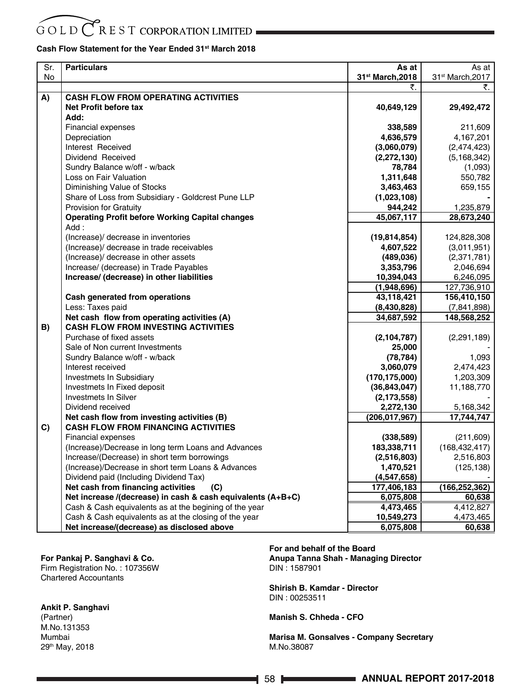# $G$ OLD $CR$ EST CORPORATION LIMITED

# **Cash Flow Statement for the Year Ended 31st March 2018**

| Sr. | <b>Particulars</b>                                          | As at                        | As at            |
|-----|-------------------------------------------------------------|------------------------------|------------------|
| No  |                                                             | 31 <sup>st</sup> March, 2018 | 31st March, 2017 |
|     |                                                             | ₹.                           | ₹.               |
| A)  | <b>CASH FLOW FROM OPERATING ACTIVITIES</b>                  |                              |                  |
|     | Net Profit before tax                                       | 40,649,129                   | 29,492,472       |
|     | Add:                                                        |                              |                  |
|     | <b>Financial expenses</b>                                   | 338,589                      | 211,609          |
|     | Depreciation                                                | 4,636,579                    | 4,167,201        |
|     | Interest Received                                           | (3,060,079)                  | (2,474,423)      |
|     | Dividend Received                                           | (2, 272, 130)                | (5, 168, 342)    |
|     | Sundry Balance w/off - w/back                               | 78,784                       | (1,093)          |
|     | Loss on Fair Valuation                                      | 1,311,648                    | 550,782          |
|     | Diminishing Value of Stocks                                 | 3,463,463                    | 659,155          |
|     | Share of Loss from Subsidiary - Goldcrest Pune LLP          | (1,023,108)                  |                  |
|     | Provision for Gratuity                                      | 944,242                      | 1,235,879        |
|     | <b>Operating Profit before Working Capital changes</b>      | 45,067,117                   | 28,673,240       |
|     | Add:                                                        |                              |                  |
|     | (Increase)/ decrease in inventories                         | (19, 814, 854)               | 124,828,308      |
|     | (Increase)/ decrease in trade receivables                   | 4,607,522                    | (3,011,951)      |
|     | (Increase)/ decrease in other assets                        | (489, 036)                   | (2,371,781)      |
|     | Increase/ (decrease) in Trade Payables                      | 3,353,796                    | 2,046,694        |
|     | Increase/ (decrease) in other liabilities                   | 10,394,043                   | 6,246,095        |
|     |                                                             | (1,948,696)                  | 127,736,910      |
|     | Cash generated from operations                              | 43,118,421                   | 156,410,150      |
|     | Less: Taxes paid                                            | (8,430,828)                  | (7,841,898)      |
|     | Net cash flow from operating activities (A)                 | 34,687,592                   | 148,568,252      |
| B)  | <b>CASH FLOW FROM INVESTING ACTIVITIES</b>                  |                              |                  |
|     | Purchase of fixed assets                                    | (2, 104, 787)                | (2, 291, 189)    |
|     | Sale of Non current Investments                             | 25,000                       |                  |
|     | Sundry Balance w/off - w/back                               | (78, 784)                    | 1,093            |
|     | Interest received                                           | 3,060,079                    | 2,474,423        |
|     | Investmets In Subsidiary                                    | (170, 175, 000)              | 1,203,309        |
|     | Investmets In Fixed deposit                                 | (36, 843, 047)               | 11,188,770       |
|     | <b>Investmets In Silver</b>                                 | (2, 173, 558)                |                  |
|     | Dividend received                                           | 2,272,130                    | 5,168,342        |
|     | Net cash flow from investing activities (B)                 | (206, 017, 967)              | 17,744,747       |
| C)  | <b>CASH FLOW FROM FINANCING ACTIVITIES</b>                  |                              |                  |
|     | <b>Financial expenses</b>                                   | (338, 589)                   | (211, 609)       |
|     | (Increase)/Decrease in long term Loans and Advances         | 183,338,711                  | (168, 432, 417)  |
|     | Increase/(Decrease) in short term borrowings                | (2,516,803)                  | 2,516,803        |
|     | (Increase)/Decrease in short term Loans & Advances          | 1,470,521                    | (125, 138)       |
|     | Dividend paid (Including Dividend Tax)                      | (4,547,658)                  |                  |
|     | Net cash from financing activities<br>(C)                   | 177,406,183                  | (166, 252, 362)  |
|     | Net increase /(decrease) in cash & cash equivalents (A+B+C) | 6,075,808                    | 60,638           |
|     | Cash & Cash equivalents as at the begining of the year      | 4,473,465                    | 4,412,827        |
|     | Cash & Cash equivalents as at the closing of the year       | 10,549,273                   | 4,473,465        |
|     | Net increase/(decrease) as disclosed above                  | 6,075,808                    | 60,638           |

# **For Pankaj P. Sanghavi & Co.**

Firm Registration No. : 107356W Chartered Accountants

# **Ankit P. Sanghavi**

(Partner) M.No.131353 Mumbai 29th May, 2018 **For and behalf of the Board Anupa Tanna Shah - Managing Director**  DIN : 1587901

**Shirish B. Kamdar - Director** DIN : 00253511

**Manish S. Chheda - CFO**

**Marisa M. Gonsalves - Company Secretary**  M.No.38087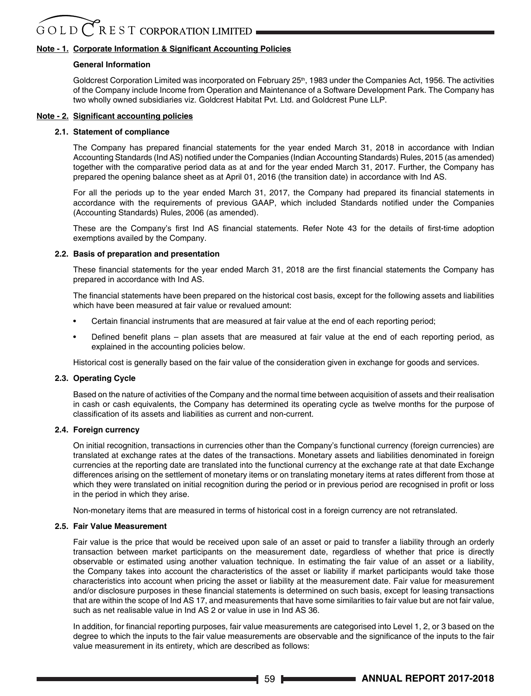# **Note - 1. Corporate Information & Significant Accounting Policies**

# **General Information**

Goldcrest Corporation Limited was incorporated on February 25<sup>th</sup>, 1983 under the Companies Act, 1956. The activities of the Company include Income from Operation and Maintenance of a Software Development Park. The Company has two wholly owned subsidiaries viz. Goldcrest Habitat Pvt. Ltd. and Goldcrest Pune LLP.

# **Note - 2. Significant accounting policies**

# **2.1. Statement of compliance**

The Company has prepared financial statements for the year ended March 31, 2018 in accordance with Indian Accounting Standards (Ind AS) notified under the Companies (Indian Accounting Standards) Rules, 2015 (as amended) together with the comparative period data as at and for the year ended March 31, 2017. Further, the Company has prepared the opening balance sheet as at April 01, 2016 (the transition date) in accordance with Ind AS.

For all the periods up to the year ended March 31, 2017, the Company had prepared its financial statements in accordance with the requirements of previous GAAP, which included Standards notified under the Companies (Accounting Standards) Rules, 2006 (as amended).

These are the Company's first Ind AS financial statements. Refer Note 43 for the details of first-time adoption exemptions availed by the Company.

# **2.2. Basis of preparation and presentation**

These financial statements for the year ended March 31, 2018 are the first financial statements the Company has prepared in accordance with Ind AS.

The financial statements have been prepared on the historical cost basis, except for the following assets and liabilities which have been measured at fair value or revalued amount:

- Certain financial instruments that are measured at fair value at the end of each reporting period;
- Defined benefit plans plan assets that are measured at fair value at the end of each reporting period, as explained in the accounting policies below.

Historical cost is generally based on the fair value of the consideration given in exchange for goods and services.

## **2.3. Operating Cycle**

 Based on the nature of activities of the Company and the normal time between acquisition of assets and their realisation in cash or cash equivalents, the Company has determined its operating cycle as twelve months for the purpose of classification of its assets and liabilities as current and non-current.

## **2.4. Foreign currency**

 On initial recognition, transactions in currencies other than the Company's functional currency (foreign currencies) are translated at exchange rates at the dates of the transactions. Monetary assets and liabilities denominated in foreign currencies at the reporting date are translated into the functional currency at the exchange rate at that date Exchange differences arising on the settlement of monetary items or on translating monetary items at rates different from those at which they were translated on initial recognition during the period or in previous period are recognised in profit or loss in the period in which they arise.

Non-monetary items that are measured in terms of historical cost in a foreign currency are not retranslated.

# **2.5. Fair Value Measurement**

 Fair value is the price that would be received upon sale of an asset or paid to transfer a liability through an orderly transaction between market participants on the measurement date, regardless of whether that price is directly observable or estimated using another valuation technique. In estimating the fair value of an asset or a liability, the Company takes into account the characteristics of the asset or liability if market participants would take those characteristics into account when pricing the asset or liability at the measurement date. Fair value for measurement and/or disclosure purposes in these financial statements is determined on such basis, except for leasing transactions that are within the scope of Ind AS 17, and measurements that have some similarities to fair value but are not fair value, such as net realisable value in Ind AS 2 or value in use in Ind AS 36.

In addition, for financial reporting purposes, fair value measurements are categorised into Level 1, 2, or 3 based on the degree to which the inputs to the fair value measurements are observable and the significance of the inputs to the fair value measurement in its entirety, which are described as follows: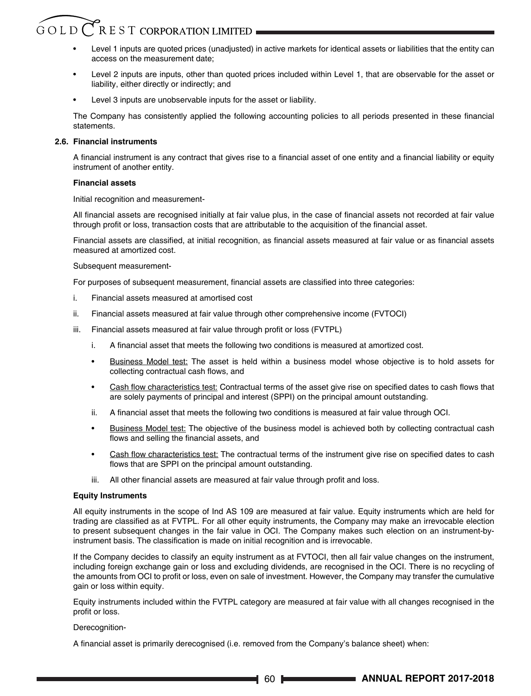# $\hat{G}$  O L D  $\bigcap$  R E S T CORPORATION LIMITED

- Level 1 inputs are quoted prices (unadjusted) in active markets for identical assets or liabilities that the entity can access on the measurement date;
- Level 2 inputs are inputs, other than quoted prices included within Level 1, that are observable for the asset or liability, either directly or indirectly; and
- Level 3 inputs are unobservable inputs for the asset or liability.

The Company has consistently applied the following accounting policies to all periods presented in these financial statements.

# **2.6. Financial instruments**

A financial instrument is any contract that gives rise to a financial asset of one entity and a financial liability or equity instrument of another entity.

# **Financial assets**

Initial recognition and measurement-

All financial assets are recognised initially at fair value plus, in the case of financial assets not recorded at fair value through profit or loss, transaction costs that are attributable to the acquisition of the financial asset.

Financial assets are classified, at initial recognition, as financial assets measured at fair value or as financial assets measured at amortized cost.

## Subsequent measurement-

For purposes of subsequent measurement, financial assets are classified into three categories:

- i. Financial assets measured at amortised cost
- ii. Financial assets measured at fair value through other comprehensive income (FVTOCI)
- iii. Financial assets measured at fair value through profit or loss (FVTPL)
	- i. A financial asset that meets the following two conditions is measured at amortized cost.
	- Business Model test: The asset is held within a business model whose objective is to hold assets for collecting contractual cash flows, and
	- Cash flow characteristics test: Contractual terms of the asset give rise on specified dates to cash flows that are solely payments of principal and interest (SPPI) on the principal amount outstanding.
	- ii. A financial asset that meets the following two conditions is measured at fair value through OCI.
	- Business Model test: The objective of the business model is achieved both by collecting contractual cash flows and selling the financial assets, and
	- Cash flow characteristics test: The contractual terms of the instrument give rise on specified dates to cash flows that are SPPI on the principal amount outstanding.
	- iii. All other financial assets are measured at fair value through profit and loss.

# **Equity Instruments**

 All equity instruments in the scope of Ind AS 109 are measured at fair value. Equity instruments which are held for trading are classified as at FVTPL. For all other equity instruments, the Company may make an irrevocable election to present subsequent changes in the fair value in OCI. The Company makes such election on an instrument-byinstrument basis. The classification is made on initial recognition and is irrevocable.

 If the Company decides to classify an equity instrument as at FVTOCI, then all fair value changes on the instrument, including foreign exchange gain or loss and excluding dividends, are recognised in the OCI. There is no recycling of the amounts from OCI to profit or loss, even on sale of investment. However, the Company may transfer the cumulative gain or loss within equity.

 Equity instruments included within the FVTPL category are measured at fair value with all changes recognised in the profit or loss.

## Derecognition-

A financial asset is primarily derecognised (i.e. removed from the Company's balance sheet) when: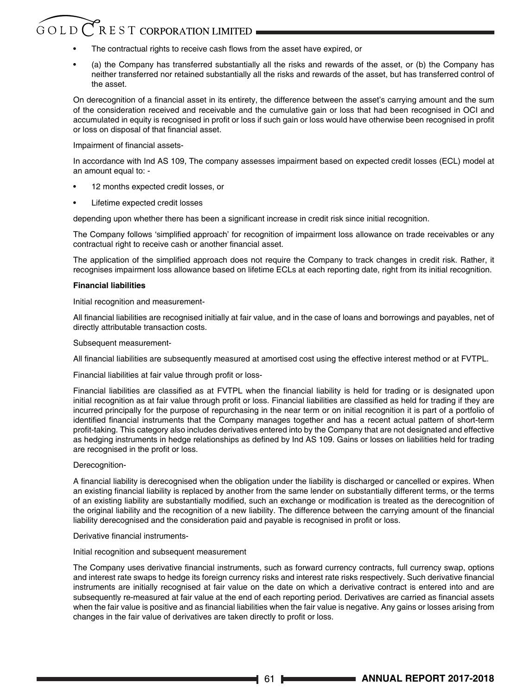# GOLD CREST CORPORATION LIMITED

- The contractual rights to receive cash flows from the asset have expired, or
- (a) the Company has transferred substantially all the risks and rewards of the asset, or (b) the Company has neither transferred nor retained substantially all the risks and rewards of the asset, but has transferred control of the asset.

On derecognition of a financial asset in its entirety, the difference between the asset's carrying amount and the sum of the consideration received and receivable and the cumulative gain or loss that had been recognised in OCI and accumulated in equity is recognised in profit or loss if such gain or loss would have otherwise been recognised in profit or loss on disposal of that financial asset.

## Impairment of financial assets-

 In accordance with Ind AS 109, The company assesses impairment based on expected credit losses (ECL) model at an amount equal to: -

- 12 months expected credit losses, or
- Lifetime expected credit losses

depending upon whether there has been a significant increase in credit risk since initial recognition.

The Company follows 'simplified approach' for recognition of impairment loss allowance on trade receivables or any contractual right to receive cash or another financial asset.

The application of the simplified approach does not require the Company to track changes in credit risk. Rather, it recognises impairment loss allowance based on lifetime ECLs at each reporting date, right from its initial recognition.

# **Financial liabilities**

Initial recognition and measurement-

All financial liabilities are recognised initially at fair value, and in the case of loans and borrowings and payables, net of directly attributable transaction costs.

Subsequent measurement-

All financial liabilities are subsequently measured at amortised cost using the effective interest method or at FVTPL.

Financial liabilities at fair value through profit or loss-

Financial liabilities are classified as at FVTPL when the financial liability is held for trading or is designated upon initial recognition as at fair value through profit or loss. Financial liabilities are classified as held for trading if they are incurred principally for the purpose of repurchasing in the near term or on initial recognition it is part of a portfolio of identified financial instruments that the Company manages together and has a recent actual pattern of short-term profit-taking. This category also includes derivatives entered into by the Company that are not designated and effective as hedging instruments in hedge relationships as defined by Ind AS 109. Gains or losses on liabilities held for trading are recognised in the profit or loss.

# Derecognition-

A financial liability is derecognised when the obligation under the liability is discharged or cancelled or expires. When an existing financial liability is replaced by another from the same lender on substantially different terms, or the terms of an existing liability are substantially modified, such an exchange or modification is treated as the derecognition of the original liability and the recognition of a new liability. The difference between the carrying amount of the financial liability derecognised and the consideration paid and payable is recognised in profit or loss.

## Derivative financial instruments-

## Initial recognition and subsequent measurement

The Company uses derivative financial instruments, such as forward currency contracts, full currency swap, options and interest rate swaps to hedge its foreign currency risks and interest rate risks respectively. Such derivative financial instruments are initially recognised at fair value on the date on which a derivative contract is entered into and are subsequently re-measured at fair value at the end of each reporting period. Derivatives are carried as financial assets when the fair value is positive and as financial liabilities when the fair value is negative. Any gains or losses arising from changes in the fair value of derivatives are taken directly to profit or loss.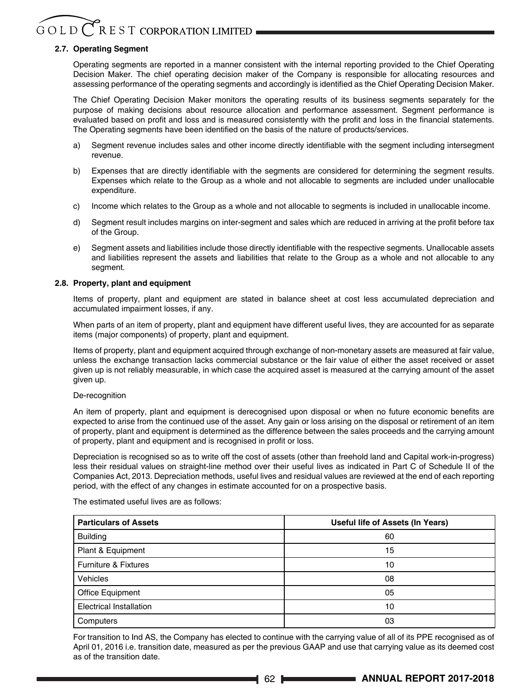# **2.7. Operating Segment**

 Operating segments are reported in a manner consistent with the internal reporting provided to the Chief Operating Decision Maker. The chief operating decision maker of the Company is responsible for allocating resources and assessing performance of the operating segments and accordingly is identified as the Chief Operating Decision Maker.

 The Chief Operating Decision Maker monitors the operating results of its business segments separately for the purpose of making decisions about resource allocation and performance assessment. Segment performance is evaluated based on profit and loss and is measured consistently with the profit and loss in the financial statements. The Operating segments have been identified on the basis of the nature of products/services.

- a) Segment revenue includes sales and other income directly identifiable with the segment including intersegment revenue.
- b) Expenses that are directly identifiable with the segments are considered for determining the segment results. Expenses which relate to the Group as a whole and not allocable to segments are included under unallocable expenditure.
- c) Income which relates to the Group as a whole and not allocable to segments is included in unallocable income.
- d) Segment result includes margins on inter-segment and sales which are reduced in arriving at the profit before tax of the Group.
- e) Segment assets and liabilities include those directly identifiable with the respective segments. Unallocable assets and liabilities represent the assets and liabilities that relate to the Group as a whole and not allocable to any seament.

## **2.8. Property, plant and equipment**

 Items of property, plant and equipment are stated in balance sheet at cost less accumulated depreciation and accumulated impairment losses, if any.

 When parts of an item of property, plant and equipment have different useful lives, they are accounted for as separate items (major components) of property, plant and equipment.

 Items of property, plant and equipment acquired through exchange of non-monetary assets are measured at fair value, unless the exchange transaction lacks commercial substance or the fair value of either the asset received or asset given up is not reliably measurable, in which case the acquired asset is measured at the carrying amount of the asset given up.

## De-recognition

An item of property, plant and equipment is derecognised upon disposal or when no future economic benefits are expected to arise from the continued use of the asset. Any gain or loss arising on the disposal or retirement of an item of property, plant and equipment is determined as the difference between the sales proceeds and the carrying amount of property, plant and equipment and is recognised in profit or loss.

 Depreciation is recognised so as to write off the cost of assets (other than freehold land and Capital work-in-progress) less their residual values on straight-line method over their useful lives as indicated in Part C of Schedule II of the Companies Act, 2013. Depreciation methods, useful lives and residual values are reviewed at the end of each reporting period, with the effect of any changes in estimate accounted for on a prospective basis.

The estimated useful lives are as follows:

| <b>Particulars of Assets</b>   | Useful life of Assets (In Years) |  |
|--------------------------------|----------------------------------|--|
| <b>Building</b>                | 60                               |  |
| Plant & Equipment              | 15                               |  |
| Furniture & Fixtures           | 10                               |  |
| Vehicles                       | 08                               |  |
| Office Equipment               | 05                               |  |
| <b>Electrical Installation</b> | 10                               |  |
| Computers                      | 03                               |  |

 For transition to Ind AS, the Company has elected to continue with the carrying value of all of its PPE recognised as of April 01, 2016 i.e. transition date, measured as per the previous GAAP and use that carrying value as its deemed cost as of the transition date.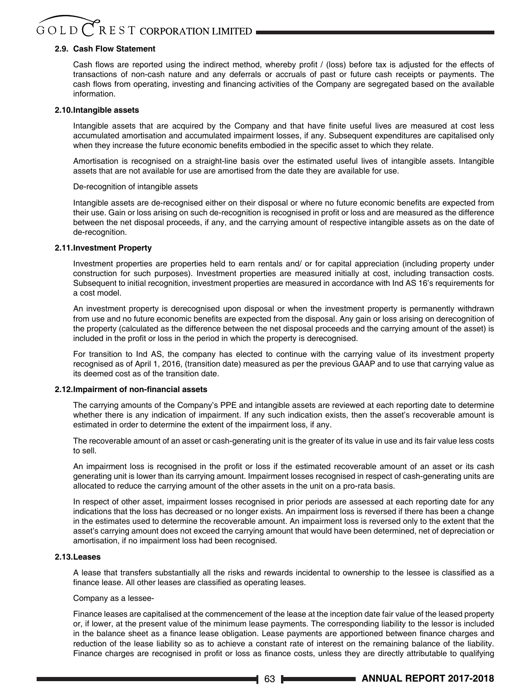# GOLD CREST CORPORATION LIMITED

# **2.9. Cash Flow Statement**

Cash flows are reported using the indirect method, whereby profit / (loss) before tax is adjusted for the effects of transactions of non-cash nature and any deferrals or accruals of past or future cash receipts or payments. The cash flows from operating, investing and financing activities of the Company are segregated based on the available information.

## **2.10.Intangible assets**

Intangible assets that are acquired by the Company and that have finite useful lives are measured at cost less accumulated amortisation and accumulated impairment losses, if any. Subsequent expenditures are capitalised only when they increase the future economic benefits embodied in the specific asset to which they relate.

 Amortisation is recognised on a straight-line basis over the estimated useful lives of intangible assets. Intangible assets that are not available for use are amortised from the date they are available for use.

#### De-recognition of intangible assets

Intangible assets are de-recognised either on their disposal or where no future economic benefits are expected from their use. Gain or loss arising on such de-recognition is recognised in profit or loss and are measured as the difference between the net disposal proceeds, if any, and the carrying amount of respective intangible assets as on the date of de-recognition.

#### **2.11.Investment Property**

 Investment properties are properties held to earn rentals and/ or for capital appreciation (including property under construction for such purposes). Investment properties are measured initially at cost, including transaction costs. Subsequent to initial recognition, investment properties are measured in accordance with Ind AS 16's requirements for a cost model.

 An investment property is derecognised upon disposal or when the investment property is permanently withdrawn from use and no future economic benefits are expected from the disposal. Any gain or loss arising on derecognition of the property (calculated as the difference between the net disposal proceeds and the carrying amount of the asset) is included in the profit or loss in the period in which the property is derecognised.

 For transition to Ind AS, the company has elected to continue with the carrying value of its investment property recognised as of April 1, 2016, (transition date) measured as per the previous GAAP and to use that carrying value as its deemed cost as of the transition date.

## **2.12.Impairment of non-financial assets**

 The carrying amounts of the Company's PPE and intangible assets are reviewed at each reporting date to determine whether there is any indication of impairment. If any such indication exists, then the asset's recoverable amount is estimated in order to determine the extent of the impairment loss, if any.

 The recoverable amount of an asset or cash-generating unit is the greater of its value in use and its fair value less costs to sell.

An impairment loss is recognised in the profit or loss if the estimated recoverable amount of an asset or its cash generating unit is lower than its carrying amount. Impairment losses recognised in respect of cash-generating units are allocated to reduce the carrying amount of the other assets in the unit on a pro-rata basis.

 In respect of other asset, impairment losses recognised in prior periods are assessed at each reporting date for any indications that the loss has decreased or no longer exists. An impairment loss is reversed if there has been a change in the estimates used to determine the recoverable amount. An impairment loss is reversed only to the extent that the asset's carrying amount does not exceed the carrying amount that would have been determined, net of depreciation or amortisation, if no impairment loss had been recognised.

## **2.13.Leases**

A lease that transfers substantially all the risks and rewards incidental to ownership to the lessee is classified as a finance lease. All other leases are classified as operating leases.

# Company as a lessee-

 Finance leases are capitalised at the commencement of the lease at the inception date fair value of the leased property or, if lower, at the present value of the minimum lease payments. The corresponding liability to the lessor is included in the balance sheet as a finance lease obligation. Lease payments are apportioned between finance charges and reduction of the lease liability so as to achieve a constant rate of interest on the remaining balance of the liability. Finance charges are recognised in profit or loss as finance costs, unless they are directly attributable to qualifying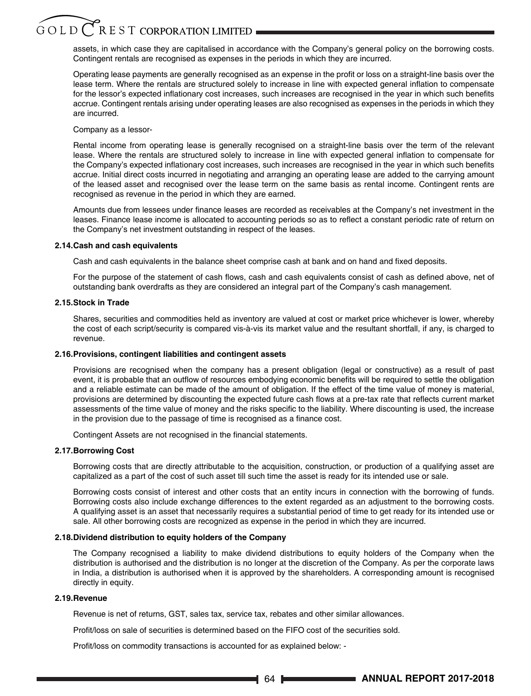# $G$  O L D  $\bigcap$  R E S T CORPORATION LIMITED

assets, in which case they are capitalised in accordance with the Company's general policy on the borrowing costs. Contingent rentals are recognised as expenses in the periods in which they are incurred.

Operating lease payments are generally recognised as an expense in the profit or loss on a straight-line basis over the lease term. Where the rentals are structured solely to increase in line with expected general inflation to compensate for the lessor's expected inflationary cost increases, such increases are recognised in the year in which such benefits accrue. Contingent rentals arising under operating leases are also recognised as expenses in the periods in which they are incurred.

Company as a lessor-

 Rental income from operating lease is generally recognised on a straight-line basis over the term of the relevant lease. Where the rentals are structured solely to increase in line with expected general inflation to compensate for the Company's expected inflationary cost increases, such increases are recognised in the year in which such benefits accrue. Initial direct costs incurred in negotiating and arranging an operating lease are added to the carrying amount of the leased asset and recognised over the lease term on the same basis as rental income. Contingent rents are recognised as revenue in the period in which they are earned.

Amounts due from lessees under finance leases are recorded as receivables at the Company's net investment in the leases. Finance lease income is allocated to accounting periods so as to reflect a constant periodic rate of return on the Company's net investment outstanding in respect of the leases.

#### **2.14.Cash and cash equivalents**

Cash and cash equivalents in the balance sheet comprise cash at bank and on hand and fixed deposits.

For the purpose of the statement of cash flows, cash and cash equivalents consist of cash as defined above, net of outstanding bank overdrafts as they are considered an integral part of the Company's cash management.

#### **2.15.Stock in Trade**

 Shares, securities and commodities held as inventory are valued at cost or market price whichever is lower, whereby the cost of each script/security is compared vis-à-vis its market value and the resultant shortfall, if any, is charged to revenue.

## **2.16.Provisions, contingent liabilities and contingent assets**

 Provisions are recognised when the company has a present obligation (legal or constructive) as a result of past event, it is probable that an outflow of resources embodying economic benefits will be required to settle the obligation and a reliable estimate can be made of the amount of obligation. If the effect of the time value of money is material, provisions are determined by discounting the expected future cash flows at a pre-tax rate that reflects current market assessments of the time value of money and the risks specific to the liability. Where discounting is used, the increase in the provision due to the passage of time is recognised as a finance cost.

Contingent Assets are not recognised in the financial statements.

## **2.17.Borrowing Cost**

 Borrowing costs that are directly attributable to the acquisition, construction, or production of a qualifying asset are capitalized as a part of the cost of such asset till such time the asset is ready for its intended use or sale.

 Borrowing costs consist of interest and other costs that an entity incurs in connection with the borrowing of funds. Borrowing costs also include exchange differences to the extent regarded as an adjustment to the borrowing costs. A qualifying asset is an asset that necessarily requires a substantial period of time to get ready for its intended use or sale. All other borrowing costs are recognized as expense in the period in which they are incurred.

## **2.18.Dividend distribution to equity holders of the Company**

 The Company recognised a liability to make dividend distributions to equity holders of the Company when the distribution is authorised and the distribution is no longer at the discretion of the Company. As per the corporate laws in India, a distribution is authorised when it is approved by the shareholders. A corresponding amount is recognised directly in equity.

## **2.19.Revenue**

Revenue is net of returns, GST, sales tax, service tax, rebates and other similar allowances.

Profit/loss on sale of securities is determined based on the FIFO cost of the securities sold.

Profit/loss on commodity transactions is accounted for as explained below: -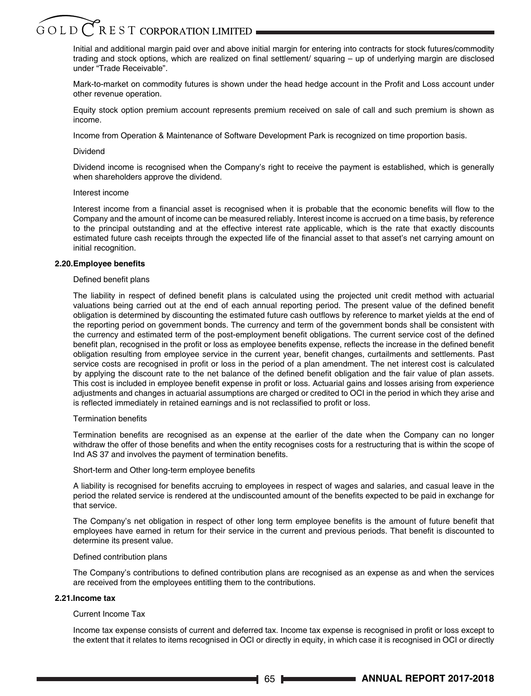Initial and additional margin paid over and above initial margin for entering into contracts for stock futures/commodity trading and stock options, which are realized on final settlement/ squaring – up of underlying margin are disclosed under "Trade Receivable".

Mark-to-market on commodity futures is shown under the head hedge account in the Profit and Loss account under other revenue operation.

 Equity stock option premium account represents premium received on sale of call and such premium is shown as income.

Income from Operation & Maintenance of Software Development Park is recognized on time proportion basis.

#### Dividend

 Dividend income is recognised when the Company's right to receive the payment is established, which is generally when shareholders approve the dividend.

#### Interest income

Interest income from a financial asset is recognised when it is probable that the economic benefits will flow to the Company and the amount of income can be measured reliably. Interest income is accrued on a time basis, by reference to the principal outstanding and at the effective interest rate applicable, which is the rate that exactly discounts estimated future cash receipts through the expected life of the financial asset to that asset's net carrying amount on initial recognition.

#### **2.20.Employee benefits**

## Defined benefit plans

The liability in respect of defined benefit plans is calculated using the projected unit credit method with actuarial valuations being carried out at the end of each annual reporting period. The present value of the defined benefit obligation is determined by discounting the estimated future cash outflows by reference to market yields at the end of the reporting period on government bonds. The currency and term of the government bonds shall be consistent with the currency and estimated term of the post-employment benefit obligations. The current service cost of the defined benefit plan, recognised in the profit or loss as employee benefits expense, reflects the increase in the defined benefit obligation resulting from employee service in the current year, benefit changes, curtailments and settlements. Past service costs are recognised in profit or loss in the period of a plan amendment. The net interest cost is calculated by applying the discount rate to the net balance of the defined benefit obligation and the fair value of plan assets. This cost is included in employee benefit expense in profit or loss. Actuarial gains and losses arising from experience adjustments and changes in actuarial assumptions are charged or credited to OCI in the period in which they arise and is reflected immediately in retained earnings and is not reclassified to profit or loss.

#### Termination benefits

Termination benefits are recognised as an expense at the earlier of the date when the Company can no longer withdraw the offer of those benefits and when the entity recognises costs for a restructuring that is within the scope of Ind AS 37 and involves the payment of termination benefits.

#### Short-term and Other long-term employee benefits

A liability is recognised for benefits accruing to employees in respect of wages and salaries, and casual leave in the period the related service is rendered at the undiscounted amount of the benefits expected to be paid in exchange for that service.

The Company's net obligation in respect of other long term employee benefits is the amount of future benefit that employees have earned in return for their service in the current and previous periods. That benefit is discounted to determine its present value.

#### Defined contribution plans

The Company's contributions to defined contribution plans are recognised as an expense as and when the services are received from the employees entitling them to the contributions.

# **2.21.Income tax**

## Current Income Tax

Income tax expense consists of current and deferred tax. Income tax expense is recognised in profit or loss except to the extent that it relates to items recognised in OCI or directly in equity, in which case it is recognised in OCI or directly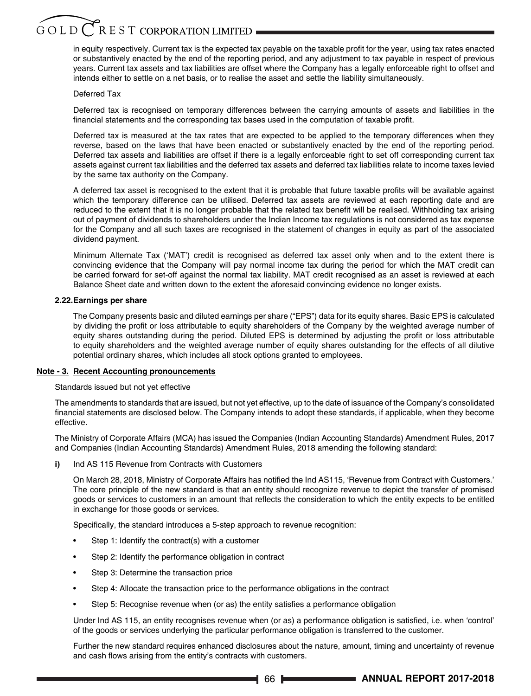# $G$ OLD $CR$ EST CORPORATION LIMITED

in equity respectively. Current tax is the expected tax payable on the taxable profit for the year, using tax rates enacted or substantively enacted by the end of the reporting period, and any adjustment to tax payable in respect of previous years. Current tax assets and tax liabilities are offset where the Company has a legally enforceable right to offset and intends either to settle on a net basis, or to realise the asset and settle the liability simultaneously.

## Deferred Tax

 Deferred tax is recognised on temporary differences between the carrying amounts of assets and liabilities in the financial statements and the corresponding tax bases used in the computation of taxable profit.

 Deferred tax is measured at the tax rates that are expected to be applied to the temporary differences when they reverse, based on the laws that have been enacted or substantively enacted by the end of the reporting period. Deferred tax assets and liabilities are offset if there is a legally enforceable right to set off corresponding current tax assets against current tax liabilities and the deferred tax assets and deferred tax liabilities relate to income taxes levied by the same tax authority on the Company.

A deferred tax asset is recognised to the extent that it is probable that future taxable profits will be available against which the temporary difference can be utilised. Deferred tax assets are reviewed at each reporting date and are reduced to the extent that it is no longer probable that the related tax benefit will be realised. Withholding tax arising out of payment of dividends to shareholders under the Indian Income tax regulations is not considered as tax expense for the Company and all such taxes are recognised in the statement of changes in equity as part of the associated dividend payment.

 Minimum Alternate Tax ('MAT') credit is recognised as deferred tax asset only when and to the extent there is convincing evidence that the Company will pay normal income tax during the period for which the MAT credit can be carried forward for set-off against the normal tax liability. MAT credit recognised as an asset is reviewed at each Balance Sheet date and written down to the extent the aforesaid convincing evidence no longer exists.

# **2.22.Earnings per share**

 The Company presents basic and diluted earnings per share ("EPS") data for its equity shares. Basic EPS is calculated by dividing the profit or loss attributable to equity shareholders of the Company by the weighted average number of equity shares outstanding during the period. Diluted EPS is determined by adjusting the profit or loss attributable to equity shareholders and the weighted average number of equity shares outstanding for the effects of all dilutive potential ordinary shares, which includes all stock options granted to employees.

## **Note - 3. Recent Accounting pronouncements**

Standards issued but not yet effective

The amendments to standards that are issued, but not yet effective, up to the date of issuance of the Company's consolidated financial statements are disclosed below. The Company intends to adopt these standards, if applicable, when they become effective.

The Ministry of Corporate Affairs (MCA) has issued the Companies (Indian Accounting Standards) Amendment Rules, 2017 and Companies (Indian Accounting Standards) Amendment Rules, 2018 amending the following standard:

**i)** Ind AS 115 Revenue from Contracts with Customers

On March 28, 2018, Ministry of Corporate Affairs has notified the Ind AS115, 'Revenue from Contract with Customers.' The core principle of the new standard is that an entity should recognize revenue to depict the transfer of promised goods or services to customers in an amount that reflects the consideration to which the entity expects to be entitled in exchange for those goods or services.

Specifically, the standard introduces a 5-step approach to revenue recognition:

- Step 1: Identify the contract(s) with a customer
- Step 2: Identify the performance obligation in contract
- Step 3: Determine the transaction price
- Step 4: Allocate the transaction price to the performance obligations in the contract
- Step 5: Recognise revenue when (or as) the entity satisfies a performance obligation

Under Ind AS 115, an entity recognises revenue when (or as) a performance obligation is satisfied, i.e. when 'control' of the goods or services underlying the particular performance obligation is transferred to the customer.

 Further the new standard requires enhanced disclosures about the nature, amount, timing and uncertainty of revenue and cash flows arising from the entity's contracts with customers.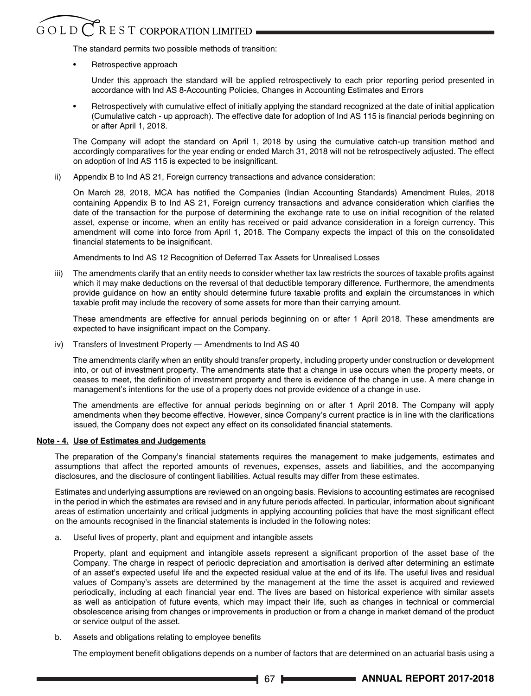# $\overset{\sim}{\mathcal{G}} \mathcal{O} L \mathcal{D}$   $\overset{\sim}{\mathcal{C}}$  R E S T CORPORATION LIMITED .

The standard permits two possible methods of transition:

• Retrospective approach

 Under this approach the standard will be applied retrospectively to each prior reporting period presented in accordance with Ind AS 8-Accounting Policies, Changes in Accounting Estimates and Errors

• Retrospectively with cumulative effect of initially applying the standard recognized at the date of initial application (Cumulative catch - up approach). The effective date for adoption of Ind AS 115 is financial periods beginning on or after April 1, 2018.

 The Company will adopt the standard on April 1, 2018 by using the cumulative catch-up transition method and accordingly comparatives for the year ending or ended March 31, 2018 will not be retrospectively adjusted. The effect on adoption of Ind AS 115 is expected to be insignificant.

ii) Appendix B to Ind AS 21, Foreign currency transactions and advance consideration:

On March 28, 2018, MCA has notified the Companies (Indian Accounting Standards) Amendment Rules, 2018 containing Appendix B to Ind AS 21, Foreign currency transactions and advance consideration which clarifies the date of the transaction for the purpose of determining the exchange rate to use on initial recognition of the related asset, expense or income, when an entity has received or paid advance consideration in a foreign currency. This amendment will come into force from April 1, 2018. The Company expects the impact of this on the consolidated financial statements to be insignificant.

Amendments to Ind AS 12 Recognition of Deferred Tax Assets for Unrealised Losses

iii) The amendments clarify that an entity needs to consider whether tax law restricts the sources of taxable profits against which it may make deductions on the reversal of that deductible temporary difference. Furthermore, the amendments provide guidance on how an entity should determine future taxable profits and explain the circumstances in which taxable profit may include the recovery of some assets for more than their carrying amount.

 These amendments are effective for annual periods beginning on or after 1 April 2018. These amendments are expected to have insignificant impact on the Company.

iv) Transfers of Investment Property — Amendments to Ind AS 40

 The amendments clarify when an entity should transfer property, including property under construction or development into, or out of investment property. The amendments state that a change in use occurs when the property meets, or ceases to meet, the definition of investment property and there is evidence of the change in use. A mere change in management's intentions for the use of a property does not provide evidence of a change in use.

 The amendments are effective for annual periods beginning on or after 1 April 2018. The Company will apply amendments when they become effective. However, since Company's current practice is in line with the clarifications issued, the Company does not expect any effect on its consolidated financial statements.

# **Note - 4. Use of Estimates and Judgements**

The preparation of the Company's financial statements requires the management to make judgements, estimates and assumptions that affect the reported amounts of revenues, expenses, assets and liabilities, and the accompanying disclosures, and the disclosure of contingent liabilities. Actual results may differ from these estimates.

Estimates and underlying assumptions are reviewed on an ongoing basis. Revisions to accounting estimates are recognised in the period in which the estimates are revised and in any future periods affected. In particular, information about significant areas of estimation uncertainty and critical judgments in applying accounting policies that have the most significant effect on the amounts recognised in the financial statements is included in the following notes:

a. Useful lives of property, plant and equipment and intangible assets

Property, plant and equipment and intangible assets represent a significant proportion of the asset base of the Company. The charge in respect of periodic depreciation and amortisation is derived after determining an estimate of an asset's expected useful life and the expected residual value at the end of its life. The useful lives and residual values of Company's assets are determined by the management at the time the asset is acquired and reviewed periodically, including at each financial year end. The lives are based on historical experience with similar assets as well as anticipation of future events, which may impact their life, such as changes in technical or commercial obsolescence arising from changes or improvements in production or from a change in market demand of the product or service output of the asset.

b. Assets and obligations relating to employee benefits

The employment benefit obligations depends on a number of factors that are determined on an actuarial basis using a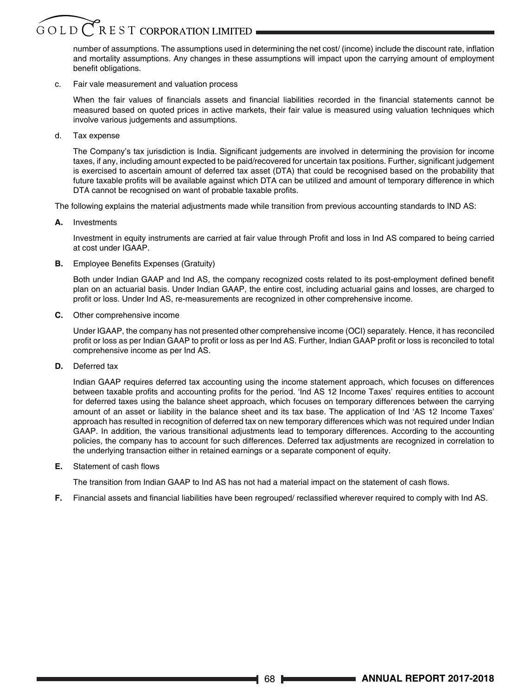### $G$  O L D  $C$  R E S T CORPORATION LIMITED

number of assumptions. The assumptions used in determining the net cost/ (income) include the discount rate, inflation and mortality assumptions. Any changes in these assumptions will impact upon the carrying amount of employment benefit obligations.

c. Fair vale measurement and valuation process

When the fair values of financials assets and financial liabilities recorded in the financial statements cannot be measured based on quoted prices in active markets, their fair value is measured using valuation techniques which involve various judgements and assumptions.

d. Tax expense

The Company's tax jurisdiction is India. Significant judgements are involved in determining the provision for income taxes, if any, including amount expected to be paid/recovered for uncertain tax positions. Further, significant judgement is exercised to ascertain amount of deferred tax asset (DTA) that could be recognised based on the probability that future taxable profits will be available against which DTA can be utilized and amount of temporary difference in which DTA cannot be recognised on want of probable taxable profits.

The following explains the material adjustments made while transition from previous accounting standards to IND AS:

**A.** Investments

Investment in equity instruments are carried at fair value through Profit and loss in Ind AS compared to being carried at cost under IGAAP.

**B.** Employee Benefits Expenses (Gratuity)

Both under Indian GAAP and Ind AS, the company recognized costs related to its post-employment defined benefit plan on an actuarial basis. Under Indian GAAP, the entire cost, including actuarial gains and losses, are charged to profit or loss. Under Ind AS, re-measurements are recognized in other comprehensive income.

**C.** Other comprehensive income

 Under IGAAP, the company has not presented other comprehensive income (OCI) separately. Hence, it has reconciled profit or loss as per Indian GAAP to profit or loss as per Ind AS. Further, Indian GAAP profit or loss is reconciled to total comprehensive income as per Ind AS.

**D.** Deferred tax

 Indian GAAP requires deferred tax accounting using the income statement approach, which focuses on differences between taxable profits and accounting profits for the period. 'Ind AS 12 Income Taxes' requires entities to account for deferred taxes using the balance sheet approach, which focuses on temporary differences between the carrying amount of an asset or liability in the balance sheet and its tax base. The application of Ind 'AS 12 Income Taxes' approach has resulted in recognition of deferred tax on new temporary differences which was not required under Indian GAAP. In addition, the various transitional adjustments lead to temporary differences. According to the accounting policies, the company has to account for such differences. Deferred tax adjustments are recognized in correlation to the underlying transaction either in retained earnings or a separate component of equity.

**E.** Statement of cash flows

The transition from Indian GAAP to Ind AS has not had a material impact on the statement of cash flows.

**F.** Financial assets and financial liabilities have been regrouped/ reclassified wherever required to comply with Ind AS.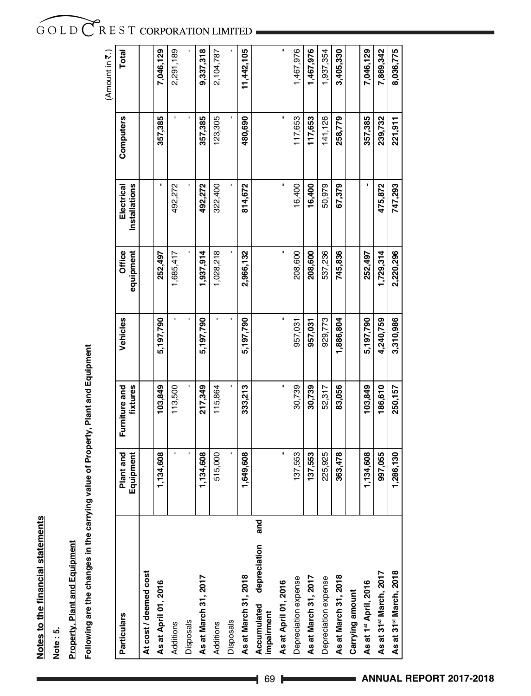Notes to the financial statements **Notes to the financial statements**

Note: 5. **Note : 5.**

# **Property, Plant and Equipment Property, Plant and Equipment**

Following are the changes in the carrying value of Property, Plant and Equipment **Following are the changes in the carrying value of Property, Plant and Equipment**

|                                                  |                        |                           |           |                     |                             |           | (Amount in 7.) |
|--------------------------------------------------|------------------------|---------------------------|-----------|---------------------|-----------------------------|-----------|----------------|
| Particulars                                      | Plant and<br>Equipment | Furniture and<br>fixtures | Vehicles  | equipment<br>Office | Installations<br>Electrical | Computers | Total          |
| At cost / deemed cost                            |                        |                           |           |                     |                             |           |                |
| As at April 01, 2016                             | 1,134,608              | 103,849                   | 5,197,790 | 252,497             |                             | 357,385   | 7,046,129      |
| Additions                                        |                        | 113,500                   |           | 1,685,417           | 492,272                     |           | 2,291,189      |
| Disposals                                        |                        |                           |           |                     |                             |           |                |
| As at March 31, 2017                             | 1,134,608              | 217,349                   | 5,197,790 | 1,937,914           | 492,272                     | 357,385   | 9,337,318      |
| Additions                                        | 515,000                | 115,864                   |           | 1,028,218           | 322,400                     | 123,305   | 2,104,787      |
| Disposals                                        |                        |                           |           |                     |                             |           |                |
| As at March 31, 2018                             | 1,649,608              | 333,213                   | 5,197,790 | 2,966,132           | 814,672                     | 480,690   | 11,442,105     |
| and<br>depreciation<br>Accumulated<br>impairment |                        |                           |           |                     |                             |           |                |
| As at April 01, 2016                             |                        |                           |           |                     |                             |           |                |
| Depreciation expense                             | 137,553                | 30,739                    | 957,031   | 208,600             | 16,400                      | 117,653   | 1,467,976      |
| As at March 31, 2017                             | 137,553                | 30,739                    | 957,031   | 208,600             | 16,400                      | 117,653   | 1,467,976      |
| Depreciation expense                             | 225,925                | 52,317                    | 929,773   | 537,236             | 50,979                      | 141,126   | 1,937,354      |
| As at March 31, 2018                             | 363,478                | 83,056                    | 1,886,804 | 745,836             | 67,379                      | 258,779   | 3,405,330      |
| Carrying amount                                  |                        |                           |           |                     |                             |           |                |
| As at 1st April, 2016                            | 1,134,608              | 103,849                   | 5,197,790 | 252,497             |                             | 357,385   | 7,046,129      |
| As at 31 <sup>st</sup> March, 2017               | 997,055                | 186,610                   | 4,240,759 | 1,729,314           | 475,872                     | 239,732   | 7,869,342      |
| As at 31 <sup>st</sup> March, 2018               | 1,286,130              | 250,157                   | 3,310,986 | 2,220,296           | 747,293                     | 221,911   | 8,036,775      |

## GOLD CREST CORPORATION LIMITED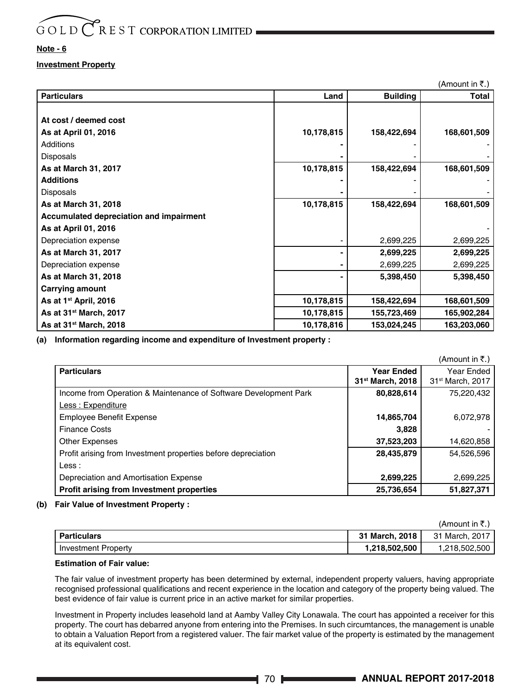#### **Note - 6**

#### **Investment Property**

|                                                |            |                 | (Amount in ₹.) |
|------------------------------------------------|------------|-----------------|----------------|
| Particulars                                    | Land       | <b>Building</b> | Total          |
| At cost / deemed cost                          |            |                 |                |
|                                                |            |                 |                |
| As at April 01, 2016                           | 10,178,815 | 158,422,694     | 168,601,509    |
| Additions                                      |            |                 |                |
| Disposals                                      |            |                 |                |
| As at March 31, 2017                           | 10,178,815 | 158,422,694     | 168,601,509    |
| Additions                                      |            |                 |                |
| Disposals                                      |            |                 |                |
| As at March 31, 2018                           | 10,178,815 | 158,422,694     | 168,601,509    |
| <b>Accumulated depreciation and impairment</b> |            |                 |                |
| As at April 01, 2016                           |            |                 |                |
| Depreciation expense                           |            | 2,699,225       | 2,699,225      |
| As at March 31, 2017                           |            | 2,699,225       | 2,699,225      |
| Depreciation expense                           |            | 2,699,225       | 2,699,225      |
| As at March 31, 2018                           |            | 5,398,450       | 5,398,450      |
| Carrying amount                                |            |                 |                |
| As at 1 <sup>st</sup> April, 2016              | 10,178,815 | 158,422,694     | 168,601,509    |
| As at 31 <sup>st</sup> March, 2017             | 10,178,815 | 155,723,469     | 165,902,284    |
| As at 31 <sup>st</sup> March, 2018             | 10,178,816 | 153,024,245     | 163,203,060    |

**(a) Information regarding income and expenditure of Investment property :**

|                                                                  |                              | (Amount in ₹.)               |
|------------------------------------------------------------------|------------------------------|------------------------------|
| <b>Particulars</b>                                               | Year Ended                   | Year Ended                   |
|                                                                  | 31 <sup>st</sup> March, 2018 | 31 <sup>st</sup> March, 2017 |
| Income from Operation & Maintenance of Software Development Park | 80,828,614                   | 75,220,432                   |
| Less: Expenditure                                                |                              |                              |
| <b>Employee Benefit Expense</b>                                  | 14,865,704                   | 6,072,978                    |
| <b>Finance Costs</b>                                             | 3,828                        |                              |
| <b>Other Expenses</b>                                            | 37,523,203                   | 14,620,858                   |
| Profit arising from Investment properties before depreciation    | 28,435,879                   | 54.526.596                   |
| Less:                                                            |                              |                              |
| Depreciation and Amortisation Expense                            | 2,699,225                    | 2,699,225                    |
| Profit arising from Investment properties                        | 25,736,654                   | 51,827,371                   |

#### **(b) Fair Value of Investment Property :**

|                            |                | TATIQUITE III N.J. |
|----------------------------|----------------|--------------------|
| <b>Particulars</b>         | 31 March, 2018 | 31 March, 2017     |
| <b>Investment Property</b> | 1.218.502.500  | 1.218.502.500      |

#### **Estimation of Fair value:**

The fair value of investment property has been determined by external, independent property valuers, having appropriate recognised professional qualifications and recent experience in the location and category of the property being valued. The best evidence of fair value is current price in an active market for similar properties.

Investment in Property includes leasehold land at Aamby Valley City Lonawala. The court has appointed a receiver for this property. The court has debarred anyone from entering into the Premises. In such circumtances, the management is unable to obtain a Valuation Report from a registered valuer. The fair market value of the property is estimated by the management at its equivalent cost.

 $(Amount in  $\overline{5}$ )$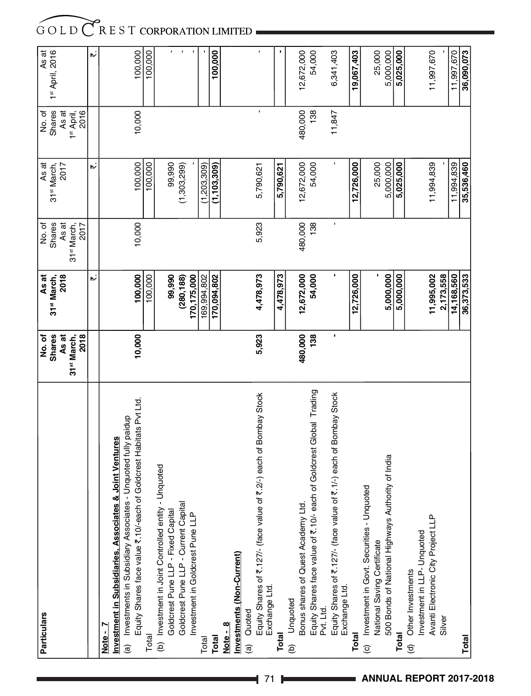| <b>Particulars</b>                                                                      | No.of                           | As at                   | No. of                          | As at                   | No.of                          | As at           |
|-----------------------------------------------------------------------------------------|---------------------------------|-------------------------|---------------------------------|-------------------------|--------------------------------|-----------------|
|                                                                                         | <b>Shares</b>                   | 31 <sup>st</sup> March, | <b>Shares</b>                   | 31 <sup>st</sup> March, | <b>Shares</b>                  | 1st April, 2016 |
|                                                                                         | As at                           | 2018                    | As at                           | 2017                    | As at                          |                 |
|                                                                                         | 2018<br>31 <sup>st</sup> March, |                         | 31 <sup>st</sup> March,<br>2017 |                         | 2016<br>1 <sup>st</sup> April, |                 |
|                                                                                         |                                 | ゕ                       |                                 | ゕ                       |                                | ゕ               |
| Note - 7                                                                                |                                 |                         |                                 |                         |                                |                 |
| Investment in Subsidiaries, Associates & Joint Ventures                                 |                                 |                         |                                 |                         |                                |                 |
| - Unquoted fully paidup<br>(a) Investments in Subsidiary Associates                     |                                 |                         |                                 |                         |                                |                 |
| Equity Shares face value ₹.10/-each of Goldcrest Habitats Pvt Ltd.                      | 10,000                          | 100,000                 | 10,000                          | 100,000                 | 10,000                         | 100,000         |
| Total                                                                                   |                                 | 100,000                 |                                 | 100,000                 |                                | 100,000         |
| Unquoted<br>(b) Investment in Joint Controlled entity                                   |                                 |                         |                                 |                         |                                |                 |
| Goldcrest Pune LLP - Fixed Capital                                                      |                                 | 99,990                  |                                 | 99,990                  |                                | r.              |
| Goldcrest Pune LLP - Current Capital                                                    |                                 | (280, 188)              |                                 | (1,303,299)             |                                | $\blacksquare$  |
| Investment in Goldcrest Pune LLP                                                        |                                 | 170, 175,000            |                                 |                         |                                | $\blacksquare$  |
| Total                                                                                   |                                 | 169,994,802             |                                 | (1,203,309)             |                                |                 |
| Total                                                                                   |                                 | 170,094,802             |                                 | (1, 103, 309)           |                                | 100,000         |
| Note - 8                                                                                |                                 |                         |                                 |                         |                                |                 |
| Investments (Non-Current)                                                               |                                 |                         |                                 |                         |                                |                 |
| Quoted<br>$\widehat{a}$                                                                 |                                 |                         |                                 |                         |                                |                 |
| ₹.2/-) each of Bombay Stock<br>Equity Shares of ₹.127/- (face value of<br>Exchange Ltd. | 5,923                           | 4,478,973               | 5,923                           | 5,790,621               |                                |                 |
|                                                                                         |                                 |                         |                                 |                         |                                |                 |
| Total                                                                                   |                                 | 4,478,973               |                                 | 5,790,621               |                                |                 |
| Unquoted<br>$\widehat{e}$                                                               |                                 |                         |                                 |                         |                                |                 |
| Bonus shares of Quest Academy Ltd.                                                      | 480,000                         | 12,672,000              | 480,000                         | 12,672,000              | 480,000                        | 12,672,000      |
| Equity Shares face value of ₹.10/- each of Goldcrest Global Trading<br>Pvt. Ltd.        | 138                             | 54,000                  | 138                             | 54,000                  | 138                            | 54,000          |
| ₹.1/-) each of Bombay Stock<br>Equity Shares of ₹.127/- (face value of<br>Exchange Ltd. | ٠                               |                         |                                 |                         | 11,847                         | 6,341,403       |
| Total                                                                                   |                                 | 12,726,000              |                                 | 12,726,000              |                                | 19,067,403      |
| (c) Investment in Govt. Securities - Unquoted                                           |                                 |                         |                                 |                         |                                |                 |
| National Saving Certificate                                                             |                                 |                         |                                 | 25,000                  |                                | 25,000          |
| 500 Bonds of National Highways Authority of India                                       |                                 | 5.000.000               |                                 | 5,000,000               |                                | 5,000,000       |
| Total                                                                                   |                                 | 5,000,000               |                                 | 5,025,000               |                                | 5,025,000       |
| Other Investments<br>$\widehat{\sigma}$                                                 |                                 |                         |                                 |                         |                                |                 |
| Investment in LLP-Unquoted                                                              |                                 |                         |                                 |                         |                                |                 |
| Avanti Electronic City Project LLP                                                      |                                 | 11,995,002              |                                 | 11,994,839              |                                | 11,997,670      |
| Silver                                                                                  |                                 | 2,173,558               |                                 |                         |                                |                 |
|                                                                                         |                                 | 14,168,560              |                                 | 11,994,839              |                                | 11,997,670      |
| Total                                                                                   |                                 | 36,373,533              |                                 | 35,536,460              |                                | 36,090,073      |
|                                                                                         |                                 |                         |                                 |                         |                                |                 |

**4 71 <b>ANNUAL REPORT 2017-2018**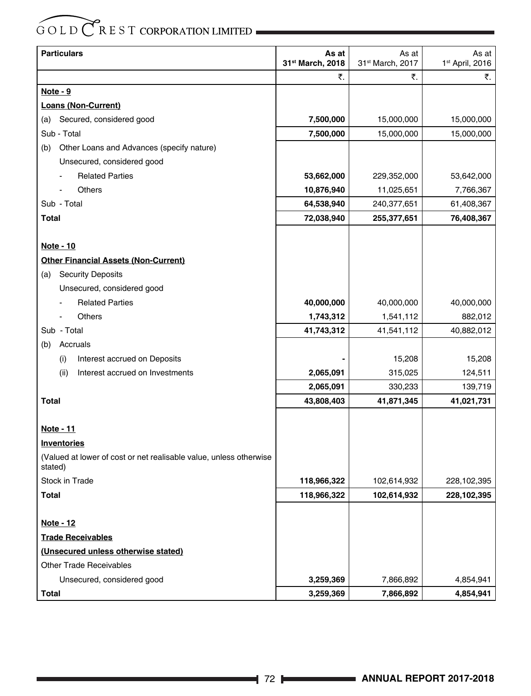| <b>Particulars</b>                                                            | As at<br>31st March, 2018 | As at<br>31st March, 2017 | As at<br>1 <sup>st</sup> April, 2016 |
|-------------------------------------------------------------------------------|---------------------------|---------------------------|--------------------------------------|
|                                                                               | ₹.                        | ₹.                        | ₹.                                   |
| <u>Note - 9</u>                                                               |                           |                           |                                      |
| <b>Loans (Non-Current)</b>                                                    |                           |                           |                                      |
| Secured, considered good<br>(a)                                               | 7,500,000                 | 15,000,000                | 15,000,000                           |
| Sub - Total                                                                   | 7,500,000                 | 15,000,000                | 15,000,000                           |
| Other Loans and Advances (specify nature)<br>(b)                              |                           |                           |                                      |
| Unsecured, considered good                                                    |                           |                           |                                      |
| <b>Related Parties</b>                                                        | 53,662,000                | 229,352,000               | 53,642,000                           |
| Others                                                                        | 10,876,940                | 11,025,651                | 7,766,367                            |
| Sub - Total                                                                   | 64,538,940                | 240,377,651               | 61,408,367                           |
| <b>Total</b>                                                                  | 72,038,940                | 255,377,651               | 76,408,367                           |
|                                                                               |                           |                           |                                      |
| Note - 10                                                                     |                           |                           |                                      |
| <b>Other Financial Assets (Non-Current)</b>                                   |                           |                           |                                      |
| <b>Security Deposits</b><br>(a)                                               |                           |                           |                                      |
| Unsecured, considered good                                                    |                           |                           |                                      |
| <b>Related Parties</b>                                                        | 40,000,000                | 40,000,000                | 40,000,000                           |
| <b>Others</b>                                                                 | 1,743,312                 | 1,541,112                 | 882,012                              |
| Sub - Total                                                                   | 41,743,312                | 41,541,112                | 40,882,012                           |
| Accruals<br>(b)                                                               |                           |                           |                                      |
| Interest accrued on Deposits<br>(i)                                           |                           | 15,208                    | 15,208                               |
| Interest accrued on Investments<br>(ii)                                       | 2,065,091                 | 315,025                   | 124,511                              |
|                                                                               | 2,065,091                 | 330,233                   | 139,719                              |
| Total                                                                         | 43,808,403                | 41,871,345                | 41,021,731                           |
|                                                                               |                           |                           |                                      |
| <u>Note - 11</u>                                                              |                           |                           |                                      |
| <b>Inventories</b>                                                            |                           |                           |                                      |
| (Valued at lower of cost or net realisable value, unless otherwise<br>stated) |                           |                           |                                      |
| <b>Stock in Trade</b>                                                         | 118,966,322               | 102,614,932               | 228,102,395                          |
| Total                                                                         | 118,966,322               | 102,614,932               | 228,102,395                          |
|                                                                               |                           |                           |                                      |
| <b>Note - 12</b>                                                              |                           |                           |                                      |
| <b>Trade Receivables</b>                                                      |                           |                           |                                      |
| (Unsecured unless otherwise stated)                                           |                           |                           |                                      |
| <b>Other Trade Receivables</b>                                                |                           |                           |                                      |
| Unsecured, considered good                                                    | 3,259,369                 | 7,866,892                 | 4,854,941                            |
| Total                                                                         | 3,259,369                 | 7,866,892                 | 4,854,941                            |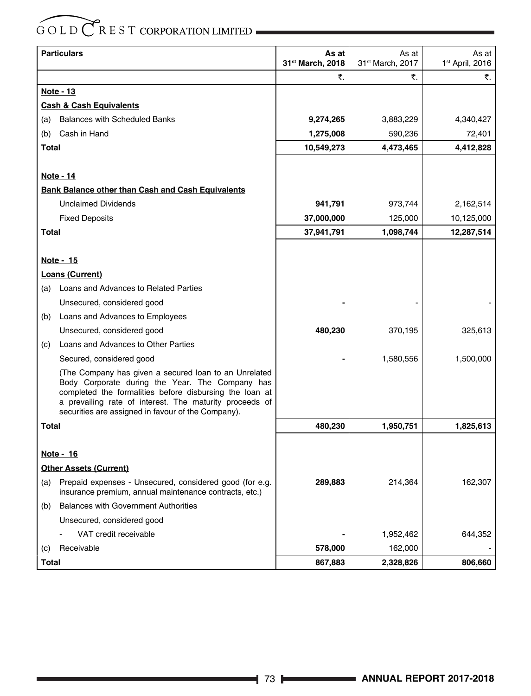|              | <b>Particulars</b>                                                                                                                                                  | As at            | As at                        | As at                       |
|--------------|---------------------------------------------------------------------------------------------------------------------------------------------------------------------|------------------|------------------------------|-----------------------------|
|              |                                                                                                                                                                     | 31st March, 2018 | 31 <sup>st</sup> March, 2017 | 1 <sup>st</sup> April, 2016 |
|              |                                                                                                                                                                     | ₹.               | ₹.                           | ₹.                          |
|              | Note - 13                                                                                                                                                           |                  |                              |                             |
|              | <b>Cash &amp; Cash Equivalents</b>                                                                                                                                  |                  |                              |                             |
| (a)          | <b>Balances with Scheduled Banks</b>                                                                                                                                | 9,274,265        | 3,883,229                    | 4,340,427                   |
| (b)          | Cash in Hand                                                                                                                                                        | 1,275,008        | 590,236                      | 72,401                      |
| Total        |                                                                                                                                                                     | 10,549,273       | 4,473,465                    | 4,412,828                   |
|              |                                                                                                                                                                     |                  |                              |                             |
|              | Note - 14                                                                                                                                                           |                  |                              |                             |
|              | Bank Balance other than Cash and Cash Equivalents                                                                                                                   |                  |                              |                             |
|              | <b>Unclaimed Dividends</b>                                                                                                                                          | 941,791          | 973,744                      | 2,162,514                   |
|              | <b>Fixed Deposits</b>                                                                                                                                               | 37,000,000       | 125,000                      | 10,125,000                  |
| <b>Total</b> |                                                                                                                                                                     | 37,941,791       | 1,098,744                    | 12,287,514                  |
|              |                                                                                                                                                                     |                  |                              |                             |
|              | Note - 15                                                                                                                                                           |                  |                              |                             |
|              | Loans (Current)                                                                                                                                                     |                  |                              |                             |
| (a)          | Loans and Advances to Related Parties                                                                                                                               |                  |                              |                             |
|              | Unsecured, considered good                                                                                                                                          |                  |                              |                             |
| (b)          | Loans and Advances to Employees                                                                                                                                     |                  |                              |                             |
|              | Unsecured, considered good                                                                                                                                          | 480,230          | 370,195                      | 325,613                     |
| (c)          | Loans and Advances to Other Parties                                                                                                                                 |                  |                              |                             |
|              | Secured, considered good                                                                                                                                            |                  | 1,580,556                    | 1,500,000                   |
|              | (The Company has given a secured loan to an Unrelated<br>Body Corporate during the Year. The Company has<br>completed the formalities before disbursing the loan at |                  |                              |                             |
|              | a prevailing rate of interest. The maturity proceeds of<br>securities are assigned in favour of the Company).                                                       |                  |                              |                             |
| Total        |                                                                                                                                                                     | 480,230          | 1,950,751                    | 1,825,613                   |
|              |                                                                                                                                                                     |                  |                              |                             |
|              | Note - 16                                                                                                                                                           |                  |                              |                             |
|              | <b>Other Assets (Current)</b>                                                                                                                                       |                  |                              |                             |
| (a)          | Prepaid expenses - Unsecured, considered good (for e.g.<br>insurance premium, annual maintenance contracts, etc.)                                                   | 289,883          | 214,364                      | 162,307                     |
| (b)          | <b>Balances with Government Authorities</b>                                                                                                                         |                  |                              |                             |
|              | Unsecured, considered good                                                                                                                                          |                  |                              |                             |
|              | VAT credit receivable                                                                                                                                               |                  | 1,952,462                    | 644,352                     |
| (c)          | Receivable                                                                                                                                                          | 578,000          | 162,000                      |                             |
| <b>Total</b> |                                                                                                                                                                     | 867,883          | 2,328,826                    | 806,660                     |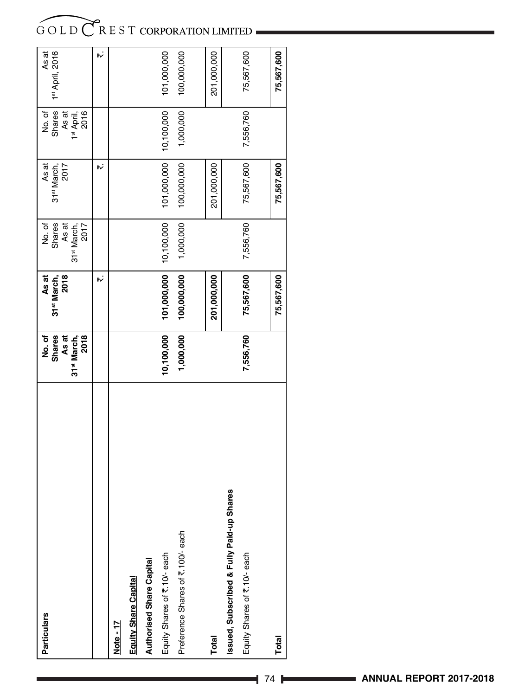| <b>Particulars</b>                        | No.of<br><b>Shares</b><br>As at<br>31 <sup>st</sup> March,<br>2018 | As at<br>31 <sup>st</sup> March,<br>2018 | No. of<br>As at<br>31 <sup>st</sup> March,<br>2017 | As at<br>31 <sup>st</sup> March,<br>2017 | No. of<br>As at<br>1 <sup>st</sup> April,<br>2016 | As at<br>1st April, 2016 |
|-------------------------------------------|--------------------------------------------------------------------|------------------------------------------|----------------------------------------------------|------------------------------------------|---------------------------------------------------|--------------------------|
|                                           |                                                                    | ۳ż                                       |                                                    | ۳ż                                       |                                                   | w                        |
| Note - 17                                 |                                                                    |                                          |                                                    |                                          |                                                   |                          |
| Equity Share Capital                      |                                                                    |                                          |                                                    |                                          |                                                   |                          |
| <b>Authorised Share Capital</b>           |                                                                    |                                          |                                                    |                                          |                                                   |                          |
| Equity Shares of ₹.10/- each              | 10,100,000                                                         | 101,000,000                              | 10,100,000                                         | 101,000,000                              | 10,100,000                                        | 101,000,000              |
| Preference Shares of ₹.100/- each         | 1,000,000                                                          | 100,000,000                              | 1,000,000                                          | 100,000,000                              | 1,000,000                                         | 100,000,000              |
| Total                                     |                                                                    | 201,000,000                              |                                                    | 201,000,000                              |                                                   | 201,000,000              |
| Issued, Subscribed & Fully Paid-up Shares |                                                                    |                                          |                                                    |                                          |                                                   |                          |
| Equity Shares of ₹.10/-each               | 7,556,760                                                          | 75,567,600                               | 7,556,760                                          | 75,567,600                               | 7,556,760                                         | 75,567,600               |
| Total                                     |                                                                    | 75,567,600                               |                                                    | 75,567,600                               |                                                   | 75,567,600               |
|                                           |                                                                    |                                          |                                                    |                                          |                                                   |                          |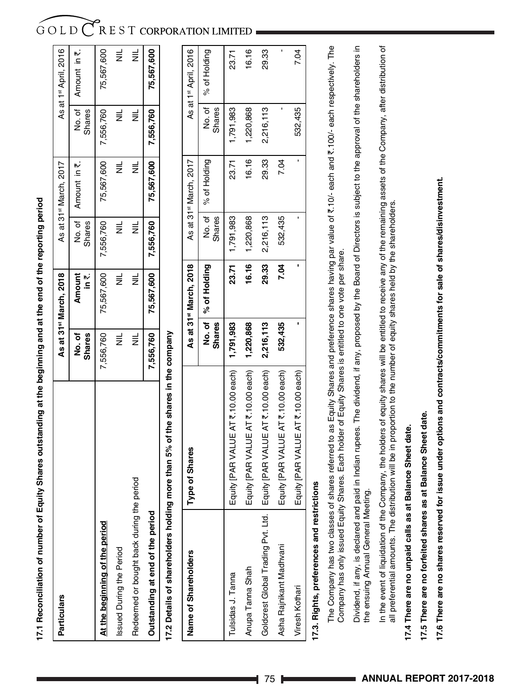17.1 Reconciliation of number of Equity Shares outstanding at the beginning and at the end of the reporting period **17.1 Reconciliation of number of Equity Shares outstanding at the beginning and at the end of the reporting period**

| <b>Particulars</b>                                                            |                |                         | As at 31 <sup>st</sup> March, 2018 |                      | As at 31 <sup>st</sup> March, 2017 |               | As at 1 <sup>st</sup> April, 2016 |
|-------------------------------------------------------------------------------|----------------|-------------------------|------------------------------------|----------------------|------------------------------------|---------------|-----------------------------------|
|                                                                               |                | No. of<br><b>Shares</b> | $\sum_{i=1}^{n}$<br>Amount         | <b>Shares</b>        | No. of   Amount in ₹.              | <b>Shares</b> | No. of   Amount in ₹.             |
| At the beginning of the period                                                |                | 7,556,760               | 75,567,600                         | 7,556,760            | 75,567,600                         | 7,556,760     | 75,567,600                        |
| ssued During the Period                                                       |                | $\equiv$                | $\equiv$                           | $\equiv$             | $\equiv$                           | $\equiv$      | $\equiv$                          |
| Redeemed or bought back during the period                                     |                | $\equiv$                | $\equiv$                           | $\equiv$             | $\equiv$                           | $\equiv$      | $\equiv$                          |
| Outstanding at end of the period                                              |                | 7,556,760               |                                    | 75,567,600 7,556,760 | 75,567,600                         | 7,556,760     | 75,567,600                        |
| 7.2 Details of shareholders holding more than 5% of the shares in the company |                |                         |                                    |                      |                                    |               |                                   |
| Name of Chareholders                                                          | Tung of Charge |                         | Ac at 21st Mayo An 2018            |                      | Ac at 21st March 20017             |               | Ac at 1st April 2016              |

| Name of Shareholders               | Type of Shares                                             |               | As at 31st March, 2018 |                     | As at 31 <sup>st</sup> March, 2017 |               | As at 1st April, 2016 |
|------------------------------------|------------------------------------------------------------|---------------|------------------------|---------------------|------------------------------------|---------------|-----------------------|
|                                    |                                                            | <b>Shares</b> | No. of   % of Holding  | <b>Shares</b>       | No. of   % of Holding              | <b>Shares</b> | No. of   % of Holding |
| Tulsidas J. Tanna                  | Equity [PAR VALUE AT $\bar{\tau}$ .10.00 each)   1,791,983 |               |                        | 23.71 1,791,983     | 23.71                              | 1,791,983     | 23.71                 |
| Anupa Tanna Shah                   | Equity [PAR VALUE AT $\bar{\tau}$ .10.00 each)   1,220,868 |               |                        | $16.16$   1,220,868 | 16.16                              | 1,220,868     | 16.16                 |
| Goldcrest Global Trading Pvt. Ltd. | Equity [PAR VALUE AT ₹.10.00 each)                         | 2,216,113     | 29.33                  | 2,216,113           | 29.33                              | 2,216,113     | 29.33                 |
| Asha Rajnikant Madhvani            | Equity [PAR VALUE AT ₹.10.00 each)                         | 532,435       | 7.04                   | 532,435             | 7.04                               |               |                       |
| Viresh Kothari                     | Equity [PAR VALUE AT ₹.10.00 each)                         |               |                        |                     |                                    | 532,435       | 7.04                  |

# 17.3. Rights, preferences and restrictions **17.3. Rights, preferences and restrictions**

The Company has two classes of shares referred to as Equity Shares and preference shares having par value of `.10/- each and `.100/- each respectively. The The Company has two classes of shares referred to as Equity Shares and preference shares having par value of ₹.10/- each and ₹.100/- each respectively. The Company has only issued Equity Shares. Each holder of Equity Shares is entitled to one vote per share. Company has only issued Equity Shares. Each holder of Equity Shares is entitled to one vote per share.

Dividend, if any, is declared and paid in Indian rupees. The dividend, if any, proposed by the Board of Directors is subject to the approval of the shareholders in Dividend, if any, is declared and paid in Indian rupees. The dividend, if any, proposed by the Board of Directors is subject to the approval of the shareholders in the ensuing Annual General Meeting. the ensuing Annual General Meeting.

In the event of liquidation of the Company, the holders of equity shares will be entitled to receive any of the remaining assets of the Company, after distribution of In the event of liquidation of the Company, the holders of equity shares will be entitled to receive any of the remaining assets of the Company, after distribution of all preferential amounts. The distribution will be in proportion to the number of equity shares held by the shareholders. all preferential amounts. The distribution will be in proportion to the number of equity shares held by the shareholders.

# 17.4 There are no unpaid calls as at Balance Sheet date. **17.4 There are no unpaid calls as at Balance Sheet date.**

17.5 There are no forfeited shares as at Balance Sheet date. **17.5 There are no forfeited shares as at Balance Sheet date.**

17.6 There are no shares reserved for issue under options and contracts/commitments for sale of shares/disinvestment. **17.6 There are no shares reserved for issue under options and contracts/commitments for sale of shares/disinvestment.**

### $G$  O L D  $\bigcirc$  R E S T CORPORATION LIMITED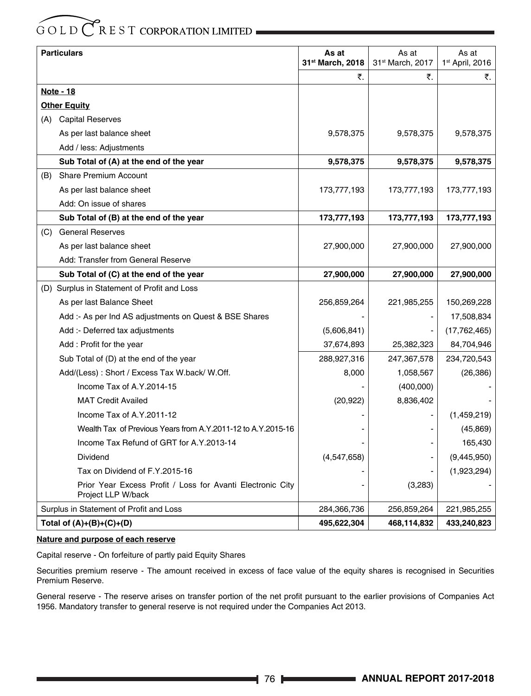|     | <b>Particulars</b>                                                               | As at<br>31 <sup>st</sup> March, 2018 | As at<br>31 <sup>st</sup> March, 2017 | As at<br>1 <sup>st</sup> April, 2016 |
|-----|----------------------------------------------------------------------------------|---------------------------------------|---------------------------------------|--------------------------------------|
|     |                                                                                  | ₹.                                    | ₹.                                    | ₹.                                   |
|     | <u> Note - 18</u>                                                                |                                       |                                       |                                      |
|     | <b>Other Equity</b>                                                              |                                       |                                       |                                      |
|     | (A) Capital Reserves                                                             |                                       |                                       |                                      |
|     | As per last balance sheet                                                        | 9,578,375                             | 9,578,375                             | 9,578,375                            |
|     | Add / less: Adjustments                                                          |                                       |                                       |                                      |
|     | Sub Total of (A) at the end of the year                                          | 9,578,375                             | 9,578,375                             | 9,578,375                            |
| (B) | <b>Share Premium Account</b>                                                     |                                       |                                       |                                      |
|     | As per last balance sheet                                                        | 173,777,193                           | 173,777,193                           | 173,777,193                          |
|     | Add: On issue of shares                                                          |                                       |                                       |                                      |
|     | Sub Total of (B) at the end of the year                                          | 173,777,193                           | 173,777,193                           | 173,777,193                          |
| (C) | <b>General Reserves</b>                                                          |                                       |                                       |                                      |
|     | As per last balance sheet                                                        | 27,900,000                            | 27,900,000                            | 27,900,000                           |
|     | Add: Transfer from General Reserve                                               |                                       |                                       |                                      |
|     | Sub Total of (C) at the end of the year                                          | 27,900,000                            | 27,900,000                            | 27,900,000                           |
|     | (D) Surplus in Statement of Profit and Loss                                      |                                       |                                       |                                      |
|     | As per last Balance Sheet                                                        | 256,859,264                           | 221,985,255                           | 150,269,228                          |
|     | Add :- As per Ind AS adjustments on Quest & BSE Shares                           |                                       |                                       | 17,508,834                           |
|     | Add :- Deferred tax adjustments                                                  | (5,606,841)                           |                                       | (17, 762, 465)                       |
|     | Add: Profit for the year                                                         | 37,674,893                            | 25,382,323                            | 84,704,946                           |
|     | Sub Total of (D) at the end of the year                                          | 288,927,316                           | 247,367,578                           | 234,720,543                          |
|     | Add/(Less): Short / Excess Tax W.back/ W.Off.                                    | 8,000                                 | 1,058,567                             | (26, 386)                            |
|     | Income Tax of A.Y.2014-15                                                        |                                       | (400,000)                             |                                      |
|     | <b>MAT Credit Availed</b>                                                        | (20, 922)                             | 8,836,402                             |                                      |
|     | Income Tax of A.Y.2011-12                                                        |                                       |                                       | (1,459,219)                          |
|     | Wealth Tax of Previous Years from A.Y.2011-12 to A.Y.2015-16                     |                                       |                                       | (45, 869)                            |
|     | Income Tax Refund of GRT for A.Y.2013-14                                         |                                       |                                       | 165,430                              |
|     | Dividend                                                                         | (4,547,658)                           |                                       | (9,445,950)                          |
|     | Tax on Dividend of F.Y.2015-16                                                   |                                       |                                       | (1,923,294)                          |
|     | Prior Year Excess Profit / Loss for Avanti Electronic City<br>Project LLP W/back |                                       | (3,283)                               |                                      |
|     | Surplus in Statement of Profit and Loss                                          | 284,366,736                           | 256,859,264                           | 221,985,255                          |
|     | Total of $(A)+(B)+(C)+(D)$                                                       | 495,622,304                           | 468,114,832                           | 433,240,823                          |

#### **Nature and purpose of each reserve**

Capital reserve - On forfeiture of partly paid Equity Shares

Securities premium reserve - The amount received in excess of face value of the equity shares is recognised in Securities Premium Reserve.

General reserve - The reserve arises on transfer portion of the net profit pursuant to the earlier provisions of Companies Act 1956. Mandatory transfer to general reserve is not required under the Companies Act 2013.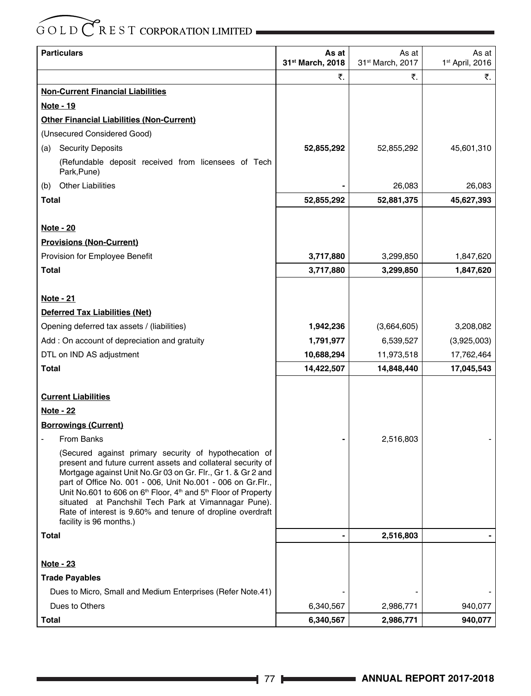| <b>Particulars</b>                                                                                                                                                                                                                                                                                                                                                                                                                                                                                           | As at            | As at            | As at                       |
|--------------------------------------------------------------------------------------------------------------------------------------------------------------------------------------------------------------------------------------------------------------------------------------------------------------------------------------------------------------------------------------------------------------------------------------------------------------------------------------------------------------|------------------|------------------|-----------------------------|
|                                                                                                                                                                                                                                                                                                                                                                                                                                                                                                              | 31st March, 2018 | 31st March, 2017 | 1 <sup>st</sup> April, 2016 |
|                                                                                                                                                                                                                                                                                                                                                                                                                                                                                                              | ₹.               | ₹.               | ₹.                          |
| <b>Non-Current Financial Liabilities</b>                                                                                                                                                                                                                                                                                                                                                                                                                                                                     |                  |                  |                             |
| Note - 19                                                                                                                                                                                                                                                                                                                                                                                                                                                                                                    |                  |                  |                             |
| <b>Other Financial Liabilities (Non-Current)</b>                                                                                                                                                                                                                                                                                                                                                                                                                                                             |                  |                  |                             |
| (Unsecured Considered Good)                                                                                                                                                                                                                                                                                                                                                                                                                                                                                  |                  |                  |                             |
| <b>Security Deposits</b><br>(a)                                                                                                                                                                                                                                                                                                                                                                                                                                                                              | 52,855,292       | 52,855,292       | 45,601,310                  |
| (Refundable deposit received from licensees of Tech<br>Park, Pune)                                                                                                                                                                                                                                                                                                                                                                                                                                           |                  |                  |                             |
| <b>Other Liabilities</b><br>(b)                                                                                                                                                                                                                                                                                                                                                                                                                                                                              |                  | 26,083           | 26,083                      |
| Total                                                                                                                                                                                                                                                                                                                                                                                                                                                                                                        | 52,855,292       | 52,881,375       | 45,627,393                  |
|                                                                                                                                                                                                                                                                                                                                                                                                                                                                                                              |                  |                  |                             |
| Note - 20                                                                                                                                                                                                                                                                                                                                                                                                                                                                                                    |                  |                  |                             |
| <b>Provisions (Non-Current)</b>                                                                                                                                                                                                                                                                                                                                                                                                                                                                              |                  |                  |                             |
| Provision for Employee Benefit                                                                                                                                                                                                                                                                                                                                                                                                                                                                               | 3,717,880        | 3,299,850        | 1,847,620                   |
| Total                                                                                                                                                                                                                                                                                                                                                                                                                                                                                                        | 3,717,880        | 3,299,850        | 1,847,620                   |
|                                                                                                                                                                                                                                                                                                                                                                                                                                                                                                              |                  |                  |                             |
| <u>Note - 21</u>                                                                                                                                                                                                                                                                                                                                                                                                                                                                                             |                  |                  |                             |
| Deferred Tax Liabilities (Net)                                                                                                                                                                                                                                                                                                                                                                                                                                                                               |                  |                  |                             |
| Opening deferred tax assets / (liabilities)                                                                                                                                                                                                                                                                                                                                                                                                                                                                  | 1,942,236        | (3,664,605)      | 3,208,082                   |
| Add: On account of depreciation and gratuity                                                                                                                                                                                                                                                                                                                                                                                                                                                                 | 1,791,977        | 6,539,527        | (3,925,003)                 |
| DTL on IND AS adjustment                                                                                                                                                                                                                                                                                                                                                                                                                                                                                     | 10,688,294       | 11,973,518       | 17,762,464                  |
| Total                                                                                                                                                                                                                                                                                                                                                                                                                                                                                                        | 14,422,507       | 14,848,440       | 17,045,543                  |
|                                                                                                                                                                                                                                                                                                                                                                                                                                                                                                              |                  |                  |                             |
| <b>Current Liabilities</b>                                                                                                                                                                                                                                                                                                                                                                                                                                                                                   |                  |                  |                             |
| <b>Note - 22</b>                                                                                                                                                                                                                                                                                                                                                                                                                                                                                             |                  |                  |                             |
| <b>Borrowings (Current)</b>                                                                                                                                                                                                                                                                                                                                                                                                                                                                                  |                  |                  |                             |
| <b>From Banks</b>                                                                                                                                                                                                                                                                                                                                                                                                                                                                                            |                  | 2,516,803        |                             |
| (Secured against primary security of hypothecation of<br>present and future current assets and collateral security of<br>Mortgage against Unit No. Gr 03 on Gr. Flr., Gr 1. & Gr 2 and<br>part of Office No. 001 - 006, Unit No.001 - 006 on Gr.Flr.,<br>Unit No.601 to 606 on 6 <sup>th</sup> Floor, 4 <sup>th</sup> and 5 <sup>th</sup> Floor of Property<br>situated at Panchshil Tech Park at Vimannagar Pune).<br>Rate of interest is 9.60% and tenure of dropline overdraft<br>facility is 96 months.) |                  |                  |                             |
| <b>Total</b>                                                                                                                                                                                                                                                                                                                                                                                                                                                                                                 |                  | 2,516,803        |                             |
|                                                                                                                                                                                                                                                                                                                                                                                                                                                                                                              |                  |                  |                             |
| <b>Note - 23</b>                                                                                                                                                                                                                                                                                                                                                                                                                                                                                             |                  |                  |                             |
| <b>Trade Payables</b>                                                                                                                                                                                                                                                                                                                                                                                                                                                                                        |                  |                  |                             |
| Dues to Micro, Small and Medium Enterprises (Refer Note.41)                                                                                                                                                                                                                                                                                                                                                                                                                                                  |                  |                  |                             |
| Dues to Others                                                                                                                                                                                                                                                                                                                                                                                                                                                                                               | 6,340,567        | 2,986,771        | 940,077                     |
| <b>Total</b>                                                                                                                                                                                                                                                                                                                                                                                                                                                                                                 | 6,340,567        | 2,986,771        | 940,077                     |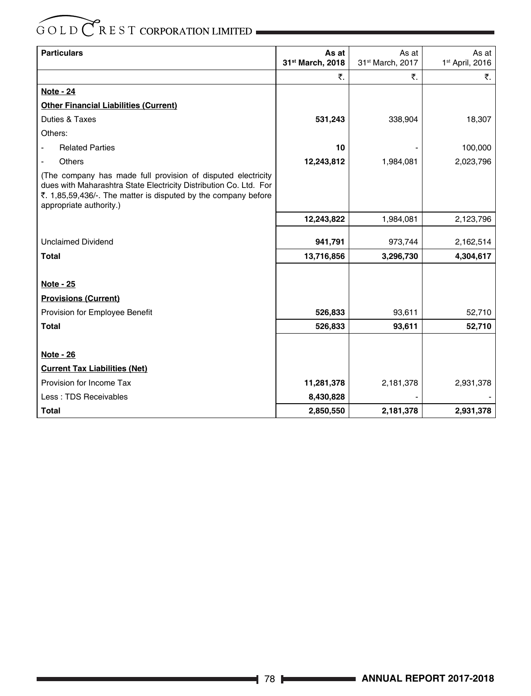| <b>Particulars</b>                                                                                                                                                                                                             | As at            | As at                        | As at                       |
|--------------------------------------------------------------------------------------------------------------------------------------------------------------------------------------------------------------------------------|------------------|------------------------------|-----------------------------|
|                                                                                                                                                                                                                                | 31st March, 2018 | 31 <sup>st</sup> March, 2017 | 1 <sup>st</sup> April, 2016 |
|                                                                                                                                                                                                                                | ₹.               | ₹.                           | ₹.                          |
| <b>Note - 24</b>                                                                                                                                                                                                               |                  |                              |                             |
| <b>Other Financial Liabilities (Current)</b>                                                                                                                                                                                   |                  |                              |                             |
| Duties & Taxes                                                                                                                                                                                                                 | 531,243          | 338,904                      | 18,307                      |
| Others:                                                                                                                                                                                                                        |                  |                              |                             |
| <b>Related Parties</b>                                                                                                                                                                                                         | 10               |                              | 100,000                     |
| Others                                                                                                                                                                                                                         | 12,243,812       | 1,984,081                    | 2,023,796                   |
| (The company has made full provision of disputed electricity<br>dues with Maharashtra State Electricity Distribution Co. Ltd. For<br>₹. 1,85,59,436/-. The matter is disputed by the company before<br>appropriate authority.) |                  |                              |                             |
|                                                                                                                                                                                                                                | 12,243,822       | 1,984,081                    | 2,123,796                   |
| <b>Unclaimed Dividend</b>                                                                                                                                                                                                      | 941,791          | 973,744                      | 2,162,514                   |
| <b>Total</b>                                                                                                                                                                                                                   | 13,716,856       | 3,296,730                    | 4,304,617                   |
|                                                                                                                                                                                                                                |                  |                              |                             |
| <b>Note - 25</b>                                                                                                                                                                                                               |                  |                              |                             |
| <b>Provisions (Current)</b>                                                                                                                                                                                                    |                  |                              |                             |
| Provision for Employee Benefit                                                                                                                                                                                                 | 526,833          | 93,611                       | 52,710                      |
| <b>Total</b>                                                                                                                                                                                                                   | 526,833          | 93,611                       | 52,710                      |
|                                                                                                                                                                                                                                |                  |                              |                             |
| <b>Note - 26</b>                                                                                                                                                                                                               |                  |                              |                             |
| <b>Current Tax Liabilities (Net)</b>                                                                                                                                                                                           |                  |                              |                             |
| Provision for Income Tax                                                                                                                                                                                                       | 11,281,378       | 2,181,378                    | 2,931,378                   |
| Less: TDS Receivables                                                                                                                                                                                                          | 8,430,828        |                              |                             |
| <b>Total</b>                                                                                                                                                                                                                   | 2,850,550        | 2,181,378                    | 2,931,378                   |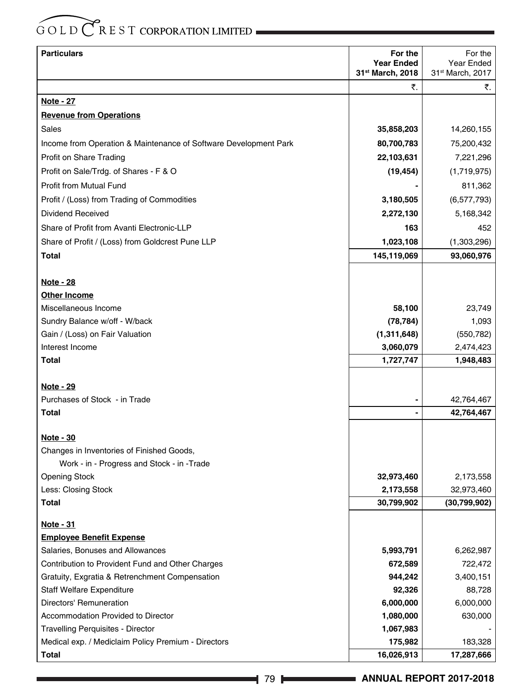| <b>Particulars</b>                                               | For the           | For the          |
|------------------------------------------------------------------|-------------------|------------------|
|                                                                  | <b>Year Ended</b> | Year Ended       |
|                                                                  | 31st March, 2018  | 31st March, 2017 |
|                                                                  | ₹.                | ₹.               |
| Note - 27                                                        |                   |                  |
| <b>Revenue from Operations</b>                                   |                   |                  |
| Sales                                                            | 35,858,203        | 14,260,155       |
| Income from Operation & Maintenance of Software Development Park | 80,700,783        | 75,200,432       |
| Profit on Share Trading                                          | 22,103,631        | 7,221,296        |
| Profit on Sale/Trdg. of Shares - F & O                           | (19, 454)         | (1,719,975)      |
| Profit from Mutual Fund                                          |                   | 811,362          |
| Profit / (Loss) from Trading of Commodities                      | 3,180,505         | (6, 577, 793)    |
| Dividend Received                                                | 2,272,130         | 5,168,342        |
| Share of Profit from Avanti Electronic-LLP                       | 163               | 452              |
| Share of Profit / (Loss) from Goldcrest Pune LLP                 | 1,023,108         | (1,303,296)      |
| <b>Total</b>                                                     | 145,119,069       | 93,060,976       |
|                                                                  |                   |                  |
| <u>Note - 28</u>                                                 |                   |                  |
| <b>Other Income</b>                                              |                   |                  |
| Miscellaneous Income                                             | 58,100            | 23,749           |
| Sundry Balance w/off - W/back                                    | (78, 784)         | 1,093            |
| Gain / (Loss) on Fair Valuation                                  | (1,311,648)       | (550, 782)       |
| Interest Income                                                  | 3,060,079         | 2,474,423        |
| Total                                                            | 1,727,747         | 1,948,483        |
|                                                                  |                   |                  |
| Note - 29                                                        |                   |                  |
| Purchases of Stock - in Trade                                    |                   | 42,764,467       |
| Total                                                            |                   | 42,764,467       |
| Note - 30                                                        |                   |                  |
| Changes in Inventories of Finished Goods,                        |                   |                  |
| Work - in - Progress and Stock - in - Trade                      |                   |                  |
| <b>Opening Stock</b>                                             | 32,973,460        | 2,173,558        |
| Less: Closing Stock                                              | 2,173,558         | 32,973,460       |
| Total                                                            | 30,799,902        | (30, 799, 902)   |
| <u>Note - 31</u>                                                 |                   |                  |
| <b>Employee Benefit Expense</b>                                  |                   |                  |
| Salaries, Bonuses and Allowances                                 | 5,993,791         | 6,262,987        |
| Contribution to Provident Fund and Other Charges                 | 672,589           | 722,472          |
| Gratuity, Exgratia & Retrenchment Compensation                   | 944,242           | 3,400,151        |
| <b>Staff Welfare Expenditure</b>                                 | 92,326            | 88,728           |
| Directors' Remuneration                                          | 6,000,000         | 6,000,000        |
| Accommodation Provided to Director                               | 1,080,000         | 630,000          |
| Travelling Perquisites - Director                                | 1,067,983         |                  |
| Medical exp. / Mediclaim Policy Premium - Directors              | 175,982           | 183,328          |
| Total                                                            | 16,026,913        | 17,287,666       |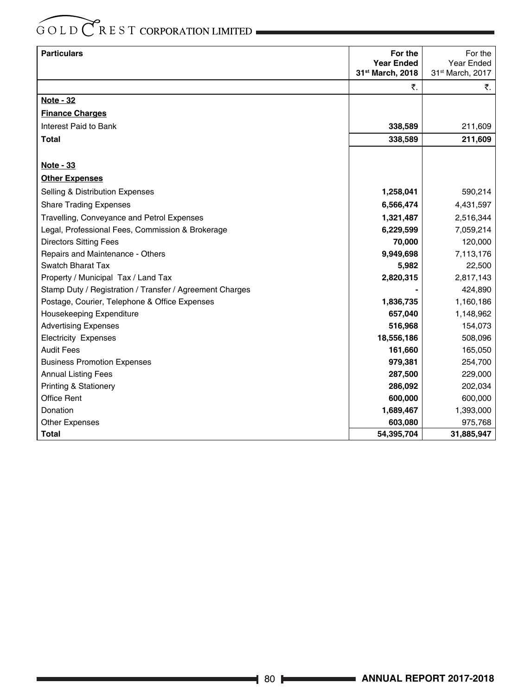| <b>Particulars</b>                                       | For the<br><b>Year Ended</b> | For the<br>Year Ended |
|----------------------------------------------------------|------------------------------|-----------------------|
|                                                          | 31st March, 2018             | 31st March, 2017      |
|                                                          | ₹.                           | ₹.                    |
| <b>Note - 32</b>                                         |                              |                       |
| <b>Finance Charges</b>                                   |                              |                       |
| Interest Paid to Bank                                    | 338,589                      | 211,609               |
| <b>Total</b>                                             | 338,589                      | 211,609               |
|                                                          |                              |                       |
| Note - 33                                                |                              |                       |
| <b>Other Expenses</b>                                    |                              |                       |
| Selling & Distribution Expenses                          | 1,258,041                    | 590,214               |
| <b>Share Trading Expenses</b>                            | 6,566,474                    | 4,431,597             |
| Travelling, Conveyance and Petrol Expenses               | 1,321,487                    | 2,516,344             |
| Legal, Professional Fees, Commission & Brokerage         | 6,229,599                    | 7,059,214             |
| <b>Directors Sitting Fees</b>                            | 70,000                       | 120,000               |
| Repairs and Maintenance - Others                         | 9,949,698                    | 7,113,176             |
| Swatch Bharat Tax                                        | 5,982                        | 22,500                |
| Property / Municipal Tax / Land Tax                      | 2,820,315                    | 2,817,143             |
| Stamp Duty / Registration / Transfer / Agreement Charges |                              | 424,890               |
| Postage, Courier, Telephone & Office Expenses            | 1,836,735                    | 1,160,186             |
| Housekeeping Expenditure                                 | 657,040                      | 1,148,962             |
| <b>Advertising Expenses</b>                              | 516,968                      | 154,073               |
| <b>Electricity Expenses</b>                              | 18,556,186                   | 508,096               |
| <b>Audit Fees</b>                                        | 161,660                      | 165,050               |
| <b>Business Promotion Expenses</b>                       | 979,381                      | 254,700               |
| <b>Annual Listing Fees</b>                               | 287,500                      | 229,000               |
| <b>Printing &amp; Stationery</b>                         | 286,092                      | 202,034               |
| <b>Office Rent</b>                                       | 600,000                      | 600,000               |
| Donation                                                 | 1,689,467                    | 1,393,000             |
| <b>Other Expenses</b>                                    | 603,080                      | 975,768               |
| <b>Total</b>                                             | 54,395,704                   | 31,885,947            |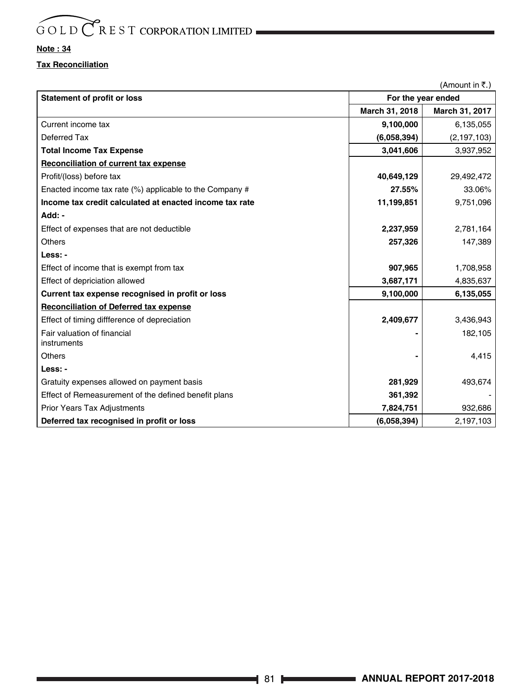#### **Note : 34**

#### **Tax Reconciliation**

| (Amount in ₹.)                                          |                |                    |  |  |
|---------------------------------------------------------|----------------|--------------------|--|--|
| <b>Statement of profit or loss</b>                      |                | For the year ended |  |  |
|                                                         | March 31, 2018 | March 31, 2017     |  |  |
| Current income tax                                      | 9,100,000      | 6,135,055          |  |  |
| Deferred Tax                                            | (6,058,394)    | (2, 197, 103)      |  |  |
| <b>Total Income Tax Expense</b>                         | 3,041,606      | 3,937,952          |  |  |
| Reconciliation of current tax expense                   |                |                    |  |  |
| Profit/(loss) before tax                                | 40,649,129     | 29,492,472         |  |  |
| Enacted income tax rate (%) applicable to the Company # | 27.55%         | 33.06%             |  |  |
| Income tax credit calculated at enacted income tax rate | 11,199,851     | 9,751,096          |  |  |
| Add: -                                                  |                |                    |  |  |
| Effect of expenses that are not deductible              | 2,237,959      | 2,781,164          |  |  |
| Others                                                  | 257,326        | 147,389            |  |  |
| Less: -                                                 |                |                    |  |  |
| Effect of income that is exempt from tax                | 907,965        | 1,708,958          |  |  |
| Effect of depriciation allowed                          | 3,687,171      | 4,835,637          |  |  |
| Current tax expense recognised in profit or loss        | 9,100,000      | 6,135,055          |  |  |
| <b>Reconciliation of Deferred tax expense</b>           |                |                    |  |  |
| Effect of timing diffference of depreciation            | 2,409,677      | 3,436,943          |  |  |
| Fair valuation of financial                             |                | 182,105            |  |  |
| instruments                                             |                |                    |  |  |
| Others                                                  |                | 4,415              |  |  |
| Less: -                                                 |                |                    |  |  |
| Gratuity expenses allowed on payment basis              | 281,929        | 493,674            |  |  |
| Effect of Remeasurement of the defined benefit plans    | 361,392        |                    |  |  |
| <b>Prior Years Tax Adjustments</b>                      | 7,824,751      | 932,686            |  |  |
| Deferred tax recognised in profit or loss               | (6,058,394)    | 2,197,103          |  |  |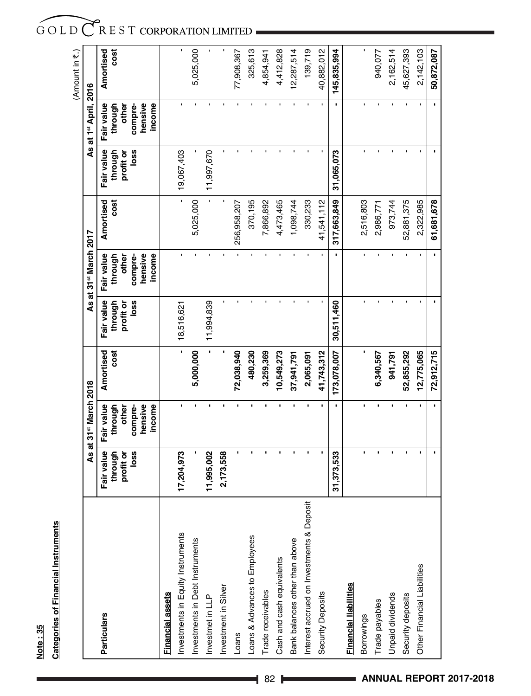Note: 35 **Note : 35**

# **Categories of Financial Instruments Categories of Financial Instruments**

|                                           |                                            |                                                      |                   |                                            |                                                      |                   |                                            |                                                      | (Amount in 7.)    |  |
|-------------------------------------------|--------------------------------------------|------------------------------------------------------|-------------------|--------------------------------------------|------------------------------------------------------|-------------------|--------------------------------------------|------------------------------------------------------|-------------------|--|
|                                           |                                            | As at 31 <sup>st</sup> March 2018                    |                   |                                            | As at 31 <sup>st</sup> March 2017                    |                   |                                            | As at 1st April, 2016                                |                   |  |
| Particulars                               | Fair value<br>loss<br>through<br>profit or | hensive<br>Fair value<br>through<br>other<br>compre- | Amortised<br>cost | Fair value<br>through<br>profit or<br>loss | hensive<br>Fair value<br>through<br>compre-<br>other | Amortised<br>cost | Fair value<br>loss<br>through<br>profit or | hensive<br>Fair value<br>through<br>compre-<br>other | cost<br>Amortised |  |
| <b>Financial assets</b>                   |                                            | income                                               |                   |                                            | income                                               |                   |                                            | income                                               |                   |  |
| Investments in Equity Instruments         | 17,204,973                                 |                                                      |                   | 18,516,621                                 | f.                                                   |                   | 19,067,403                                 |                                                      |                   |  |
| Investments in Debt Instruments           |                                            |                                                      | 5,000,000         |                                            |                                                      | 5,025,000         |                                            |                                                      | 5,025,000         |  |
| Investmet in LLP                          | 11,995,002                                 |                                                      |                   | 11,994,839                                 |                                                      |                   | 11,997,670                                 |                                                      |                   |  |
| Investment in Silver                      | 2,173,558                                  |                                                      |                   |                                            |                                                      |                   |                                            |                                                      |                   |  |
| Loans                                     |                                            |                                                      | 72,038,940        |                                            |                                                      | 256,958,207       |                                            |                                                      | 77,908,367        |  |
| Loans & Advances to Employees             |                                            |                                                      | 480,230           |                                            |                                                      | 370,195           |                                            |                                                      | 325,613           |  |
| Trade receivables                         |                                            |                                                      | 3,259,369         |                                            |                                                      | 7,866,892         |                                            |                                                      | 4,854,941         |  |
| Cash and cash equivalents                 |                                            |                                                      | 10,549,273        |                                            |                                                      | 4,473,465         |                                            |                                                      | 4,412,828         |  |
| Bank balances other than above            |                                            |                                                      | 37,941,791        |                                            |                                                      | 1,098,744         |                                            |                                                      | 12,287,514        |  |
| Interest accrued on Investments & Deposit |                                            |                                                      | 2,065,091         |                                            |                                                      | 330,233           |                                            |                                                      | 139,719           |  |
| Security Deposits                         |                                            |                                                      | 41,743,312        |                                            |                                                      | 41,541,112        |                                            |                                                      | 40,882,012        |  |
|                                           | 31,373,533                                 |                                                      | 173,078,007       | 30,511,460                                 |                                                      | 317,663,849       | 31,065,073                                 |                                                      | 145,835,994       |  |
| Financial liabilities                     |                                            |                                                      |                   |                                            |                                                      |                   |                                            |                                                      |                   |  |
| <b>Borrowings</b>                         |                                            |                                                      |                   |                                            |                                                      | 2,516,803         |                                            |                                                      |                   |  |
| Trade payables                            |                                            |                                                      | 6,340,567         |                                            |                                                      | 2,986,771         |                                            |                                                      | 940,077           |  |
| Unpaid dividends                          |                                            |                                                      | 941,791           |                                            |                                                      | 973,744           |                                            |                                                      | 2,162,514         |  |
| Security deposits                         |                                            |                                                      | 52,855,292        |                                            |                                                      | 52,881,375        |                                            |                                                      | 45,627,393        |  |
| Other Financial Liabilities               |                                            |                                                      | 12,775,065        |                                            |                                                      | 2,322,985         |                                            |                                                      | 2,142,103         |  |
|                                           |                                            |                                                      | 72,912,715        |                                            |                                                      | 61,681,678        |                                            |                                                      | 50,872,087        |  |

GOLD CREST CORPORATION LIMITED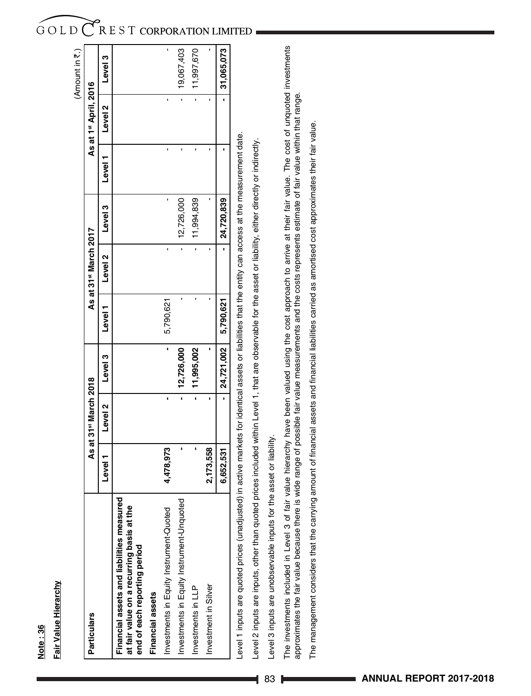|                                                                                                                        |                                                                                                               |                                   |            |           |                                   |            |       |                                   | (Amount in ₹.) |
|------------------------------------------------------------------------------------------------------------------------|---------------------------------------------------------------------------------------------------------------|-----------------------------------|------------|-----------|-----------------------------------|------------|-------|-----------------------------------|----------------|
| <b>Particulars</b>                                                                                                     |                                                                                                               | As at 31 <sup>st</sup> March 2018 |            |           | As at 31 <sup>st</sup> March 2017 |            |       | As at 1 <sup>st</sup> April, 2016 |                |
|                                                                                                                        | Level                                                                                                         | Level 2                           | Level 3    | Level     | Level 2                           | Level 3    | Level | Level 2                           | Level 3        |
| Financial assets and liabilities measured<br>at fair value on a recurring basis at the<br>end of each reporting period |                                                                                                               |                                   |            |           |                                   |            |       |                                   |                |
| Financial assets                                                                                                       |                                                                                                               |                                   |            |           |                                   |            |       |                                   |                |
| Investments in Equity Instrument-Quoted                                                                                | 4,478,973                                                                                                     | ı                                 | ı          | 5,790,621 | 1                                 |            |       | 1                                 |                |
| Investments in Equity Instrument-Unquoted                                                                              |                                                                                                               | 7                                 | 12,726,000 |           |                                   | 12,726,000 |       |                                   | 19,067,403     |
| Investments in LLP                                                                                                     |                                                                                                               | 7                                 | 11,995,002 |           | 7                                 | 11,994,839 |       |                                   | 11,997,670     |
| Investment in Silver                                                                                                   | 2,173,558                                                                                                     |                                   |            |           |                                   |            |       |                                   |                |
|                                                                                                                        | 6,652,531                                                                                                     |                                   | 24,721,002 | 5,790,621 |                                   | 24,720,839 |       |                                   | 31,065,073     |
| evel 1 inputs are quoted prices (unadjusted).                                                                          | in active markets for identical assets or liabilities that the entity can access at the measurement date.     |                                   |            |           |                                   |            |       |                                   |                |
| evel 2 inputs are inputs, other than quoted p                                                                          | prices included within Level 1, that are observable for the asset or liability, either directly or indirectly |                                   |            |           |                                   |            |       |                                   |                |

**Note : 36**

Note: 36

**Fair Value Hierarchy**

Fair Value Hierarchy

Level 3 inputs are unobservable inputs for the asset or liability. Level 3 inputs are unobservable inputs for the asset or liability.

The investments included in Level 3 of fair value hierarchy have been valued using the cost approach to arrive at their fair value. The cost of unquoted investments<br>approximates the fair value because there is wide range o The investments included in Level 3 of fair value hierarchy have been valued using the cost approach to arrive at their fair value. The cost of unquoted investments approximates the fair value because there is wide range of possible fair value measurements and the costs represents estimate of fair value within that range.

The management considers that the carrying amount of financial assets and financial liabilities carried as amortised cost approximates their fair value. The management considers that the carrying amount of financial assets and financial liabilities carried as amortised cost approximates their fair value.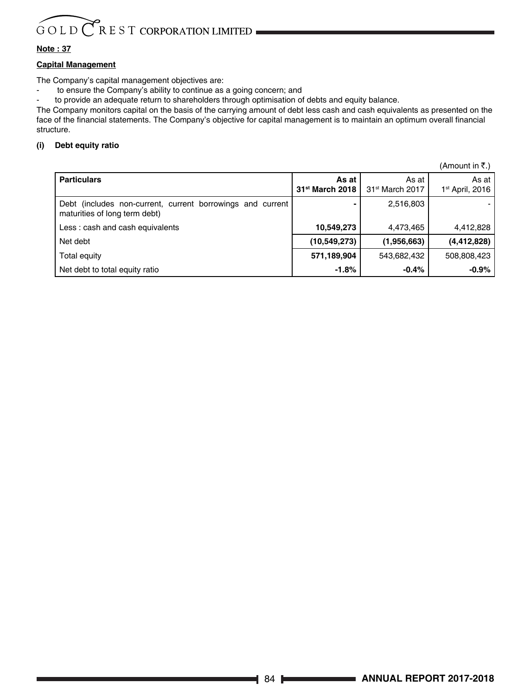#### **Note : 37**

#### **Capital Management**

The Company's capital management objectives are:

- to ensure the Company's ability to continue as a going concern; and

to provide an adequate return to shareholders through optimisation of debts and equity balance.

The Company monitors capital on the basis of the carrying amount of debt less cash and cash equivalents as presented on the face of the financial statements. The Company's objective for capital management is to maintain an optimum overall financial structure.

#### **(i) Debt equity ratio**

|                                                                                             |                                      |                                      | $($ Allivulit III \.,                |
|---------------------------------------------------------------------------------------------|--------------------------------------|--------------------------------------|--------------------------------------|
| <b>Particulars</b>                                                                          | As at<br>31 <sup>st</sup> March 2018 | As at<br>31 <sup>st</sup> March 2017 | As at<br>1 <sup>st</sup> April, 2016 |
| Debt (includes non-current, current borrowings and current<br>maturities of long term debt) |                                      | 2,516,803                            |                                      |
| Less: cash and cash equivalents                                                             | 10,549,273                           | 4,473,465                            | 4,412,828                            |
| Net debt                                                                                    | (10, 549, 273)                       | (1,956,663)                          | (4, 412, 828)                        |
| Total equity                                                                                | 571,189,904                          | 543,682,432                          | 508,808,423                          |
| Net debt to total equity ratio                                                              | $-1.8%$                              | $-0.4%$                              | $-0.9\%$                             |

 $(Amount in F)$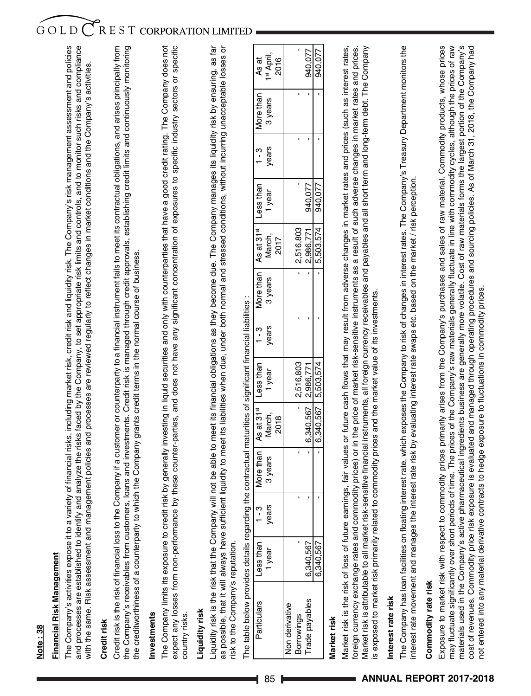# Financial Risk Management **Financial Risk Management**

The Company's activities expose it to a variety of financial risks, including market risk, credit risk and liquidity risk. The Company's risk management assessment and policies and processes are established to identify and analyze the risks faced by the Company, to set appropriate risk limits and controls, and to monitor such risks and compliance The Company's activities expose it to a variety of financial risks, including market risk, credit risk and liquidity risk. The Company's risk management assessment and policies and processes are established to identify and analyze the risks faced by the Company, to set appropriate risk limits and controls, and to monitor such risks and compliance with the same. Risk assessment and management policies and processes are reviewed regularly to reflect changes in market conditions and the Company's activities. with the same. Risk assessment and management policies and processes are reviewed regularly to reflect changes in market conditions and the Company's activities.

## Credit risk **Credit risk**

Credit risk is the risk of financial loss to the Company if a customer or counterparty to a financial instrument fails to meet its contractual obligations, and arises principally from the Company's receivables from customers, loans and investments. Credit risk is managed through credit approvals, establishing credit limits and continuously monitoring Credit risk is the risk of financial loss to the Company if a customer or counterparty to a financial instrument fails to meet its contractual obligations, and arises principally from the Company's receivables from customers, loans and investments. Credit risk is managed through credit approvals, establishing credit limits and continuously monitoring the creditworthiness of a counterparty to which the Company grants credit terms in the normal course of business. the creditworthiness of a counterparty to which the Company grants credit terms in the normal course of business.

# nvestments **Investments**

The Company limits its exposure to credit risk by generally investing in liquid securities and only with counterparties that have a good credit rating. The Company does not expect any losses from non-performance by these counter-parties, and does not have any significant concentration of exposures to specific industry sectors or specific The Company limits its exposure to credit risk by generally investing in liquid securities and only with counterparties that have a good credit rating. The Company does not expect any losses from non-performance by these counter-parties, and does not have any significant concentration of exposures to specific industry sectors or specific country risks. country risks.

# Liquidity risk **Liquidity risk**

Liquidity risk is the risk that the Company will not be able to meet its financial obligations as they become due. The Company manages its liquidity risk by ensuring, as far as possible, that it will always have sufficient liquidity to meet its liabilities when due, under both normal and stressed conditions, without incurring unacceptable losses or Liquidity risk is the risk that the Company will not be able to meet its financial obligations as they become due. The Company manages its liquidity risk by ensuring, as far as possible, that it will always have sufficient liquidity to meet its liabilities when due, under both normal and stressed conditions, without incurring unacceptable losses or risk to the Company's reputation. risk to the Company's reputation.

| As at                                              | 1 <sup>st</sup> April,<br>2016 |      |                |                   | 940,077             | 940,077             |
|----------------------------------------------------|--------------------------------|------|----------------|-------------------|---------------------|---------------------|
| 1 - 3   More than                                  | 3 years                        |      |                |                   |                     |                     |
|                                                    | years                          |      |                |                   |                     |                     |
| $1 - 3$ More than As at 31 $\mathrm{st}$ Less than | <sup>1</sup> year              |      |                |                   | 940,077             |                     |
|                                                    | March,                         | 2017 |                | 2,516,803         | 2,986,771           | $5,503,574$ 940,077 |
|                                                    | 3 years                        |      |                |                   |                     |                     |
|                                                    | years                          |      |                |                   |                     |                     |
| More than   As at 31 <sup>st</sup>   Less than     | year                           |      |                | $-12,516,803$     |                     |                     |
|                                                    | March,                         | 2018 |                |                   | 6,340,567 2,986,771 | 6,340,567 5,503,574 |
|                                                    | 3 years 1                      |      |                |                   |                     |                     |
| .<br>.                                             | ears                           |      |                |                   |                     |                     |
| ess than                                           | year                           |      |                |                   | 6,340,567           | 6,340,567           |
| Particulars                                        |                                |      | lon derivative | <b>Borrowings</b> | rade payables       |                     |

The table below provides details regarding the contractual maturities of significant financial liabilities : The table below provides details regarding the contractual maturities of significant financial liabilities :

# Market risk **Market risk**

Market risk is the risk of loss of future earnings, fair values or future cash flows that may result from adverse changes in market rates and prices (such as interest rates, foreign currency exchange rates and commodity prices) or in the price of market risk-sensitive instruments as a result of such adverse changes in market rates and prices. Market risk is attributable to all market risk-sensitive financial instruments, all foreign currency receivables and payables and all short term and long-term debt. The Company Market risk is the risk of loss of future earnings, fair values or future cash flows that may result from adverse changes in market rates and prices (such as interest rates, foreign currency exchange rates and commodity prices) or in the price of market risk-sensitive instruments as a result of such adverse changes in market rates and prices. Vlarket risk is attributable to all market risk-sensitive financial instruments, all foreign currency receivables and payables and all short term and long-term debt. The Company s exposed to market risk primarily related to commodity prices and the market value of its investments. is exposed to market risk primarily related to commodity prices and the market value of its investments.

# Interest rate risk **Interest rate risk**

The Company has loan facilities on floating interest rate, which exposes the Company to risk of changes in interest rates. The Company's Treasury Department monitors the The Company has loan facilities on floating interest rate, which exposes the Company to risk of changes in interest rates. The Company's Treasury Department monitors the nterest rate movement and manages the interest rate risk by evaluating interest rate swaps etc. based on the market / risk perception. interest rate movement and manages the interest rate risk by evaluating interest rate swaps etc. based on the market / risk perception.

# Commodity rate risk **Commodity rate risk**

Exposure to market risk with respect to commodity prices primarily arises from the Company's purchases and sales of raw material. Commodity products, whose prices may fluctuate significantly over short periods of time. The prices of the Company's raw materials generally fluctuate in line with commodity cycles, although the prices of raw materials used in the Company's active pharmaceutical ingredients business are generally more volatile. Cost of raw materials forms the largest portion of the Company's cost of revenues. Commodity price risk exposure is evaluated and managed through operating procedures and sourcing policies. As of March 31, 2018, the Company had Exposure to market risk with respect to commodity prices primarily arises from the Company's purchases and sales of raw material. Commodity products, whose prices may fluctuate significantly over short periods of time. The prices of the Company's raw materials generally fluctuate in line with commodity cycles, although the prices of raw materials used in the Company's active pharmaceutical ingredients business are generally more volatile. Cost of raw materials forms the largest portion of the Company's cost of revenues. Commodty price risk exposure is evaluated and managed through operating procedures and sourcing policies. As of March 31, 2018, the Company had not entered into any material derivative contracts to hedge exposure to fluctuations in commodity prices. not entered into any material derivative contracts to hedge exposure to fluctuations in commodity prices.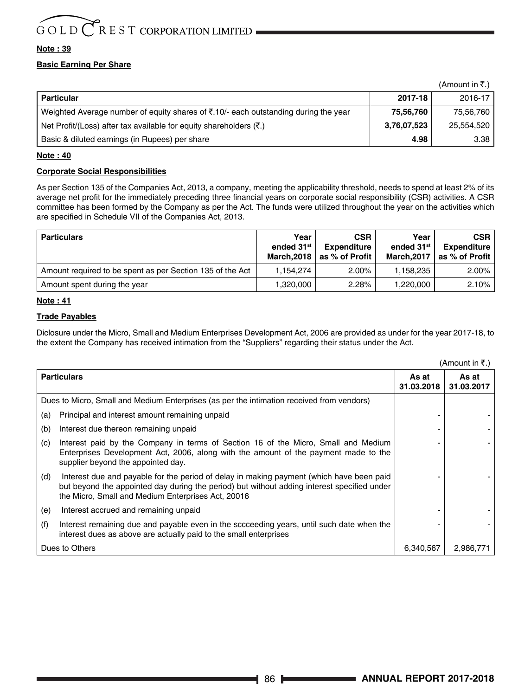#### **Note : 39**

#### **Basic Earning Per Share**

|                                                                                     |             | (Amount in ₹.) |
|-------------------------------------------------------------------------------------|-------------|----------------|
| <b>Particular</b>                                                                   | 2017-18     | 2016-17        |
| Weighted Average number of equity shares of ₹.10/- each outstanding during the year | 75,56,760   | 75,56,760      |
| Net Profit/(Loss) after tax available for equity shareholders $(\bar{\zeta})$ .     | 3,76,07,523 | 25.554.520     |
| Basic & diluted earnings (in Rupees) per share                                      | 4.98        | 3.38           |

#### **Note : 40**

#### **Corporate Social Responsibilities**

As per Section 135 of the Companies Act, 2013, a company, meeting the applicability threshold, needs to spend at least 2% of its average net profit for the immediately preceding three financial years on corporate social responsibility (CSR) activities. A CSR committee has been formed by the Company as per the Act. The funds were utilized throughout the year on the activities which are specified in Schedule VII of the Companies Act, 2013.

| <b>Particulars</b>                                        | Year<br>ended 31 <sup>st</sup><br>March.2018 | <b>CSR</b><br>Expenditure<br>as % of Profit | Year<br>ended 31 <sup>st</sup><br><b>March.2017</b> | <b>CSR</b><br>Expenditure<br>as % of Profit |
|-----------------------------------------------------------|----------------------------------------------|---------------------------------------------|-----------------------------------------------------|---------------------------------------------|
| Amount required to be spent as per Section 135 of the Act | 1.154.274                                    | $2.00\%$                                    | 1.158.235                                           | $2.00\%$                                    |
| Amount spent during the year                              | 1.320.000                                    | 2.28%                                       | 1.220.000                                           | 2.10%                                       |

#### **Note : 41**

#### **Trade Payables**

Diclosure under the Micro, Small and Medium Enterprises Development Act, 2006 are provided as under for the year 2017-18, to the extent the Company has received intimation from the "Suppliers" regarding their status under the Act.

|     |                                                                                                                                                                                                                                               |                     | (Amount in ₹.)      |
|-----|-----------------------------------------------------------------------------------------------------------------------------------------------------------------------------------------------------------------------------------------------|---------------------|---------------------|
|     | <b>Particulars</b>                                                                                                                                                                                                                            | As at<br>31.03.2018 | As at<br>31.03.2017 |
|     | Dues to Micro, Small and Medium Enterprises (as per the intimation received from vendors)                                                                                                                                                     |                     |                     |
| (a) | Principal and interest amount remaining unpaid                                                                                                                                                                                                |                     |                     |
| (b) | Interest due thereon remaining unpaid                                                                                                                                                                                                         |                     |                     |
| (c) | Interest paid by the Company in terms of Section 16 of the Micro, Small and Medium<br>Enterprises Development Act, 2006, along with the amount of the payment made to the<br>supplier beyond the appointed day.                               |                     |                     |
| (d) | Interest due and payable for the period of delay in making payment (which have been paid<br>but beyond the appointed day during the period) but without adding interest specified under<br>the Micro, Small and Medium Enterprises Act, 20016 |                     |                     |
| (e) | Interest accrued and remaining unpaid                                                                                                                                                                                                         |                     |                     |
| (f) | Interest remaining due and payable even in the sccceeding years, until such date when the<br>interest dues as above are actually paid to the small enterprises                                                                                |                     |                     |
|     | Dues to Others                                                                                                                                                                                                                                | 6.340.567           | 2.986.771           |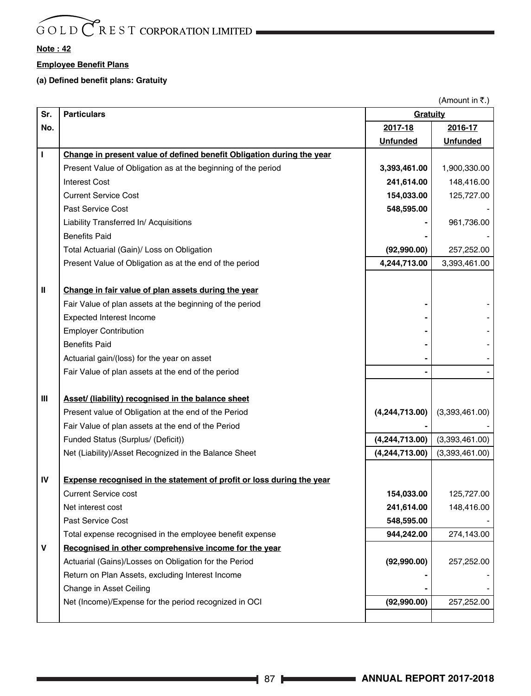#### **Note : 42**

#### **Employee Benefit Plans**

#### **(a) Defined benefit plans: Gratuity**

|     |                                                                              |                  | (Amount in ₹.)  |
|-----|------------------------------------------------------------------------------|------------------|-----------------|
| Sr. | <b>Particulars</b>                                                           | Gratuity         |                 |
| No. |                                                                              | 2017-18          | 2016-17         |
|     |                                                                              | <b>Unfunded</b>  | <b>Unfunded</b> |
| т   | Change in present value of defined benefit Obligation during the year        |                  |                 |
|     | Present Value of Obligation as at the beginning of the period                | 3,393,461.00     | 1,900,330.00    |
|     | <b>Interest Cost</b>                                                         | 241,614.00       | 148,416.00      |
|     | <b>Current Service Cost</b>                                                  | 154,033.00       | 125,727.00      |
|     | Past Service Cost                                                            | 548,595.00       |                 |
|     | Liability Transferred In/ Acquisitions                                       |                  | 961,736.00      |
|     | <b>Benefits Paid</b>                                                         |                  |                 |
|     | Total Actuarial (Gain)/ Loss on Obligation                                   | (92,990.00)      | 257,252.00      |
|     | Present Value of Obligation as at the end of the period                      | 4,244,713.00     | 3,393,461.00    |
|     |                                                                              |                  |                 |
| Ш   | Change in fair value of plan assets during the year                          |                  |                 |
|     | Fair Value of plan assets at the beginning of the period                     |                  |                 |
|     | <b>Expected Interest Income</b>                                              |                  |                 |
|     | <b>Employer Contribution</b>                                                 |                  |                 |
|     | <b>Benefits Paid</b>                                                         |                  |                 |
|     | Actuarial gain/(loss) for the year on asset                                  |                  |                 |
|     | Fair Value of plan assets at the end of the period                           |                  |                 |
|     |                                                                              |                  |                 |
| Ш   | Asset/ (liability) recognised in the balance sheet                           |                  |                 |
|     | Present value of Obligation at the end of the Period                         | (4,244,713.00)   | (3,393,461.00)  |
|     | Fair Value of plan assets at the end of the Period                           |                  |                 |
|     | Funded Status (Surplus/ (Deficit))                                           | (4,244,713.00)   | (3,393,461.00)  |
|     | Net (Liability)/Asset Recognized in the Balance Sheet                        | (4, 244, 713.00) | (3,393,461.00)  |
|     |                                                                              |                  |                 |
| IV  | <b>Expense recognised in the statement of profit or loss during the year</b> |                  |                 |
|     | <b>Current Service cost</b>                                                  | 154,033.00       | 125,727.00      |
|     | Net interest cost                                                            | 241,614.00       | 148,416.00      |
|     | <b>Past Service Cost</b>                                                     | 548,595.00       |                 |
|     | Total expense recognised in the employee benefit expense                     | 944,242.00       | 274,143.00      |
| v   | Recognised in other comprehensive income for the year                        |                  |                 |
|     | Actuarial (Gains)/Losses on Obligation for the Period                        | (92,990.00)      | 257,252.00      |
|     | Return on Plan Assets, excluding Interest Income                             |                  |                 |
|     | Change in Asset Ceiling                                                      |                  |                 |
|     | Net (Income)/Expense for the period recognized in OCI                        | (92,990.00)      | 257,252.00      |
|     |                                                                              |                  |                 |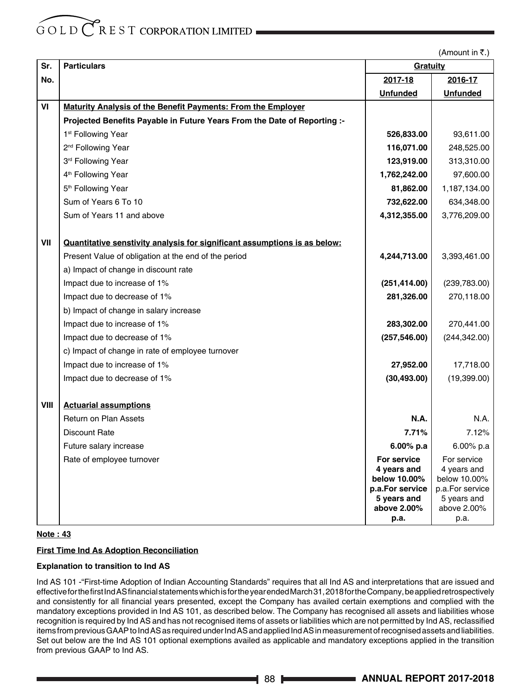(Amount in  $\overline{\tau}$ .)

| Sr.  | <b>Particulars</b>                                                        | Gratuity                                               |                                                        |
|------|---------------------------------------------------------------------------|--------------------------------------------------------|--------------------------------------------------------|
| No.  |                                                                           | 2017-18                                                | 2016-17                                                |
|      |                                                                           | <b>Unfunded</b>                                        | <b>Unfunded</b>                                        |
| VI   | <b>Maturity Analysis of the Benefit Payments: From the Employer</b>       |                                                        |                                                        |
|      | Projected Benefits Payable in Future Years From the Date of Reporting :-  |                                                        |                                                        |
|      | 1 <sup>st</sup> Following Year                                            | 526,833.00                                             | 93,611.00                                              |
|      | 2 <sup>nd</sup> Following Year                                            | 116,071.00                                             | 248,525.00                                             |
|      | 3rd Following Year                                                        | 123,919.00                                             | 313,310.00                                             |
|      | 4 <sup>th</sup> Following Year                                            | 1,762,242.00                                           | 97,600.00                                              |
|      | 5 <sup>th</sup> Following Year                                            | 81,862.00                                              | 1,187,134.00                                           |
|      | Sum of Years 6 To 10                                                      | 732,622.00                                             | 634,348.00                                             |
|      | Sum of Years 11 and above                                                 | 4,312,355.00                                           | 3,776,209.00                                           |
| VII  | Quantitative senstivity analysis for significant assumptions is as below: |                                                        |                                                        |
|      | Present Value of obligation at the end of the period                      | 4,244,713.00                                           | 3,393,461.00                                           |
|      | a) Impact of change in discount rate                                      |                                                        |                                                        |
|      | Impact due to increase of 1%                                              | (251, 414.00)                                          | (239, 783.00)                                          |
|      | Impact due to decrease of 1%                                              | 281,326.00                                             | 270,118.00                                             |
|      | b) Impact of change in salary increase                                    |                                                        |                                                        |
|      | Impact due to increase of 1%                                              | 283,302.00                                             | 270,441.00                                             |
|      | Impact due to decrease of 1%                                              | (257, 546.00)                                          | (244, 342.00)                                          |
|      | c) Impact of change in rate of employee turnover                          |                                                        |                                                        |
|      | Impact due to increase of 1%                                              | 27,952.00                                              | 17,718.00                                              |
|      | Impact due to decrease of 1%                                              | (30, 493.00)                                           | (19,399.00)                                            |
| VIII | <b>Actuarial assumptions</b>                                              |                                                        |                                                        |
|      | <b>Return on Plan Assets</b>                                              | <b>N.A.</b>                                            | N.A.                                                   |
|      | <b>Discount Rate</b>                                                      | 7.71%                                                  | 7.12%                                                  |
|      | Future salary increase                                                    | $6.00\%$ p.a                                           | 6.00% p.a                                              |
|      | Rate of employee turnover                                                 | For service                                            | For service                                            |
|      |                                                                           | 4 years and                                            | 4 years and                                            |
|      |                                                                           |                                                        |                                                        |
|      |                                                                           | 5 years and                                            | 5 years and                                            |
|      |                                                                           |                                                        |                                                        |
|      |                                                                           | below 10.00%<br>p.a.For service<br>above 2.00%<br>р.а. | below 10.00%<br>p.a.For service<br>above 2.00%<br>p.a. |

#### **Note : 43**

#### **First Time Ind As Adoption Reconciliation**

#### **Explanation to transition to Ind AS**

Ind AS 101 -"First-time Adoption of Indian Accounting Standards" requires that all Ind AS and interpretations that are issued and effective for the first Ind AS financial statements which is for the year ended March 31, 2018 for the Company, be applied retrospectively and consistently for all financial years presented, except the Company has availed certain exemptions and complied with the mandatory exceptions provided in Ind AS 101, as described below. The Company has recognised all assets and liabilities whose recognition is required by Ind AS and has not recognised items of assets or liabilities which are not permitted by Ind AS, reclassified items from previous GAAP to Ind AS as required under Ind AS and applied Ind AS in measurement of recognised assets and liabilities. Set out below are the Ind AS 101 optional exemptions availed as applicable and mandatory exceptions applied in the transition from previous GAAP to Ind AS.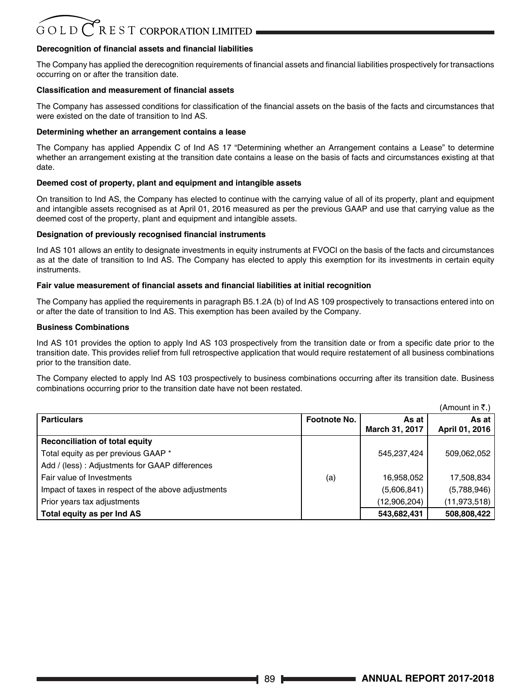## $G$  O L D  $C$  R E S T CORPORATION LIMITED

#### **Derecognition of financial assets and financial liabilities**

The Company has applied the derecognition requirements of financial assets and financial liabilities prospectively for transactions occurring on or after the transition date.

#### **Classification and measurement of financial assets**

The Company has assessed conditions for classification of the financial assets on the basis of the facts and circumstances that were existed on the date of transition to Ind AS.

#### **Determining whether an arrangement contains a lease**

The Company has applied Appendix C of Ind AS 17 "Determining whether an Arrangement contains a Lease" to determine whether an arrangement existing at the transition date contains a lease on the basis of facts and circumstances existing at that date.

#### **Deemed cost of property, plant and equipment and intangible assets**

On transition to Ind AS, the Company has elected to continue with the carrying value of all of its property, plant and equipment and intangible assets recognised as at April 01, 2016 measured as per the previous GAAP and use that carrying value as the deemed cost of the property, plant and equipment and intangible assets.

#### **Designation of previously recognised financial instruments**

Ind AS 101 allows an entity to designate investments in equity instruments at FVOCI on the basis of the facts and circumstances as at the date of transition to Ind AS. The Company has elected to apply this exemption for its investments in certain equity instruments.

#### **Fair value measurement of financial assets and financial liabilities at initial recognition**

The Company has applied the requirements in paragraph B5.1.2A (b) of Ind AS 109 prospectively to transactions entered into on or after the date of transition to Ind AS. This exemption has been availed by the Company.

#### **Business Combinations**

Ind AS 101 provides the option to apply Ind AS 103 prospectively from the transition date or from a specific date prior to the transition date. This provides relief from full retrospective application that would require restatement of all business combinations prior to the transition date.

The Company elected to apply Ind AS 103 prospectively to business combinations occurring after its transition date. Business combinations occurring prior to the transition date have not been restated.

|                                                     |              |                         | (Amount in ₹.)          |
|-----------------------------------------------------|--------------|-------------------------|-------------------------|
| <b>Particulars</b>                                  | Footnote No. | As at<br>March 31, 2017 | As at<br>April 01, 2016 |
| Reconciliation of total equity                      |              |                         |                         |
| Total equity as per previous GAAP *                 |              | 545.237.424             | 509,062,052             |
| Add / (less): Adjustments for GAAP differences      |              |                         |                         |
| Fair value of Investments                           | (a)          | 16,958,052              | 17,508,834              |
| Impact of taxes in respect of the above adjustments |              | (5,606,841)             | (5,788,946)             |
| Prior years tax adjustments                         |              | (12,906,204)            | (11, 973, 518)          |
| Total equity as per Ind AS                          |              | 543,682,431             | 508,808,422             |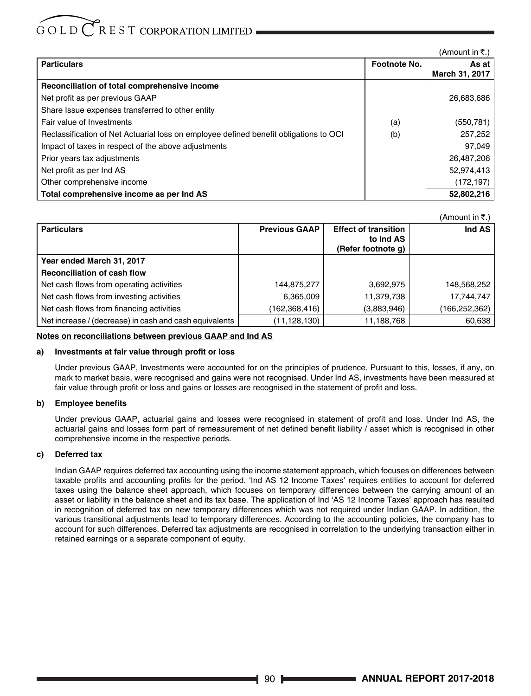## $G$  O L D  $\bigcap$  R E S T CORPORATION LIMITED

 $(Am$ ount in  $\overline{z}$ .)

 $(\Lambda_{\text{mean}})$  in  $\overline{\mathbf{r}}$ 

| <b>Particulars</b>                                                                    | Footnote No. | As at I<br>March 31, 2017 |
|---------------------------------------------------------------------------------------|--------------|---------------------------|
| Reconciliation of total comprehensive income                                          |              |                           |
|                                                                                       |              |                           |
| Net profit as per previous GAAP                                                       |              | 26,683,686                |
| Share Issue expenses transferred to other entity                                      |              |                           |
| Fair value of Investments                                                             | (a)          | (550, 781)                |
| Reclassification of Net Actuarial loss on employee defined benefit obligations to OCI | (b)          | 257,252                   |
| Impact of taxes in respect of the above adjustments                                   |              | 97.049                    |
| Prior years tax adjustments                                                           |              | 26,487,206                |
| Net profit as per Ind AS                                                              |              | 52,974,413                |
| Other comprehensive income                                                            |              | (172, 197)                |
| Total comprehensive income as per Ind AS                                              |              | 52,802,216                |

|                                                        |                      |                             | (Allioulit III K.) |
|--------------------------------------------------------|----------------------|-----------------------------|--------------------|
| <b>Particulars</b>                                     | <b>Previous GAAP</b> | <b>Effect of transition</b> | Ind AS             |
|                                                        |                      | to Ind AS                   |                    |
|                                                        |                      | (Refer footnote q)          |                    |
| Year ended March 31, 2017                              |                      |                             |                    |
| <b>Reconciliation of cash flow</b>                     |                      |                             |                    |
| Net cash flows from operating activities               | 144,875,277          | 3,692,975                   | 148,568,252        |
| Net cash flows from investing activities               | 6,365,009            | 11,379,738                  | 17.744.747         |
| Net cash flows from financing activities               | (162, 368, 416)      | (3,883,946)                 | (166,252,362)      |
| Net increase / (decrease) in cash and cash equivalents | (11, 128, 130)       | 11,188,768                  | 60,638             |

#### **Notes on reconciliations between previous GAAP and Ind AS**

#### **a) Investments at fair value through profit or loss**

Under previous GAAP, Investments were accounted for on the principles of prudence. Pursuant to this, losses, if any, on mark to market basis, were recognised and gains were not recognised. Under Ind AS, investments have been measured at fair value through profit or loss and gains or losses are recognised in the statement of profit and loss.

#### **b) Employee benefits**

Under previous GAAP, actuarial gains and losses were recognised in statement of profit and loss. Under Ind AS, the actuarial gains and losses form part of remeasurement of net defined benefit liability / asset which is recognised in other comprehensive income in the respective periods.

#### **c) Deferred tax**

Indian GAAP requires deferred tax accounting using the income statement approach, which focuses on differences between taxable profits and accounting profits for the period. 'Ind AS 12 Income Taxes' requires entities to account for deferred taxes using the balance sheet approach, which focuses on temporary differences between the carrying amount of an asset or liability in the balance sheet and its tax base. The application of Ind 'AS 12 Income Taxes' approach has resulted in recognition of deferred tax on new temporary differences which was not required under Indian GAAP. In addition, the various transitional adjustments lead to temporary differences. According to the accounting policies, the company has to account for such differences. Deferred tax adjustments are recognised in correlation to the underlying transaction either in retained earnings or a separate component of equity.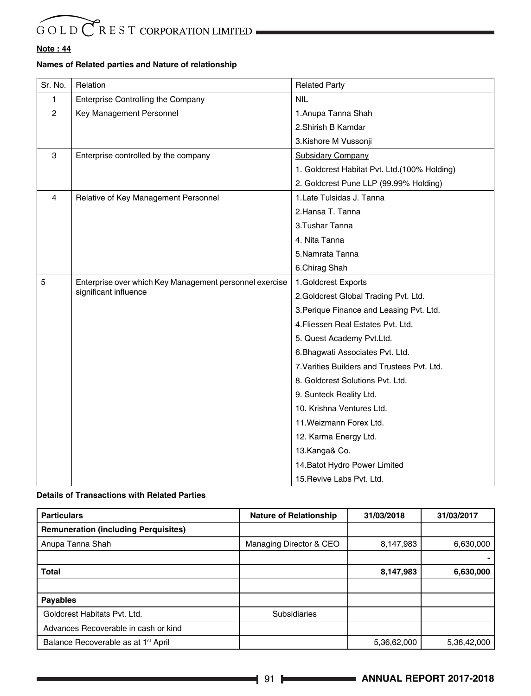#### **Note : 44**

#### **Names of Related parties and Nature of relationship**

| Sr. No.        | Relation                                                | <b>Related Party</b>                          |
|----------------|---------------------------------------------------------|-----------------------------------------------|
| 1              | Enterprise Controlling the Company                      | <b>NIL</b>                                    |
| $\overline{2}$ | Key Management Personnel                                | 1. Anupa Tanna Shah                           |
|                |                                                         | 2. Shirish B Kamdar                           |
|                |                                                         | 3.Kishore M Vussonji                          |
| 3              | Enterprise controlled by the company                    | <b>Subsidary Company</b>                      |
|                |                                                         | 1. Goldcrest Habitat Pvt. Ltd. (100% Holding) |
|                |                                                         | 2. Goldcrest Pune LLP (99.99% Holding)        |
| 4              | Relative of Key Management Personnel                    | 1. Late Tulsidas J. Tanna                     |
|                |                                                         | 2.Hansa T. Tanna                              |
|                |                                                         | 3. Tushar Tanna                               |
|                |                                                         | 4. Nita Tanna                                 |
|                |                                                         | 5.Namrata Tanna                               |
|                |                                                         | 6.Chirag Shah                                 |
| 5              | Enterprise over which Key Management personnel exercise | 1.Goldcrest Exports                           |
|                | significant influence                                   | 2. Goldcrest Global Trading Pvt. Ltd.         |
|                |                                                         | 3. Perique Finance and Leasing Pvt. Ltd.      |
|                |                                                         | 4. Fliessen Real Estates Pvt. Ltd.            |
|                |                                                         | 5. Quest Academy Pvt.Ltd.                     |
|                |                                                         | 6. Bhagwati Associates Pvt. Ltd.              |
|                |                                                         | 7. Varities Builders and Trustees Pvt. Ltd.   |
|                |                                                         | 8. Goldcrest Solutions Pvt. Ltd.              |
|                |                                                         | 9. Sunteck Reality Ltd.                       |
|                |                                                         | 10. Krishna Ventures Ltd.                     |
|                |                                                         | 11. Weizmann Forex Ltd.                       |
|                |                                                         | 12. Karma Energy Ltd.                         |
|                |                                                         | 13.Kanga& Co.                                 |
|                |                                                         | 14. Batot Hydro Power Limited                 |
|                |                                                         | 15. Revive Labs Pvt. Ltd.                     |

#### **Details of Transactions with Related Parties**

| <b>Particulars</b>                              | <b>Nature of Relationship</b> | 31/03/2018  | 31/03/2017  |
|-------------------------------------------------|-------------------------------|-------------|-------------|
| <b>Remuneration (including Perquisites)</b>     |                               |             |             |
| Anupa Tanna Shah                                | Managing Director & CEO       | 8,147,983   | 6,630,000   |
|                                                 |                               |             |             |
| Total                                           |                               | 8,147,983   | 6,630,000   |
|                                                 |                               |             |             |
| Payables                                        |                               |             |             |
| Goldcrest Habitats Pvt. Ltd.                    | <b>Subsidiaries</b>           |             |             |
| Advances Recoverable in cash or kind            |                               |             |             |
| Balance Recoverable as at 1 <sup>st</sup> April |                               | 5,36,62,000 | 5,36,42,000 |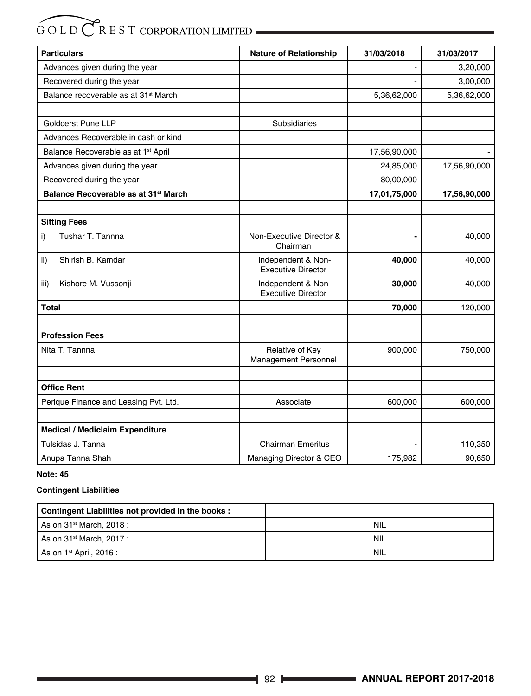| <b>Particulars</b>                               | <b>Nature of Relationship</b>                   | 31/03/2018   | 31/03/2017   |
|--------------------------------------------------|-------------------------------------------------|--------------|--------------|
| Advances given during the year                   |                                                 |              | 3,20,000     |
| Recovered during the year                        |                                                 |              | 3,00,000     |
| Balance recoverable as at 31 <sup>st</sup> March |                                                 | 5,36,62,000  | 5,36,62,000  |
|                                                  |                                                 |              |              |
| <b>Goldcerst Pune LLP</b>                        | <b>Subsidiaries</b>                             |              |              |
| Advances Recoverable in cash or kind             |                                                 |              |              |
| Balance Recoverable as at 1 <sup>st</sup> April  |                                                 | 17,56,90,000 |              |
| Advances given during the year                   |                                                 | 24,85,000    | 17,56,90,000 |
| Recovered during the year                        |                                                 | 80,00,000    |              |
| Balance Recoverable as at 31 <sup>st</sup> March |                                                 | 17,01,75,000 | 17,56,90,000 |
|                                                  |                                                 |              |              |
| <b>Sitting Fees</b>                              |                                                 |              |              |
| Tushar T. Tannna<br>i)                           | Non-Executive Director &<br>Chairman            |              | 40,000       |
| Shirish B. Kamdar<br>ii)                         | Independent & Non-<br><b>Executive Director</b> | 40,000       | 40,000       |
| Kishore M. Vussonji<br>iii)                      | Independent & Non-<br><b>Executive Director</b> | 30,000       | 40,000       |
| Total                                            |                                                 | 70,000       | 120,000      |
|                                                  |                                                 |              |              |
| <b>Profession Fees</b>                           |                                                 |              |              |
| Nita T. Tannna                                   | Relative of Key<br><b>Management Personnel</b>  | 900,000      | 750,000      |
|                                                  |                                                 |              |              |
| <b>Office Rent</b>                               |                                                 |              |              |
| Perique Finance and Leasing Pvt. Ltd.            | Associate                                       | 600,000      | 600,000      |
| <b>Medical / Mediclaim Expenditure</b>           |                                                 |              |              |
| Tulsidas J. Tanna                                | <b>Chairman Emeritus</b>                        |              | 110,350      |
| Anupa Tanna Shah                                 | Managing Director & CEO                         | 175,982      | 90,650       |

#### **Note: 45**

#### **Contingent Liabilities**

| Contingent Liabilities not provided in the books: |     |
|---------------------------------------------------|-----|
| As on 31 <sup>st</sup> March, 2018 :              | NIL |
| As on 31 <sup>st</sup> March, 2017 :              | NIL |
| As on $1st$ April, 2016 :                         | NIL |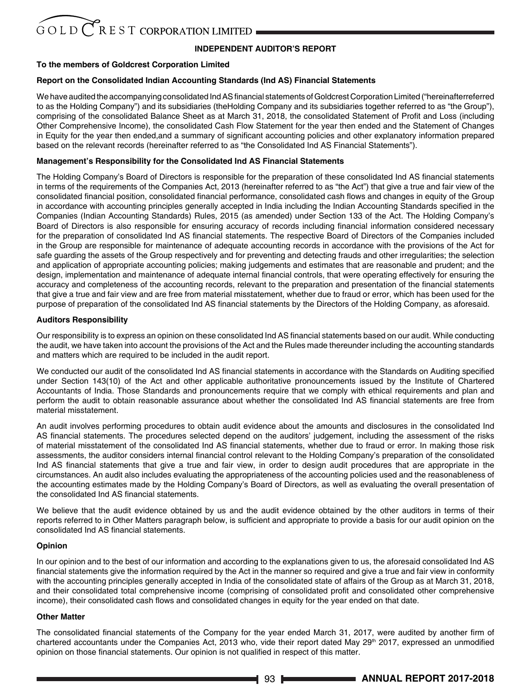#### **INDEPENDENT AUDITOR'S REPORT**

#### **To the members of Goldcrest Corporation Limited**

#### **Report on the Consolidated Indian Accounting Standards (Ind AS) Financial Statements**

We have audited the accompanying consolidated Ind AS financial statements of Goldcrest Corporation Limited ("hereinafterreferred to as the Holding Company") and its subsidiaries (theHolding Company and its subsidiaries together referred to as "the Group"), comprising of the consolidated Balance Sheet as at March 31, 2018, the consolidated Statement of Profit and Loss (including Other Comprehensive Income), the consolidated Cash Flow Statement for the year then ended and the Statement of Changes in Equity for the year then ended,and a summary of significant accounting policies and other explanatory information prepared based on the relevant records (hereinafter referred to as "the Consolidated Ind AS Financial Statements").

#### **Management's Responsibility for the Consolidated Ind AS Financial Statements**

The Holding Company's Board of Directors is responsible for the preparation of these consolidated Ind AS financial statements in terms of the requirements of the Companies Act, 2013 (hereinafter referred to as "the Act") that give a true and fair view of the consolidated financial position, consolidated financial performance, consolidated cash flows and changes in equity of the Group in accordance with accounting principles generally accepted in India including the Indian Accounting Standards specified in the Companies (Indian Accounting Standards) Rules, 2015 (as amended) under Section 133 of the Act. The Holding Company's Board of Directors is also responsible for ensuring accuracy of records including financial information considered necessary for the preparation of consolidated Ind AS financial statements. The respective Board of Directors of the Companies included in the Group are responsible for maintenance of adequate accounting records in accordance with the provisions of the Act for safe guarding the assets of the Group respectively and for preventing and detecting frauds and other irregularities; the selection and application of appropriate accounting policies; making judgements and estimates that are reasonable and prudent; and the design, implementation and maintenance of adequate internal financial controls, that were operating effectively for ensuring the accuracy and completeness of the accounting records, relevant to the preparation and presentation of the financial statements that give a true and fair view and are free from material misstatement, whether due to fraud or error, which has been used for the purpose of preparation of the consolidated Ind AS financial statements by the Directors of the Holding Company, as aforesaid.

#### **Auditors Responsibility**

Our responsibility is to express an opinion on these consolidated Ind AS financial statements based on our audit. While conducting the audit, we have taken into account the provisions of the Act and the Rules made thereunder including the accounting standards and matters which are required to be included in the audit report.

We conducted our audit of the consolidated Ind AS financial statements in accordance with the Standards on Auditing specified under Section 143(10) of the Act and other applicable authoritative pronouncements issued by the Institute of Chartered Accountants of India. Those Standards and pronouncements require that we comply with ethical requirements and plan and perform the audit to obtain reasonable assurance about whether the consolidated Ind AS financial statements are free from material misstatement.

An audit involves performing procedures to obtain audit evidence about the amounts and disclosures in the consolidated Ind AS financial statements. The procedures selected depend on the auditors' judgement, including the assessment of the risks of material misstatement of the consolidated Ind AS financial statements, whether due to fraud or error. In making those risk assessments, the auditor considers internal financial control relevant to the Holding Company's preparation of the consolidated Ind AS financial statements that give a true and fair view, in order to design audit procedures that are appropriate in the circumstances. An audit also includes evaluating the appropriateness of the accounting policies used and the reasonableness of the accounting estimates made by the Holding Company's Board of Directors, as well as evaluating the overall presentation of the consolidated Ind AS financial statements.

We believe that the audit evidence obtained by us and the audit evidence obtained by the other auditors in terms of their reports referred to in Other Matters paragraph below, is sufficient and appropriate to provide a basis for our audit opinion on the consolidated Ind AS financial statements.

#### **Opinion**

In our opinion and to the best of our information and according to the explanations given to us, the aforesaid consolidated Ind AS financial statements give the information required by the Act in the manner so required and give a true and fair view in conformity with the accounting principles generally accepted in India of the consolidated state of affairs of the Group as at March 31, 2018, and their consolidated total comprehensive income (comprising of consolidated profit and consolidated other comprehensive income), their consolidated cash flows and consolidated changes in equity for the year ended on that date.

#### **Other Matter**

The consolidated financial statements of the Company for the year ended March 31, 2017, were audited by another firm of chartered accountants under the Companies Act, 2013 who, vide their report dated May  $29<sup>th</sup>$  2017, expressed an unmodified opinion on those financial statements. Our opinion is not qualified in respect of this matter.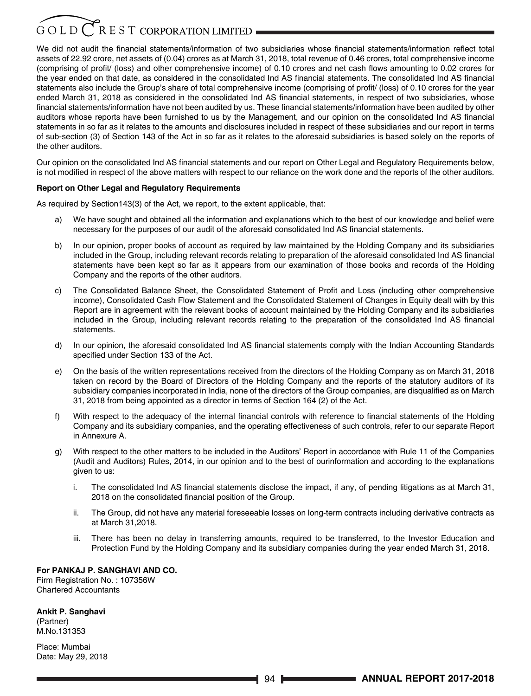## $G$  O L D  $C$  R E S T CORPORATION LIMITED

We did not audit the financial statements/information of two subsidiaries whose financial statements/information reflect total assets of 22.92 crore, net assets of (0.04) crores as at March 31, 2018, total revenue of 0.46 crores, total comprehensive income (comprising of profit/ (loss) and other comprehensive income) of 0.10 crores and net cash flows amounting to 0.02 crores for the year ended on that date, as considered in the consolidated Ind AS financial statements. The consolidated Ind AS financial statements also include the Group's share of total comprehensive income (comprising of profit/ (loss) of 0.10 crores for the year ended March 31, 2018 as considered in the consolidated Ind AS financial statements, in respect of two subsidiaries, whose financial statements/information have not been audited by us. These financial statements/information have been audited by other auditors whose reports have been furnished to us by the Management, and our opinion on the consolidated Ind AS financial statements in so far as it relates to the amounts and disclosures included in respect of these subsidiaries and our report in terms of sub-section (3) of Section 143 of the Act in so far as it relates to the aforesaid subsidiaries is based solely on the reports of the other auditors.

Our opinion on the consolidated Ind AS financial statements and our report on Other Legal and Regulatory Requirements below, is not modified in respect of the above matters with respect to our reliance on the work done and the reports of the other auditors.

#### **Report on Other Legal and Regulatory Requirements**

As required by Section143(3) of the Act, we report, to the extent applicable, that:

- We have sought and obtained all the information and explanations which to the best of our knowledge and belief were necessary for the purposes of our audit of the aforesaid consolidated Ind AS financial statements.
- b) In our opinion, proper books of account as required by law maintained by the Holding Company and its subsidiaries included in the Group, including relevant records relating to preparation of the aforesaid consolidated Ind AS financial statements have been kept so far as it appears from our examination of those books and records of the Holding Company and the reports of the other auditors.
- c) The Consolidated Balance Sheet, the Consolidated Statement of Profit and Loss (including other comprehensive income), Consolidated Cash Flow Statement and the Consolidated Statement of Changes in Equity dealt with by this Report are in agreement with the relevant books of account maintained by the Holding Company and its subsidiaries included in the Group, including relevant records relating to the preparation of the consolidated Ind AS financial statements.
- d) In our opinion, the aforesaid consolidated Ind AS financial statements comply with the Indian Accounting Standards specified under Section 133 of the Act.
- e) On the basis of the written representations received from the directors of the Holding Company as on March 31, 2018 taken on record by the Board of Directors of the Holding Company and the reports of the statutory auditors of its subsidiary companies incorporated in India, none of the directors of the Group companies, are disqualified as on March 31, 2018 from being appointed as a director in terms of Section 164 (2) of the Act.
- f) With respect to the adequacy of the internal financial controls with reference to financial statements of the Holding Company and its subsidiary companies, and the operating effectiveness of such controls, refer to our separate Report in Annexure A.
- g) With respect to the other matters to be included in the Auditors' Report in accordance with Rule 11 of the Companies (Audit and Auditors) Rules, 2014, in our opinion and to the best of ourinformation and according to the explanations given to us:
	- i. The consolidated Ind AS financial statements disclose the impact, if any, of pending litigations as at March 31, 2018 on the consolidated financial position of the Group.
	- ii. The Group, did not have any material foreseeable losses on long-term contracts including derivative contracts as at March 31,2018.
	- iii. There has been no delay in transferring amounts, required to be transferred, to the Investor Education and Protection Fund by the Holding Company and its subsidiary companies during the year ended March 31, 2018.

#### **For PANKAJ P. SANGHAVI AND CO.**

Firm Registration No. : 107356W Chartered Accountants

#### **Ankit P. Sanghavi**

(Partner) M.No.131353

Place: Mumbai Date: May 29, 2018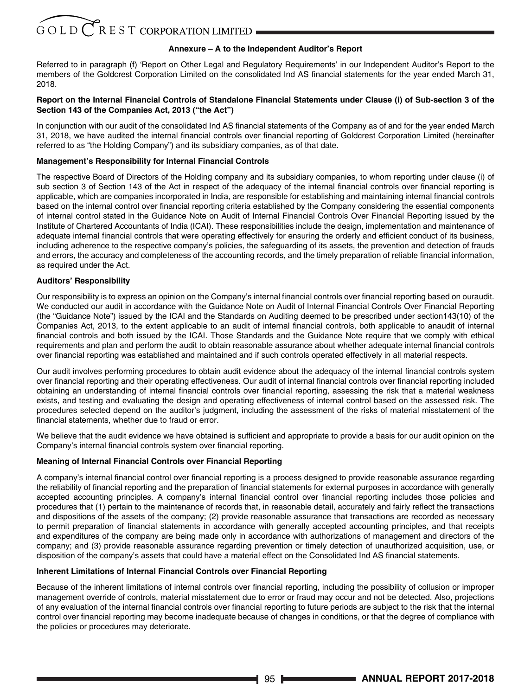#### **Annexure – A to the Independent Auditor's Report**

Referred to in paragraph (f) 'Report on Other Legal and Regulatory Requirements' in our Independent Auditor's Report to the members of the Goldcrest Corporation Limited on the consolidated Ind AS financial statements for the year ended March 31, 2018.

#### **Report on the Internal Financial Controls of Standalone Financial Statements under Clause (i) of Sub-section 3 of the Section 143 of the Companies Act, 2013 ("the Act")**

In conjunction with our audit of the consolidated Ind AS financial statements of the Company as of and for the year ended March 31, 2018, we have audited the internal financial controls over financial reporting of Goldcrest Corporation Limited (hereinafter referred to as "the Holding Company") and its subsidiary companies, as of that date.

#### **Management's Responsibility for Internal Financial Controls**

The respective Board of Directors of the Holding company and its subsidiary companies, to whom reporting under clause (i) of sub section 3 of Section 143 of the Act in respect of the adequacy of the internal financial controls over financial reporting is applicable, which are companies incorporated in India, are responsible for establishing and maintaining internal financial controls based on the internal control over financial reporting criteria established by the Company considering the essential components of internal control stated in the Guidance Note on Audit of Internal Financial Controls Over Financial Reporting issued by the Institute of Chartered Accountants of India (ICAI). These responsibilities include the design, implementation and maintenance of adequate internal financial controls that were operating effectively for ensuring the orderly and efficient conduct of its business, including adherence to the respective company's policies, the safeguarding of its assets, the prevention and detection of frauds and errors, the accuracy and completeness of the accounting records, and the timely preparation of reliable financial information, as required under the Act.

#### **Auditors' Responsibility**

Our responsibility is to express an opinion on the Company's internal financial controls over financial reporting based on ouraudit. We conducted our audit in accordance with the Guidance Note on Audit of Internal Financial Controls Over Financial Reporting (the "Guidance Note") issued by the ICAI and the Standards on Auditing deemed to be prescribed under section143(10) of the Companies Act, 2013, to the extent applicable to an audit of internal financial controls, both applicable to anaudit of internal financial controls and both issued by the ICAI. Those Standards and the Guidance Note require that we comply with ethical requirements and plan and perform the audit to obtain reasonable assurance about whether adequate internal financial controls over financial reporting was established and maintained and if such controls operated effectively in all material respects.

Our audit involves performing procedures to obtain audit evidence about the adequacy of the internal financial controls system over financial reporting and their operating effectiveness. Our audit of internal financial controls over financial reporting included obtaining an understanding of internal financial controls over financial reporting, assessing the risk that a material weakness exists, and testing and evaluating the design and operating effectiveness of internal control based on the assessed risk. The procedures selected depend on the auditor's judgment, including the assessment of the risks of material misstatement of the financial statements, whether due to fraud or error.

We believe that the audit evidence we have obtained is sufficient and appropriate to provide a basis for our audit opinion on the Company's internal financial controls system over financial reporting.

#### **Meaning of Internal Financial Controls over Financial Reporting**

A company's internal financial control over financial reporting is a process designed to provide reasonable assurance regarding the reliability of financial reporting and the preparation of financial statements for external purposes in accordance with generally accepted accounting principles. A company's internal financial control over financial reporting includes those policies and procedures that (1) pertain to the maintenance of records that, in reasonable detail, accurately and fairly reflect the transactions and dispositions of the assets of the company; (2) provide reasonable assurance that transactions are recorded as necessary to permit preparation of financial statements in accordance with generally accepted accounting principles, and that receipts and expenditures of the company are being made only in accordance with authorizations of management and directors of the company; and (3) provide reasonable assurance regarding prevention or timely detection of unauthorized acquisition, use, or disposition of the company's assets that could have a material effect on the Consolidated Ind AS financial statements.

#### **Inherent Limitations of Internal Financial Controls over Financial Reporting**

Because of the inherent limitations of internal controls over financial reporting, including the possibility of collusion or improper management override of controls, material misstatement due to error or fraud may occur and not be detected. Also, projections of any evaluation of the internal financial controls over financial reporting to future periods are subject to the risk that the internal control over financial reporting may become inadequate because of changes in conditions, or that the degree of compliance with the policies or procedures may deteriorate.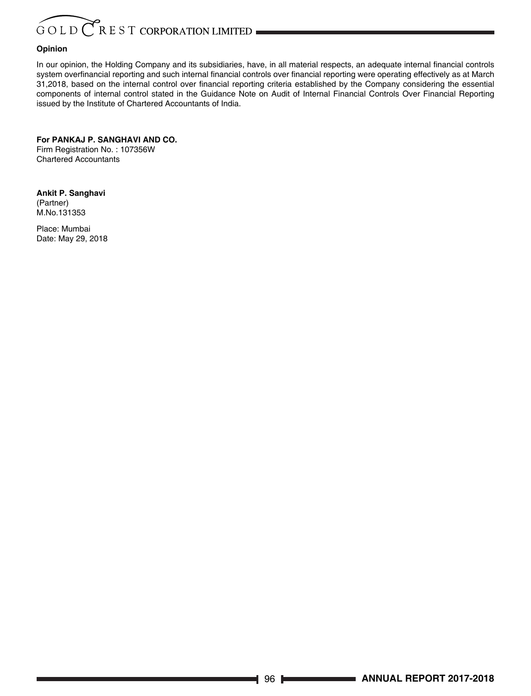#### **Opinion**

In our opinion, the Holding Company and its subsidiaries, have, in all material respects, an adequate internal financial controls system overfinancial reporting and such internal financial controls over financial reporting were operating effectively as at March 31,2018, based on the internal control over financial reporting criteria established by the Company considering the essential components of internal control stated in the Guidance Note on Audit of Internal Financial Controls Over Financial Reporting issued by the Institute of Chartered Accountants of India.

**For PANKAJ P. SANGHAVI AND CO.** Firm Registration No. : 107356W Chartered Accountants

**Ankit P. Sanghavi** (Partner) M.No.131353

Place: Mumbai Date: May 29, 2018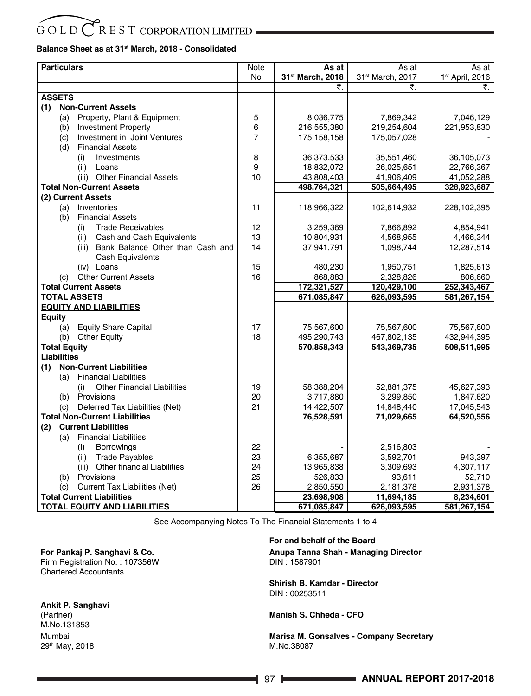#### **Balance Sheet as at 31st March, 2018 - Consolidated**

| <b>Particulars</b>                                                       | Note           | As at                 | As at                        | As at                       |
|--------------------------------------------------------------------------|----------------|-----------------------|------------------------------|-----------------------------|
|                                                                          | No             | 31st March, 2018      | 31 <sup>st</sup> March, 2017 | 1 <sup>st</sup> April, 2016 |
|                                                                          |                |                       | ₹.                           | ₹.                          |
| <b>ASSETS</b>                                                            |                |                       |                              |                             |
| (1)<br><b>Non-Current Assets</b>                                         |                |                       |                              |                             |
| Property, Plant & Equipment<br>(a)                                       | 5              | 8,036,775             | 7,869,342                    | 7,046,129                   |
| <b>Investment Property</b><br>(b)                                        | 6              | 216,555,380           | 219,254,604                  | 221,953,830                 |
| Investment in Joint Ventures<br>(c)                                      | $\overline{7}$ | 175, 158, 158         | 175,057,028                  |                             |
| <b>Financial Assets</b><br>(d)                                           |                |                       |                              |                             |
| Investments<br>(i)                                                       | 8              | 36,373,533            | 35,551,460                   | 36,105,073                  |
| (ii)<br>Loans                                                            | 9              | 18,832,072            | 26,025,651                   | 22,766,367                  |
| (iii) Other Financial Assets                                             | 10             | 43,808,403            | 41,906,409                   | 41,052,288                  |
| <b>Total Non-Current Assets</b>                                          |                | 498,764,321           | 505,664,495                  | 328,923,687                 |
| (2) Current Assets                                                       |                |                       |                              |                             |
| Inventories<br>(a)                                                       | 11             | 118,966,322           | 102,614,932                  | 228,102,395                 |
| (b)<br><b>Financial Assets</b>                                           |                |                       |                              |                             |
| <b>Trade Receivables</b><br>(i)                                          | 12             | 3,259,369             | 7,866,892                    | 4,854,941                   |
| Cash and Cash Equivalents<br>(ii)                                        | 13             | 10,804,931            | 4,568,955                    | 4,466,344                   |
| (iii) Bank Balance Other than Cash and                                   | 14             | 37,941,791            | 1,098,744                    | 12,287,514                  |
| <b>Cash Equivalents</b>                                                  |                |                       |                              |                             |
| (iv) Loans                                                               | 15             | 480,230               | 1,950,751                    | 1,825,613                   |
| (c) Other Current Assets                                                 | 16             | 868,883               | 2,328,826                    | 806,660                     |
| <b>Total Current Assets</b>                                              |                | 172,321,527           | 120,429,100                  | 252,343,467                 |
| <b>TOTAL ASSETS</b>                                                      |                | 671,085,847           | 626,093,595                  | 581,267,154                 |
| <b>EQUITY AND LIABILITIES</b>                                            |                |                       |                              |                             |
| Equity                                                                   |                |                       |                              |                             |
| <b>Equity Share Capital</b><br>(a)                                       | 17             | 75,567,600            | 75,567,600                   | 75,567,600                  |
| <b>Other Equity</b><br>(b)                                               | 18             | 495,290,743           | 467,802,135                  | 432,944,395                 |
| <b>Total Equity</b>                                                      |                | 570,858,343           | 543,369,735                  | 508,511,995                 |
| <b>Liabilities</b>                                                       |                |                       |                              |                             |
| <b>Non-Current Liabilities</b><br>(1)                                    |                |                       |                              |                             |
| <b>Financial Liabilities</b><br>(a)                                      |                |                       |                              |                             |
| <b>Other Financial Liabilities</b><br>(i)                                | 19             | 58,388,204            | 52,881,375                   | 45,627,393                  |
| Provisions<br>(b)                                                        | 20<br>21       | 3,717,880             | 3,299,850                    | 1,847,620                   |
| Deferred Tax Liabilities (Net)<br>(c)                                    |                | 14,422,507            | 14,848,440                   | 17,045,543                  |
| <b>Total Non-Current Liabilities</b><br><b>Current Liabilities</b>       |                | 76,528,591            | 71,029,665                   | 64,520,556                  |
| (2)<br><b>Financial Liabilities</b>                                      |                |                       |                              |                             |
| (a)                                                                      |                |                       |                              |                             |
| <b>Borrowings</b><br>(i)<br><b>Trade Payables</b>                        | 22<br>23       | 6,355,687             | 2,516,803<br>3,592,701       | 943,397                     |
| (ii)<br>(iii) Other financial Liabilities                                |                |                       |                              |                             |
| Provisions                                                               | 24<br>25       | 13,965,838<br>526,833 | 3,309,693<br>93,611          | 4,307,117<br>52,710         |
| (b)                                                                      | 26             | 2,850,550             | 2,181,378                    | 2,931,378                   |
| Current Tax Liabilities (Net)<br>(c)<br><b>Total Current Liabilities</b> |                |                       |                              |                             |
|                                                                          |                | 23,698,908            | 11,694,185                   | 8,234,601                   |
| TOTAL EQUITY AND LIABILITIES                                             |                | 671,085,847           | 626,093,595                  | 581,267,154                 |

See Accompanying Notes To The Financial Statements 1 to 4

#### **For Pankaj P. Sanghavi & Co.** Firm Registration No. : 107356W Chartered Accountants

**Ankit P. Sanghavi**

(Partner) M.No.131353 Mumbai 29th May, 2018

#### **For and behalf of the Board**

**Anupa Tanna Shah - Managing Director**  DIN : 1587901

**Shirish B. Kamdar - Director** DIN : 00253511

**Manish S. Chheda - CFO**

**Marisa M. Gonsalves - Company Secretary**  M.No.38087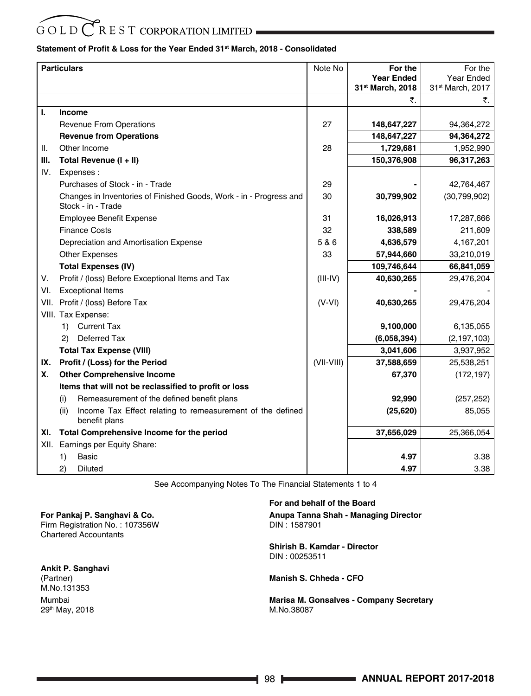# $\overbrace{O}$   $\overline{O}$  L D  $\overline{C}$  R E S T CORPORATION LIMITED

#### **Statement of Profit & Loss for the Year Ended 31st March, 2018 - Consolidated**

|      | <b>Particulars</b>                                                                       | Note No    | For the           | For the          |
|------|------------------------------------------------------------------------------------------|------------|-------------------|------------------|
|      |                                                                                          |            | <b>Year Ended</b> | Year Ended       |
|      |                                                                                          |            | 31st March, 2018  | 31st March, 2017 |
|      |                                                                                          |            | ₹.                | ₹.               |
| L.   | <b>Income</b>                                                                            |            |                   |                  |
|      | <b>Revenue From Operations</b>                                                           | 27         | 148,647,227       | 94,364,272       |
|      | <b>Revenue from Operations</b>                                                           |            | 148,647,227       | 94,364,272       |
| ΙΙ.  | Other Income                                                                             | 28         | 1,729,681         | 1,952,990        |
| Ш.   | Total Revenue (I + II)                                                                   |            | 150,376,908       | 96,317,263       |
| IV.  | Expenses:                                                                                |            |                   |                  |
|      | Purchases of Stock - in - Trade                                                          | 29         |                   | 42,764,467       |
|      | Changes in Inventories of Finished Goods, Work - in - Progress and<br>Stock - in - Trade | 30         | 30,799,902        | (30,799,902)     |
|      | <b>Employee Benefit Expense</b>                                                          | 31         | 16,026,913        | 17,287,666       |
|      | <b>Finance Costs</b>                                                                     | 32         | 338,589           | 211,609          |
|      | Depreciation and Amortisation Expense                                                    | 5 & 6      | 4,636,579         | 4,167,201        |
|      | <b>Other Expenses</b>                                                                    | 33         | 57,944,660        | 33,210,019       |
|      | <b>Total Expenses (IV)</b>                                                               |            | 109,746,644       | 66,841,059       |
| V.   | Profit / (loss) Before Exceptional Items and Tax                                         | $(III-IV)$ | 40,630,265        | 29,476,204       |
| VI.  | <b>Exceptional Items</b>                                                                 |            |                   |                  |
| VII. | Profit / (loss) Before Tax                                                               | $(V-VI)$   | 40,630,265        | 29,476,204       |
|      | VIII. Tax Expense:                                                                       |            |                   |                  |
|      | <b>Current Tax</b><br>1)                                                                 |            | 9,100,000         | 6,135,055        |
|      | <b>Deferred Tax</b><br>2)                                                                |            | (6,058,394)       | (2, 197, 103)    |
|      | <b>Total Tax Expense (VIII)</b>                                                          |            | 3,041,606         | 3,937,952        |
| IX.  | Profit / (Loss) for the Period                                                           | (VII-VIII) | 37,588,659        | 25,538,251       |
| Х.   | <b>Other Comprehensive Income</b>                                                        |            | 67,370            | (172, 197)       |
|      | Items that will not be reclassified to profit or loss                                    |            |                   |                  |
|      | Remeasurement of the defined benefit plans<br>(i)                                        |            | 92,990            | (257, 252)       |
|      | (ii)<br>Income Tax Effect relating to remeasurement of the defined<br>benefit plans      |            | (25, 620)         | 85,055           |
| XI.  | Total Comprehensive Income for the period                                                |            | 37,656,029        | 25,366,054       |
| XII. | Earnings per Equity Share:                                                               |            |                   |                  |
|      | 1)<br>Basic                                                                              |            | 4.97              | 3.38             |
|      | 2)<br><b>Diluted</b>                                                                     |            | 4.97              | 3.38             |

See Accompanying Notes To The Financial Statements 1 to 4

**For Pankaj P. Sanghavi & Co.** Firm Registration No. : 107356W Chartered Accountants

**Ankit P. Sanghavi** (Partner) M.No.131353 Mumbai 29th May, 2018

**For and behalf of the Board Anupa Tanna Shah - Managing Director**  DIN : 1587901

**Shirish B. Kamdar - Director** DIN : 00253511

**Manish S. Chheda - CFO**

**Marisa M. Gonsalves - Company Secretary**  M.No.38087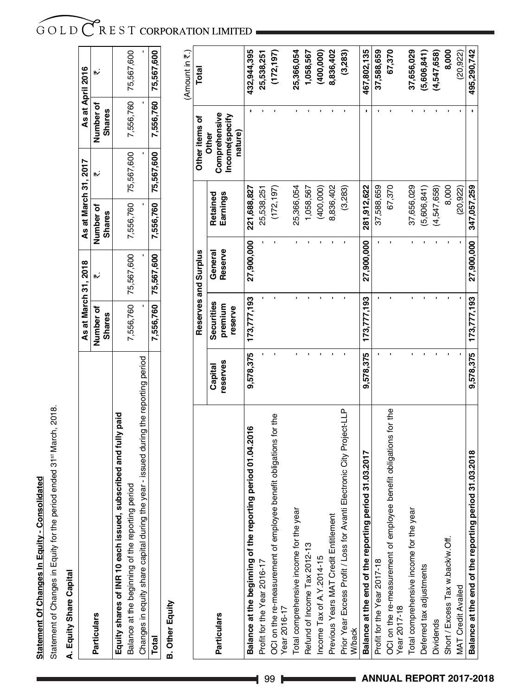# Statement Of Changes In Equity - Consolidated **Statement Of Changes In Equity - Consolidated**

Statement of Changes in Equity for the period ended 31st March, 2018. Statement of Changes in Equity for the period ended 31st March, 2018.

# A. Equity Share Capital **A. Equity Share Capital**

|                                                                                      |               | As at March 31, 2018 | As at March 31, 2017                                           | As at April 2016 |                      |
|--------------------------------------------------------------------------------------|---------------|----------------------|----------------------------------------------------------------|------------------|----------------------|
| <b>Particulars</b>                                                                   | lumber of     |                      | Number of                                                      | <b>Jumber of</b> |                      |
|                                                                                      | <b>Shares</b> |                      | <b>Shares</b>                                                  | <b>Shares</b>    |                      |
| Equity shares of INR 10 each issued, subscribed and fully paid                       |               |                      |                                                                |                  |                      |
| period<br>salance at the beginning of the reporting                                  |               |                      | 7,556,760   75,567,600   7,556,760   75,567,600                |                  | 7,556,760 75,567,600 |
| Changes in equity share capital during the year - issued during the reporting period |               |                      |                                                                |                  |                      |
| Total                                                                                |               |                      | 7,556,760 75,567,600 7,556,760 75,567,600 7,556,760 75,567,600 |                  |                      |
|                                                                                      |               |                      |                                                                |                  |                      |

**B. Other Equity B. Other Equity** (Amount in  $\overline{\tau}$ .) (Amount in  $\bar{\mathfrak{c}}$  .)

|                                                                                   |                     | Reserves and Surplus             |                    |                      | Other items of                                             | Total       |
|-----------------------------------------------------------------------------------|---------------------|----------------------------------|--------------------|----------------------|------------------------------------------------------------|-------------|
| <b>Particulars</b>                                                                | reserves<br>Capital | Securities<br>premium<br>reserve | Reserve<br>General | Retained<br>Earnings | Comprehensive<br>Income(specify<br>nature)<br><b>Other</b> |             |
| period 01.04.2016<br>Balance at the beginning of the reporting                    | 9,578,375           | 173,777,193                      | 27,900,000         | 221,688,827          |                                                            | 432,944,395 |
| Profit for the Year 2016-17                                                       |                     |                                  |                    | 25,538,251           |                                                            | 25,538,251  |
| OCI on the re-measurement of employee benefit obligations for the<br>Year 2016-17 |                     |                                  |                    | (172, 197)           |                                                            | (172,197)   |
| Total comprehensive income for the year                                           |                     |                                  |                    | 25,366,054           |                                                            | 25,366,054  |
| Refund of Income Tax 2012-13                                                      |                     |                                  |                    | 1,058,567            |                                                            | 1,058,567   |
| Income Tax of A.Y.2014-15                                                         |                     |                                  |                    | (400,000)            |                                                            | (400,000)   |
| Previous Years MAT Credit Entitlement                                             |                     |                                  |                    | 8,836,402            |                                                            | 8,836,402   |
| Prior Year Excess Profit / Loss for Avanti Electronic City Project-LLP<br>W/back  |                     |                                  |                    | (3,283)              |                                                            | (3,283)     |
| 31.03.2017<br>Balance at the end of the reporting period                          | 9,578,375           | 173,777,193                      | 27,900,000         | 281,912,622          |                                                            | 467,802,135 |
| Profit for the Year 2017-18                                                       |                     |                                  |                    | 37,588,659           |                                                            | 37,588,659  |
| OCI on the re-measurement of employee benefit obligations for the<br>Year 2017-18 |                     |                                  |                    | 67,370               |                                                            | 67,370      |
| Total comprehensive income for the year                                           |                     |                                  |                    | 37,656,029           |                                                            | 37,656,029  |
| Deferred tax adjustments                                                          |                     |                                  |                    | (5,606,841)          |                                                            | (5,606,841) |
| <b>Dividends</b>                                                                  |                     |                                  |                    | (4,547,658)          |                                                            | (4,547,658) |
| Short / Excess Tax w.back/w.Off.                                                  |                     |                                  |                    | 8,000                |                                                            | 8,000       |
| MAT Credit Availed                                                                |                     |                                  |                    | (20, 922)            |                                                            | (20, 922)   |
| 31.03.2018<br>Balance at the end of the reporting period                          | 9,578,375           | 173,777,193                      | 27,900,000         | 347,057,259          |                                                            | 495,290,742 |

## GOLD CREST CORPORATION LIMITED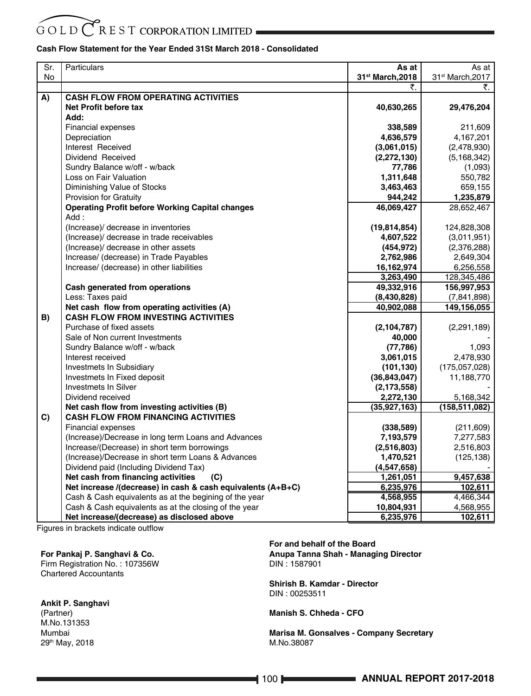#### $R$  E S T CORPORATION LIMITED GOLD<sup>(</sup>

#### **Cash Flow Statement for the Year Ended 31St March 2018 - Consolidated**

| Sr. | Particulars                                                    | As at            | As at            |
|-----|----------------------------------------------------------------|------------------|------------------|
| No  |                                                                | 31st March, 2018 | 31st March, 2017 |
|     |                                                                | ₹.               | ₹.               |
| A)  | <b>CASH FLOW FROM OPERATING ACTIVITIES</b>                     |                  |                  |
|     | Net Profit before tax                                          | 40,630,265       | 29,476,204       |
|     | Add:                                                           |                  |                  |
|     | <b>Financial expenses</b>                                      | 338,589          | 211,609          |
|     | Depreciation                                                   | 4,636,579        | 4,167,201        |
|     | Interest Received                                              | (3,061,015)      | (2,478,930)      |
|     | Dividend Received                                              | (2, 272, 130)    | (5, 168, 342)    |
|     | Sundry Balance w/off - w/back                                  | 77,786           | (1,093)          |
|     | Loss on Fair Valuation                                         | 1,311,648        | 550,782          |
|     | Diminishing Value of Stocks                                    | 3,463,463        | 659,155          |
|     | Provision for Gratuity                                         | 944,242          | 1,235,879        |
|     | <b>Operating Profit before Working Capital changes</b><br>Add: | 46,069,427       | 28,652,467       |
|     | (Increase)/ decrease in inventories                            | (19, 814, 854)   | 124,828,308      |
|     | (Increase)/ decrease in trade receivables                      | 4,607,522        | (3,011,951)      |
|     | (Increase)/ decrease in other assets                           | (454, 972)       | (2,376,288)      |
|     | Increase/ (decrease) in Trade Payables                         | 2,762,986        | 2,649,304        |
|     | Increase/ (decrease) in other liabilities                      | 16,162,974       | 6,256,558        |
|     |                                                                | 3,263,490        | 128,345,486      |
|     | Cash generated from operations                                 | 49,332,916       | 156,997,953      |
|     | Less: Taxes paid                                               | (8,430,828)      | (7,841,898)      |
|     | Net cash flow from operating activities (A)                    | 40,902,088       | 149,156,055      |
| B)  | <b>CASH FLOW FROM INVESTING ACTIVITIES</b>                     |                  |                  |
|     | Purchase of fixed assets                                       | (2, 104, 787)    | (2, 291, 189)    |
|     | Sale of Non current Investments                                | 40,000           |                  |
|     | Sundry Balance w/off - w/back                                  | (77, 786)        | 1,093            |
|     | Interest received                                              | 3,061,015        | 2,478,930        |
|     | Investmets In Subsidiary                                       | (101, 130)       | (175,057,028)    |
|     | Investmets In Fixed deposit                                    | (36, 843, 047)   | 11,188,770       |
|     | <b>Investmets In Silver</b>                                    | (2, 173, 558)    |                  |
|     | Dividend received                                              | 2,272,130        | 5,168,342        |
|     | Net cash flow from investing activities (B)                    | (35, 927, 163)   | (158,511,082)    |
| C)  | <b>CASH FLOW FROM FINANCING ACTIVITIES</b>                     |                  |                  |
|     | <b>Financial expenses</b>                                      | (338, 589)       | (211, 609)       |
|     | (Increase)/Decrease in long term Loans and Advances            | 7,193,579        | 7,277,583        |
|     | Increase/(Decrease) in short term borrowings                   | (2,516,803)      | 2,516,803        |
|     | (Increase)/Decrease in short term Loans & Advances             | 1,470,521        | (125, 138)       |
|     | Dividend paid (Including Dividend Tax)                         | (4,547,658)      |                  |
|     | Net cash from financing activities<br>(C)                      | 1,261,051        | 9,457,638        |
|     | Net increase /(decrease) in cash & cash equivalents (A+B+C)    | 6,235,976        | 102,611          |
|     | Cash & Cash equivalents as at the begining of the year         | 4,568,955        | 4,466,344        |
|     | Cash & Cash equivalents as at the closing of the year          | 10,804,931       | 4,568,955        |
|     | Net increase/(decrease) as disclosed above                     | 6,235,976        | 102,611          |

Figures in brackets indicate outflow

#### **For Pankaj P. Sanghavi & Co.**

Firm Registration No. : 107356W Chartered Accountants

**Ankit P. Sanghavi** (Partner) M.No.131353

Mumbai 29th May, 2018 **For and behalf of the Board Anupa Tanna Shah - Managing Director**  DIN : 1587901

**Shirish B. Kamdar - Director** DIN : 00253511

**Manish S. Chheda - CFO**

**Marisa M. Gonsalves - Company Secretary**  M.No.38087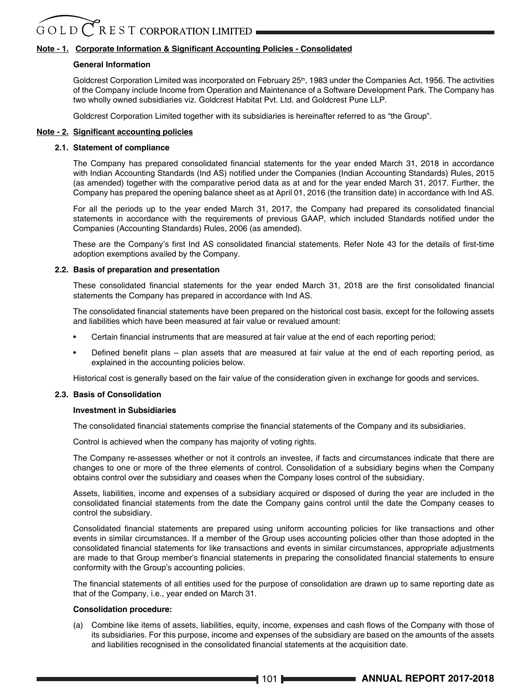#### **Note - 1. Corporate Information & Significant Accounting Policies - Consolidated**

#### **General Information**

Goldcrest Corporation Limited was incorporated on February 25<sup>th</sup>, 1983 under the Companies Act, 1956. The activities of the Company include Income from Operation and Maintenance of a Software Development Park. The Company has two wholly owned subsidiaries viz. Goldcrest Habitat Pvt. Ltd. and Goldcrest Pune LLP.

Goldcrest Corporation Limited together with its subsidiaries is hereinafter referred to as "the Group".

#### **Note - 2. Significant accounting policies**

#### **2.1. Statement of compliance**

The Company has prepared consolidated financial statements for the year ended March 31, 2018 in accordance with Indian Accounting Standards (Ind AS) notified under the Companies (Indian Accounting Standards) Rules, 2015 (as amended) together with the comparative period data as at and for the year ended March 31, 2017. Further, the Company has prepared the opening balance sheet as at April 01, 2016 (the transition date) in accordance with Ind AS.

For all the periods up to the year ended March 31, 2017, the Company had prepared its consolidated financial statements in accordance with the requirements of previous GAAP, which included Standards notified under the Companies (Accounting Standards) Rules, 2006 (as amended).

These are the Company's first Ind AS consolidated financial statements. Refer Note 43 for the details of first-time adoption exemptions availed by the Company.

#### **2.2. Basis of preparation and presentation**

These consolidated financial statements for the year ended March 31, 2018 are the first consolidated financial statements the Company has prepared in accordance with Ind AS.

The consolidated financial statements have been prepared on the historical cost basis, except for the following assets and liabilities which have been measured at fair value or revalued amount:

- Certain financial instruments that are measured at fair value at the end of each reporting period;
- Defined benefit plans plan assets that are measured at fair value at the end of each reporting period, as explained in the accounting policies below.

Historical cost is generally based on the fair value of the consideration given in exchange for goods and services.

#### **2.3. Basis of Consolidation**

#### **Investment in Subsidiaries**

The consolidated financial statements comprise the financial statements of the Company and its subsidiaries.

Control is achieved when the company has majority of voting rights.

 The Company re-assesses whether or not it controls an investee, if facts and circumstances indicate that there are changes to one or more of the three elements of control. Consolidation of a subsidiary begins when the Company obtains control over the subsidiary and ceases when the Company loses control of the subsidiary.

 Assets, liabilities, income and expenses of a subsidiary acquired or disposed of during the year are included in the consolidated financial statements from the date the Company gains control until the date the Company ceases to control the subsidiary.

Consolidated financial statements are prepared using uniform accounting policies for like transactions and other events in similar circumstances. If a member of the Group uses accounting policies other than those adopted in the consolidated financial statements for like transactions and events in similar circumstances, appropriate adjustments are made to that Group member's financial statements in preparing the consolidated financial statements to ensure conformity with the Group's accounting policies.

The financial statements of all entities used for the purpose of consolidation are drawn up to same reporting date as that of the Company, i.e., year ended on March 31.

#### **Consolidation procedure:**

(a) Combine like items of assets, liabilities, equity, income, expenses and cash flows of the Company with those of its subsidiaries. For this purpose, income and expenses of the subsidiary are based on the amounts of the assets and liabilities recognised in the consolidated financial statements at the acquisition date.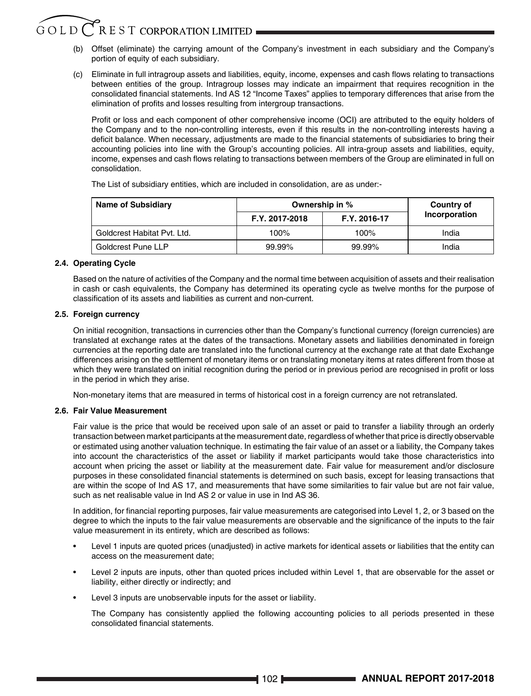### $G$  O L D  $C$  R E S T CORPORATION LIMITED

- (b) Offset (eliminate) the carrying amount of the Company's investment in each subsidiary and the Company's portion of equity of each subsidiary.
- (c) Eliminate in full intragroup assets and liabilities, equity, income, expenses and cash flows relating to transactions between entities of the group. Intragroup losses may indicate an impairment that requires recognition in the consolidated financial statements. Ind AS 12 "Income Taxes" applies to temporary differences that arise from the elimination of profits and losses resulting from intergroup transactions.

Profit or loss and each component of other comprehensive income (OCI) are attributed to the equity holders of the Company and to the non-controlling interests, even if this results in the non-controlling interests having a deficit balance. When necessary, adjustments are made to the financial statements of subsidiaries to bring their accounting policies into line with the Group's accounting policies. All intra-group assets and liabilities, equity, income, expenses and cash flows relating to transactions between members of the Group are eliminated in full on consolidation.

The List of subsidiary entities, which are included in consolidation, are as under:-

| <b>Name of Subsidiary</b>   | Ownership in % |              | Country of    |
|-----------------------------|----------------|--------------|---------------|
|                             | F.Y. 2017-2018 | F.Y. 2016-17 | Incorporation |
| Goldcrest Habitat Pvt. Ltd. | $100\%$        | 100%         | India         |
| Goldcrest Pune LLP          | 99.99%         | 99.99%       | India         |

#### **2.4. Operating Cycle**

 Based on the nature of activities of the Company and the normal time between acquisition of assets and their realisation in cash or cash equivalents, the Company has determined its operating cycle as twelve months for the purpose of classification of its assets and liabilities as current and non-current.

#### **2.5. Foreign currency**

 On initial recognition, transactions in currencies other than the Company's functional currency (foreign currencies) are translated at exchange rates at the dates of the transactions. Monetary assets and liabilities denominated in foreign currencies at the reporting date are translated into the functional currency at the exchange rate at that date Exchange differences arising on the settlement of monetary items or on translating monetary items at rates different from those at which they were translated on initial recognition during the period or in previous period are recognised in profit or loss in the period in which they arise.

Non-monetary items that are measured in terms of historical cost in a foreign currency are not retranslated.

#### **2.6. Fair Value Measurement**

 Fair value is the price that would be received upon sale of an asset or paid to transfer a liability through an orderly transaction between market participants at the measurement date, regardless of whether that price is directly observable or estimated using another valuation technique. In estimating the fair value of an asset or a liability, the Company takes into account the characteristics of the asset or liability if market participants would take those characteristics into account when pricing the asset or liability at the measurement date. Fair value for measurement and/or disclosure purposes in these consolidated financial statements is determined on such basis, except for leasing transactions that are within the scope of Ind AS 17, and measurements that have some similarities to fair value but are not fair value, such as net realisable value in Ind AS 2 or value in use in Ind AS 36.

In addition, for financial reporting purposes, fair value measurements are categorised into Level 1, 2, or 3 based on the degree to which the inputs to the fair value measurements are observable and the significance of the inputs to the fair value measurement in its entirety, which are described as follows:

- Level 1 inputs are quoted prices (unadjusted) in active markets for identical assets or liabilities that the entity can access on the measurement date;
- Level 2 inputs are inputs, other than quoted prices included within Level 1, that are observable for the asset or liability, either directly or indirectly; and
- Level 3 inputs are unobservable inputs for the asset or liability.

 The Company has consistently applied the following accounting policies to all periods presented in these consolidated financial statements.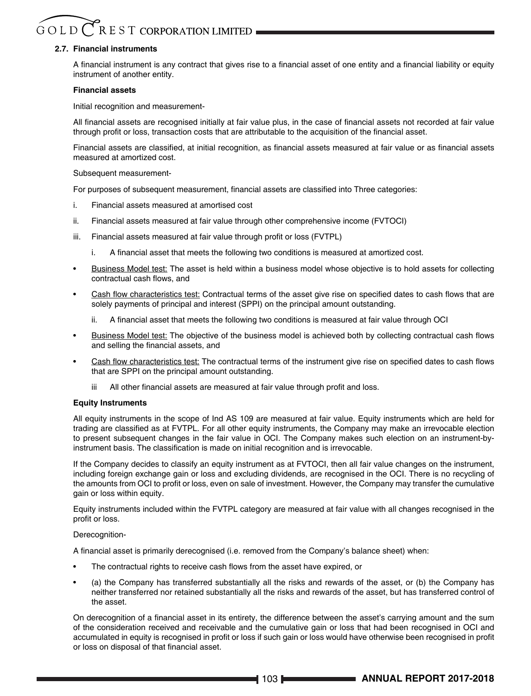### $G$  O L D  $C$  R E S T CORPORATION LIMITED

#### **2.7. Financial instruments**

A financial instrument is any contract that gives rise to a financial asset of one entity and a financial liability or equity instrument of another entity.

#### **Financial assets**

Initial recognition and measurement-

All financial assets are recognised initially at fair value plus, in the case of financial assets not recorded at fair value through profit or loss, transaction costs that are attributable to the acquisition of the financial asset.

Financial assets are classified, at initial recognition, as financial assets measured at fair value or as financial assets measured at amortized cost.

#### Subsequent measurement-

For purposes of subsequent measurement, financial assets are classified into Three categories:

- i. Financial assets measured at amortised cost
- ii. Financial assets measured at fair value through other comprehensive income (FVTOCI)
- iii. Financial assets measured at fair value through profit or loss (FVTPL)
	- i. A financial asset that meets the following two conditions is measured at amortized cost.
- Business Model test: The asset is held within a business model whose objective is to hold assets for collecting contractual cash flows, and
- Cash flow characteristics test: Contractual terms of the asset give rise on specified dates to cash flows that are solely payments of principal and interest (SPPI) on the principal amount outstanding.
	- ii. A financial asset that meets the following two conditions is measured at fair value through OCI
- Business Model test: The objective of the business model is achieved both by collecting contractual cash flows and selling the financial assets, and
- Cash flow characteristics test: The contractual terms of the instrument give rise on specified dates to cash flows that are SPPI on the principal amount outstanding.
	- All other financial assets are measured at fair value through profit and loss.

#### **Equity Instruments**

 All equity instruments in the scope of Ind AS 109 are measured at fair value. Equity instruments which are held for trading are classified as at FVTPL. For all other equity instruments, the Company may make an irrevocable election to present subsequent changes in the fair value in OCI. The Company makes such election on an instrument-byinstrument basis. The classification is made on initial recognition and is irrevocable.

 If the Company decides to classify an equity instrument as at FVTOCI, then all fair value changes on the instrument, including foreign exchange gain or loss and excluding dividends, are recognised in the OCI. There is no recycling of the amounts from OCI to profit or loss, even on sale of investment. However, the Company may transfer the cumulative gain or loss within equity.

 Equity instruments included within the FVTPL category are measured at fair value with all changes recognised in the profit or loss.

#### Derecognition-

A financial asset is primarily derecognised (i.e. removed from the Company's balance sheet) when:

- The contractual rights to receive cash flows from the asset have expired, or
- (a) the Company has transferred substantially all the risks and rewards of the asset, or (b) the Company has neither transferred nor retained substantially all the risks and rewards of the asset, but has transferred control of the asset.

On derecognition of a financial asset in its entirety, the difference between the asset's carrying amount and the sum of the consideration received and receivable and the cumulative gain or loss that had been recognised in OCI and accumulated in equity is recognised in profit or loss if such gain or loss would have otherwise been recognised in profit or loss on disposal of that financial asset.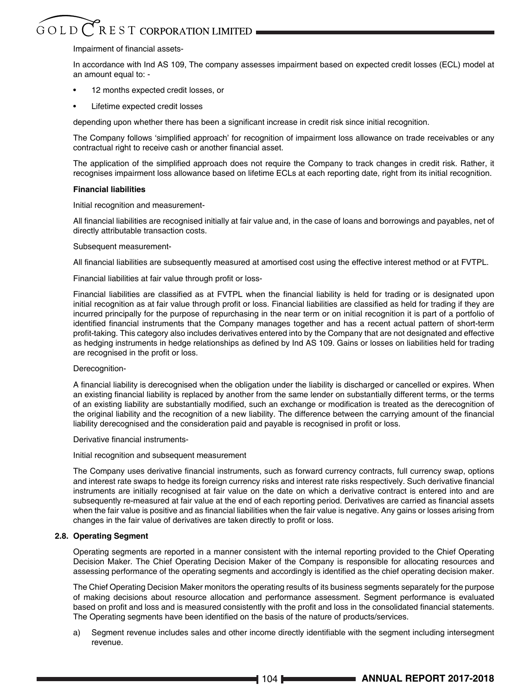# Impairment of financial assets-

 In accordance with Ind AS 109, The company assesses impairment based on expected credit losses (ECL) model at an amount equal to: -

- 12 months expected credit losses, or
- Lifetime expected credit losses

depending upon whether there has been a significant increase in credit risk since initial recognition.

The Company follows 'simplified approach' for recognition of impairment loss allowance on trade receivables or any contractual right to receive cash or another financial asset.

The application of the simplified approach does not require the Company to track changes in credit risk. Rather, it recognises impairment loss allowance based on lifetime ECLs at each reporting date, right from its initial recognition.

### **Financial liabilities**

Initial recognition and measurement-

All financial liabilities are recognised initially at fair value and, in the case of loans and borrowings and payables, net of directly attributable transaction costs.

Subsequent measurement-

All financial liabilities are subsequently measured at amortised cost using the effective interest method or at FVTPL.

Financial liabilities at fair value through profit or loss-

Financial liabilities are classified as at FVTPL when the financial liability is held for trading or is designated upon initial recognition as at fair value through profit or loss. Financial liabilities are classified as held for trading if they are incurred principally for the purpose of repurchasing in the near term or on initial recognition it is part of a portfolio of identified financial instruments that the Company manages together and has a recent actual pattern of short-term profit-taking. This category also includes derivatives entered into by the Company that are not designated and effective as hedging instruments in hedge relationships as defined by Ind AS 109. Gains or losses on liabilities held for trading are recognised in the profit or loss.

Derecognition-

A financial liability is derecognised when the obligation under the liability is discharged or cancelled or expires. When an existing financial liability is replaced by another from the same lender on substantially different terms, or the terms of an existing liability are substantially modified, such an exchange or modification is treated as the derecognition of the original liability and the recognition of a new liability. The difference between the carrying amount of the financial liability derecognised and the consideration paid and payable is recognised in profit or loss.

Derivative financial instruments-

Initial recognition and subsequent measurement

The Company uses derivative financial instruments, such as forward currency contracts, full currency swap, options and interest rate swaps to hedge its foreign currency risks and interest rate risks respectively. Such derivative financial instruments are initially recognised at fair value on the date on which a derivative contract is entered into and are subsequently re-measured at fair value at the end of each reporting period. Derivatives are carried as financial assets when the fair value is positive and as financial liabilities when the fair value is negative. Any gains or losses arising from changes in the fair value of derivatives are taken directly to profit or loss.

# **2.8. Operating Segment**

 Operating segments are reported in a manner consistent with the internal reporting provided to the Chief Operating Decision Maker. The Chief Operating Decision Maker of the Company is responsible for allocating resources and assessing performance of the operating segments and accordingly is identified as the chief operating decision maker.

 The Chief Operating Decision Maker monitors the operating results of its business segments separately for the purpose of making decisions about resource allocation and performance assessment. Segment performance is evaluated based on profit and loss and is measured consistently with the profit and loss in the consolidated financial statements. The Operating segments have been identified on the basis of the nature of products/services.

a) Segment revenue includes sales and other income directly identifiable with the segment including intersegment revenue.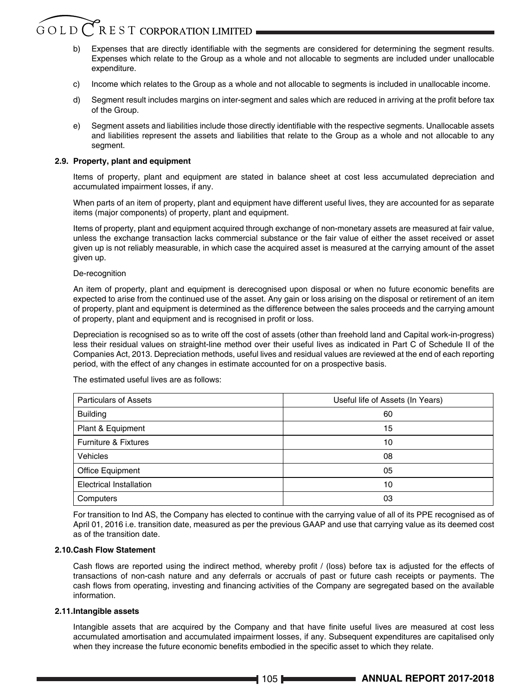# $G$  O L D  $C$ . R E S T CORPORATION LIMITED

- Expenses that are directly identifiable with the segments are considered for determining the segment results. Expenses which relate to the Group as a whole and not allocable to segments are included under unallocable expenditure.
- c) Income which relates to the Group as a whole and not allocable to segments is included in unallocable income.
- d) Segment result includes margins on inter-segment and sales which are reduced in arriving at the profit before tax of the Group.
- e) Segment assets and liabilities include those directly identifiable with the respective segments. Unallocable assets and liabilities represent the assets and liabilities that relate to the Group as a whole and not allocable to any segment.

# **2.9. Property, plant and equipment**

 Items of property, plant and equipment are stated in balance sheet at cost less accumulated depreciation and accumulated impairment losses, if any.

 When parts of an item of property, plant and equipment have different useful lives, they are accounted for as separate items (major components) of property, plant and equipment.

 Items of property, plant and equipment acquired through exchange of non-monetary assets are measured at fair value, unless the exchange transaction lacks commercial substance or the fair value of either the asset received or asset given up is not reliably measurable, in which case the acquired asset is measured at the carrying amount of the asset given up.

### De-recognition

An item of property, plant and equipment is derecognised upon disposal or when no future economic benefits are expected to arise from the continued use of the asset. Any gain or loss arising on the disposal or retirement of an item of property, plant and equipment is determined as the difference between the sales proceeds and the carrying amount of property, plant and equipment and is recognised in profit or loss.

 Depreciation is recognised so as to write off the cost of assets (other than freehold land and Capital work-in-progress) less their residual values on straight-line method over their useful lives as indicated in Part C of Schedule II of the Companies Act, 2013. Depreciation methods, useful lives and residual values are reviewed at the end of each reporting period, with the effect of any changes in estimate accounted for on a prospective basis.

Particulars of Assets Useful life of Assets (In Years) Building 60 Plant & Equipment 15 Furniture & Fixtures 10 Vehicles 08 Office Equipment 05 Electrical Installation 10 Computers and the computers of the computers of the computers of the computers of the computers of the computers of the computers of the computers of the computers of the computers of the computers of the computers of the

The estimated useful lives are as follows:

 For transition to Ind AS, the Company has elected to continue with the carrying value of all of its PPE recognised as of April 01, 2016 i.e. transition date, measured as per the previous GAAP and use that carrying value as its deemed cost as of the transition date.

## **2.10.Cash Flow Statement**

Cash flows are reported using the indirect method, whereby profit / (loss) before tax is adjusted for the effects of transactions of non-cash nature and any deferrals or accruals of past or future cash receipts or payments. The cash flows from operating, investing and financing activities of the Company are segregated based on the available information.

# **2.11.Intangible assets**

Intangible assets that are acquired by the Company and that have finite useful lives are measured at cost less accumulated amortisation and accumulated impairment losses, if any. Subsequent expenditures are capitalised only when they increase the future economic benefits embodied in the specific asset to which they relate.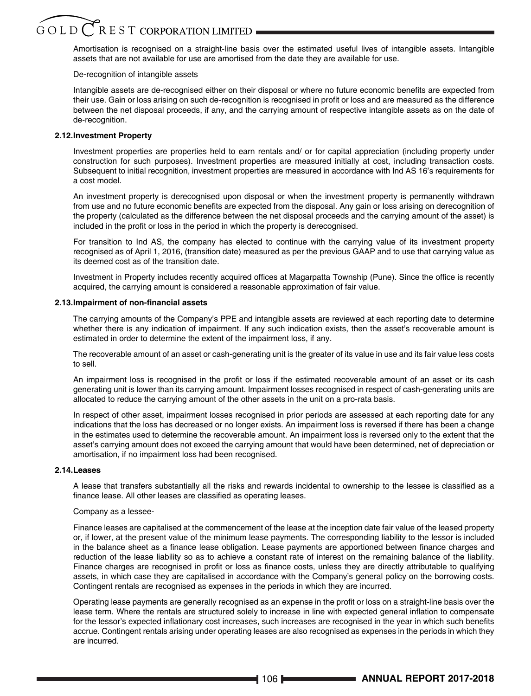# $G$  O L D  $\bigcirc$  R E S T CORPORATION LIMITED

 Amortisation is recognised on a straight-line basis over the estimated useful lives of intangible assets. Intangible assets that are not available for use are amortised from the date they are available for use.

# De-recognition of intangible assets

Intangible assets are de-recognised either on their disposal or where no future economic benefits are expected from their use. Gain or loss arising on such de-recognition is recognised in profit or loss and are measured as the difference between the net disposal proceeds, if any, and the carrying amount of respective intangible assets as on the date of de-recognition.

# **2.12.Investment Property**

 Investment properties are properties held to earn rentals and/ or for capital appreciation (including property under construction for such purposes). Investment properties are measured initially at cost, including transaction costs. Subsequent to initial recognition, investment properties are measured in accordance with Ind AS 16's requirements for a cost model.

 An investment property is derecognised upon disposal or when the investment property is permanently withdrawn from use and no future economic benefits are expected from the disposal. Any gain or loss arising on derecognition of the property (calculated as the difference between the net disposal proceeds and the carrying amount of the asset) is included in the profit or loss in the period in which the property is derecognised.

 For transition to Ind AS, the company has elected to continue with the carrying value of its investment property recognised as of April 1, 2016, (transition date) measured as per the previous GAAP and to use that carrying value as its deemed cost as of the transition date.

Investment in Property includes recently acquired offices at Magarpatta Township (Pune). Since the office is recently acquired, the carrying amount is considered a reasonable approximation of fair value.

### **2.13.Impairment of non-financial assets**

 The carrying amounts of the Company's PPE and intangible assets are reviewed at each reporting date to determine whether there is any indication of impairment. If any such indication exists, then the asset's recoverable amount is estimated in order to determine the extent of the impairment loss, if any.

 The recoverable amount of an asset or cash-generating unit is the greater of its value in use and its fair value less costs to sell.

An impairment loss is recognised in the profit or loss if the estimated recoverable amount of an asset or its cash generating unit is lower than its carrying amount. Impairment losses recognised in respect of cash-generating units are allocated to reduce the carrying amount of the other assets in the unit on a pro-rata basis.

 In respect of other asset, impairment losses recognised in prior periods are assessed at each reporting date for any indications that the loss has decreased or no longer exists. An impairment loss is reversed if there has been a change in the estimates used to determine the recoverable amount. An impairment loss is reversed only to the extent that the asset's carrying amount does not exceed the carrying amount that would have been determined, net of depreciation or amortisation, if no impairment loss had been recognised.

### **2.14.Leases**

A lease that transfers substantially all the risks and rewards incidental to ownership to the lessee is classified as a finance lease. All other leases are classified as operating leases.

### Company as a lessee-

 Finance leases are capitalised at the commencement of the lease at the inception date fair value of the leased property or, if lower, at the present value of the minimum lease payments. The corresponding liability to the lessor is included in the balance sheet as a finance lease obligation. Lease payments are apportioned between finance charges and reduction of the lease liability so as to achieve a constant rate of interest on the remaining balance of the liability. Finance charges are recognised in profit or loss as finance costs, unless they are directly attributable to qualifying assets, in which case they are capitalised in accordance with the Company's general policy on the borrowing costs. Contingent rentals are recognised as expenses in the periods in which they are incurred.

Operating lease payments are generally recognised as an expense in the profit or loss on a straight-line basis over the lease term. Where the rentals are structured solely to increase in line with expected general inflation to compensate for the lessor's expected inflationary cost increases, such increases are recognised in the year in which such benefits accrue. Contingent rentals arising under operating leases are also recognised as expenses in the periods in which they are incurred.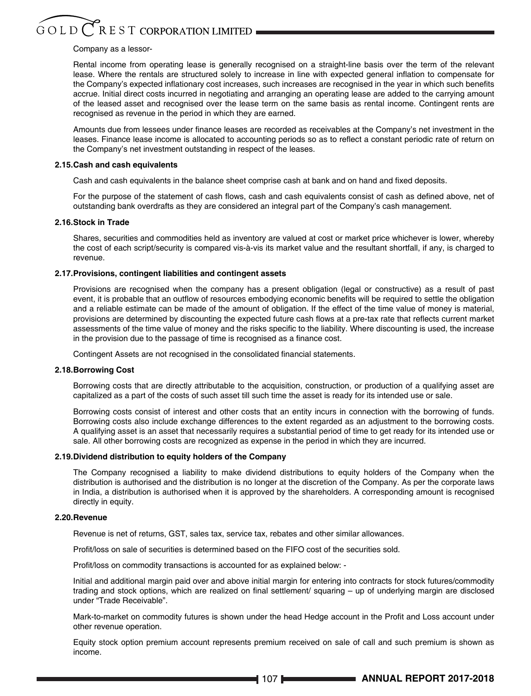### Company as a lessor-

 Rental income from operating lease is generally recognised on a straight-line basis over the term of the relevant lease. Where the rentals are structured solely to increase in line with expected general inflation to compensate for the Company's expected inflationary cost increases, such increases are recognised in the year in which such benefits accrue. Initial direct costs incurred in negotiating and arranging an operating lease are added to the carrying amount of the leased asset and recognised over the lease term on the same basis as rental income. Contingent rents are recognised as revenue in the period in which they are earned.

Amounts due from lessees under finance leases are recorded as receivables at the Company's net investment in the leases. Finance lease income is allocated to accounting periods so as to reflect a constant periodic rate of return on the Company's net investment outstanding in respect of the leases.

### **2.15.Cash and cash equivalents**

Cash and cash equivalents in the balance sheet comprise cash at bank and on hand and fixed deposits.

For the purpose of the statement of cash flows, cash and cash equivalents consist of cash as defined above, net of outstanding bank overdrafts as they are considered an integral part of the Company's cash management.

# **2.16.Stock in Trade**

 Shares, securities and commodities held as inventory are valued at cost or market price whichever is lower, whereby the cost of each script/security is compared vis-à-vis its market value and the resultant shortfall, if any, is charged to revenue.

### **2.17.Provisions, contingent liabilities and contingent assets**

 Provisions are recognised when the company has a present obligation (legal or constructive) as a result of past event, it is probable that an outflow of resources embodying economic benefits will be required to settle the obligation and a reliable estimate can be made of the amount of obligation. If the effect of the time value of money is material, provisions are determined by discounting the expected future cash flows at a pre-tax rate that reflects current market assessments of the time value of money and the risks specific to the liability. Where discounting is used, the increase in the provision due to the passage of time is recognised as a finance cost.

Contingent Assets are not recognised in the consolidated financial statements.

### **2.18.Borrowing Cost**

 Borrowing costs that are directly attributable to the acquisition, construction, or production of a qualifying asset are capitalized as a part of the costs of such asset till such time the asset is ready for its intended use or sale.

 Borrowing costs consist of interest and other costs that an entity incurs in connection with the borrowing of funds. Borrowing costs also include exchange differences to the extent regarded as an adjustment to the borrowing costs. A qualifying asset is an asset that necessarily requires a substantial period of time to get ready for its intended use or sale. All other borrowing costs are recognized as expense in the period in which they are incurred.

### **2.19.Dividend distribution to equity holders of the Company**

 The Company recognised a liability to make dividend distributions to equity holders of the Company when the distribution is authorised and the distribution is no longer at the discretion of the Company. As per the corporate laws in India, a distribution is authorised when it is approved by the shareholders. A corresponding amount is recognised directly in equity.

### **2.20.Revenue**

Revenue is net of returns, GST, sales tax, service tax, rebates and other similar allowances.

Profit/loss on sale of securities is determined based on the FIFO cost of the securities sold.

Profit/loss on commodity transactions is accounted for as explained below: -

 Initial and additional margin paid over and above initial margin for entering into contracts for stock futures/commodity trading and stock options, which are realized on final settlement/ squaring – up of underlying margin are disclosed under "Trade Receivable".

Mark-to-market on commodity futures is shown under the head Hedge account in the Profit and Loss account under other revenue operation.

 Equity stock option premium account represents premium received on sale of call and such premium is shown as income.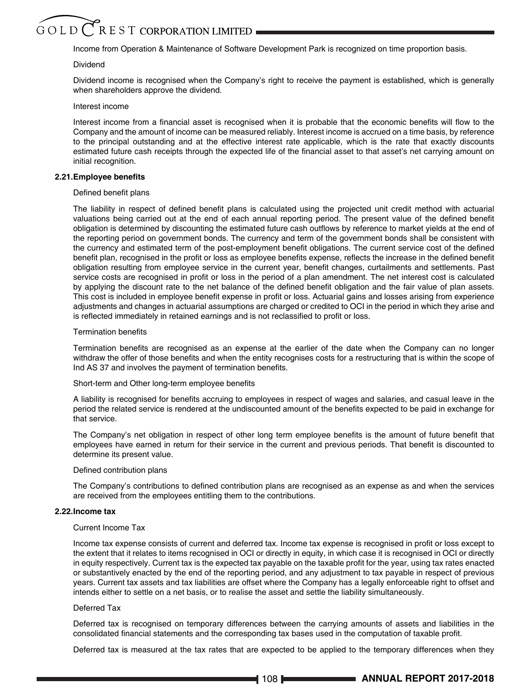# $G$  O L D  $\bigcirc$  R E S T CORPORATION LIMITED

Income from Operation & Maintenance of Software Development Park is recognized on time proportion basis.

### Dividend

 Dividend income is recognised when the Company's right to receive the payment is established, which is generally when shareholders approve the dividend.

### Interest income

Interest income from a financial asset is recognised when it is probable that the economic benefits will flow to the Company and the amount of income can be measured reliably. Interest income is accrued on a time basis, by reference to the principal outstanding and at the effective interest rate applicable, which is the rate that exactly discounts estimated future cash receipts through the expected life of the financial asset to that asset's net carrying amount on initial recognition.

### **2.21.Employee benefits**

### Defined benefit plans

The liability in respect of defined benefit plans is calculated using the projected unit credit method with actuarial valuations being carried out at the end of each annual reporting period. The present value of the defined benefit obligation is determined by discounting the estimated future cash outflows by reference to market yields at the end of the reporting period on government bonds. The currency and term of the government bonds shall be consistent with the currency and estimated term of the post-employment benefit obligations. The current service cost of the defined benefit plan, recognised in the profit or loss as employee benefits expense, reflects the increase in the defined benefit obligation resulting from employee service in the current year, benefit changes, curtailments and settlements. Past service costs are recognised in profit or loss in the period of a plan amendment. The net interest cost is calculated by applying the discount rate to the net balance of the defined benefit obligation and the fair value of plan assets. This cost is included in employee benefit expense in profit or loss. Actuarial gains and losses arising from experience adjustments and changes in actuarial assumptions are charged or credited to OCI in the period in which they arise and is reflected immediately in retained earnings and is not reclassified to profit or loss.

### Termination benefits

Termination benefits are recognised as an expense at the earlier of the date when the Company can no longer withdraw the offer of those benefits and when the entity recognises costs for a restructuring that is within the scope of Ind AS 37 and involves the payment of termination benefits.

Short-term and Other long-term employee benefits

A liability is recognised for benefits accruing to employees in respect of wages and salaries, and casual leave in the period the related service is rendered at the undiscounted amount of the benefits expected to be paid in exchange for that service.

The Company's net obligation in respect of other long term employee benefits is the amount of future benefit that employees have earned in return for their service in the current and previous periods. That benefit is discounted to determine its present value.

### Defined contribution plans

The Company's contributions to defined contribution plans are recognised as an expense as and when the services are received from the employees entitling them to the contributions.

# **2.22.Income tax**

# Current Income Tax

Income tax expense consists of current and deferred tax. Income tax expense is recognised in profit or loss except to the extent that it relates to items recognised in OCI or directly in equity, in which case it is recognised in OCI or directly in equity respectively. Current tax is the expected tax payable on the taxable profit for the year, using tax rates enacted or substantively enacted by the end of the reporting period, and any adjustment to tax payable in respect of previous years. Current tax assets and tax liabilities are offset where the Company has a legally enforceable right to offset and intends either to settle on a net basis, or to realise the asset and settle the liability simultaneously.

### Deferred Tax

 Deferred tax is recognised on temporary differences between the carrying amounts of assets and liabilities in the consolidated financial statements and the corresponding tax bases used in the computation of taxable profit.

Deferred tax is measured at the tax rates that are expected to be applied to the temporary differences when they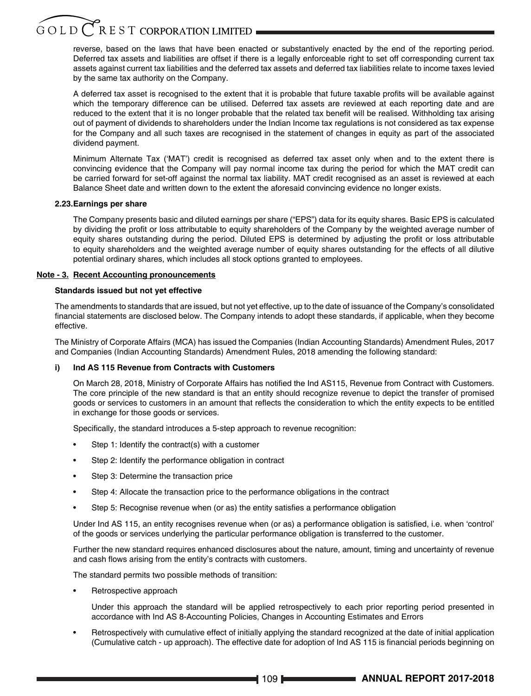# $\widetilde{G}$  O L D  $\overline{C}$  R E S T CORPORATION LIMITED

reverse, based on the laws that have been enacted or substantively enacted by the end of the reporting period. Deferred tax assets and liabilities are offset if there is a legally enforceable right to set off corresponding current tax assets against current tax liabilities and the deferred tax assets and deferred tax liabilities relate to income taxes levied by the same tax authority on the Company.

A deferred tax asset is recognised to the extent that it is probable that future taxable profits will be available against which the temporary difference can be utilised. Deferred tax assets are reviewed at each reporting date and are reduced to the extent that it is no longer probable that the related tax benefit will be realised. Withholding tax arising out of payment of dividends to shareholders under the Indian Income tax regulations is not considered as tax expense for the Company and all such taxes are recognised in the statement of changes in equity as part of the associated dividend payment.

 Minimum Alternate Tax ('MAT') credit is recognised as deferred tax asset only when and to the extent there is convincing evidence that the Company will pay normal income tax during the period for which the MAT credit can be carried forward for set-off against the normal tax liability. MAT credit recognised as an asset is reviewed at each Balance Sheet date and written down to the extent the aforesaid convincing evidence no longer exists.

# **2.23.Earnings per share**

 The Company presents basic and diluted earnings per share ("EPS") data for its equity shares. Basic EPS is calculated by dividing the profit or loss attributable to equity shareholders of the Company by the weighted average number of equity shares outstanding during the period. Diluted EPS is determined by adjusting the profit or loss attributable to equity shareholders and the weighted average number of equity shares outstanding for the effects of all dilutive potential ordinary shares, which includes all stock options granted to employees.

### **Note - 3. Recent Accounting pronouncements**

# **Standards issued but not yet effective**

The amendments to standards that are issued, but not yet effective, up to the date of issuance of the Company's consolidated financial statements are disclosed below. The Company intends to adopt these standards, if applicable, when they become effective.

The Ministry of Corporate Affairs (MCA) has issued the Companies (Indian Accounting Standards) Amendment Rules, 2017 and Companies (Indian Accounting Standards) Amendment Rules, 2018 amending the following standard:

# **i) Ind AS 115 Revenue from Contracts with Customers**

On March 28, 2018, Ministry of Corporate Affairs has notified the Ind AS115, Revenue from Contract with Customers. The core principle of the new standard is that an entity should recognize revenue to depict the transfer of promised goods or services to customers in an amount that reflects the consideration to which the entity expects to be entitled in exchange for those goods or services.

Specifically, the standard introduces a 5-step approach to revenue recognition:

- Step 1: Identify the contract(s) with a customer
- Step 2: Identify the performance obligation in contract
- Step 3: Determine the transaction price
- Step 4: Allocate the transaction price to the performance obligations in the contract
- Step 5: Recognise revenue when (or as) the entity satisfies a performance obligation

Under Ind AS 115, an entity recognises revenue when (or as) a performance obligation is satisfied, i.e. when 'control' of the goods or services underlying the particular performance obligation is transferred to the customer.

 Further the new standard requires enhanced disclosures about the nature, amount, timing and uncertainty of revenue and cash flows arising from the entity's contracts with customers.

The standard permits two possible methods of transition:

Retrospective approach

 Under this approach the standard will be applied retrospectively to each prior reporting period presented in accordance with Ind AS 8-Accounting Policies, Changes in Accounting Estimates and Errors

• Retrospectively with cumulative effect of initially applying the standard recognized at the date of initial application (Cumulative catch - up approach). The effective date for adoption of Ind AS 115 is financial periods beginning on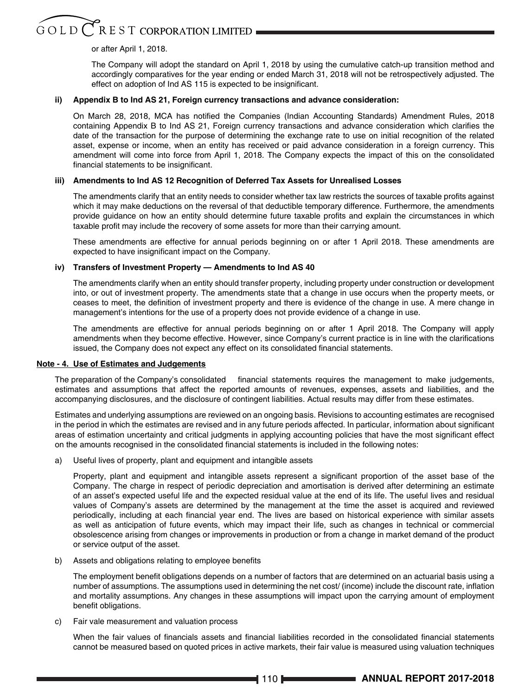# $\widetilde{G}$ O L D  $\widetilde{C}$ R E S T CORPORATION LIMITED .

# or after April 1, 2018.

 The Company will adopt the standard on April 1, 2018 by using the cumulative catch-up transition method and accordingly comparatives for the year ending or ended March 31, 2018 will not be retrospectively adjusted. The effect on adoption of Ind AS 115 is expected to be insignificant.

# **ii) Appendix B to Ind AS 21, Foreign currency transactions and advance consideration:**

On March 28, 2018, MCA has notified the Companies (Indian Accounting Standards) Amendment Rules, 2018 containing Appendix B to Ind AS 21, Foreign currency transactions and advance consideration which clarifies the date of the transaction for the purpose of determining the exchange rate to use on initial recognition of the related asset, expense or income, when an entity has received or paid advance consideration in a foreign currency. This amendment will come into force from April 1, 2018. The Company expects the impact of this on the consolidated financial statements to be insignificant.

# **iii) Amendments to Ind AS 12 Recognition of Deferred Tax Assets for Unrealised Losses**

The amendments clarify that an entity needs to consider whether tax law restricts the sources of taxable profits against which it may make deductions on the reversal of that deductible temporary difference. Furthermore, the amendments provide guidance on how an entity should determine future taxable profits and explain the circumstances in which taxable profit may include the recovery of some assets for more than their carrying amount.

 These amendments are effective for annual periods beginning on or after 1 April 2018. These amendments are expected to have insignificant impact on the Company.

# **iv) Transfers of Investment Property — Amendments to Ind AS 40**

 The amendments clarify when an entity should transfer property, including property under construction or development into, or out of investment property. The amendments state that a change in use occurs when the property meets, or ceases to meet, the definition of investment property and there is evidence of the change in use. A mere change in management's intentions for the use of a property does not provide evidence of a change in use.

 The amendments are effective for annual periods beginning on or after 1 April 2018. The Company will apply amendments when they become effective. However, since Company's current practice is in line with the clarifications issued, the Company does not expect any effect on its consolidated financial statements.

### **Note - 4. Use of Estimates and Judgements**

The preparation of the Company's consolidated financial statements requires the management to make judgements, estimates and assumptions that affect the reported amounts of revenues, expenses, assets and liabilities, and the accompanying disclosures, and the disclosure of contingent liabilities. Actual results may differ from these estimates.

Estimates and underlying assumptions are reviewed on an ongoing basis. Revisions to accounting estimates are recognised in the period in which the estimates are revised and in any future periods affected. In particular, information about significant areas of estimation uncertainty and critical judgments in applying accounting policies that have the most significant effect on the amounts recognised in the consolidated financial statements is included in the following notes:

a) Useful lives of property, plant and equipment and intangible assets

Property, plant and equipment and intangible assets represent a significant proportion of the asset base of the Company. The charge in respect of periodic depreciation and amortisation is derived after determining an estimate of an asset's expected useful life and the expected residual value at the end of its life. The useful lives and residual values of Company's assets are determined by the management at the time the asset is acquired and reviewed periodically, including at each financial year end. The lives are based on historical experience with similar assets as well as anticipation of future events, which may impact their life, such as changes in technical or commercial obsolescence arising from changes or improvements in production or from a change in market demand of the product or service output of the asset.

b) Assets and obligations relating to employee benefits

The employment benefit obligations depends on a number of factors that are determined on an actuarial basis using a number of assumptions. The assumptions used in determining the net cost/ (income) include the discount rate, inflation and mortality assumptions. Any changes in these assumptions will impact upon the carrying amount of employment benefit obligations.

c) Fair vale measurement and valuation process

When the fair values of financials assets and financial liabilities recorded in the consolidated financial statements cannot be measured based on quoted prices in active markets, their fair value is measured using valuation techniques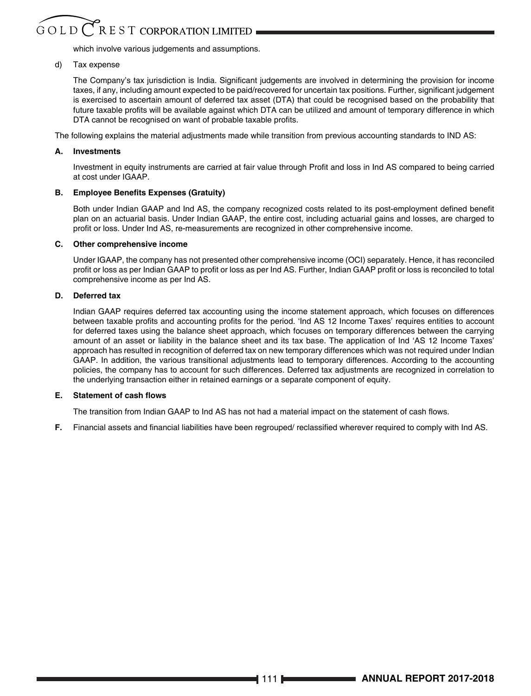# $G$  O L D  $C$  R E S T CORPORATION LIMITED

which involve various judgements and assumptions.

# d) Tax expense

The Company's tax jurisdiction is India. Significant judgements are involved in determining the provision for income taxes, if any, including amount expected to be paid/recovered for uncertain tax positions. Further, significant judgement is exercised to ascertain amount of deferred tax asset (DTA) that could be recognised based on the probability that future taxable profits will be available against which DTA can be utilized and amount of temporary difference in which DTA cannot be recognised on want of probable taxable profits.

The following explains the material adjustments made while transition from previous accounting standards to IND AS:

# **A. Investments**

Investment in equity instruments are carried at fair value through Profit and loss in Ind AS compared to being carried at cost under IGAAP.

# **B. Employee Benefits Expenses (Gratuity)**

Both under Indian GAAP and Ind AS, the company recognized costs related to its post-employment defined benefit plan on an actuarial basis. Under Indian GAAP, the entire cost, including actuarial gains and losses, are charged to profit or loss. Under Ind AS, re-measurements are recognized in other comprehensive income.

### **C. Other comprehensive income**

 Under IGAAP, the company has not presented other comprehensive income (OCI) separately. Hence, it has reconciled profit or loss as per Indian GAAP to profit or loss as per Ind AS. Further, Indian GAAP profit or loss is reconciled to total comprehensive income as per Ind AS.

# **D. Deferred tax**

 Indian GAAP requires deferred tax accounting using the income statement approach, which focuses on differences between taxable profits and accounting profits for the period. 'Ind AS 12 Income Taxes' requires entities to account for deferred taxes using the balance sheet approach, which focuses on temporary differences between the carrying amount of an asset or liability in the balance sheet and its tax base. The application of Ind 'AS 12 Income Taxes' approach has resulted in recognition of deferred tax on new temporary differences which was not required under Indian GAAP. In addition, the various transitional adjustments lead to temporary differences. According to the accounting policies, the company has to account for such differences. Deferred tax adjustments are recognized in correlation to the underlying transaction either in retained earnings or a separate component of equity.

### **E. Statement of cash flows**

The transition from Indian GAAP to Ind AS has not had a material impact on the statement of cash flows.

**F.** Financial assets and financial liabilities have been regrouped/ reclassified wherever required to comply with Ind AS.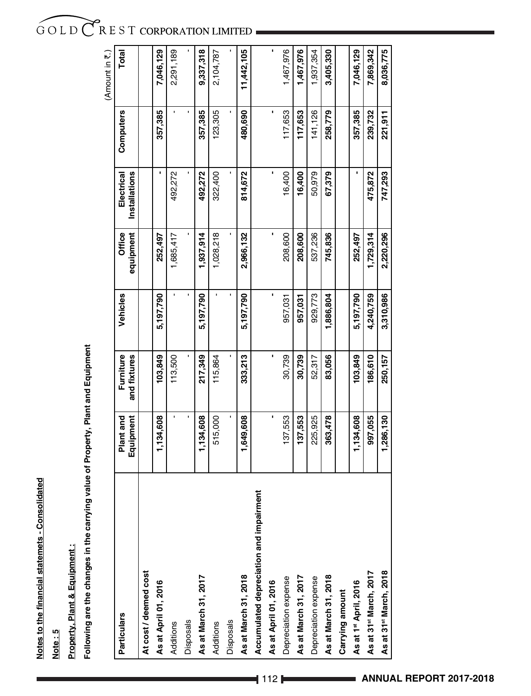Notes to the financial statemets - Consolidated **Notes to the financial statemets - Consolidated**

**Note : 5**

Property, Plant & Equipment: **Property, Plant & Equipment :**

Following are the changes in the carrying value of Property, Plant and Equipment **Following are the changes in the carrying value of Property, Plant and Equipment**

|                                         |                        |                           |                |                     |                                    |                | (Amount in $\overline{\mathfrak{r}}$ .) |
|-----------------------------------------|------------------------|---------------------------|----------------|---------------------|------------------------------------|----------------|-----------------------------------------|
| Particulars                             | Equipment<br>Plant and | Furniture<br>and fixtures | Vehicles       | equipment<br>Office | <b>Installations</b><br>Electrical | Computers      | Total                                   |
| At cost / deemed cost                   |                        |                           |                |                     |                                    |                |                                         |
| As at April 01, 2016                    | 1,134,608              | 103,849                   | 5,197,790      | 252,497             |                                    | 357,385        | 7,046,129                               |
| Additions                               | ı                      | 113,500                   | $\blacksquare$ | 1,685,417           | 492,272                            | ı              | 2,291,189                               |
| <b>Disposals</b>                        | ı                      |                           | $\blacksquare$ |                     |                                    | $\blacksquare$ |                                         |
| As at March 31, 2017                    | 1,134,608              | 217,349                   | 5,197,790      | 1,937,914           | 492,272                            | 357,385        | 9,337,318                               |
| Additions                               | 515,000                | 115,864                   |                | 1,028,218           | 322,400                            | 123,305        | 2,104,787                               |
| Disposals                               |                        |                           |                |                     |                                    |                |                                         |
| As at March 31, 2018                    | 1,649,608              | 333,213                   | 5,197,790      | 2,966,132           | 814,672                            | 480,690        | 11,442,105                              |
| Accumulated depreciation and impairment |                        |                           |                |                     |                                    |                |                                         |
| As at April 01, 2016                    |                        |                           |                |                     |                                    |                | ı                                       |
| Depreciation expense                    | 137,553                | 30,739                    | 957,031        | 208,600             | 16,400                             | 117,653        | 1,467,976                               |
| As at March 31, 2017                    | 137,553                | 30,739                    | 957,031        | 208,600             | 16,400                             | 117,653        | 1,467,976                               |
| Depreciation expense                    | 225,925                | 52,317                    | 929,773        | 537,236             | 50,979                             | 141,126        | 1,937,354                               |
| As at March 31, 2018                    | 363,478                | 83,056                    | 1,886,804      | 745,836             | 67,379                             | 258,779        | 3,405,330                               |
| Carrying amount                         |                        |                           |                |                     |                                    |                |                                         |
| As at 1st April, 2016                   | 1,134,608              | 103,849                   | 5,197,790      | 252,497             |                                    | 357,385        | 7,046,129                               |
| As at 31 <sup>st</sup> March, 2017      | 997,055                | 186,610                   | 4,240,759      | 1,729,314           | 475,872                            | 239,732        | 7,869,342                               |
| As at 31 <sup>st</sup> March, 2018      | 1,286,130              | 250,157                   | 3,310,986      | 2,220,296           | 747,293                            | 221,911        | 8,036,775                               |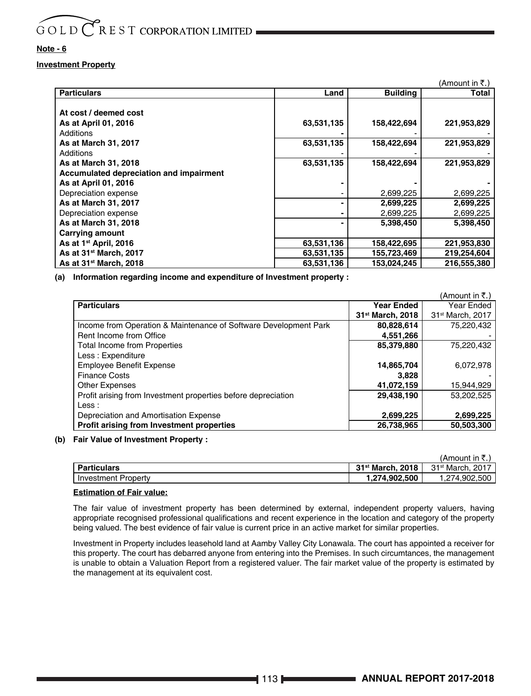# **Note - 6**

# **Investment Property**

|                                         |            |                 | (Amount in ₹.) |
|-----------------------------------------|------------|-----------------|----------------|
| <b>Particulars</b>                      | Land       | <b>Building</b> | Total          |
|                                         |            |                 |                |
| At cost / deemed cost                   |            |                 |                |
| As at April 01, 2016                    | 63,531,135 | 158,422,694     | 221,953,829    |
| Additions                               |            |                 |                |
| As at March 31, 2017                    | 63,531,135 | 158,422,694     | 221,953,829    |
| Additions                               |            |                 |                |
| As at March 31, 2018                    | 63,531,135 | 158,422,694     | 221,953,829    |
| Accumulated depreciation and impairment |            |                 |                |
| As at April 01, 2016                    |            |                 |                |
| Depreciation expense                    |            | 2,699,225       | 2,699,225      |
| As at March 31, 2017                    |            | 2,699,225       | 2,699,225      |
| Depreciation expense                    |            | 2,699,225       | 2,699,225      |
| As at March 31, 2018                    |            | 5,398,450       | 5,398,450      |
| <b>Carrying amount</b>                  |            |                 |                |
| As at 1 <sup>st</sup> April, 2016       | 63,531,136 | 158,422,695     | 221,953,830    |
| As at 31 <sup>st</sup> March, 2017      | 63,531,135 | 155,723,469     | 219,254,604    |
| As at 31 <sup>st</sup> March, 2018      | 63,531,136 | 153,024,245     | 216.555.380    |

**(a) Information regarding income and expenditure of Investment property :**

|                                                                  |                              | $(A$ mount in ₹.)            |
|------------------------------------------------------------------|------------------------------|------------------------------|
| <b>Particulars</b>                                               | <b>Year Ended</b>            | Year Ended                   |
|                                                                  | 31 <sup>st</sup> March, 2018 | 31 <sup>st</sup> March, 2017 |
| Income from Operation & Maintenance of Software Development Park | 80,828,614                   | 75.220.432                   |
| Rent Income from Office                                          | 4,551,266                    |                              |
| <b>Total Income from Properties</b>                              | 85,379,880                   | 75,220,432                   |
| Less: Expenditure                                                |                              |                              |
| <b>Employee Benefit Expense</b>                                  | 14,865,704                   | 6,072,978                    |
| <b>Finance Costs</b>                                             | 3.828                        |                              |
| <b>Other Expenses</b>                                            | 41.072.159                   | 15,944,929                   |
| Profit arising from Investment properties before depreciation    | 29,438,190                   | 53.202.525                   |
| Less :                                                           |                              |                              |
| Depreciation and Amortisation Expense                            | 2,699,225                    | 2,699,225                    |
| Profit arising from Investment properties                        | 26.738.965                   | 50.503.300                   |

# **(b) Fair Value of Investment Property :**

|                            |                                 | (Amount in ₹.)               |
|----------------------------|---------------------------------|------------------------------|
| <b>Particulars</b>         | 2018<br>31 <sup>st</sup> March. | 31 <sup>st</sup> March, 2017 |
| <b>Investment Property</b> | 1.274.902.500                   | 1.274.902.500                |

# **Estimation of Fair value:**

 The fair value of investment property has been determined by external, independent property valuers, having appropriate recognised professional qualifications and recent experience in the location and category of the property being valued. The best evidence of fair value is current price in an active market for similar properties.

 Investment in Property includes leasehold land at Aamby Valley City Lonawala. The court has appointed a receiver for this property. The court has debarred anyone from entering into the Premises. In such circumtances, the management is unable to obtain a Valuation Report from a registered valuer. The fair market value of the property is estimated by the management at its equivalent cost.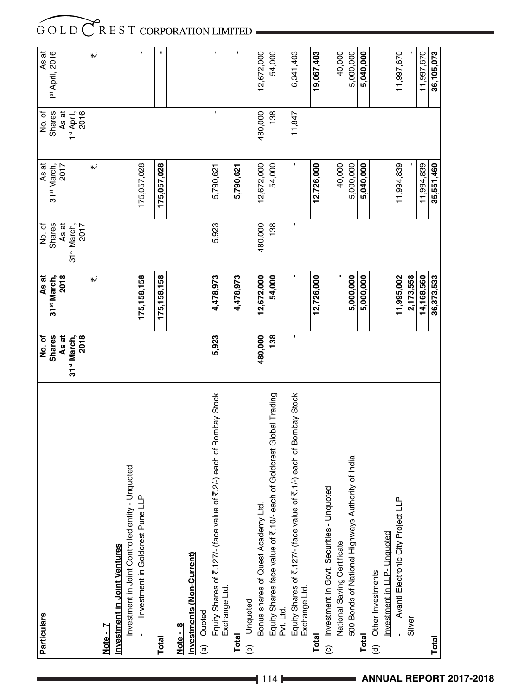| <b>Particulars</b>                                                                                     | No.of                                    | As at                           | No. of                          | As at                           | No. of                                  |                                      |
|--------------------------------------------------------------------------------------------------------|------------------------------------------|---------------------------------|---------------------------------|---------------------------------|-----------------------------------------|--------------------------------------|
|                                                                                                        | <b>Shares</b>                            | 2018<br>31 <sup>st</sup> March, | Shares<br>As at                 | 31 <sup>st</sup> March,<br>2017 | Shares                                  | As at<br>1 <sup>st</sup> April, 2016 |
|                                                                                                        | As at<br>2018<br>31 <sup>st</sup> March, |                                 | 31 <sup>st</sup> March,<br>2017 |                                 | 2016<br>As at<br>1 <sup>st</sup> April, |                                      |
|                                                                                                        |                                          | ۱N                              |                                 | $\ddot{\phantom{a}}$            |                                         | ۳ż                                   |
| Note -                                                                                                 |                                          |                                 |                                 |                                 |                                         |                                      |
| <b>Investment in Joint Ventures</b>                                                                    |                                          |                                 |                                 |                                 |                                         |                                      |
| Unquoted<br>$\mathbf{a}$<br>Investment in Joint Controlled entity -<br>Investment in Goldcrest Pune LL |                                          | 175, 158, 158                   |                                 | 175,057,028                     |                                         |                                      |
|                                                                                                        |                                          |                                 |                                 |                                 |                                         | ï                                    |
| <b>Total</b>                                                                                           |                                          | 175, 158, 158                   |                                 | 175,057,028                     |                                         |                                      |
| Note - 8                                                                                               |                                          |                                 |                                 |                                 |                                         |                                      |
| Investments (Non-Current)                                                                              |                                          |                                 |                                 |                                 |                                         |                                      |
| Quoted<br>$\widehat{a}$                                                                                |                                          |                                 |                                 |                                 |                                         |                                      |
| Equity Shares of ₹.127/- (face value of ₹.2/-) each of Bombay Stock<br>Exchange Ltd.                   | 5,923                                    | 4,478,973                       | 5,923                           | 5,790,621                       |                                         |                                      |
| <b>Total</b>                                                                                           |                                          | 4,478,973                       |                                 | 5,790,621                       |                                         |                                      |
| (b) Unquoted                                                                                           |                                          |                                 |                                 |                                 |                                         |                                      |
| Bonus shares of Quest Academy Ltd.                                                                     | 480,000                                  | 12,672,000                      | 480,000                         | 12,672,000                      | 480,000                                 | 12,672,000                           |
| Equity Shares face value of ₹.10/- each of Goldcrest Global Trading<br>Pvt. Ltd.                       | 138                                      | 54,000                          | 138                             | 54,000                          | 138                                     | 54,000                               |
| Equity Shares of ₹.127/- (face value of ₹.1/-) each of Bombay Stock<br>Exchange Ltd.                   | ı                                        |                                 | f,                              |                                 | 11,847                                  | 6,341,403                            |
| <b>Total</b>                                                                                           |                                          | 12,726,000                      |                                 | 12,726,000                      |                                         | 19,067,403                           |
| Investment in Govt. Securities - Unquoted<br>$\circ$                                                   |                                          |                                 |                                 |                                 |                                         |                                      |
| National Saving Certificate                                                                            |                                          |                                 |                                 | 40,000                          |                                         | 40,000                               |
| 500 Bonds of National Highways Authority of India                                                      |                                          | 5,000,000                       |                                 | 5,000,000                       |                                         | 5,000,000                            |
| <b>Total</b>                                                                                           |                                          | 5,000,000                       |                                 | 5,040,000                       |                                         | 5,040,000                            |
| (d) Other Investments                                                                                  |                                          |                                 |                                 |                                 |                                         |                                      |
| Investment in LLP- Unquoted                                                                            |                                          |                                 |                                 |                                 |                                         |                                      |
| Avanti Electronic City Project LLP                                                                     |                                          | 11,995,002                      |                                 | 11,994,839                      |                                         | 11,997,670                           |
| Silver                                                                                                 |                                          | 2,173,558                       |                                 |                                 |                                         |                                      |
|                                                                                                        |                                          | 14,168,560                      |                                 | 11,994,839                      |                                         | 11,997,670                           |
| <b>Total</b>                                                                                           |                                          | 36,373,533                      |                                 | 35,551,460                      |                                         | 36,105,073                           |

**ANNUAL REPORT 2017-2018**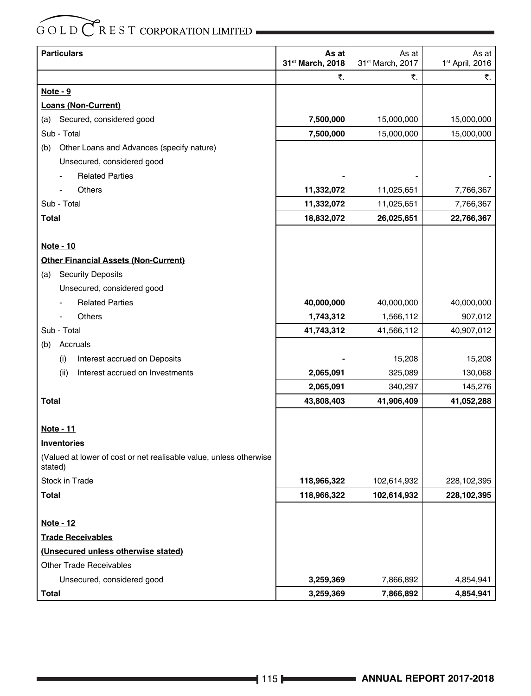| <b>Particulars</b>                                                            | As at<br>31st March, 2018 | As at<br>31st March, 2017 | As at<br>1 <sup>st</sup> April, 2016 |
|-------------------------------------------------------------------------------|---------------------------|---------------------------|--------------------------------------|
|                                                                               | ₹.                        | ₹.                        | ₹.                                   |
| <u>Note - 9</u>                                                               |                           |                           |                                      |
| <b>Loans (Non-Current)</b>                                                    |                           |                           |                                      |
| Secured, considered good<br>(a)                                               | 7,500,000                 | 15,000,000                | 15,000,000                           |
| Sub - Total                                                                   | 7,500,000                 | 15,000,000                | 15,000,000                           |
| Other Loans and Advances (specify nature)<br>(b)                              |                           |                           |                                      |
| Unsecured, considered good                                                    |                           |                           |                                      |
| <b>Related Parties</b>                                                        |                           |                           |                                      |
| Others                                                                        | 11,332,072                | 11,025,651                | 7,766,367                            |
| Sub - Total                                                                   | 11,332,072                | 11,025,651                | 7,766,367                            |
| <b>Total</b>                                                                  | 18,832,072                | 26,025,651                | 22,766,367                           |
|                                                                               |                           |                           |                                      |
| Note - 10                                                                     |                           |                           |                                      |
| <b>Other Financial Assets (Non-Current)</b>                                   |                           |                           |                                      |
| <b>Security Deposits</b><br>(a)                                               |                           |                           |                                      |
| Unsecured, considered good                                                    |                           |                           |                                      |
| <b>Related Parties</b>                                                        | 40,000,000                | 40,000,000                | 40,000,000                           |
| Others                                                                        | 1,743,312                 | 1,566,112                 | 907,012                              |
| Sub - Total                                                                   | 41,743,312                | 41,566,112                | 40,907,012                           |
| Accruals<br>(b)                                                               |                           |                           |                                      |
| Interest accrued on Deposits<br>(i)                                           |                           | 15,208                    | 15,208                               |
| Interest accrued on Investments<br>(ii)                                       | 2,065,091                 | 325,089                   | 130,068                              |
|                                                                               | 2,065,091                 | 340,297                   | 145,276                              |
| Total                                                                         | 43,808,403                | 41,906,409                | 41,052,288                           |
|                                                                               |                           |                           |                                      |
| <u>Note - 11</u>                                                              |                           |                           |                                      |
| <b>Inventories</b>                                                            |                           |                           |                                      |
| (Valued at lower of cost or net realisable value, unless otherwise<br>stated) |                           |                           |                                      |
| <b>Stock in Trade</b>                                                         | 118,966,322               | 102,614,932               | 228,102,395                          |
| Total                                                                         | 118,966,322               | 102,614,932               | 228,102,395                          |
|                                                                               |                           |                           |                                      |
| <b>Note - 12</b>                                                              |                           |                           |                                      |
| <b>Trade Receivables</b>                                                      |                           |                           |                                      |
| (Unsecured unless otherwise stated)                                           |                           |                           |                                      |
| <b>Other Trade Receivables</b>                                                |                           |                           |                                      |
| Unsecured, considered good                                                    | 3,259,369                 | 7,866,892                 | 4,854,941                            |
| Total                                                                         | 3,259,369                 | 7,866,892                 | 4,854,941                            |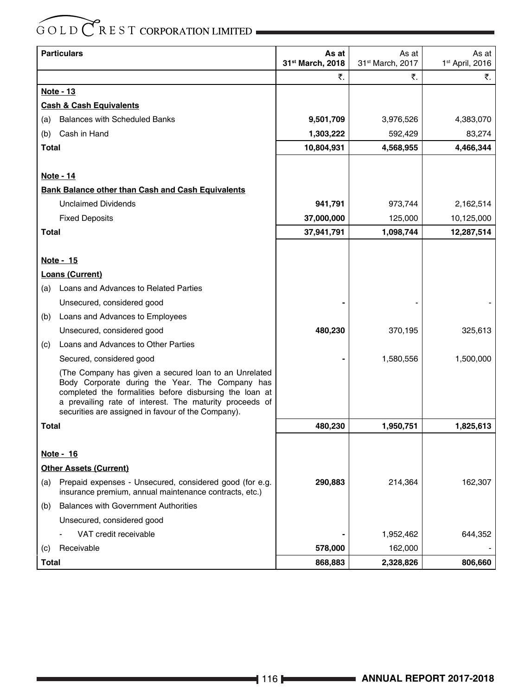|              | <b>Particulars</b>                                                                                                                                                                                                                                                                   | As at<br>31st March, 2018 | As at<br>31st March, 2017 | As at<br>1 <sup>st</sup> April, 2016 |
|--------------|--------------------------------------------------------------------------------------------------------------------------------------------------------------------------------------------------------------------------------------------------------------------------------------|---------------------------|---------------------------|--------------------------------------|
|              |                                                                                                                                                                                                                                                                                      | ₹.                        | ₹.                        | ₹.                                   |
|              | Note - 13                                                                                                                                                                                                                                                                            |                           |                           |                                      |
|              | <b>Cash &amp; Cash Equivalents</b>                                                                                                                                                                                                                                                   |                           |                           |                                      |
| (a)          | <b>Balances with Scheduled Banks</b>                                                                                                                                                                                                                                                 | 9,501,709                 | 3,976,526                 | 4,383,070                            |
| (b)          | Cash in Hand                                                                                                                                                                                                                                                                         | 1,303,222                 | 592,429                   | 83,274                               |
| Total        |                                                                                                                                                                                                                                                                                      | 10,804,931                | 4,568,955                 | 4,466,344                            |
|              |                                                                                                                                                                                                                                                                                      |                           |                           |                                      |
|              | <u>Note - 14</u>                                                                                                                                                                                                                                                                     |                           |                           |                                      |
|              | Bank Balance other than Cash and Cash Equivalents                                                                                                                                                                                                                                    |                           |                           |                                      |
|              | <b>Unclaimed Dividends</b>                                                                                                                                                                                                                                                           | 941,791                   | 973,744                   | 2,162,514                            |
|              | <b>Fixed Deposits</b>                                                                                                                                                                                                                                                                | 37,000,000                | 125,000                   | 10,125,000                           |
| <b>Total</b> |                                                                                                                                                                                                                                                                                      | 37,941,791                | 1,098,744                 | 12,287,514                           |
|              |                                                                                                                                                                                                                                                                                      |                           |                           |                                      |
|              | <u>Note - 15</u>                                                                                                                                                                                                                                                                     |                           |                           |                                      |
|              | Loans (Current)                                                                                                                                                                                                                                                                      |                           |                           |                                      |
| (a)          | Loans and Advances to Related Parties                                                                                                                                                                                                                                                |                           |                           |                                      |
|              | Unsecured, considered good                                                                                                                                                                                                                                                           |                           |                           |                                      |
| (b)          | Loans and Advances to Employees                                                                                                                                                                                                                                                      |                           |                           |                                      |
|              | Unsecured, considered good                                                                                                                                                                                                                                                           | 480,230                   | 370,195                   | 325,613                              |
| (c)          | Loans and Advances to Other Parties                                                                                                                                                                                                                                                  |                           |                           |                                      |
|              | Secured, considered good                                                                                                                                                                                                                                                             |                           | 1,580,556                 | 1,500,000                            |
|              | (The Company has given a secured loan to an Unrelated<br>Body Corporate during the Year. The Company has<br>completed the formalities before disbursing the loan at<br>a prevailing rate of interest. The maturity proceeds of<br>securities are assigned in favour of the Company). |                           |                           |                                      |
| Total        |                                                                                                                                                                                                                                                                                      | 480,230                   | 1,950,751                 | 1,825,613                            |
|              |                                                                                                                                                                                                                                                                                      |                           |                           |                                      |
|              | Note - 16                                                                                                                                                                                                                                                                            |                           |                           |                                      |
|              | <b>Other Assets (Current)</b>                                                                                                                                                                                                                                                        |                           |                           |                                      |
| (a)          | Prepaid expenses - Unsecured, considered good (for e.g.<br>insurance premium, annual maintenance contracts, etc.)                                                                                                                                                                    | 290,883                   | 214,364                   | 162,307                              |
| (b)          | <b>Balances with Government Authorities</b>                                                                                                                                                                                                                                          |                           |                           |                                      |
|              | Unsecured, considered good                                                                                                                                                                                                                                                           |                           |                           |                                      |
|              | VAT credit receivable                                                                                                                                                                                                                                                                |                           | 1,952,462                 | 644,352                              |
| (c)          | Receivable                                                                                                                                                                                                                                                                           | 578,000                   | 162,000                   |                                      |
| <b>Total</b> |                                                                                                                                                                                                                                                                                      | 868,883                   | 2,328,826                 | 806,660                              |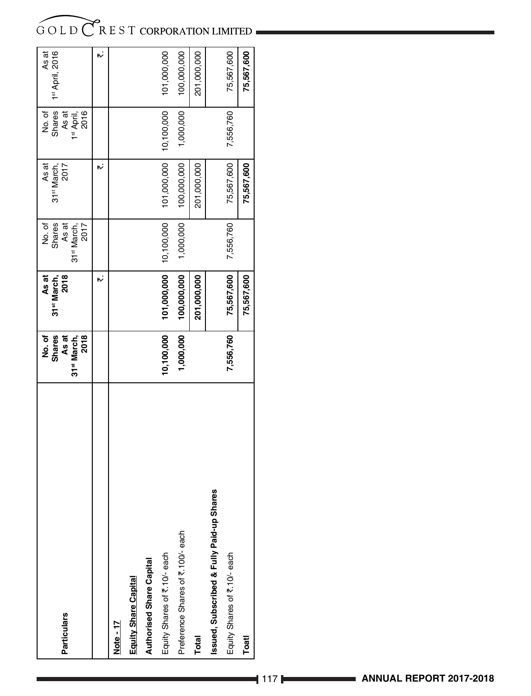| <b>Particulars</b>                       | As at<br>No. of<br><b>Shares</b><br>2018<br>31 <sup>st</sup> March, | As at<br>31 <sup>st</sup> March,<br>2018 | Shares<br>As at<br>No. of<br>31 <sup>st</sup> March,<br>2017 | As at<br>2017<br>31 <sup>st</sup> March, | Shares<br>No. of<br>As at<br>1 <sup>st</sup> April,<br>2016 | As at<br>1st April, 2016 |
|------------------------------------------|---------------------------------------------------------------------|------------------------------------------|--------------------------------------------------------------|------------------------------------------|-------------------------------------------------------------|--------------------------|
|                                          |                                                                     | "                                        |                                                              | ۳ż                                       |                                                             | h,                       |
| Note - 17                                |                                                                     |                                          |                                                              |                                          |                                                             |                          |
| <b>Equity Share Capital</b>              |                                                                     |                                          |                                                              |                                          |                                                             |                          |
| <b>Authorised Share Capital</b>          |                                                                     |                                          |                                                              |                                          |                                                             |                          |
| Equity Shares of ₹.10/- each             | 10,100,000                                                          | 101,000,000                              | 10,100,000                                                   | 101,000,000                              | 10,100,000                                                  | 101,000,000              |
| Preference Shares of ₹.100/- each        | 1,000,000                                                           | 100,000,000                              | 1,000,000                                                    | 100,000,000                              | 1,000,000                                                   | 100,000,000              |
| Total                                    |                                                                     | 201,000,000                              |                                                              | 201,000,000                              |                                                             | 201,000,000              |
| ssued, Subscribed & Fully Paid-up Shares |                                                                     |                                          |                                                              |                                          |                                                             |                          |
| Equity Shares of ₹.10/-each              | 7,556,760                                                           | 75,567,600                               | 7,556,760                                                    | 75,567,600                               | 7,556,760                                                   | 75,567,600               |
| Toatl                                    |                                                                     | 75,567,600                               |                                                              | 75,567,600                               |                                                             | 75,567,600               |
|                                          |                                                                     |                                          |                                                              |                                          |                                                             |                          |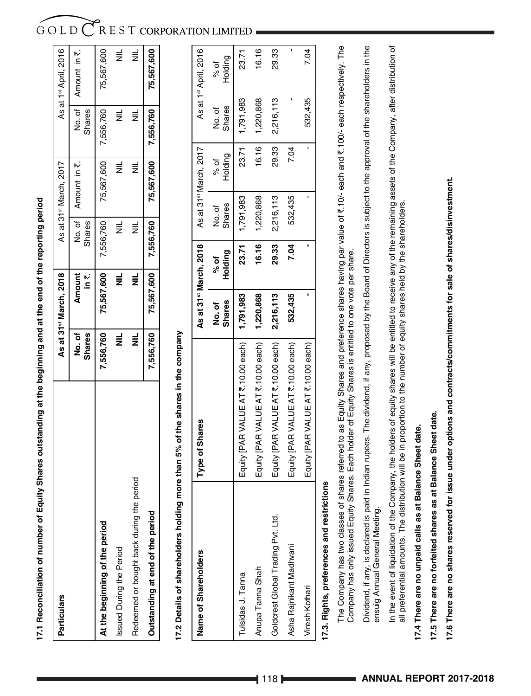17.1 Reconciliation of number of Equity Shares outstanding at the beginning and at the end of the reporting period **17.1 Reconciliation of number of Equity Shares outstanding at the beginning and at the end of the reporting period**

| <b>Particulars</b>                           |                         | As at 31 <sup>st</sup> March, 2018 |               | As at 31 <sup>st</sup> March, 2017 |                        | As at 1 <sup>st</sup> April, 2016 |
|----------------------------------------------|-------------------------|------------------------------------|---------------|------------------------------------|------------------------|-----------------------------------|
|                                              | ho. of<br><b>Shares</b> | <b>Amount</b><br>$\mathbf{in}$     | <b>Shares</b> | No. of   Amount in ₹.              | <b>Shares</b>          | No. of   Amount in ₹.             |
| At the beginning of the period               | 7,556,760               | 75,567,600                         | 7,556,760     |                                    | 75,567,600   7,556,760 | 75,567,600                        |
| ssued During the Period                      | $\equiv$                | $\equiv$                           | $\equiv$      | $\equiv$                           | $\equiv$               | $\equiv$                          |
| period<br>Redeemed or bought back during the | $\equiv$                | $\equiv$                           | ŧ             | $\equiv$                           | ₹                      | $\equiv$                          |
| Outstanding at end of the period             | 7,556,760               | 75,567,600 7,556,760               |               | 75,567,600 7,556,760 75,567,600    |                        |                                   |
|                                              |                         |                                    |               |                                    |                        |                                   |

# 17.2 Details of shareholders holding more than 5% of the shares in the company **17.2 Details of shareholders holding more than 5% of the shares in the company**

| Name of Shareholders               | Type of Shares                                 |                         | As at 31 <sup>st</sup> March, 2018 |                         | As at 31 <sup>st</sup> March, 2017 |                         | As at 1st April, 2016 |
|------------------------------------|------------------------------------------------|-------------------------|------------------------------------|-------------------------|------------------------------------|-------------------------|-----------------------|
|                                    |                                                | <b>Shares</b><br>No. of | Holding<br>$\frac{2}{6}$           | <b>Shares</b><br>No. of | Holding<br>% of                    | <b>Shares</b><br>No. of | Holding<br>p%         |
| ulsidas J. Tanna                   | Equity [PAR VALUE AT ₹.10.00 each)   1,791,983 |                         | 23.71                              | 1,791,983               | 23.71                              | 1,791,983               | 23.71                 |
| Anupa Tanna Shah                   | Equity [PAR VALUE AT ₹.10.00 each)             | 1,220,868               | 16.16                              | 1,220,868               | 16.16                              | 1,220,868               | 16.16                 |
| Goldcrest Global Trading Pvt. Ltd. | Equity [PAR VALUE AT ₹.10.00 each)             | 2,216,113               | 29.33                              | 2,216,113               | 29.33                              | 2,216,113               | 29.33                 |
| Asha Rajnikant Madhvani            | Equity [PAR VALUE AT ₹.10.00 each)             | 532,435                 | 7.04                               | 532,435                 | 7.04                               |                         |                       |
| <b>liresh Kothari</b>              | Equity [PAR VALUE AT ₹.10.00 each)             |                         |                                    |                         |                                    | 532,435                 | 7.04                  |
|                                    |                                                |                         |                                    |                         |                                    |                         |                       |

# 17.3. Rights, preferences and restrictions **17.3. Rights, preferences and restrictions**

The Company has two classes of shares referred to as Equity Shares and preference shares having par value of `.10/- each and `.100/- each respectively. The The Company has two classes of shares referred to as Equity Shares and preference shares having par value of ₹.10/- each and ₹.100/- each respectively. The Company has only issued Equity Shares. Each holder of Equity Shares is entitled to one vote per share. Company has only issued Equity Shares. Each holder of Equity Shares is entitled to one vote per share.

Dividend, if any, is declared is paid in Indian rupees. The dividend, if any, proposed by the Board of Directors is subject to the approval of the shareholders in the Dividend, if any, is declared is paid in Indian rupees. The dividend, if any, proposed by the Board of Directors is subject to the approval of the shareholders in the ensuig Annual General Meeting. ensuig Annual General Meeting.

In the event of liquidation of the Company, the holders of equity shares will be entitled to receive any of the remaining assets of the Company, after distribution of In the event of liquidation of the Company, the holders of equity shares will be entitled to receive any of the remaining assets of the Company, after distribution of all preferential amounts. The distribution will be in proportion to the number of equity shares held by the shareholders. all preferential amounts. The distribution will be in proportion to the number of equity shares held by the shareholders.

# 17.4 There are no unpaid calls as at Balance Sheet date. **17.4 There are no unpaid calls as at Balance Sheet date.**

# 17.5 There are no forfeited shares as at Balance Sheet date. **17.5 There are no forfeited shares as at Balance Sheet date.**

17.6 There are no shares reserved for issue under options and contracts/commitments for sale of shares/disinvestment. **17.6 There are no shares reserved for issue under options and contracts/commitments for sale of shares/disinvestment.**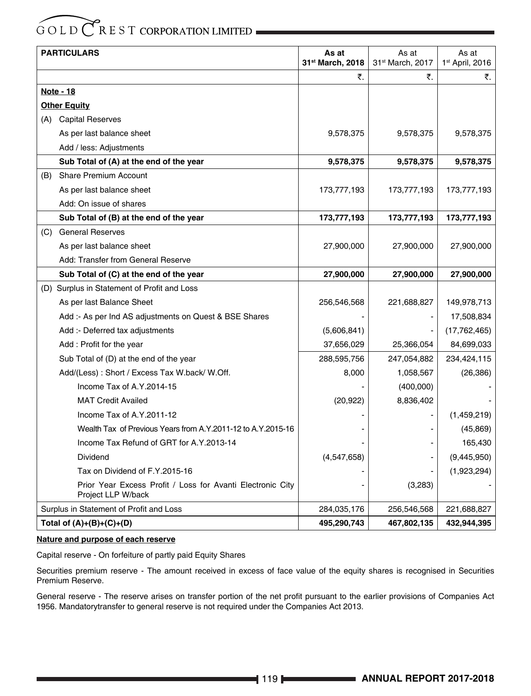|     | <b>PARTICULARS</b>                                                               | As at            | As at            | As at                       |
|-----|----------------------------------------------------------------------------------|------------------|------------------|-----------------------------|
|     |                                                                                  | 31st March, 2018 | 31st March, 2017 | 1 <sup>st</sup> April, 2016 |
|     |                                                                                  | ₹.               | ₹.               | ₹.                          |
|     | Note - 18                                                                        |                  |                  |                             |
|     | <b>Other Equity</b>                                                              |                  |                  |                             |
|     | (A) Capital Reserves                                                             |                  |                  |                             |
|     | As per last balance sheet                                                        | 9,578,375        | 9,578,375        | 9,578,375                   |
|     | Add / less: Adjustments                                                          |                  |                  |                             |
|     | Sub Total of (A) at the end of the year                                          | 9,578,375        | 9,578,375        | 9,578,375                   |
| (B) | <b>Share Premium Account</b>                                                     |                  |                  |                             |
|     | As per last balance sheet                                                        | 173,777,193      | 173,777,193      | 173,777,193                 |
|     | Add: On issue of shares                                                          |                  |                  |                             |
|     | Sub Total of (B) at the end of the year                                          | 173,777,193      | 173,777,193      | 173,777,193                 |
| (C) | <b>General Reserves</b>                                                          |                  |                  |                             |
|     | As per last balance sheet                                                        | 27,900,000       | 27,900,000       | 27,900,000                  |
|     | Add: Transfer from General Reserve                                               |                  |                  |                             |
|     | Sub Total of (C) at the end of the year                                          | 27,900,000       | 27,900,000       | 27,900,000                  |
|     | (D) Surplus in Statement of Profit and Loss                                      |                  |                  |                             |
|     | As per last Balance Sheet                                                        | 256,546,568      | 221,688,827      | 149,978,713                 |
|     | Add :- As per Ind AS adjustments on Quest & BSE Shares                           |                  |                  | 17,508,834                  |
|     | Add :- Deferred tax adjustments                                                  | (5,606,841)      |                  | (17, 762, 465)              |
|     | Add: Profit for the year                                                         | 37,656,029       | 25,366,054       | 84,699,033                  |
|     | Sub Total of (D) at the end of the year                                          | 288,595,756      | 247,054,882      | 234,424,115                 |
|     | Add/(Less): Short / Excess Tax W.back/ W.Off.                                    | 8,000            | 1,058,567        | (26, 386)                   |
|     | Income Tax of A.Y.2014-15                                                        |                  | (400,000)        |                             |
|     | <b>MAT Credit Availed</b>                                                        | (20, 922)        | 8,836,402        |                             |
|     | Income Tax of A.Y.2011-12                                                        |                  |                  | (1,459,219)                 |
|     | Wealth Tax of Previous Years from A.Y.2011-12 to A.Y.2015-16                     |                  |                  | (45, 869)                   |
|     | Income Tax Refund of GRT for A.Y.2013-14                                         |                  |                  | 165,430                     |
|     | Dividend                                                                         | (4,547,658)      |                  | (9,445,950)                 |
|     | Tax on Dividend of F.Y.2015-16                                                   |                  |                  | (1,923,294)                 |
|     | Prior Year Excess Profit / Loss for Avanti Electronic City<br>Project LLP W/back |                  | (3,283)          |                             |
|     | Surplus in Statement of Profit and Loss                                          | 284,035,176      | 256,546,568      | 221,688,827                 |
|     | Total of $(A)+(B)+(C)+(D)$                                                       | 495,290,743      | 467,802,135      | 432,944,395                 |

# **Nature and purpose of each reserve**

Capital reserve - On forfeiture of partly paid Equity Shares

Securities premium reserve - The amount received in excess of face value of the equity shares is recognised in Securities Premium Reserve.

General reserve - The reserve arises on transfer portion of the net profit pursuant to the earlier provisions of Companies Act 1956. Mandatorytransfer to general reserve is not required under the Companies Act 2013.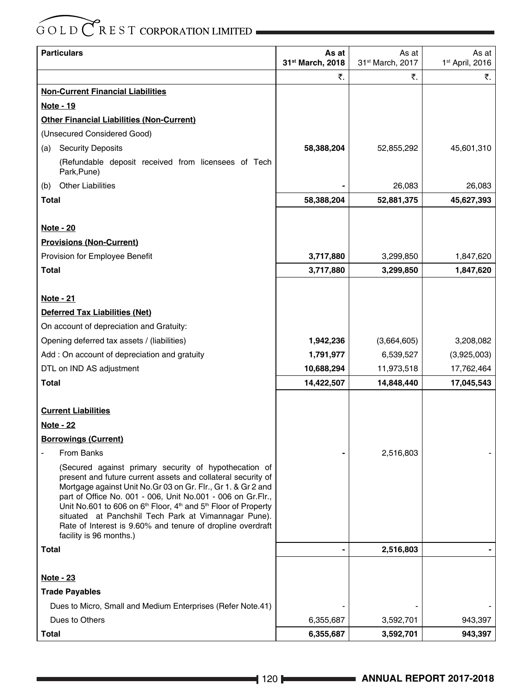| <b>Particulars</b>                                                                                                                                                                                                                                                                                                                                                                                                                                                                                           | As at<br>31st March, 2018 | As at<br>31st March, 2017 | As at<br>1st April, 2016 |
|--------------------------------------------------------------------------------------------------------------------------------------------------------------------------------------------------------------------------------------------------------------------------------------------------------------------------------------------------------------------------------------------------------------------------------------------------------------------------------------------------------------|---------------------------|---------------------------|--------------------------|
|                                                                                                                                                                                                                                                                                                                                                                                                                                                                                                              | ₹.                        | ₹.                        | ₹.                       |
| <b>Non-Current Financial Liabilities</b>                                                                                                                                                                                                                                                                                                                                                                                                                                                                     |                           |                           |                          |
| Note - 19                                                                                                                                                                                                                                                                                                                                                                                                                                                                                                    |                           |                           |                          |
| <b>Other Financial Liabilities (Non-Current)</b>                                                                                                                                                                                                                                                                                                                                                                                                                                                             |                           |                           |                          |
| (Unsecured Considered Good)                                                                                                                                                                                                                                                                                                                                                                                                                                                                                  |                           |                           |                          |
| <b>Security Deposits</b><br>(a)                                                                                                                                                                                                                                                                                                                                                                                                                                                                              | 58,388,204                | 52,855,292                | 45,601,310               |
| (Refundable deposit received from licensees of Tech<br>Park, Pune)                                                                                                                                                                                                                                                                                                                                                                                                                                           |                           |                           |                          |
| <b>Other Liabilities</b><br>(b)                                                                                                                                                                                                                                                                                                                                                                                                                                                                              |                           | 26,083                    | 26,083                   |
| <b>Total</b>                                                                                                                                                                                                                                                                                                                                                                                                                                                                                                 | 58,388,204                | 52,881,375                | 45,627,393               |
|                                                                                                                                                                                                                                                                                                                                                                                                                                                                                                              |                           |                           |                          |
| <b>Note - 20</b>                                                                                                                                                                                                                                                                                                                                                                                                                                                                                             |                           |                           |                          |
| <b>Provisions (Non-Current)</b>                                                                                                                                                                                                                                                                                                                                                                                                                                                                              |                           |                           |                          |
| Provision for Employee Benefit                                                                                                                                                                                                                                                                                                                                                                                                                                                                               | 3,717,880                 | 3,299,850                 | 1,847,620                |
| Total                                                                                                                                                                                                                                                                                                                                                                                                                                                                                                        | 3,717,880                 | 3,299,850                 | 1,847,620                |
|                                                                                                                                                                                                                                                                                                                                                                                                                                                                                                              |                           |                           |                          |
| <u>Note - 21</u>                                                                                                                                                                                                                                                                                                                                                                                                                                                                                             |                           |                           |                          |
| Deferred Tax Liabilities (Net)                                                                                                                                                                                                                                                                                                                                                                                                                                                                               |                           |                           |                          |
| On account of depreciation and Gratuity:                                                                                                                                                                                                                                                                                                                                                                                                                                                                     |                           |                           |                          |
| Opening deferred tax assets / (liabilities)                                                                                                                                                                                                                                                                                                                                                                                                                                                                  | 1,942,236                 | (3,664,605)               | 3,208,082                |
| Add : On account of depreciation and gratuity                                                                                                                                                                                                                                                                                                                                                                                                                                                                | 1,791,977                 | 6,539,527                 | (3,925,003)              |
| DTL on IND AS adjustment                                                                                                                                                                                                                                                                                                                                                                                                                                                                                     | 10,688,294                | 11,973,518                | 17,762,464               |
| Total                                                                                                                                                                                                                                                                                                                                                                                                                                                                                                        | 14,422,507                | 14,848,440                | 17,045,543               |
|                                                                                                                                                                                                                                                                                                                                                                                                                                                                                                              |                           |                           |                          |
| <b>Current Liabilities</b>                                                                                                                                                                                                                                                                                                                                                                                                                                                                                   |                           |                           |                          |
| <b>Note - 22</b>                                                                                                                                                                                                                                                                                                                                                                                                                                                                                             |                           |                           |                          |
| <b>Borrowings (Current)</b>                                                                                                                                                                                                                                                                                                                                                                                                                                                                                  |                           |                           |                          |
| From Banks                                                                                                                                                                                                                                                                                                                                                                                                                                                                                                   |                           | 2,516,803                 |                          |
| (Secured against primary security of hypothecation of<br>present and future current assets and collateral security of<br>Mortgage against Unit No. Gr 03 on Gr. Flr., Gr 1. & Gr 2 and<br>part of Office No. 001 - 006, Unit No.001 - 006 on Gr.Flr.,<br>Unit No.601 to 606 on 6 <sup>th</sup> Floor, 4 <sup>th</sup> and 5 <sup>th</sup> Floor of Property<br>situated at Panchshil Tech Park at Vimannagar Pune).<br>Rate of Interest is 9.60% and tenure of dropline overdraft<br>facility is 96 months.) |                           |                           |                          |
| <b>Total</b>                                                                                                                                                                                                                                                                                                                                                                                                                                                                                                 |                           | 2,516,803                 |                          |
|                                                                                                                                                                                                                                                                                                                                                                                                                                                                                                              |                           |                           |                          |
| <b>Note - 23</b>                                                                                                                                                                                                                                                                                                                                                                                                                                                                                             |                           |                           |                          |
| <b>Trade Payables</b>                                                                                                                                                                                                                                                                                                                                                                                                                                                                                        |                           |                           |                          |
| Dues to Micro, Small and Medium Enterprises (Refer Note.41)                                                                                                                                                                                                                                                                                                                                                                                                                                                  |                           |                           |                          |
| Dues to Others                                                                                                                                                                                                                                                                                                                                                                                                                                                                                               | 6,355,687                 | 3,592,701                 | 943,397                  |
| <b>Total</b>                                                                                                                                                                                                                                                                                                                                                                                                                                                                                                 | 6,355,687                 | 3,592,701                 | 943,397                  |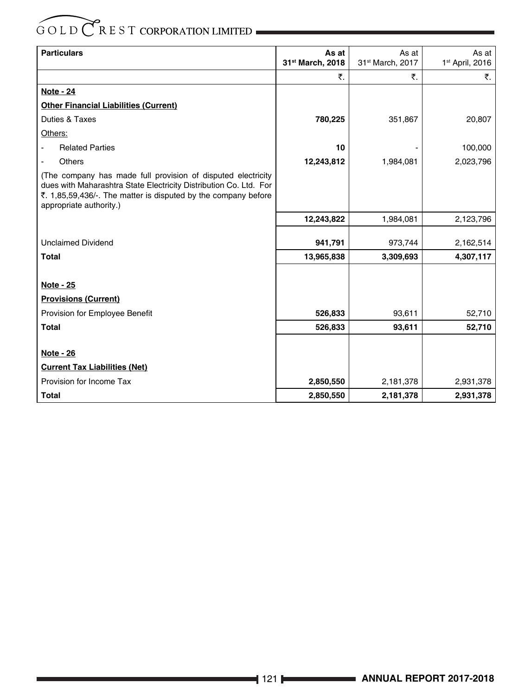| <b>Particulars</b>                                                                                                                                                                                                            | As at            | As at            | As at                       |
|-------------------------------------------------------------------------------------------------------------------------------------------------------------------------------------------------------------------------------|------------------|------------------|-----------------------------|
|                                                                                                                                                                                                                               | 31st March, 2018 | 31st March, 2017 | 1 <sup>st</sup> April, 2016 |
|                                                                                                                                                                                                                               | ₹.               | ₹.               | ₹.                          |
| <b>Note - 24</b>                                                                                                                                                                                                              |                  |                  |                             |
| <b>Other Financial Liabilities (Current)</b>                                                                                                                                                                                  |                  |                  |                             |
| Duties & Taxes                                                                                                                                                                                                                | 780,225          | 351,867          | 20,807                      |
| Others:                                                                                                                                                                                                                       |                  |                  |                             |
| <b>Related Parties</b>                                                                                                                                                                                                        | 10               |                  | 100,000                     |
| Others                                                                                                                                                                                                                        | 12,243,812       | 1,984,081        | 2,023,796                   |
| (The company has made full provision of disputed electricity<br>dues with Maharashtra State Electricity Distribution Co. Ltd. For<br>₹. 1,85,59,436/. The matter is disputed by the company before<br>appropriate authority.) |                  |                  |                             |
|                                                                                                                                                                                                                               | 12,243,822       | 1,984,081        | 2,123,796                   |
| <b>Unclaimed Dividend</b>                                                                                                                                                                                                     | 941,791          | 973,744          | 2,162,514                   |
| <b>Total</b>                                                                                                                                                                                                                  | 13,965,838       | 3,309,693        | 4,307,117                   |
|                                                                                                                                                                                                                               |                  |                  |                             |
| <b>Note - 25</b>                                                                                                                                                                                                              |                  |                  |                             |
| <b>Provisions (Current)</b>                                                                                                                                                                                                   |                  |                  |                             |
| Provision for Employee Benefit                                                                                                                                                                                                | 526,833          | 93,611           | 52,710                      |
| <b>Total</b>                                                                                                                                                                                                                  | 526,833          | 93,611           | 52,710                      |
|                                                                                                                                                                                                                               |                  |                  |                             |
| Note - 26                                                                                                                                                                                                                     |                  |                  |                             |
| <b>Current Tax Liabilities (Net)</b>                                                                                                                                                                                          |                  |                  |                             |
| Provision for Income Tax                                                                                                                                                                                                      | 2,850,550        | 2,181,378        | 2,931,378                   |
| <b>Total</b>                                                                                                                                                                                                                  | 2,850,550        | 2,181,378        | 2,931,378                   |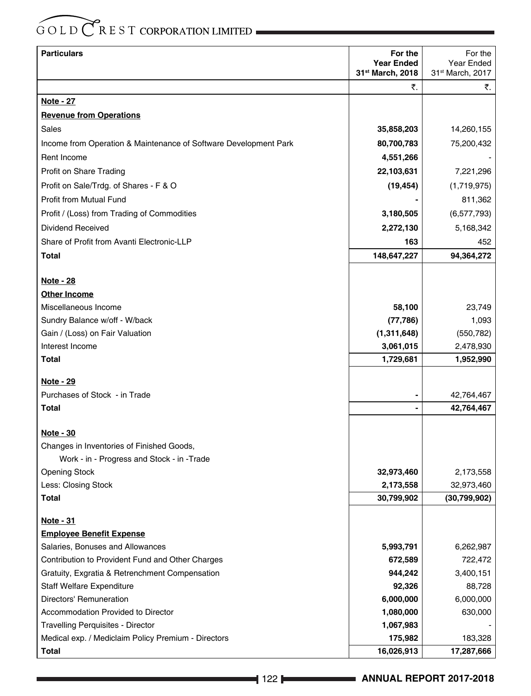| <b>Particulars</b>                                               | For the                               | For the                        |
|------------------------------------------------------------------|---------------------------------------|--------------------------------|
|                                                                  | <b>Year Ended</b><br>31st March, 2018 | Year Ended<br>31st March, 2017 |
|                                                                  | ₹.                                    | ₹.                             |
| <u>Note - 27</u>                                                 |                                       |                                |
| <b>Revenue from Operations</b>                                   |                                       |                                |
| Sales                                                            | 35,858,203                            | 14,260,155                     |
| Income from Operation & Maintenance of Software Development Park | 80,700,783                            | 75,200,432                     |
| Rent Income                                                      | 4,551,266                             |                                |
| Profit on Share Trading                                          | 22,103,631                            | 7,221,296                      |
| Profit on Sale/Trdg. of Shares - F & O                           | (19, 454)                             | (1,719,975)                    |
| Profit from Mutual Fund                                          |                                       | 811,362                        |
| Profit / (Loss) from Trading of Commodities                      | 3,180,505                             | (6,577,793)                    |
| <b>Dividend Received</b>                                         |                                       |                                |
| Share of Profit from Avanti Electronic-LLP                       | 2,272,130<br>163                      | 5,168,342                      |
|                                                                  |                                       | 452                            |
| Total                                                            | 148,647,227                           | 94,364,272                     |
| <u>Note - 28</u>                                                 |                                       |                                |
| <b>Other Income</b>                                              |                                       |                                |
| Miscellaneous Income                                             | 58,100                                | 23,749                         |
| Sundry Balance w/off - W/back                                    | (77, 786)                             | 1,093                          |
| Gain / (Loss) on Fair Valuation                                  | (1,311,648)                           | (550, 782)                     |
| Interest Income                                                  | 3,061,015                             | 2,478,930                      |
| Total                                                            | 1,729,681                             | 1,952,990                      |
|                                                                  |                                       |                                |
| <u>Note - 29</u>                                                 |                                       |                                |
| Purchases of Stock - in Trade                                    |                                       | 42,764,467                     |
| Total                                                            |                                       | 42,764,467                     |
| <b>Note - 30</b>                                                 |                                       |                                |
| Changes in Inventories of Finished Goods,                        |                                       |                                |
| Work - in - Progress and Stock - in - Trade                      |                                       |                                |
| <b>Opening Stock</b>                                             | 32,973,460                            | 2,173,558                      |
| Less: Closing Stock                                              | 2,173,558                             | 32,973,460                     |
| Total                                                            | 30,799,902                            | (30, 799, 902)                 |
| <u>Note - 31</u>                                                 |                                       |                                |
| <b>Employee Benefit Expense</b>                                  |                                       |                                |
| Salaries, Bonuses and Allowances                                 | 5,993,791                             | 6,262,987                      |
| Contribution to Provident Fund and Other Charges                 | 672,589                               | 722,472                        |
| Gratuity, Exgratia & Retrenchment Compensation                   | 944,242                               | 3,400,151                      |
| <b>Staff Welfare Expenditure</b>                                 | 92,326                                | 88,728                         |
| Directors' Remuneration                                          | 6,000,000                             | 6,000,000                      |
| Accommodation Provided to Director                               | 1,080,000                             | 630,000                        |
| Travelling Perquisites - Director                                | 1,067,983                             |                                |
| Medical exp. / Mediclaim Policy Premium - Directors              | 175,982                               | 183,328                        |
| <b>Total</b>                                                     | 16,026,913                            | 17,287,666                     |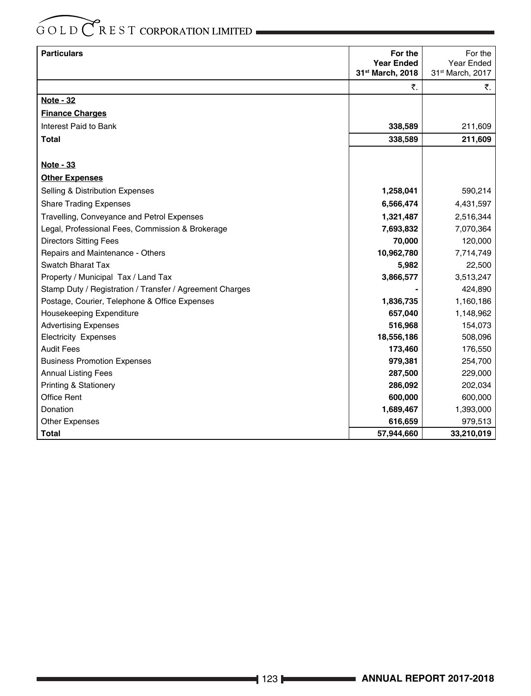| <b>Particulars</b>                                       | For the<br><b>Year Ended</b><br>31st March, 2018 | For the<br>Year Ended<br>31st March, 2017 |
|----------------------------------------------------------|--------------------------------------------------|-------------------------------------------|
|                                                          | ₹.                                               | ₹.                                        |
| <b>Note - 32</b>                                         |                                                  |                                           |
| <b>Finance Charges</b>                                   |                                                  |                                           |
| Interest Paid to Bank                                    | 338,589                                          | 211,609                                   |
| <b>Total</b>                                             | 338,589                                          | 211,609                                   |
|                                                          |                                                  |                                           |
| <b>Note - 33</b>                                         |                                                  |                                           |
| <b>Other Expenses</b>                                    |                                                  |                                           |
| Selling & Distribution Expenses                          | 1,258,041                                        | 590,214                                   |
| <b>Share Trading Expenses</b>                            | 6,566,474                                        | 4,431,597                                 |
| Travelling, Conveyance and Petrol Expenses               | 1,321,487                                        | 2,516,344                                 |
| Legal, Professional Fees, Commission & Brokerage         | 7,693,832                                        | 7,070,364                                 |
| <b>Directors Sitting Fees</b>                            | 70,000                                           | 120,000                                   |
| Repairs and Maintenance - Others                         | 10,962,780                                       | 7,714,749                                 |
| Swatch Bharat Tax                                        | 5,982                                            | 22,500                                    |
| Property / Municipal Tax / Land Tax                      | 3,866,577                                        | 3,513,247                                 |
| Stamp Duty / Registration / Transfer / Agreement Charges |                                                  | 424,890                                   |
| Postage, Courier, Telephone & Office Expenses            | 1,836,735                                        | 1,160,186                                 |
| Housekeeping Expenditure                                 | 657,040                                          | 1,148,962                                 |
| <b>Advertising Expenses</b>                              | 516,968                                          | 154,073                                   |
| <b>Electricity Expenses</b>                              | 18,556,186                                       | 508,096                                   |
| <b>Audit Fees</b>                                        | 173,460                                          | 176,550                                   |
| <b>Business Promotion Expenses</b>                       | 979,381                                          | 254,700                                   |
| <b>Annual Listing Fees</b>                               | 287,500                                          | 229,000                                   |
| <b>Printing &amp; Stationery</b>                         | 286,092                                          | 202,034                                   |
| <b>Office Rent</b>                                       | 600,000                                          | 600,000                                   |
| Donation                                                 | 1,689,467                                        | 1,393,000                                 |
| <b>Other Expenses</b>                                    | 616,659                                          | 979,513                                   |
| <b>Total</b>                                             | 57,944,660                                       | 33,210,019                                |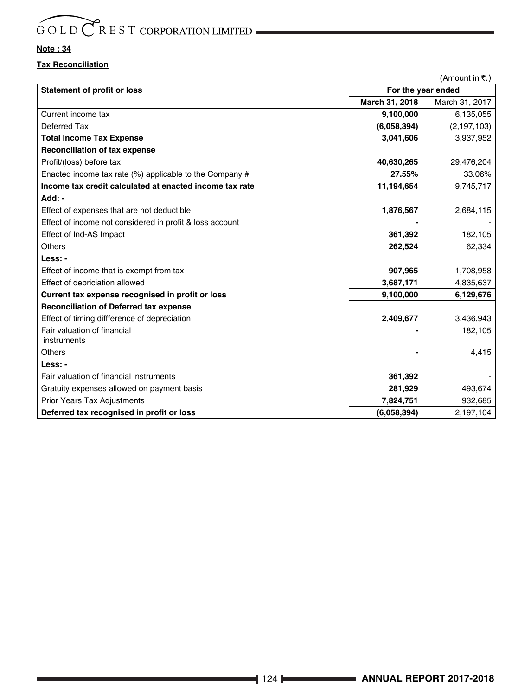# **Note : 34**

# **Tax Reconciliation**

(Amount in  $\overline{\tau}$ .)

| <b>Statement of profit or loss</b>                         |                | For the year ended |
|------------------------------------------------------------|----------------|--------------------|
|                                                            | March 31, 2018 | March 31, 2017     |
| Current income tax                                         | 9,100,000      | 6,135,055          |
| Deferred Tax                                               | (6,058,394)    | (2, 197, 103)      |
| <b>Total Income Tax Expense</b>                            | 3,041,606      | 3,937,952          |
| <b>Reconciliation of tax expense</b>                       |                |                    |
| Profit/(loss) before tax                                   | 40,630,265     | 29,476,204         |
| Enacted income tax rate $(\%)$ applicable to the Company # | 27.55%         | 33.06%             |
| Income tax credit calculated at enacted income tax rate    | 11,194,654     | 9,745,717          |
| Add: -                                                     |                |                    |
| Effect of expenses that are not deductible                 | 1,876,567      | 2,684,115          |
| Effect of income not considered in profit & loss account   |                |                    |
| Effect of Ind-AS Impact                                    | 361,392        | 182,105            |
| Others                                                     | 262,524        | 62,334             |
| Less: -                                                    |                |                    |
| Effect of income that is exempt from tax                   | 907,965        | 1,708,958          |
| Effect of depriciation allowed                             | 3,687,171      | 4,835,637          |
| Current tax expense recognised in profit or loss           | 9,100,000      | 6,129,676          |
| <b>Reconciliation of Deferred tax expense</b>              |                |                    |
| Effect of timing diffference of depreciation               | 2,409,677      | 3,436,943          |
| Fair valuation of financial<br>instruments                 |                | 182,105            |
| Others                                                     |                | 4,415              |
| Less: -                                                    |                |                    |
| Fair valuation of financial instruments                    | 361,392        |                    |
| Gratuity expenses allowed on payment basis                 | 281,929        | 493,674            |
| <b>Prior Years Tax Adjustments</b>                         | 7,824,751      | 932,685            |
| Deferred tax recognised in profit or loss                  | (6,058,394)    | 2,197,104          |
|                                                            |                |                    |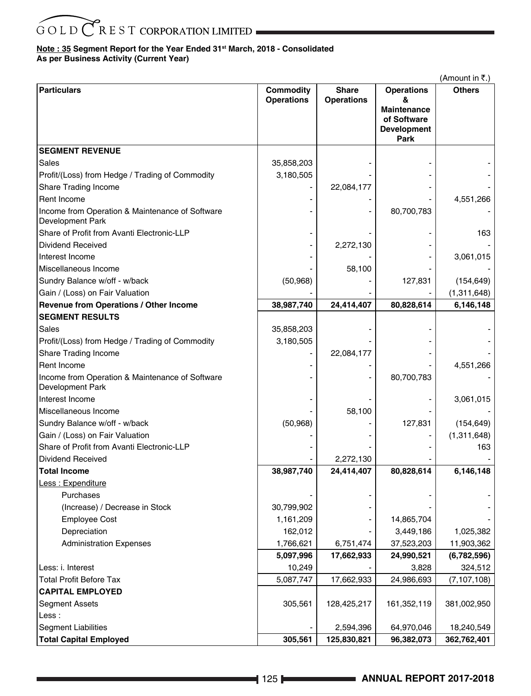# **Note : 35 Segment Report for the Year Ended 31st March, 2018 - Consolidated As per Business Activity (Current Year)**

|                                                                     |                                       |                                   |                        | (Amount in ₹.) |
|---------------------------------------------------------------------|---------------------------------------|-----------------------------------|------------------------|----------------|
| <b>Particulars</b>                                                  | <b>Commodity</b><br><b>Operations</b> | <b>Share</b><br><b>Operations</b> | <b>Operations</b><br>& | <b>Others</b>  |
|                                                                     |                                       |                                   | Maintenance            |                |
|                                                                     |                                       |                                   | of Software            |                |
|                                                                     |                                       |                                   | Development<br>Park    |                |
| <b>SEGMENT REVENUE</b>                                              |                                       |                                   |                        |                |
| Sales                                                               | 35,858,203                            |                                   |                        |                |
| Profit/(Loss) from Hedge / Trading of Commodity                     | 3,180,505                             |                                   |                        |                |
| Share Trading Income                                                |                                       | 22,084,177                        |                        |                |
| Rent Income                                                         |                                       |                                   |                        | 4,551,266      |
| Income from Operation & Maintenance of Software<br>Development Park |                                       |                                   | 80,700,783             |                |
| Share of Profit from Avanti Electronic-LLP                          |                                       |                                   |                        | 163            |
| Dividend Received                                                   |                                       | 2,272,130                         |                        |                |
| Interest Income                                                     |                                       |                                   |                        | 3,061,015      |
| Miscellaneous Income                                                |                                       | 58,100                            |                        |                |
| Sundry Balance w/off - w/back                                       | (50, 968)                             |                                   | 127,831                | (154, 649)     |
| Gain / (Loss) on Fair Valuation                                     |                                       |                                   |                        | (1,311,648)    |
| Revenue from Operations / Other Income                              | 38,987,740                            | 24,414,407                        | 80,828,614             | 6,146,148      |
| <b>SEGMENT RESULTS</b>                                              |                                       |                                   |                        |                |
| Sales                                                               | 35,858,203                            |                                   |                        |                |
| Profit/(Loss) from Hedge / Trading of Commodity                     | 3,180,505                             |                                   |                        |                |
| Share Trading Income                                                |                                       | 22,084,177                        |                        |                |
| Rent Income                                                         |                                       |                                   |                        | 4,551,266      |
| Income from Operation & Maintenance of Software<br>Development Park |                                       |                                   | 80,700,783             |                |
| Interest Income                                                     |                                       |                                   |                        | 3,061,015      |
| Miscellaneous Income                                                |                                       | 58,100                            |                        |                |
| Sundry Balance w/off - w/back                                       | (50, 968)                             |                                   | 127,831                | (154, 649)     |
| Gain / (Loss) on Fair Valuation                                     |                                       |                                   |                        | (1,311,648)    |
| Share of Profit from Avanti Electronic-LLP                          |                                       |                                   |                        | 163            |
| <b>Dividend Received</b>                                            |                                       | 2,272,130                         |                        |                |
| <b>Total Income</b>                                                 | 38,987,740                            | 24,414,407                        | 80,828,614             | 6,146,148      |
| Less : Expenditure                                                  |                                       |                                   |                        |                |
| Purchases                                                           |                                       |                                   |                        |                |
| (Increase) / Decrease in Stock                                      | 30,799,902                            |                                   |                        |                |
| <b>Employee Cost</b>                                                | 1,161,209                             |                                   | 14,865,704             |                |
| Depreciation                                                        | 162,012                               |                                   | 3,449,186              | 1,025,382      |
| <b>Administration Expenses</b>                                      | 1,766,621                             | 6,751,474                         | 37,523,203             | 11,903,362     |
|                                                                     | 5,097,996                             | 17,662,933                        | 24,990,521             | (6,782,596)    |
| Less: i. Interest                                                   | 10,249                                |                                   | 3,828                  | 324,512        |
| <b>Total Profit Before Tax</b>                                      | 5,087,747                             | 17,662,933                        | 24,986,693             | (7, 107, 108)  |
| <b>CAPITAL EMPLOYED</b>                                             |                                       |                                   |                        |                |
| <b>Segment Assets</b>                                               | 305,561                               | 128,425,217                       | 161,352,119            | 381,002,950    |
| Less:                                                               |                                       |                                   |                        |                |
| <b>Segment Liabilities</b>                                          |                                       | 2,594,396                         | 64,970,046             | 18,240,549     |
| <b>Total Capital Employed</b>                                       | 305,561                               | 125,830,821                       | 96,382,073             | 362,762,401    |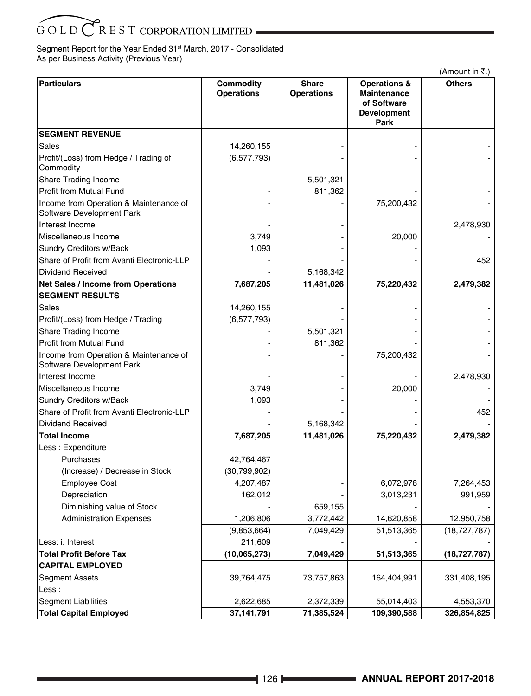Segment Report for the Year Ended 31<sup>st</sup> March, 2017 - Consolidated As per Business Activity (Previous Year)

|                                                                     |                                |                                   |                                                                                     | (Amount in ₹.) |
|---------------------------------------------------------------------|--------------------------------|-----------------------------------|-------------------------------------------------------------------------------------|----------------|
| <b>Particulars</b>                                                  | Commodity<br><b>Operations</b> | <b>Share</b><br><b>Operations</b> | <b>Operations &amp;</b><br>Maintenance<br>of Software<br><b>Development</b><br>Park | <b>Others</b>  |
| <b>SEGMENT REVENUE</b>                                              |                                |                                   |                                                                                     |                |
| Sales                                                               | 14,260,155                     |                                   |                                                                                     |                |
| Profit/(Loss) from Hedge / Trading of<br>Commodity                  | (6, 577, 793)                  |                                   |                                                                                     |                |
| Share Trading Income                                                |                                | 5,501,321                         |                                                                                     |                |
| <b>Profit from Mutual Fund</b>                                      |                                | 811,362                           |                                                                                     |                |
| Income from Operation & Maintenance of<br>Software Development Park |                                |                                   | 75,200,432                                                                          |                |
| Interest Income                                                     |                                |                                   |                                                                                     | 2,478,930      |
| Miscellaneous Income                                                | 3,749                          |                                   | 20,000                                                                              |                |
| Sundry Creditors w/Back                                             | 1,093                          |                                   |                                                                                     |                |
| Share of Profit from Avanti Electronic-LLP                          |                                |                                   |                                                                                     | 452            |
| Dividend Received                                                   |                                | 5,168,342                         |                                                                                     |                |
| <b>Net Sales / Income from Operations</b>                           | 7,687,205                      | 11,481,026                        | 75,220,432                                                                          | 2,479,382      |
| <b>SEGMENT RESULTS</b>                                              |                                |                                   |                                                                                     |                |
| Sales                                                               | 14,260,155                     |                                   |                                                                                     |                |
| Profit/(Loss) from Hedge / Trading                                  | (6,577,793)                    |                                   |                                                                                     |                |
| Share Trading Income                                                |                                | 5,501,321                         |                                                                                     |                |
| <b>Profit from Mutual Fund</b>                                      |                                | 811,362                           |                                                                                     |                |
| Income from Operation & Maintenance of<br>Software Development Park |                                |                                   | 75,200,432                                                                          |                |
| Interest Income                                                     |                                |                                   |                                                                                     | 2,478,930      |
| Miscellaneous Income                                                | 3,749                          |                                   | 20,000                                                                              |                |
| <b>Sundry Creditors w/Back</b>                                      | 1,093                          |                                   |                                                                                     |                |
| Share of Profit from Avanti Electronic-LLP                          |                                |                                   |                                                                                     | 452            |
| <b>Dividend Received</b>                                            |                                | 5,168,342                         |                                                                                     |                |
| <b>Total Income</b>                                                 | 7,687,205                      | 11,481,026                        | 75,220,432                                                                          | 2,479,382      |
| Less: Expenditure                                                   |                                |                                   |                                                                                     |                |
| Purchases                                                           | 42,764,467                     |                                   |                                                                                     |                |
| (Increase) / Decrease in Stock                                      | (30, 799, 902)                 |                                   |                                                                                     |                |
| <b>Employee Cost</b>                                                | 4,207,487                      |                                   | 6,072,978                                                                           | 7,264,453      |
| Depreciation                                                        | 162,012                        |                                   | 3,013,231                                                                           | 991,959        |
| Diminishing value of Stock                                          |                                | 659,155                           |                                                                                     |                |
| <b>Administration Expenses</b>                                      | 1,206,806                      | 3,772,442                         | 14,620,858                                                                          | 12,950,758     |
|                                                                     | (9,853,664)                    | 7,049,429                         | 51,513,365                                                                          | (18, 727, 787) |
| Less: i. Interest                                                   | 211,609                        |                                   |                                                                                     |                |
| <b>Total Profit Before Tax</b>                                      | (10,065,273)                   | 7,049,429                         | 51,513,365                                                                          | (18, 727, 787) |
| <b>CAPITAL EMPLOYED</b>                                             |                                |                                   |                                                                                     |                |
| <b>Segment Assets</b>                                               | 39,764,475                     | 73,757,863                        | 164,404,991                                                                         | 331,408,195    |
| Less:                                                               |                                |                                   |                                                                                     |                |
| <b>Segment Liabilities</b>                                          | 2,622,685                      | 2,372,339                         | 55,014,403                                                                          | 4,553,370      |
| <b>Total Capital Employed</b>                                       | 37,141,791                     | 71,385,524                        | 109,390,588                                                                         | 326,854,825    |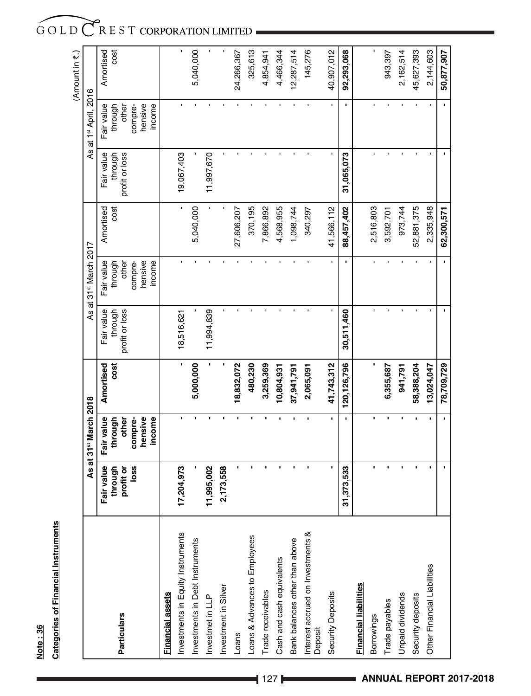# Note: 36 **Note : 36**

# **Categories of Financial Instruments Categories of Financial Instruments**

|                                              |                          |                                   |               |                |                                   |            |                |                       | (Amount in 7.) |
|----------------------------------------------|--------------------------|-----------------------------------|---------------|----------------|-----------------------------------|------------|----------------|-----------------------|----------------|
|                                              |                          | As at 31 <sup>st</sup> March 2018 |               |                | As at 31 <sup>st</sup> March 2017 |            |                | As at 1st April, 2016 |                |
|                                              | Fair value               | Fair value                        | Amortised     | Fair value     | Fair value                        | Amortised  | Fair value     |                       | Amortised      |
|                                              | through                  | through                           | cost          | through        | through                           | cost       | through        | Fair value<br>through | cost           |
| <b>Particulars</b>                           | profit or                | other                             |               | profit or loss | other                             |            | profit or loss | other                 |                |
|                                              | loss                     | hensive<br>compre-                |               |                | hensive<br>compre-                |            |                | hensive<br>compre-    |                |
|                                              |                          | income                            |               |                | income                            |            |                | income                |                |
| Financial assets                             |                          |                                   |               |                |                                   |            |                |                       |                |
| Investments in Equity Instruments            | 17,204,973               |                                   |               | 18,516,621     |                                   |            | 19,067,403     |                       |                |
| Investments in Debt Instruments              |                          |                                   | 5,000,000     |                |                                   | 5,040,000  |                |                       | 5,040,000      |
| Investmet in LLP                             | 11,995,002               |                                   |               | 11,994,839     |                                   |            | 11,997,670     |                       | $\blacksquare$ |
| Investment in Silver                         | 73,558<br>$\overline{a}$ |                                   |               |                |                                   |            |                |                       | J.             |
| Loans                                        |                          |                                   | 8,832,072     |                |                                   | 27,606,207 |                |                       | 24,266,367     |
| Loans & Advances to Employees                | í.                       |                                   | 480,230       |                |                                   | 370,195    |                |                       | 325,613        |
| Trade receivables                            | $\blacksquare$           | ï                                 | 3,259,369     |                |                                   | 7,866,892  |                |                       | 4,854,941      |
| Cash and cash equivalents                    | $\blacksquare$           |                                   | 10,804,931    |                |                                   | 4,568,955  |                |                       | 4,466,344      |
| Bank balances other than above               | ï                        |                                   | 37,941,791    |                |                                   | 1,098,744  |                |                       | 2,287,514      |
| Interest accrued on Investments &<br>Deposit |                          |                                   | 2,065,091     |                |                                   | 340,297    |                |                       | 145,276        |
| Security Deposits                            | t,                       | $\blacksquare$                    | 41,743,312    |                |                                   | 41,566,112 |                |                       | 40,907,012     |
|                                              | 31,373,533               |                                   | 120, 126, 796 | 30,511,460     |                                   | 88,457,402 | 31,065,073     | f,                    | 92,293,068     |
| Financial liabilities                        |                          |                                   |               |                |                                   |            |                |                       |                |
| Borrowings                                   | $\blacksquare$           | ï                                 |               |                |                                   | 2,516,803  |                |                       | ı              |
| Trade payables                               | $\blacksquare$           | $\blacksquare$                    | 6,355,687     |                |                                   | 3,592,701  |                |                       | 943,397        |
| Unpaid dividends                             | ï                        |                                   | 941,791       |                |                                   | 973,744    |                |                       | 2,162,514      |
| Security deposits                            | ï                        |                                   | 58,388,204    |                |                                   | 52,881,375 |                |                       | 45,627,393     |
| Other Financial Liabilities                  | $\blacksquare$           | $\blacksquare$                    | 13,024,047    |                |                                   | 2,335,948  |                |                       | 2,144,603      |
|                                              |                          | $\blacksquare$                    | 78,709,729    |                |                                   | 62,300,571 |                | $\blacksquare$        | 50,877,907     |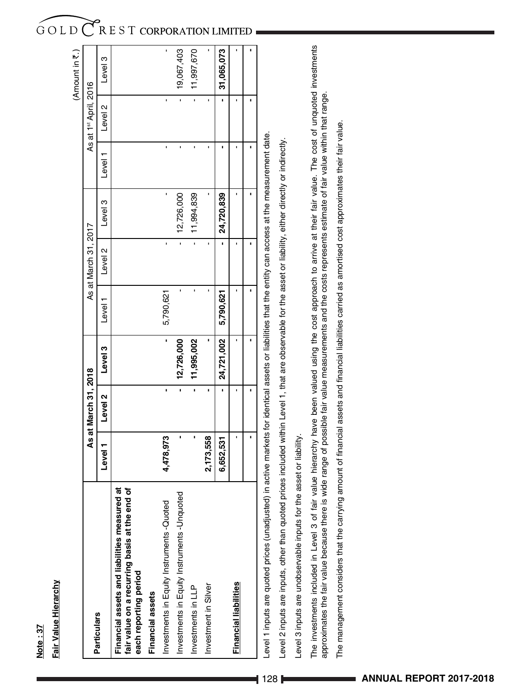| <b>Particulars</b>                                                                                                                                          |                                                                                                           | As at March 31, 2018 |            |           | As at March 31, 2017 |            |         | As at 1st April, 2016 |            |
|-------------------------------------------------------------------------------------------------------------------------------------------------------------|-----------------------------------------------------------------------------------------------------------|----------------------|------------|-----------|----------------------|------------|---------|-----------------------|------------|
|                                                                                                                                                             | Level 1                                                                                                   | Level 2              | Level 3    | Level     | $\sim$<br>Level      | Level 3    | Level 1 | Level <sub>2</sub>    | Level 3    |
| ಸ<br>৳<br>Financial assets and liabilities measured<br>fair value on a recurring basis at the end<br>each reporting period                                  |                                                                                                           |                      |            |           |                      |            |         |                       |            |
| Financial assets                                                                                                                                            |                                                                                                           |                      |            |           |                      |            |         |                       |            |
| Investments in Equity Instruments -Quoted                                                                                                                   | 4,478,973                                                                                                 | ı                    |            | 5,790,621 |                      |            |         |                       |            |
| Investments in Equity Instruments -Unquoted                                                                                                                 |                                                                                                           |                      | 12,726,000 |           |                      | 12,726,000 |         |                       | 19,067,403 |
| Investments in LLP                                                                                                                                          |                                                                                                           |                      | 11,995,002 |           |                      | 11,994,839 |         |                       | 11,997,670 |
| Investment in Silver                                                                                                                                        | 2,173,558                                                                                                 |                      |            |           |                      |            |         |                       |            |
|                                                                                                                                                             | 6,652,531                                                                                                 |                      | 24,721,002 | 5,790,621 |                      | 24,720,839 |         |                       | 31,065,073 |
| Financial liabilities                                                                                                                                       |                                                                                                           |                      |            |           |                      |            |         |                       |            |
|                                                                                                                                                             |                                                                                                           |                      |            |           |                      |            |         |                       |            |
| Level 1 inputs are quoted prices (unadjusted)                                                                                                               | in active markets for identical assets or liabilities that the entity can access at the measurement date. |                      |            |           |                      |            |         |                       |            |
| Level 2 inputs are inputs, other than quoted prices included within Level 1, that are observable for the asset or liability, either directly or indirectly. |                                                                                                           |                      |            |           |                      |            |         |                       |            |
| Level 3 inputs are unobservable inputs for the                                                                                                              | asset or liability.                                                                                       |                      |            |           |                      |            |         |                       |            |
|                                                                                                                                                             |                                                                                                           |                      |            |           |                      |            |         |                       |            |

**Note : 37**

Note: 37

**Fair Value Hierarchy**

Fair Value Hierarchy

The investments included in Level 3 of fair value hierarchy have been valued using the cost approach to arrive at their fair value. The cost of unquoted investments<br>approximates the fair value because there is wide range o The investments included in Level 3 of fair value hierarchy have been valued using the cost approach to arrive at their fair value. The cost of unquoted investments approximates the fair value because there is wide range of possible fair value measurements and the costs represents estimate of fair value within that range.

The management considers that the carrying amount of financial assets and financial liabilities carried as amortised cost approximates their fair value. The management considers that the carrying amount of financial assets and financial liabilities carried as amortised cost approximates their fair value.

# GOLD CREST CORPORATION LIMITED

(Amount in  $\bar{\mathfrak{r}}$ .)

(Amount in ₹.)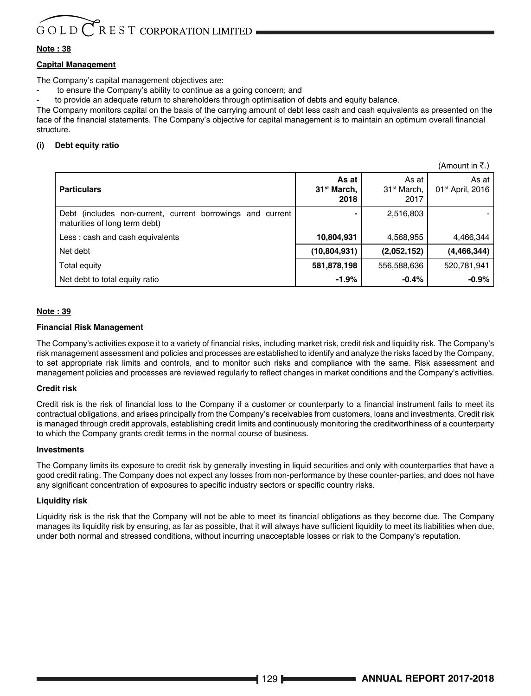# $G$  O L D  $C$  R E S T CORPORATION LIMITED

# **Note : 38**

# **Capital Management**

The Company's capital management objectives are:

to ensure the Company's ability to continue as a going concern; and

to provide an adequate return to shareholders through optimisation of debts and equity balance.

The Company monitors capital on the basis of the carrying amount of debt less cash and cash equivalents as presented on the face of the financial statements. The Company's objective for capital management is to maintain an optimum overall financial structure.

# **(i) Debt equity ratio**

|                                                                                             |                                          |                                          | (Amount in K.)                          |
|---------------------------------------------------------------------------------------------|------------------------------------------|------------------------------------------|-----------------------------------------|
| <b>Particulars</b>                                                                          | As at<br>31 <sup>st</sup> March,<br>2018 | As at<br>31 <sup>st</sup> March,<br>2017 | As at I<br>01 <sup>st</sup> April, 2016 |
| Debt (includes non-current, current borrowings and current<br>maturities of long term debt) |                                          | 2,516,803                                |                                         |
| Less: cash and cash equivalents                                                             | 10,804,931                               | 4,568,955                                | 4,466,344                               |
| Net debt                                                                                    | (10,804,931)                             | (2,052,152)                              | (4, 466, 344)                           |
| Total equity                                                                                | 581,878,198                              | 556,588,636                              | 520,781,941                             |
| Net debt to total equity ratio                                                              | $-1.9%$                                  | $-0.4%$                                  | $-0.9%$                                 |

# **Note : 39**

# **Financial Risk Management**

The Company's activities expose it to a variety of financial risks, including market risk, credit risk and liquidity risk. The Company's risk management assessment and policies and processes are established to identify and analyze the risks faced by the Company, to set appropriate risk limits and controls, and to monitor such risks and compliance with the same. Risk assessment and management policies and processes are reviewed regularly to reflect changes in market conditions and the Company's activities.

# **Credit risk**

Credit risk is the risk of financial loss to the Company if a customer or counterparty to a financial instrument fails to meet its contractual obligations, and arises principally from the Company's receivables from customers, loans and investments. Credit risk is managed through credit approvals, establishing credit limits and continuously monitoring the creditworthiness of a counterparty to which the Company grants credit terms in the normal course of business.

### **Investments**

The Company limits its exposure to credit risk by generally investing in liquid securities and only with counterparties that have a good credit rating. The Company does not expect any losses from non-performance by these counter-parties, and does not have any significant concentration of exposures to specific industry sectors or specific country risks.

# **Liquidity risk**

Liquidity risk is the risk that the Company will not be able to meet its financial obligations as they become due. The Company manages its liquidity risk by ensuring, as far as possible, that it will always have sufficient liquidity to meet its liabilities when due, under both normal and stressed conditions, without incurring unacceptable losses or risk to the Company's reputation.

 $\lambda$  (Amount in  $\lambda$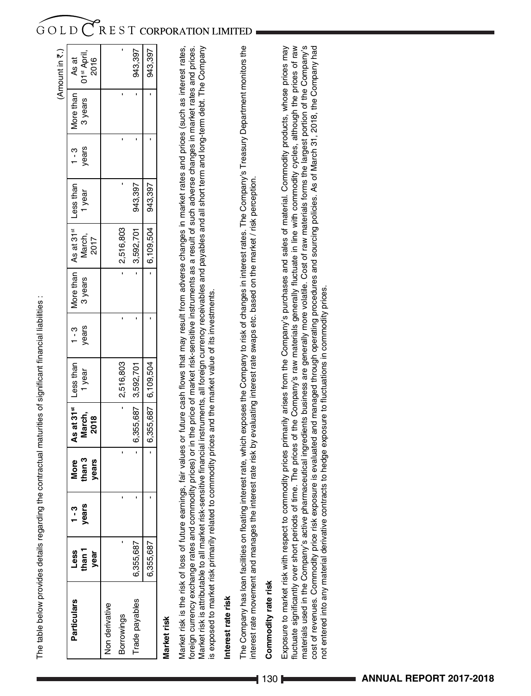| l                                                |
|--------------------------------------------------|
|                                                  |
|                                                  |
|                                                  |
|                                                  |
|                                                  |
|                                                  |
|                                                  |
|                                                  |
|                                                  |
|                                                  |
|                                                  |
| $\begin{bmatrix} 1 \\ 1 \\ 1 \\ 1 \end{bmatrix}$ |
|                                                  |
|                                                  |
|                                                  |
|                                                  |
|                                                  |
|                                                  |
|                                                  |
|                                                  |
|                                                  |
| ׇ֠                                               |
|                                                  |
|                                                  |
|                                                  |
| l                                                |
| ֖֖֖֖֖֚֚֚֚֚֚֚֚֚֚֬                                 |
|                                                  |
|                                                  |
|                                                  |
|                                                  |
|                                                  |
| $\vdots$                                         |
|                                                  |
|                                                  |
|                                                  |
|                                                  |
|                                                  |
|                                                  |
|                                                  |
|                                                  |
|                                                  |
|                                                  |
|                                                  |
|                                                  |
|                                                  |
|                                                  |
|                                                  |
|                                                  |
| l                                                |
|                                                  |

|           |       |        |                                  |           |       |                                                          |                                                                                     |         |         |                   | (Amount in ₹.)                    |
|-----------|-------|--------|----------------------------------|-----------|-------|----------------------------------------------------------|-------------------------------------------------------------------------------------|---------|---------|-------------------|-----------------------------------|
| Less      | 1 - 3 | More   | As at 31 <sup>st</sup> Less than |           |       | $1 - 3$   More than   As at 31 <sup>st</sup>   Less than |                                                                                     |         | $1 - 3$ | More than   As at |                                   |
| than 1    | years | than 3 | March,                           | 1 year    | years | 3 years                                                  | March,                                                                              | l year  | years   |                   | 3 years   01 <sup>st</sup> April, |
| year      |       | years  | 2018                             |           |       |                                                          | 2017                                                                                |         |         |                   | 2016                              |
|           |       |        |                                  |           |       |                                                          |                                                                                     |         |         |                   |                                   |
|           |       |        |                                  | 2,516,803 |       |                                                          | 2,516,803                                                                           |         |         |                   |                                   |
| 6,355,687 |       |        | 6,355,687 3,592,701              |           |       |                                                          | 3,592,701                                                                           | 943,397 |         |                   | 943,397                           |
| 6,355,687 |       |        | 6,355,687 6,109,504              |           |       |                                                          | $\begin{array}{ c c c c c c c c } \hline 6,109,504 & 943,397 \\ \hline \end{array}$ |         |         |                   | 943,397                           |
|           |       |        |                                  |           |       |                                                          |                                                                                     |         |         |                   |                                   |

# Market risk **Market risk**

Market risk is the risk of loss of future earnings, fair values or future cash flows that may result from adverse changes in market rates and prices (such as interest rates, foreign currency exchange rates and commodity prices) or in the price of market risk-sensitive instruments as a result of such adverse changes in market rates and prices. Market risk is attributable to all market risk-sensitive financial instruments, all foreign currency receivables and payables and all short term and long-term debt. The Company Market risk is attributable to all market risk-sensitive financial instruments, all foreign currency receivables and payables and all short term and long-term debt. The Company Market risk is the risk of loss of future earnings, fair values or future cash flows that may result from adverse changes in market rates and prices (such as interest rates, foreign currency exchange rates and commodity prices) or in the price of market risk-sensitive instruments as a result of such adverse changes in market rates and prices. is exposed to market risk primarily related to commodity prices and the market value of its investments. is exposed to market risk primarily related to commodity prices and the market value of its investments.

# Interest rate risk **Interest rate risk**

The Company has loan facilities on floating interest rate, which exposes the Company to risk of changes in interest rates. The Company's Treasury Department monitors the The Company has loan facilities on floating interest rate, which exposes the Company to risk of changes in interest rates. The Company's Treasury Department monitors the interest rate movement and manages the interest rate risk by evaluating interest rate swaps etc. based on the market / risk perception. interest rate movement and manages the interest rate risk by evaluating interest rate swaps etc. based on the market / risk perception.

# Commodity rate risk **Commodity rate risk**

Exposure to market risk with respect to commodity prices primarily arises from the Company's purchases and sales of material. Commodity products, whose prices may fluctuate significantly over short periods of time. The prices of the Company's raw materials generally fluctuate in line with commodity cycles, although the prices of raw materials used in the Company's active pharmaceutical ingredients business are generally more volatile. Cost of raw materials forms the largest portion of the Company's materials used in the Company's active pharmaceutical ingredients business are generally more volatile. Cost of raw materials forms the largest portion of the Company's cost of revenues. Commodity price risk exposure is evaluated and managed through operating procedures and sourcing policies. As of March 31, 2018, the Company had Exposure to market risk with respect to commodity prices primarily arises from the Company's purchases and sales of material. Commodity products, whose prices may luctuate significantly over short periods of time. The prices of the Company's raw materials generally fluctuate in line with commodity cycles, although the prices of raw cost of revenues. Commodity price risk exposure is evaluated and managed through operating procedures and sourcing policies. As of March 31, 2018, the Company had not entered into any material derivative contracts to hedge exposure to fluctuations in commodity prices. not entered into any material derivative contracts to hedge exposure to fluctuations in commodity prices.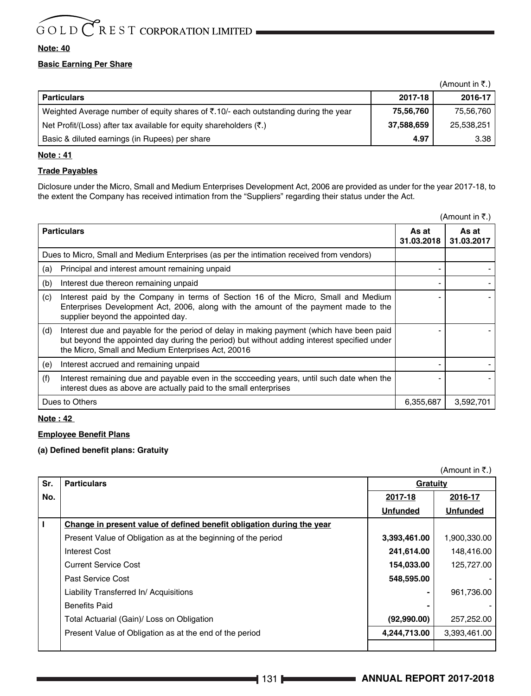# **Note: 40**

# **Basic Earning Per Share**

|                                                                                                         |            | $(Am$ ount in ₹.) |
|---------------------------------------------------------------------------------------------------------|------------|-------------------|
| Particulars                                                                                             | 2017-18    | 2016-17           |
| Weighted Average number of equity shares of $\bar{\mathfrak{c}}$ .10/- each outstanding during the year | 75,56,760  | 75,56,760         |
| Net Profit/(Loss) after tax available for equity shareholders (₹.)                                      | 37,588,659 | 25,538,251        |
| Basic & diluted earnings (in Rupees) per share                                                          | 4.97       | 3.38              |
|                                                                                                         |            |                   |

# **Note : 41**

# **Trade Payables**

Diclosure under the Micro, Small and Medium Enterprises Development Act, 2006 are provided as under for the year 2017-18, to the extent the Company has received intimation from the "Suppliers" regarding their status under the Act.

|                                                                                                                                                                                                                                                      |                     | (Amount in ₹.)      |
|------------------------------------------------------------------------------------------------------------------------------------------------------------------------------------------------------------------------------------------------------|---------------------|---------------------|
| <b>Particulars</b>                                                                                                                                                                                                                                   | As at<br>31.03.2018 | As at<br>31.03.2017 |
| Dues to Micro, Small and Medium Enterprises (as per the intimation received from vendors)                                                                                                                                                            |                     |                     |
| Principal and interest amount remaining unpaid<br>(a)                                                                                                                                                                                                |                     |                     |
| Interest due thereon remaining unpaid<br>(b)                                                                                                                                                                                                         |                     |                     |
| Interest paid by the Company in terms of Section 16 of the Micro, Small and Medium<br>(c)<br>Enterprises Development Act, 2006, along with the amount of the payment made to the<br>supplier beyond the appointed day.                               |                     |                     |
| Interest due and payable for the period of delay in making payment (which have been paid<br>(d)<br>but beyond the appointed day during the period) but without adding interest specified under<br>the Micro, Small and Medium Enterprises Act, 20016 |                     |                     |
| Interest accrued and remaining unpaid<br>(e)                                                                                                                                                                                                         |                     |                     |
| Interest remaining due and payable even in the sccceeding years, until such date when the<br>(f)<br>interest dues as above are actually paid to the small enterprises                                                                                |                     |                     |
| Dues to Others                                                                                                                                                                                                                                       | 6,355,687           | 3.592.701           |

# **Note : 42**

# **Employee Benefit Plans**

# **(a) Defined benefit plans: Gratuity**

(Amount in  $\overline{\tau}$ .)

| Sr. | <b>Particulars</b>                                                    | Gratuity        |                 |
|-----|-----------------------------------------------------------------------|-----------------|-----------------|
| No. |                                                                       | 2017-18         | 2016-17         |
|     |                                                                       | <b>Unfunded</b> | <b>Unfunded</b> |
|     | Change in present value of defined benefit obligation during the year |                 |                 |
|     | Present Value of Obligation as at the beginning of the period         | 3,393,461.00    | 1,900,330.00    |
|     | Interest Cost                                                         | 241,614.00      | 148.416.00      |
|     | <b>Current Service Cost</b>                                           | 154,033.00      | 125,727.00      |
|     | Past Service Cost                                                     | 548,595.00      |                 |
|     | Liability Transferred In/Acquisitions                                 |                 | 961,736.00      |
|     | <b>Benefits Paid</b>                                                  |                 |                 |
|     | Total Actuarial (Gain)/ Loss on Obligation                            | (92,990.00)     | 257,252.00      |
|     | Present Value of Obligation as at the end of the period               | 4,244,713.00    | 3,393,461.00    |
|     |                                                                       |                 |                 |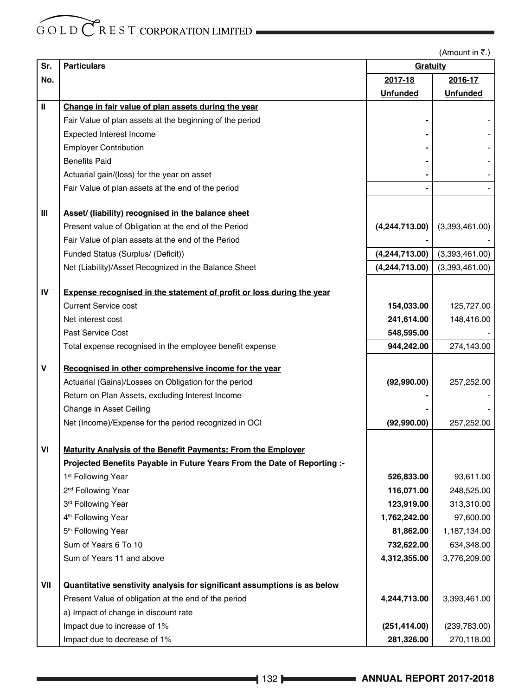(Amount in  $\overline{\tau}$ .)

| Sr. | <b>Particulars</b>                                                                                   | Gratuity                 |                 |
|-----|------------------------------------------------------------------------------------------------------|--------------------------|-----------------|
| No. |                                                                                                      | 2017-18                  | 2016-17         |
|     |                                                                                                      | <b>Unfunded</b>          | <b>Unfunded</b> |
| Ш   | Change in fair value of plan assets during the year                                                  |                          |                 |
|     | Fair Value of plan assets at the beginning of the period                                             |                          |                 |
|     | <b>Expected Interest Income</b>                                                                      |                          |                 |
|     | <b>Employer Contribution</b>                                                                         |                          |                 |
|     | <b>Benefits Paid</b>                                                                                 |                          |                 |
|     | Actuarial gain/(loss) for the year on asset                                                          |                          |                 |
|     | Fair Value of plan assets at the end of the period                                                   |                          |                 |
| Ш   | Asset/ (liability) recognised in the balance sheet                                                   |                          |                 |
|     | Present value of Obligation at the end of the Period                                                 | (4,244,713.00)           | (3,393,461.00)  |
|     | Fair Value of plan assets at the end of the Period                                                   |                          |                 |
|     | Funded Status (Surplus/ (Deficit))                                                                   | (4,244,713.00)           | (3,393,461.00)  |
|     | Net (Liability)/Asset Recognized in the Balance Sheet                                                | (4,244,713.00)           | (3,393,461.00)  |
| IV  |                                                                                                      |                          |                 |
|     | Expense recognised in the statement of profit or loss during the year<br><b>Current Service cost</b> |                          |                 |
|     |                                                                                                      | 154,033.00<br>241,614.00 | 125,727.00      |
|     | Net interest cost<br><b>Past Service Cost</b>                                                        | 548,595.00               | 148,416.00      |
|     | Total expense recognised in the employee benefit expense                                             | 944,242.00               | 274,143.00      |
|     |                                                                                                      |                          |                 |
| V   | Recognised in other comprehensive income for the year                                                |                          |                 |
|     | Actuarial (Gains)/Losses on Obligation for the period                                                | (92,990.00)              | 257,252.00      |
|     | Return on Plan Assets, excluding Interest Income                                                     |                          |                 |
|     | Change in Asset Ceiling                                                                              |                          |                 |
|     | Net (Income)/Expense for the period recognized in OCI                                                | (92, 990.00)             | 257,252.00      |
| VI  | <b>Maturity Analysis of the Benefit Payments: From the Employer</b>                                  |                          |                 |
|     | Projected Benefits Payable in Future Years From the Date of Reporting :-                             |                          |                 |
|     | 1 <sup>st</sup> Following Year                                                                       | 526,833.00               | 93,611.00       |
|     | 2 <sup>nd</sup> Following Year                                                                       | 116,071.00               | 248,525.00      |
|     | 3rd Following Year                                                                                   | 123,919.00               | 313,310.00      |
|     | 4 <sup>th</sup> Following Year                                                                       | 1,762,242.00             | 97,600.00       |
|     | 5 <sup>th</sup> Following Year                                                                       | 81,862.00                | 1,187,134.00    |
|     | Sum of Years 6 To 10                                                                                 | 732,622.00               | 634,348.00      |
|     | Sum of Years 11 and above                                                                            | 4,312,355.00             | 3,776,209.00    |
| VII | Quantitative senstivity analysis for significant assumptions is as below                             |                          |                 |
|     | Present Value of obligation at the end of the period                                                 | 4,244,713.00             | 3,393,461.00    |
|     | a) Impact of change in discount rate                                                                 |                          |                 |
|     | Impact due to increase of 1%                                                                         | (251, 414.00)            | (239, 783.00)   |
|     | Impact due to decrease of 1%                                                                         | 281,326.00               | 270,118.00      |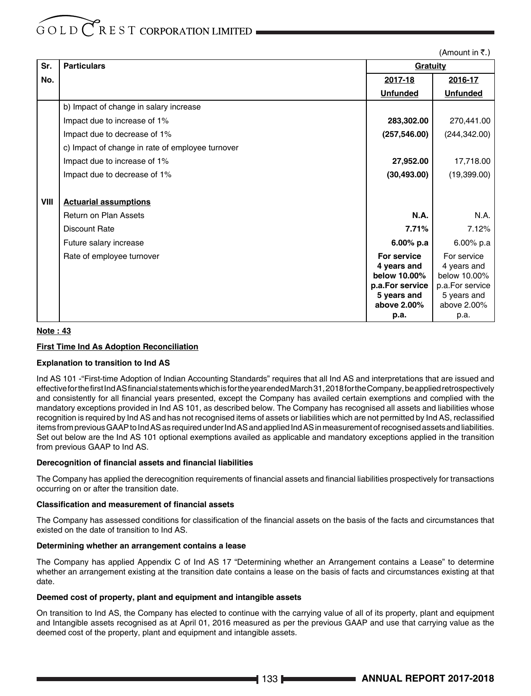$(Am$ ount in  $\bar{z}$ .)

| Sr.  | <b>Particulars</b>                               | Gratuity                       |                                |
|------|--------------------------------------------------|--------------------------------|--------------------------------|
| No.  |                                                  | 2017-18                        | 2016-17                        |
|      |                                                  | <b>Unfunded</b>                | <b>Unfunded</b>                |
|      | b) Impact of change in salary increase           |                                |                                |
|      | Impact due to increase of 1%                     | 283,302.00                     | 270,441.00                     |
|      | Impact due to decrease of 1%                     | (257, 546.00)                  | (244, 342.00)                  |
|      | c) Impact of change in rate of employee turnover |                                |                                |
|      | Impact due to increase of 1%                     | 27,952.00                      | 17,718.00                      |
|      | Impact due to decrease of 1%                     | (30, 493.00)                   | (19,399.00)                    |
|      |                                                  |                                |                                |
| VIII | <b>Actuarial assumptions</b>                     |                                |                                |
|      | <b>Return on Plan Assets</b>                     | <b>N.A.</b>                    | N.A.                           |
|      | <b>Discount Rate</b>                             | 7.71%                          | 7.12%                          |
|      | Future salary increase                           | $6.00\%$ p.a                   | $6.00\%$ p.a                   |
|      | Rate of employee turnover                        | For service                    | For service                    |
|      |                                                  | 4 years and                    | 4 years and                    |
|      |                                                  | below 10.00%                   | below 10.00%                   |
|      |                                                  | p.a.For service<br>5 years and | p.a.For service<br>5 years and |
|      |                                                  | above 2.00%                    | above 2.00%                    |
|      |                                                  | p.a.                           | p.a.                           |

# **Note : 43**

# **First Time Ind As Adoption Reconciliation**

# **Explanation to transition to Ind AS**

Ind AS 101 -"First-time Adoption of Indian Accounting Standards" requires that all Ind AS and interpretations that are issued and effective for the first Ind AS financial statements which is for the year ended March 31, 2018 for the Company, be applied retrospectively and consistently for all financial years presented, except the Company has availed certain exemptions and complied with the mandatory exceptions provided in Ind AS 101, as described below. The Company has recognised all assets and liabilities whose recognition is required by Ind AS and has not recognised items of assets or liabilities which are not permitted by Ind AS, reclassified items from previous GAAP to Ind AS as required under Ind AS and applied Ind AS in measurement of recognised assets and liabilities. Set out below are the Ind AS 101 optional exemptions availed as applicable and mandatory exceptions applied in the transition from previous GAAP to Ind AS.

### **Derecognition of financial assets and financial liabilities**

The Company has applied the derecognition requirements of financial assets and financial liabilities prospectively for transactions occurring on or after the transition date.

### **Classification and measurement of financial assets**

The Company has assessed conditions for classification of the financial assets on the basis of the facts and circumstances that existed on the date of transition to Ind AS.

# **Determining whether an arrangement contains a lease**

The Company has applied Appendix C of Ind AS 17 "Determining whether an Arrangement contains a Lease" to determine whether an arrangement existing at the transition date contains a lease on the basis of facts and circumstances existing at that date.

## **Deemed cost of property, plant and equipment and intangible assets**

On transition to Ind AS, the Company has elected to continue with the carrying value of all of its property, plant and equipment and Intangible assets recognised as at April 01, 2016 measured as per the previous GAAP and use that carrying value as the deemed cost of the property, plant and equipment and intangible assets.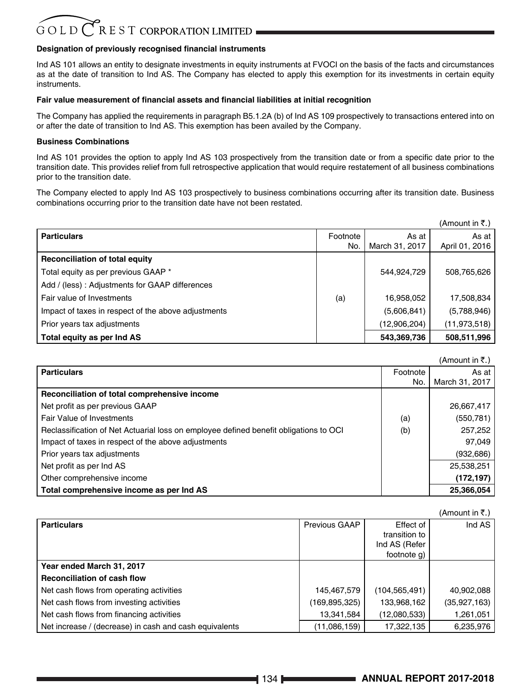# **Designation of previously recognised financial instruments**

Ind AS 101 allows an entity to designate investments in equity instruments at FVOCI on the basis of the facts and circumstances as at the date of transition to Ind AS. The Company has elected to apply this exemption for its investments in certain equity instruments.

### **Fair value measurement of financial assets and financial liabilities at initial recognition**

The Company has applied the requirements in paragraph B5.1.2A (b) of Ind AS 109 prospectively to transactions entered into on or after the date of transition to Ind AS. This exemption has been availed by the Company.

### **Business Combinations**

Ind AS 101 provides the option to apply Ind AS 103 prospectively from the transition date or from a specific date prior to the transition date. This provides relief from full retrospective application that would require restatement of all business combinations prior to the transition date.

The Company elected to apply Ind AS 103 prospectively to business combinations occurring after its transition date. Business combinations occurring prior to the transition date have not been restated.

|                                                     |          |                | $(A$ mount in ₹.) |
|-----------------------------------------------------|----------|----------------|-------------------|
| <b>Particulars</b>                                  | Footnote | As at          | As at             |
|                                                     | No.      | March 31, 2017 | April 01, 2016    |
| Reconciliation of total equity                      |          |                |                   |
| Total equity as per previous GAAP *                 |          | 544,924,729    | 508,765,626       |
| Add / (less): Adjustments for GAAP differences      |          |                |                   |
| Fair value of Investments                           | (a)      | 16,958,052     | 17,508,834        |
| Impact of taxes in respect of the above adjustments |          | (5,606,841)    | (5,788,946)       |
| Prior years tax adjustments                         |          | (12,906,204)   | (11, 973, 518)    |
| Total equity as per Ind AS                          |          | 543,369,736    | 508,511,996       |

|                                                                                       |          | (Amount in ₹.) |
|---------------------------------------------------------------------------------------|----------|----------------|
| <b>Particulars</b>                                                                    | Footnote | As at          |
|                                                                                       | No.      | March 31, 2017 |
| Reconciliation of total comprehensive income                                          |          |                |
| Net profit as per previous GAAP                                                       |          | 26,667,417     |
| Fair Value of Investments                                                             | (a)      | (550, 781)     |
| Reclassification of Net Actuarial loss on employee defined benefit obligations to OCI | (b)      | 257,252        |
| Impact of taxes in respect of the above adjustments                                   |          | 97,049         |
| Prior years tax adjustments                                                           |          | (932, 686)     |
| Net profit as per Ind AS                                                              |          | 25,538,251     |
| Other comprehensive income                                                            |          | (172, 197)     |
| Total comprehensive income as per Ind AS                                              |          | 25,366,054     |

|                                                        |               |                                                            | (Amount in ₹.) |
|--------------------------------------------------------|---------------|------------------------------------------------------------|----------------|
| <b>Particulars</b>                                     | Previous GAAP | Effect of<br>transition to<br>Ind AS (Refer<br>footnote q) | Ind AS         |
| Year ended March 31, 2017                              |               |                                                            |                |
| <b>Reconciliation of cash flow</b>                     |               |                                                            |                |
| Net cash flows from operating activities               | 145,467,579   | (104,565,491)                                              | 40,902,088     |
| Net cash flows from investing activities               | (169,895,325) | 133,968,162                                                | (35, 927, 163) |
| Net cash flows from financing activities               | 13,341,584    | (12,080,533)                                               | 1,261,051      |
| Net increase / (decrease) in cash and cash equivalents | (11,086,159)  | 17,322,135                                                 | 6,235,976      |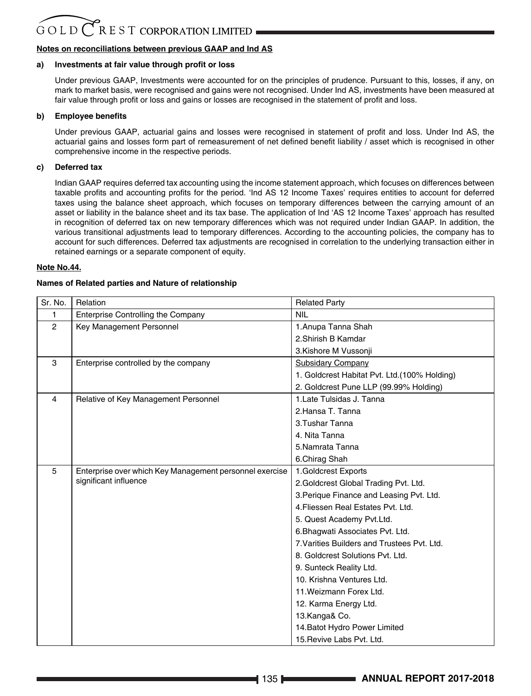# **Notes on reconciliations between previous GAAP and Ind AS**

# **a) Investments at fair value through profit or loss**

Under previous GAAP, Investments were accounted for on the principles of prudence. Pursuant to this, losses, if any, on mark to market basis, were recognised and gains were not recognised. Under Ind AS, investments have been measured at fair value through profit or loss and gains or losses are recognised in the statement of profit and loss.

# **b) Employee benefits**

Under previous GAAP, actuarial gains and losses were recognised in statement of profit and loss. Under Ind AS, the actuarial gains and losses form part of remeasurement of net defined benefit liability / asset which is recognised in other comprehensive income in the respective periods.

# **c) Deferred tax**

Indian GAAP requires deferred tax accounting using the income statement approach, which focuses on differences between taxable profits and accounting profits for the period. 'Ind AS 12 Income Taxes' requires entities to account for deferred taxes using the balance sheet approach, which focuses on temporary differences between the carrying amount of an asset or liability in the balance sheet and its tax base. The application of Ind 'AS 12 Income Taxes' approach has resulted in recognition of deferred tax on new temporary differences which was not required under Indian GAAP. In addition, the various transitional adjustments lead to temporary differences. According to the accounting policies, the company has to account for such differences. Deferred tax adjustments are recognised in correlation to the underlying transaction either in retained earnings or a separate component of equity.

# **Note No.44.**

# **Names of Related parties and Nature of relationship**

| Sr. No.        | Relation                                                | <b>Related Party</b>                          |
|----------------|---------------------------------------------------------|-----------------------------------------------|
| 1              | Enterprise Controlling the Company                      | <b>NIL</b>                                    |
| $\overline{2}$ | Key Management Personnel                                | 1. Anupa Tanna Shah                           |
|                |                                                         | 2.Shirish B Kamdar                            |
|                |                                                         | 3.Kishore M Vussonji                          |
| 3              | Enterprise controlled by the company                    | Subsidary Company                             |
|                |                                                         | 1. Goldcrest Habitat Pvt. Ltd. (100% Holding) |
|                |                                                         | 2. Goldcrest Pune LLP (99.99% Holding)        |
| 4              | Relative of Key Management Personnel                    | 1. Late Tulsidas J. Tanna                     |
|                |                                                         | 2. Hansa T. Tanna                             |
|                |                                                         | 3. Tushar Tanna                               |
|                |                                                         | 4. Nita Tanna                                 |
|                |                                                         | 5.Namrata Tanna                               |
|                |                                                         | 6.Chirag Shah                                 |
| 5              | Enterprise over which Key Management personnel exercise | 1.Goldcrest Exports                           |
|                | significant influence                                   | 2.Goldcrest Global Trading Pvt. Ltd.          |
|                |                                                         | 3. Perique Finance and Leasing Pvt. Ltd.      |
|                |                                                         | 4. Fliessen Real Estates Pvt. Ltd.            |
|                |                                                         | 5. Quest Academy Pvt.Ltd.                     |
|                |                                                         | 6. Bhagwati Associates Pvt. Ltd.              |
|                |                                                         | 7. Varities Builders and Trustees Pyt. Ltd.   |
|                |                                                         | 8. Goldcrest Solutions Pvt. Ltd.              |
|                |                                                         | 9. Sunteck Reality Ltd.                       |
|                |                                                         | 10. Krishna Ventures Ltd.                     |
|                |                                                         | 11. Weizmann Forex Ltd.                       |
|                |                                                         | 12. Karma Energy Ltd.                         |
|                |                                                         | 13.Kanga& Co.                                 |
|                |                                                         | 14. Batot Hydro Power Limited                 |
|                |                                                         | 15. Revive Labs Pvt. Ltd.                     |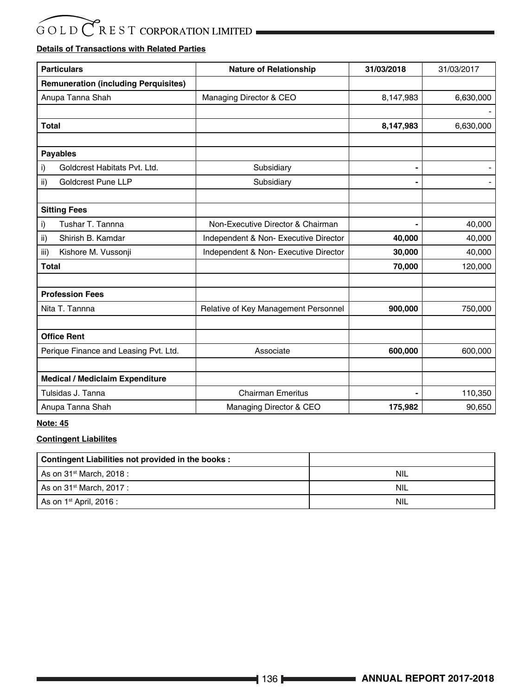# **Details of Transactions with Related Parties**

| <b>Particulars</b>                          | <b>Nature of Relationship</b>        | 31/03/2018 | 31/03/2017 |
|---------------------------------------------|--------------------------------------|------------|------------|
| <b>Remuneration (including Perquisites)</b> |                                      |            |            |
| Anupa Tanna Shah                            | Managing Director & CEO              | 8,147,983  | 6,630,000  |
|                                             |                                      |            |            |
| <b>Total</b>                                |                                      | 8,147,983  | 6,630,000  |
|                                             |                                      |            |            |
| <b>Payables</b>                             |                                      |            |            |
| Goldcrest Habitats Pvt. Ltd.<br>i)          | Subsidiary                           |            |            |
| <b>Goldcrest Pune LLP</b><br>ii)            | Subsidiary                           |            |            |
|                                             |                                      |            |            |
| <b>Sitting Fees</b>                         |                                      |            |            |
| Tushar T. Tannna<br>i)                      | Non-Executive Director & Chairman    |            | 40,000     |
| Shirish B. Kamdar<br>ii)                    | Independent & Non-Executive Director | 40,000     | 40,000     |
| Kishore M. Vussonji<br>iii)                 | Independent & Non-Executive Director | 30,000     | 40,000     |
| <b>Total</b>                                |                                      | 70,000     | 120,000    |
|                                             |                                      |            |            |
| <b>Profession Fees</b>                      |                                      |            |            |
| Nita T. Tannna                              | Relative of Key Management Personnel | 900,000    | 750,000    |
|                                             |                                      |            |            |
| <b>Office Rent</b>                          |                                      |            |            |
| Perique Finance and Leasing Pvt. Ltd.       | Associate                            | 600,000    | 600,000    |
|                                             |                                      |            |            |
| <b>Medical / Mediclaim Expenditure</b>      |                                      |            |            |
| Tulsidas J. Tanna                           | <b>Chairman Emeritus</b>             |            | 110,350    |
| Anupa Tanna Shah                            | Managing Director & CEO              | 175,982    | 90,650     |

# **Note: 45**

# **Contingent Liabilites**

| Contingent Liabilities not provided in the books: |            |
|---------------------------------------------------|------------|
| As on 31 <sup>st</sup> March, 2018 :              | NIL        |
| As on 31 <sup>st</sup> March, 2017 :              | NIL        |
| As on 1 <sup>st</sup> April, 2016 :               | <b>NIL</b> |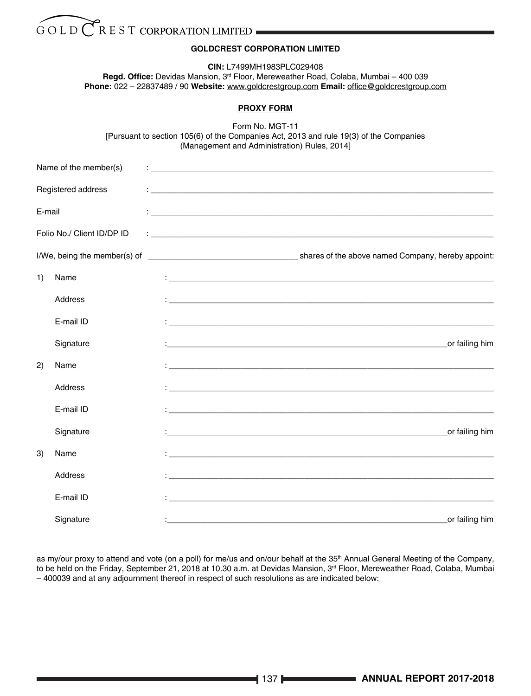# **GOLDCREST CORPORATION LIMITED**

**CIN:** L7499MH1983PLC029408

**Regd. Office:** Devidas Mansion, 3rd Floor, Mereweather Road, Colaba, Mumbai – 400 039 **Phone:** 022 – 22837489 / 90 **Website:** www.goldcrestgroup.com **Email:** office@goldcrestgroup.com

# **PROXY FORM**

Form No. MGT-11 [Pursuant to section 105(6) of the Companies Act, 2013 and rule 19(3) of the Companies (Management and Administration) Rules, 2014]

|        | Name of the member(s)      |                                                                                                                      |
|--------|----------------------------|----------------------------------------------------------------------------------------------------------------------|
|        | Registered address         |                                                                                                                      |
| E-mail |                            |                                                                                                                      |
|        | Folio No./ Client ID/DP ID |                                                                                                                      |
|        |                            |                                                                                                                      |
| 1)     | Name                       |                                                                                                                      |
|        | Address                    |                                                                                                                      |
|        | E-mail ID                  |                                                                                                                      |
|        | Signature                  | or failing him                                                                                                       |
| 2)     | Name                       |                                                                                                                      |
|        | Address                    |                                                                                                                      |
|        | E-mail ID                  |                                                                                                                      |
|        | Signature                  | or failing him<br><u> 1980 - Jan Barat, Amerikaansk politiker (* 1901)</u>                                           |
| 3)     | Name                       | <u> 1999 - Jan James James James James James James James James James James James James James James James James J</u> |
|        | Address                    |                                                                                                                      |
|        | E-mail ID                  |                                                                                                                      |
|        | Signature                  | or failing him                                                                                                       |

as my/our proxy to attend and vote (on a poll) for me/us and on/our behalf at the 35<sup>th</sup> Annual General Meeting of the Company, to be held on the Friday, September 21, 2018 at 10.30 a.m. at Devidas Mansion, 3<sup>rd</sup> Floor, Mereweather Road, Colaba, Mumbai – 400039 and at any adjournment thereof in respect of such resolutions as are indicated below: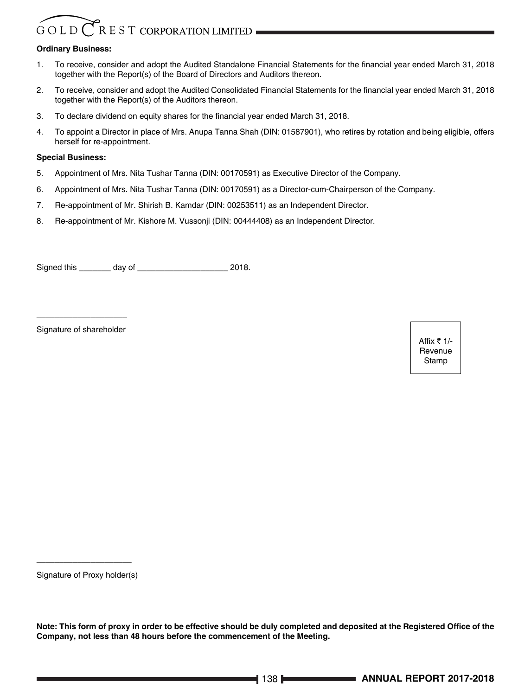# $G$  O L D  $\binom{7}{K}$  R E S T CORPORATION LIMITED

# **Ordinary Business:**

- 1. To receive, consider and adopt the Audited Standalone Financial Statements for the financial year ended March 31, 2018 together with the Report(s) of the Board of Directors and Auditors thereon.
- 2. To receive, consider and adopt the Audited Consolidated Financial Statements for the financial year ended March 31, 2018 together with the Report(s) of the Auditors thereon.
- 3. To declare dividend on equity shares for the financial year ended March 31, 2018.
- 4. To appoint a Director in place of Mrs. Anupa Tanna Shah (DIN: 01587901), who retires by rotation and being eligible, offers herself for re-appointment.

# **Special Business:**

- 5. Appointment of Mrs. Nita Tushar Tanna (DIN: 00170591) as Executive Director of the Company.
- 6. Appointment of Mrs. Nita Tushar Tanna (DIN: 00170591) as a Director-cum-Chairperson of the Company.
- 7. Re-appointment of Mr. Shirish B. Kamdar (DIN: 00253511) as an Independent Director.
- 8. Re-appointment of Mr. Kishore M. Vussonji (DIN: 00444408) as an Independent Director.

Signed this \_\_\_\_\_\_\_ day of \_\_\_\_\_\_\_\_\_\_\_\_\_\_\_\_\_\_\_\_ 2018.

\_\_\_\_\_\_\_\_\_\_\_\_\_\_\_\_\_\_\_\_ Signature of shareholder

Affix  $\bar{z}$  1/-Revenue Stamp

\_\_\_\_\_\_\_\_\_\_\_\_\_\_\_\_\_\_\_\_\_ Signature of Proxy holder(s)

**Note: This form of proxy in order to be effective should be duly completed and deposited at the Registered Office of the Company, not less than 48 hours before the commencement of the Meeting.**